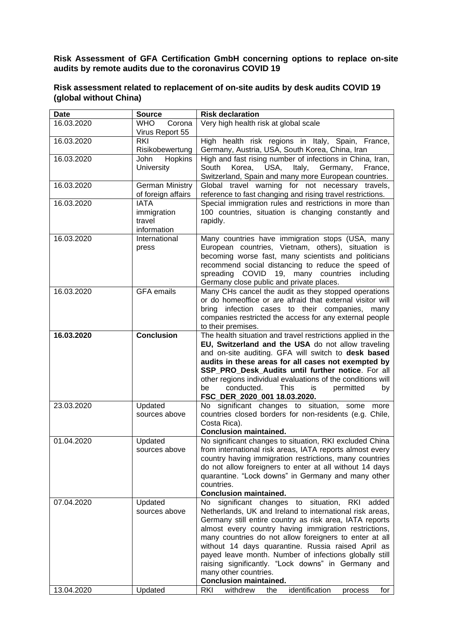**Risk Assessment of GFA Certification GmbH concerning options to replace on-site audits by remote audits due to the coronavirus COVID 19**

## **Risk assessment related to replacement of on-site audits by desk audits COVID 19 (global without China)**

| <b>Date</b> | <b>Source</b>                                       | <b>Risk declaration</b>                                                                                                                                                                                                                                                                                                                                                                                                                                                                                                                               |
|-------------|-----------------------------------------------------|-------------------------------------------------------------------------------------------------------------------------------------------------------------------------------------------------------------------------------------------------------------------------------------------------------------------------------------------------------------------------------------------------------------------------------------------------------------------------------------------------------------------------------------------------------|
| 16.03.2020  | <b>WHO</b><br>Corona<br>Virus Report 55             | Very high health risk at global scale                                                                                                                                                                                                                                                                                                                                                                                                                                                                                                                 |
| 16.03.2020  | <b>RKI</b><br>Risikobewertung                       | High health risk regions in Italy, Spain, France,<br>Germany, Austria, USA, South Korea, China, Iran                                                                                                                                                                                                                                                                                                                                                                                                                                                  |
| 16.03.2020  | Hopkins<br>John<br><b>University</b>                | High and fast rising number of infections in China, Iran,<br>Italy, Germany,<br>South<br>Korea, USA,<br>France,<br>Switzerland, Spain and many more European countries.                                                                                                                                                                                                                                                                                                                                                                               |
| 16.03.2020  | <b>German Ministry</b><br>of foreign affairs        | Global travel warning for not necessary travels,<br>reference to fast changing and rising travel restrictions.                                                                                                                                                                                                                                                                                                                                                                                                                                        |
| 16.03.2020  | <b>IATA</b><br>immigration<br>travel<br>information | Special immigration rules and restrictions in more than<br>100 countries, situation is changing constantly and<br>rapidly.                                                                                                                                                                                                                                                                                                                                                                                                                            |
| 16.03.2020  | International<br>press                              | Many countries have immigration stops (USA, many<br>European countries, Vietnam, others), situation is<br>becoming worse fast, many scientists and politicians<br>recommend social distancing to reduce the speed of<br>spreading COVID 19, many countries<br>including<br>Germany close public and private places.                                                                                                                                                                                                                                   |
| 16.03.2020  | <b>GFA</b> emails                                   | Many CHs cancel the audit as they stopped operations<br>or do homeoffice or are afraid that external visitor will<br>bring infection cases to their companies,<br>many<br>companies restricted the access for any external people<br>to their premises.                                                                                                                                                                                                                                                                                               |
| 16.03.2020  | <b>Conclusion</b>                                   | The health situation and travel restrictions applied in the<br>EU, Switzerland and the USA do not allow traveling<br>and on-site auditing. GFA will switch to desk based<br>audits in these areas for all cases not exempted by<br>SSP_PRO_Desk_Audits until further notice. For all<br>other regions individual evaluations of the conditions will<br>This<br>conducted.<br>permitted<br>be<br>is.<br>by<br>FSC_DER_2020_001 18.03.2020.                                                                                                             |
| 23.03.2020  | Updated<br>sources above                            | significant changes to situation, some more<br>No l<br>countries closed borders for non-residents (e.g. Chile,<br>Costa Rica).<br><b>Conclusion maintained.</b>                                                                                                                                                                                                                                                                                                                                                                                       |
| 01.04.2020  | Updated<br>sources above                            | No significant changes to situation, RKI excluded China<br>from international risk areas, IATA reports almost every<br>country having immigration restrictions, many countries<br>do not allow foreigners to enter at all without 14 days<br>quarantine. "Lock downs" in Germany and many other<br>countries.<br><b>Conclusion maintained.</b>                                                                                                                                                                                                        |
| 07.04.2020  | Updated<br>sources above                            | significant changes to situation,<br>RKI<br>No l<br>added<br>Netherlands, UK and Ireland to international risk areas,<br>Germany still entire country as risk area, IATA reports<br>almost every country having immigration restrictions,<br>many countries do not allow foreigners to enter at all<br>without 14 days quarantine. Russia raised April as<br>payed leave month. Number of infections globally still<br>raising significantly. "Lock downs" in Germany and<br>many other countries.<br><b>Conclusion maintained.</b><br>identification |
| 13.04.2020  | Updated                                             | <b>RKI</b><br>withdrew<br>the<br>for<br>process                                                                                                                                                                                                                                                                                                                                                                                                                                                                                                       |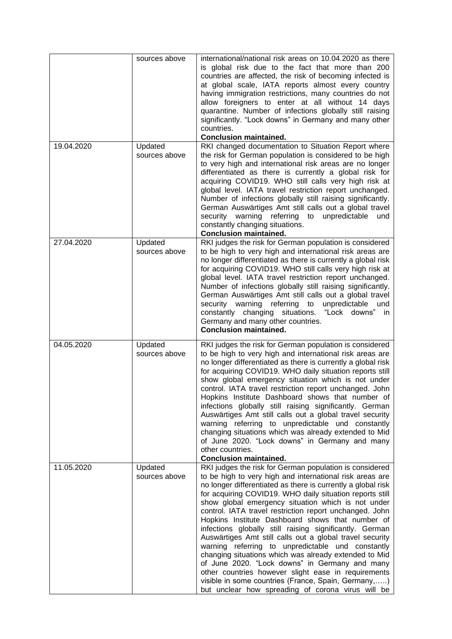|            | sources above            | international/national risk areas on 10.04.2020 as there<br>is global risk due to the fact that more than 200<br>countries are affected, the risk of becoming infected is<br>at global scale, IATA reports almost every country<br>having immigration restrictions, many countries do not<br>allow foreigners to enter at all without 14 days<br>quarantine. Number of infections globally still raising<br>significantly. "Lock downs" in Germany and many other<br>countries.<br><b>Conclusion maintained.</b>                                                                                                                                                                                                                                                                                                                                                               |
|------------|--------------------------|--------------------------------------------------------------------------------------------------------------------------------------------------------------------------------------------------------------------------------------------------------------------------------------------------------------------------------------------------------------------------------------------------------------------------------------------------------------------------------------------------------------------------------------------------------------------------------------------------------------------------------------------------------------------------------------------------------------------------------------------------------------------------------------------------------------------------------------------------------------------------------|
| 19.04.2020 | Updated<br>sources above | RKI changed documentation to Situation Report where<br>the risk for German population is considered to be high<br>to very high and international risk areas are no longer<br>differentiated as there is currently a global risk for<br>acquiring COVID19. WHO still calls very high risk at<br>global level. IATA travel restriction report unchanged.<br>Number of infections globally still raising significantly.<br>German Auswärtiges Amt still calls out a global travel<br>security warning referring to unpredictable<br>und<br>constantly changing situations.<br><b>Conclusion maintained.</b>                                                                                                                                                                                                                                                                       |
| 27.04.2020 | Updated<br>sources above | RKI judges the risk for German population is considered<br>to be high to very high and international risk areas are<br>no longer differentiated as there is currently a global risk<br>for acquiring COVID19. WHO still calls very high risk at<br>global level. IATA travel restriction report unchanged.<br>Number of infections globally still raising significantly.<br>German Auswärtiges Amt still calls out a global travel<br>security warning referring to<br>unpredictable<br>und<br>"Lock downs"<br>constantly changing situations.<br>in.<br>Germany and many other countries.<br><b>Conclusion maintained.</b>                                                                                                                                                                                                                                                    |
| 04.05.2020 | Updated<br>sources above | RKI judges the risk for German population is considered<br>to be high to very high and international risk areas are<br>no longer differentiated as there is currently a global risk<br>for acquiring COVID19. WHO daily situation reports still<br>show global emergency situation which is not under<br>control. IATA travel restriction report unchanged. John<br>Hopkins Institute Dashboard shows that number of<br>infections globally still raising significantly. German<br>Auswärtiges Amt still calls out a global travel security<br>warning referring to unpredictable und constantly<br>changing situations which was already extended to Mid<br>of June 2020. "Lock downs" in Germany and many<br>other countries.<br><b>Conclusion maintained.</b>                                                                                                               |
| 11.05.2020 | Updated<br>sources above | RKI judges the risk for German population is considered<br>to be high to very high and international risk areas are<br>no longer differentiated as there is currently a global risk<br>for acquiring COVID19. WHO daily situation reports still<br>show global emergency situation which is not under<br>control. IATA travel restriction report unchanged. John<br>Hopkins Institute Dashboard shows that number of<br>infections globally still raising significantly. German<br>Auswärtiges Amt still calls out a global travel security<br>warning referring to unpredictable und constantly<br>changing situations which was already extended to Mid<br>of June 2020. "Lock downs" in Germany and many<br>other countries however slight ease in requirements<br>visible in some countries (France, Spain, Germany,)<br>but unclear how spreading of corona virus will be |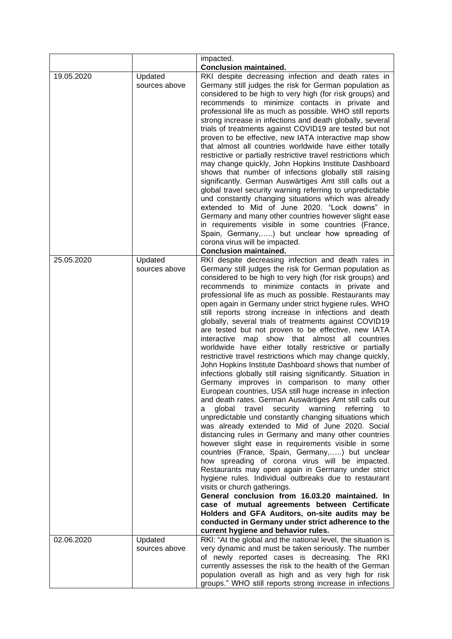|            |                          | impacted.                                                                                                                                                                                                                                                                                                                                                                                                                                                                                                                                                                                                                                                                                                                                                                                                                                                                                                                                                                                                                                                                                                                                                                                                                                                                                                                                                                                                                                                                                                                                                                                                                                                                                                                                                                                       |
|------------|--------------------------|-------------------------------------------------------------------------------------------------------------------------------------------------------------------------------------------------------------------------------------------------------------------------------------------------------------------------------------------------------------------------------------------------------------------------------------------------------------------------------------------------------------------------------------------------------------------------------------------------------------------------------------------------------------------------------------------------------------------------------------------------------------------------------------------------------------------------------------------------------------------------------------------------------------------------------------------------------------------------------------------------------------------------------------------------------------------------------------------------------------------------------------------------------------------------------------------------------------------------------------------------------------------------------------------------------------------------------------------------------------------------------------------------------------------------------------------------------------------------------------------------------------------------------------------------------------------------------------------------------------------------------------------------------------------------------------------------------------------------------------------------------------------------------------------------|
|            |                          | <b>Conclusion maintained.</b>                                                                                                                                                                                                                                                                                                                                                                                                                                                                                                                                                                                                                                                                                                                                                                                                                                                                                                                                                                                                                                                                                                                                                                                                                                                                                                                                                                                                                                                                                                                                                                                                                                                                                                                                                                   |
| 19.05.2020 | Updated<br>sources above | RKI despite decreasing infection and death rates in<br>Germany still judges the risk for German population as<br>considered to be high to very high (for risk groups) and<br>recommends to minimize contacts in private and<br>professional life as much as possible. WHO still reports<br>strong increase in infections and death globally, several<br>trials of treatments against COVID19 are tested but not<br>proven to be effective, new IATA interactive map show<br>that almost all countries worldwide have either totally<br>restrictive or partially restrictive travel restrictions which<br>may change quickly, John Hopkins Institute Dashboard<br>shows that number of infections globally still raising<br>significantly. German Auswärtiges Amt still calls out a<br>global travel security warning referring to unpredictable<br>und constantly changing situations which was already<br>extended to Mid of June 2020. "Lock downs" in<br>Germany and many other countries however slight ease<br>in requirements visible in some countries (France,<br>Spain, Germany,) but unclear how spreading of<br>corona virus will be impacted.<br><b>Conclusion maintained.</b>                                                                                                                                                                                                                                                                                                                                                                                                                                                                                                                                                                                                      |
| 25.05.2020 | Updated<br>sources above | RKI despite decreasing infection and death rates in<br>Germany still judges the risk for German population as<br>considered to be high to very high (for risk groups) and<br>recommends to minimize contacts in private and<br>professional life as much as possible. Restaurants may<br>open again in Germany under strict hygiene rules. WHO<br>still reports strong increase in infections and death<br>globally, several trials of treatments against COVID19<br>are tested but not proven to be effective, new IATA<br>interactive map show that almost all countries<br>worldwide have either totally restrictive or partially<br>restrictive travel restrictions which may change quickly,<br>John Hopkins Institute Dashboard shows that number of<br>infections globally still raising significantly. Situation in<br>Germany improves in comparison to many other<br>European countries, USA still huge increase in infection<br>and death rates. German Auswärtiges Amt still calls out<br>global travel security warning<br>referring to<br>а<br>unpredictable und constantly changing situations which<br>was already extended to Mid of June 2020. Social<br>distancing rules in Germany and many other countries<br>however slight ease in requirements visible in some<br>countries (France, Spain, Germany,) but unclear<br>how spreading of corona virus will be impacted.<br>Restaurants may open again in Germany under strict<br>hygiene rules. Individual outbreaks due to restaurant<br>visits or church gatherings.<br>General conclusion from 16.03.20 maintained. In<br>case of mutual agreements between Certificate<br>Holders and GFA Auditors, on-site audits may be<br>conducted in Germany under strict adherence to the<br>current hygiene and behavior rules. |
| 02.06.2020 | Updated                  | RKI: "At the global and the national level, the situation is                                                                                                                                                                                                                                                                                                                                                                                                                                                                                                                                                                                                                                                                                                                                                                                                                                                                                                                                                                                                                                                                                                                                                                                                                                                                                                                                                                                                                                                                                                                                                                                                                                                                                                                                    |
|            | sources above            | very dynamic and must be taken seriously. The number<br>of newly reported cases is decreasing. The RKI<br>currently assesses the risk to the health of the German<br>population overall as high and as very high for risk<br>groups." WHO still reports strong increase in infections                                                                                                                                                                                                                                                                                                                                                                                                                                                                                                                                                                                                                                                                                                                                                                                                                                                                                                                                                                                                                                                                                                                                                                                                                                                                                                                                                                                                                                                                                                           |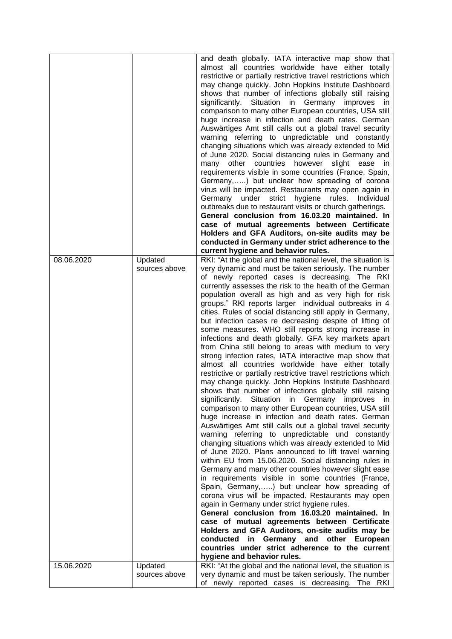|            |                          | and death globally. IATA interactive map show that<br>almost all countries worldwide have either totally<br>restrictive or partially restrictive travel restrictions which<br>may change quickly. John Hopkins Institute Dashboard<br>shows that number of infections globally still raising<br>significantly. Situation in Germany improves in<br>comparison to many other European countries, USA still<br>huge increase in infection and death rates. German<br>Auswärtiges Amt still calls out a global travel security<br>warning referring to unpredictable und constantly<br>changing situations which was already extended to Mid<br>of June 2020. Social distancing rules in Germany and<br>countries<br>however<br>other<br>slight<br>ease<br>many<br>in.<br>requirements visible in some countries (France, Spain,<br>Germany,) but unclear how spreading of corona<br>virus will be impacted. Restaurants may open again in<br>Germany under<br>strict hygiene<br>rules.<br>Individual<br>outbreaks due to restaurant visits or church gatherings.<br>General conclusion from 16.03.20 maintained. In<br>case of mutual agreements between Certificate<br>Holders and GFA Auditors, on-site audits may be<br>conducted in Germany under strict adherence to the                                                                                                                                                                                                                                                                                                                                                                                                                                                                                                                                                                                                                                                                     |
|------------|--------------------------|-------------------------------------------------------------------------------------------------------------------------------------------------------------------------------------------------------------------------------------------------------------------------------------------------------------------------------------------------------------------------------------------------------------------------------------------------------------------------------------------------------------------------------------------------------------------------------------------------------------------------------------------------------------------------------------------------------------------------------------------------------------------------------------------------------------------------------------------------------------------------------------------------------------------------------------------------------------------------------------------------------------------------------------------------------------------------------------------------------------------------------------------------------------------------------------------------------------------------------------------------------------------------------------------------------------------------------------------------------------------------------------------------------------------------------------------------------------------------------------------------------------------------------------------------------------------------------------------------------------------------------------------------------------------------------------------------------------------------------------------------------------------------------------------------------------------------------------------------------------------------------------------------------------------------------------------------|
|            |                          | current hygiene and behavior rules.                                                                                                                                                                                                                                                                                                                                                                                                                                                                                                                                                                                                                                                                                                                                                                                                                                                                                                                                                                                                                                                                                                                                                                                                                                                                                                                                                                                                                                                                                                                                                                                                                                                                                                                                                                                                                                                                                                             |
| 08.06.2020 | Updated<br>sources above | RKI: "At the global and the national level, the situation is<br>very dynamic and must be taken seriously. The number<br>of newly reported cases is decreasing. The RKI<br>currently assesses the risk to the health of the German<br>population overall as high and as very high for risk<br>groups." RKI reports larger individual outbreaks in 4<br>cities. Rules of social distancing still apply in Germany,<br>but infection cases re decreasing despite of lifting of<br>some measures. WHO still reports strong increase in<br>infections and death globally. GFA key markets apart<br>from China still belong to areas with medium to very<br>strong infection rates, IATA interactive map show that<br>almost all countries worldwide have either totally<br>restrictive or partially restrictive travel restrictions which<br>may change quickly. John Hopkins Institute Dashboard<br>shows that number of infections globally still raising<br>significantly. Situation in Germany improves in<br>comparison to many other European countries, USA still<br>huge increase in infection and death rates. German<br>Auswärtiges Amt still calls out a global travel security<br>warning referring to unpredictable und constantly<br>changing situations which was already extended to Mid<br>of June 2020. Plans announced to lift travel warning<br>within EU from 15.06.2020. Social distancing rules in<br>Germany and many other countries however slight ease<br>in requirements visible in some countries (France,<br>Spain, Germany,) but unclear how spreading of<br>corona virus will be impacted. Restaurants may open<br>again in Germany under strict hygiene rules.<br>General conclusion from 16.03.20 maintained. In<br>case of mutual agreements between Certificate<br>Holders and GFA Auditors, on-site audits may be<br>conducted in Germany and other European<br>countries under strict adherence to the current |
|            |                          | hygiene and behavior rules.                                                                                                                                                                                                                                                                                                                                                                                                                                                                                                                                                                                                                                                                                                                                                                                                                                                                                                                                                                                                                                                                                                                                                                                                                                                                                                                                                                                                                                                                                                                                                                                                                                                                                                                                                                                                                                                                                                                     |
| 15.06.2020 | Updated<br>sources above | RKI: "At the global and the national level, the situation is<br>very dynamic and must be taken seriously. The number<br>of newly reported cases is decreasing. The RKI                                                                                                                                                                                                                                                                                                                                                                                                                                                                                                                                                                                                                                                                                                                                                                                                                                                                                                                                                                                                                                                                                                                                                                                                                                                                                                                                                                                                                                                                                                                                                                                                                                                                                                                                                                          |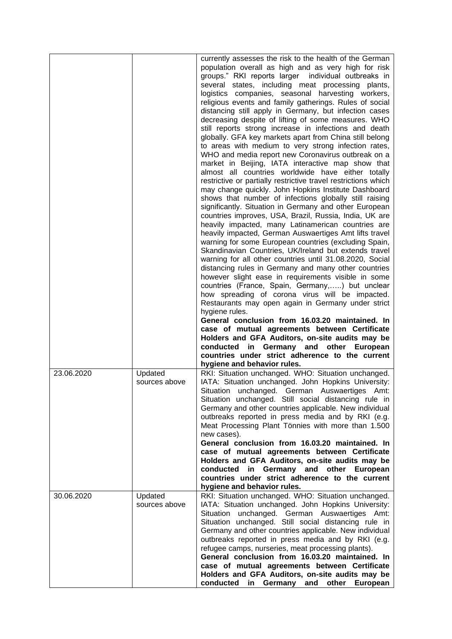|            |                          | currently assesses the risk to the health of the German<br>population overall as high and as very high for risk<br>groups." RKI reports larger individual outbreaks in                                                                                                                                                                                                                                                                          |
|------------|--------------------------|-------------------------------------------------------------------------------------------------------------------------------------------------------------------------------------------------------------------------------------------------------------------------------------------------------------------------------------------------------------------------------------------------------------------------------------------------|
|            |                          | several states, including meat processing plants,<br>logistics companies, seasonal harvesting workers,<br>religious events and family gatherings. Rules of social<br>distancing still apply in Germany, but infection cases<br>decreasing despite of lifting of some measures. WHO<br>still reports strong increase in infections and death                                                                                                     |
|            |                          | globally. GFA key markets apart from China still belong<br>to areas with medium to very strong infection rates,<br>WHO and media report new Coronavirus outbreak on a<br>market in Beijing, IATA interactive map show that<br>almost all countries worldwide have either totally                                                                                                                                                                |
|            |                          | restrictive or partially restrictive travel restrictions which<br>may change quickly. John Hopkins Institute Dashboard<br>shows that number of infections globally still raising<br>significantly. Situation in Germany and other European<br>countries improves, USA, Brazil, Russia, India, UK are                                                                                                                                            |
|            |                          | heavily impacted, many Latinamerican countries are<br>heavily impacted, German Auswaertiges Amt lifts travel<br>warning for some European countries (excluding Spain,<br>Skandinavian Countries, UK/Ireland but extends travel<br>warning for all other countries until 31.08.2020, Social                                                                                                                                                      |
|            |                          | distancing rules in Germany and many other countries<br>however slight ease in requirements visible in some<br>countries (France, Spain, Germany,) but unclear<br>how spreading of corona virus will be impacted.<br>Restaurants may open again in Germany under strict                                                                                                                                                                         |
|            |                          | hygiene rules.<br>General conclusion from 16.03.20 maintained. In<br>case of mutual agreements between Certificate                                                                                                                                                                                                                                                                                                                              |
|            |                          | Holders and GFA Auditors, on-site audits may be<br>conducted in Germany and other European<br>countries under strict adherence to the current<br>hygiene and behavior rules.                                                                                                                                                                                                                                                                    |
| 23.06.2020 | Updated<br>sources above | RKI: Situation unchanged. WHO: Situation unchanged.<br>IATA: Situation unchanged. John Hopkins University:<br>Situation unchanged. German Auswaertiges Amt:<br>Situation unchanged. Still social distancing rule in<br>Germany and other countries applicable. New individual<br>outbreaks reported in press media and by RKI (e.g.<br>Meat Processing Plant Tönnies with more than 1.500<br>new cases).                                        |
|            |                          | General conclusion from 16.03.20 maintained. In<br>case of mutual agreements between Certificate<br>Holders and GFA Auditors, on-site audits may be<br>in Germany and other European<br>conducted<br>countries under strict adherence to the current<br>hygiene and behavior rules.                                                                                                                                                             |
| 30.06.2020 | Updated<br>sources above | RKI: Situation unchanged. WHO: Situation unchanged.<br>IATA: Situation unchanged. John Hopkins University:<br>unchanged. German Auswaertiges Amt:<br>Situation<br>Situation unchanged. Still social distancing rule in<br>Germany and other countries applicable. New individual<br>outbreaks reported in press media and by RKI (e.g.<br>refugee camps, nurseries, meat processing plants).<br>General conclusion from 16.03.20 maintained. In |
|            |                          | case of mutual agreements between Certificate<br>Holders and GFA Auditors, on-site audits may be<br>conducted in Germany and other European                                                                                                                                                                                                                                                                                                     |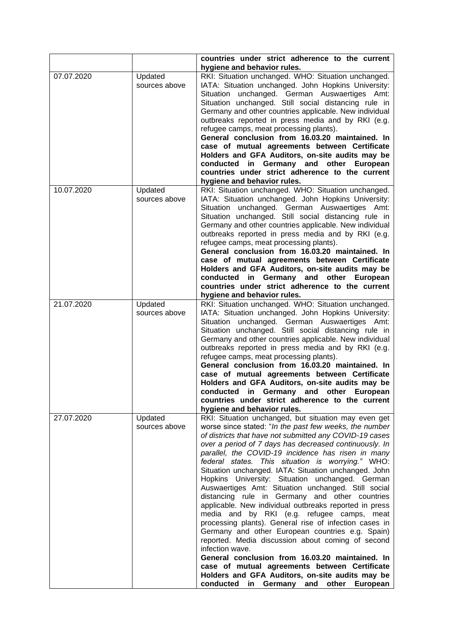|            |                          | countries under strict adherence to the current<br>hygiene and behavior rules.                                                                                                                                                                                                                                                                                                                                                                                                                                                                                                                                                                                                                                                                                                                                                                                                                                                                                                                                                                                        |
|------------|--------------------------|-----------------------------------------------------------------------------------------------------------------------------------------------------------------------------------------------------------------------------------------------------------------------------------------------------------------------------------------------------------------------------------------------------------------------------------------------------------------------------------------------------------------------------------------------------------------------------------------------------------------------------------------------------------------------------------------------------------------------------------------------------------------------------------------------------------------------------------------------------------------------------------------------------------------------------------------------------------------------------------------------------------------------------------------------------------------------|
| 07.07.2020 | Updated<br>sources above | RKI: Situation unchanged. WHO: Situation unchanged.<br>IATA: Situation unchanged. John Hopkins University:<br>Situation unchanged. German Auswaertiges Amt:<br>Situation unchanged. Still social distancing rule in<br>Germany and other countries applicable. New individual<br>outbreaks reported in press media and by RKI (e.g.<br>refugee camps, meat processing plants).<br>General conclusion from 16.03.20 maintained. In<br>case of mutual agreements between Certificate<br>Holders and GFA Auditors, on-site audits may be<br>conducted<br>in Germany and other<br>European<br>countries under strict adherence to the current<br>hygiene and behavior rules.                                                                                                                                                                                                                                                                                                                                                                                              |
| 10.07.2020 | Updated<br>sources above | RKI: Situation unchanged. WHO: Situation unchanged.<br>IATA: Situation unchanged. John Hopkins University:<br>unchanged. German Auswaertiges Amt:<br>Situation<br>Situation unchanged. Still social distancing rule in<br>Germany and other countries applicable. New individual<br>outbreaks reported in press media and by RKI (e.g.<br>refugee camps, meat processing plants).<br>General conclusion from 16.03.20 maintained. In<br>case of mutual agreements between Certificate<br>Holders and GFA Auditors, on-site audits may be<br>conducted<br>in Germany and other European<br>countries under strict adherence to the current<br>hygiene and behavior rules.                                                                                                                                                                                                                                                                                                                                                                                              |
| 21.07.2020 | Updated<br>sources above | RKI: Situation unchanged. WHO: Situation unchanged.<br>IATA: Situation unchanged. John Hopkins University:<br>Situation<br>unchanged. German Auswaertiges Amt:<br>Situation unchanged. Still social distancing rule in<br>Germany and other countries applicable. New individual<br>outbreaks reported in press media and by RKI (e.g.<br>refugee camps, meat processing plants).<br>General conclusion from 16.03.20 maintained. In<br>case of mutual agreements between Certificate<br>Holders and GFA Auditors, on-site audits may be<br>conducted in Germany and other European<br>countries under strict adherence to the current<br>hygiene and behavior rules.                                                                                                                                                                                                                                                                                                                                                                                                 |
| 27.07.2020 | Updated<br>sources above | RKI: Situation unchanged, but situation may even get<br>worse since stated: "In the past few weeks, the number<br>of districts that have not submitted any COVID-19 cases<br>over a period of 7 days has decreased continuously. In<br>parallel, the COVID-19 incidence has risen in many<br>federal states. This situation is worrying." WHO:<br>Situation unchanged. IATA: Situation unchanged. John<br>Hopkins University: Situation unchanged. German<br>Auswaertiges Amt: Situation unchanged. Still social<br>distancing rule in Germany and other countries<br>applicable. New individual outbreaks reported in press<br>media and by RKI (e.g. refugee camps, meat<br>processing plants). General rise of infection cases in<br>Germany and other European countries e.g. Spain)<br>reported. Media discussion about coming of second<br>infection wave.<br>General conclusion from 16.03.20 maintained. In<br>case of mutual agreements between Certificate<br>Holders and GFA Auditors, on-site audits may be<br>conducted in Germany and other<br>European |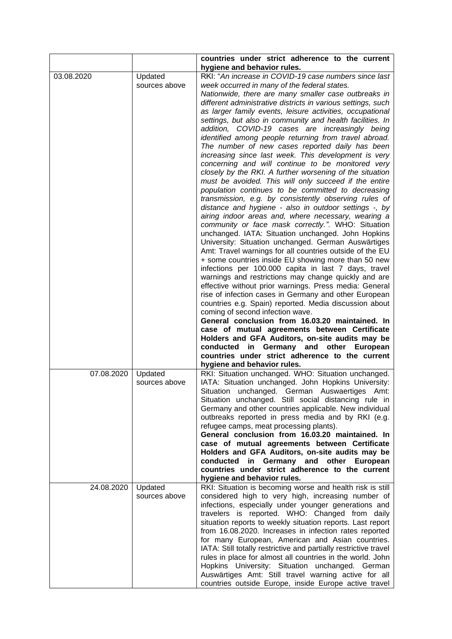|            |               | countries under strict adherence to the current<br>hygiene and behavior rules.                              |
|------------|---------------|-------------------------------------------------------------------------------------------------------------|
| 03.08.2020 | Updated       | RKI: "An increase in COVID-19 case numbers since last                                                       |
|            | sources above | week occurred in many of the federal states.                                                                |
|            |               | Nationwide, there are many smaller case outbreaks in                                                        |
|            |               | different administrative districts in various settings, such                                                |
|            |               | as larger family events, leisure activities, occupational                                                   |
|            |               | settings, but also in community and health facilities. In                                                   |
|            |               | addition, COVID-19 cases are increasingly being                                                             |
|            |               | identified among people returning from travel abroad.                                                       |
|            |               | The number of new cases reported daily has been                                                             |
|            |               | increasing since last week. This development is very                                                        |
|            |               | concerning and will continue to be monitored very                                                           |
|            |               | closely by the RKI. A further worsening of the situation                                                    |
|            |               | must be avoided. This will only succeed if the entire                                                       |
|            |               | population continues to be committed to decreasing                                                          |
|            |               | transmission, e.g. by consistently observing rules of                                                       |
|            |               | distance and hygiene - also in outdoor settings -, by                                                       |
|            |               | airing indoor areas and, where necessary, wearing a                                                         |
|            |               | community or face mask correctly.". WHO: Situation                                                          |
|            |               | unchanged. IATA: Situation unchanged. John Hopkins                                                          |
|            |               | University: Situation unchanged. German Auswärtiges                                                         |
|            |               | Amt: Travel warnings for all countries outside of the EU                                                    |
|            |               | + some countries inside EU showing more than 50 new<br>infections per 100.000 capita in last 7 days, travel |
|            |               | warnings and restrictions may change quickly and are                                                        |
|            |               | effective without prior warnings. Press media: General                                                      |
|            |               | rise of infection cases in Germany and other European                                                       |
|            |               | countries e.g. Spain) reported. Media discussion about                                                      |
|            |               | coming of second infection wave.                                                                            |
|            |               | General conclusion from 16.03.20 maintained. In                                                             |
|            |               | case of mutual agreements between Certificate                                                               |
|            |               | Holders and GFA Auditors, on-site audits may be                                                             |
|            |               | conducted in Germany and other<br>European                                                                  |
|            |               | countries under strict adherence to the current                                                             |
|            |               | hygiene and behavior rules.                                                                                 |
| 07.08.2020 | Updated       | RKI: Situation unchanged. WHO: Situation unchanged.                                                         |
|            | sources above | IATA: Situation unchanged. John Hopkins University:                                                         |
|            |               | Situation unchanged. German Auswaertiges Amt:                                                               |
|            |               | Situation unchanged. Still social distancing rule in                                                        |
|            |               | Germany and other countries applicable. New individual                                                      |
|            |               | outbreaks reported in press media and by RKI (e.g.                                                          |
|            |               | refugee camps, meat processing plants).                                                                     |
|            |               | General conclusion from 16.03.20 maintained. In                                                             |
|            |               | case of mutual agreements between Certificate                                                               |
|            |               | Holders and GFA Auditors, on-site audits may be<br>in Germany and other European<br>conducted               |
|            |               | countries under strict adherence to the current                                                             |
|            |               | hygiene and behavior rules.                                                                                 |
| 24.08.2020 | Updated       | RKI: Situation is becoming worse and health risk is still                                                   |
|            | sources above | considered high to very high, increasing number of                                                          |
|            |               | infections, especially under younger generations and                                                        |
|            |               | travelers is reported. WHO: Changed from daily                                                              |
|            |               | situation reports to weekly situation reports. Last report                                                  |
|            |               | from 16.08.2020. Increases in infection rates reported                                                      |
|            |               | for many European, American and Asian countries.                                                            |
|            |               | IATA: Still totally restrictive and partially restrictive travel                                            |
|            |               | rules in place for almost all countries in the world. John                                                  |
|            |               | Hopkins University: Situation unchanged. German                                                             |
|            |               | Auswärtiges Amt: Still travel warning active for all                                                        |
|            |               | countries outside Europe, inside Europe active travel                                                       |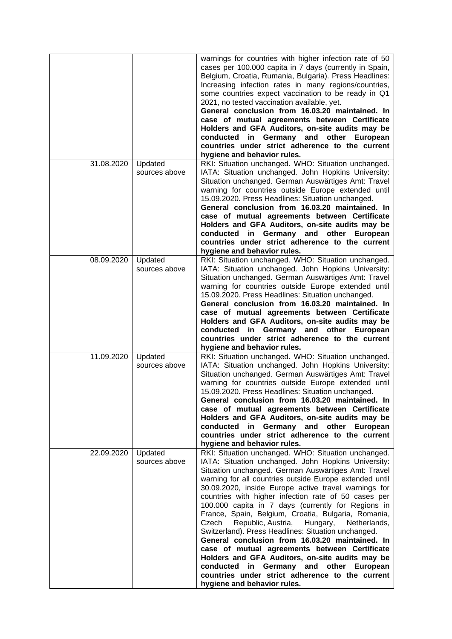|                          |                                     | warnings for countries with higher infection rate of 50<br>cases per 100.000 capita in 7 days (currently in Spain,<br>Belgium, Croatia, Rumania, Bulgaria). Press Headlines:<br>Increasing infection rates in many regions/countries,<br>some countries expect vaccination to be ready in Q1<br>2021, no tested vaccination available, yet.<br>General conclusion from 16.03.20 maintained. In<br>case of mutual agreements between Certificate<br>Holders and GFA Auditors, on-site audits may be<br>in Germany and other<br>European<br>conducted<br>countries under strict adherence to the current<br>hygiene and behavior rules.                                                                                                                                                                                                                           |
|--------------------------|-------------------------------------|-----------------------------------------------------------------------------------------------------------------------------------------------------------------------------------------------------------------------------------------------------------------------------------------------------------------------------------------------------------------------------------------------------------------------------------------------------------------------------------------------------------------------------------------------------------------------------------------------------------------------------------------------------------------------------------------------------------------------------------------------------------------------------------------------------------------------------------------------------------------|
| 31.08.2020<br>08.09.2020 | Updated<br>sources above<br>Updated | RKI: Situation unchanged. WHO: Situation unchanged.<br>IATA: Situation unchanged. John Hopkins University:<br>Situation unchanged. German Auswärtiges Amt: Travel<br>warning for countries outside Europe extended until<br>15.09.2020. Press Headlines: Situation unchanged.<br>General conclusion from 16.03.20 maintained. In<br>case of mutual agreements between Certificate<br>Holders and GFA Auditors, on-site audits may be<br>conducted in Germany and other<br>European<br>countries under strict adherence to the current<br>hygiene and behavior rules.<br>RKI: Situation unchanged. WHO: Situation unchanged.                                                                                                                                                                                                                                     |
|                          | sources above                       | IATA: Situation unchanged. John Hopkins University:<br>Situation unchanged. German Auswärtiges Amt: Travel<br>warning for countries outside Europe extended until<br>15.09.2020. Press Headlines: Situation unchanged.<br>General conclusion from 16.03.20 maintained. In<br>case of mutual agreements between Certificate<br>Holders and GFA Auditors, on-site audits may be<br>conducted in Germany and other European<br>countries under strict adherence to the current<br>hygiene and behavior rules.                                                                                                                                                                                                                                                                                                                                                      |
| 11.09.2020               | Updated<br>sources above            | RKI: Situation unchanged. WHO: Situation unchanged.<br>IATA: Situation unchanged. John Hopkins University:<br>Situation unchanged. German Auswärtiges Amt: Travel<br>warning for countries outside Europe extended until<br>15.09.2020. Press Headlines: Situation unchanged.<br>General conclusion from 16.03.20 maintained. In<br>case of mutual agreements between Certificate<br>Holders and GFA Auditors, on-site audits may be<br>conducted in Germany and other European<br>countries under strict adherence to the current<br>hygiene and behavior rules.                                                                                                                                                                                                                                                                                               |
| 22.09.2020               | Updated<br>sources above            | RKI: Situation unchanged. WHO: Situation unchanged.<br>IATA: Situation unchanged. John Hopkins University:<br>Situation unchanged. German Auswärtiges Amt: Travel<br>warning for all countries outside Europe extended until<br>30.09.2020, inside Europe active travel warnings for<br>countries with higher infection rate of 50 cases per<br>100.000 capita in 7 days (currently for Regions in<br>France, Spain, Belgium, Croatia, Bulgaria, Romania,<br>Republic, Austria,<br>Czech<br>Hungary,<br>Netherlands,<br>Switzerland). Press Headlines: Situation unchanged.<br>General conclusion from 16.03.20 maintained. In<br>case of mutual agreements between Certificate<br>Holders and GFA Auditors, on-site audits may be<br>conducted in Germany and other European<br>countries under strict adherence to the current<br>hygiene and behavior rules. |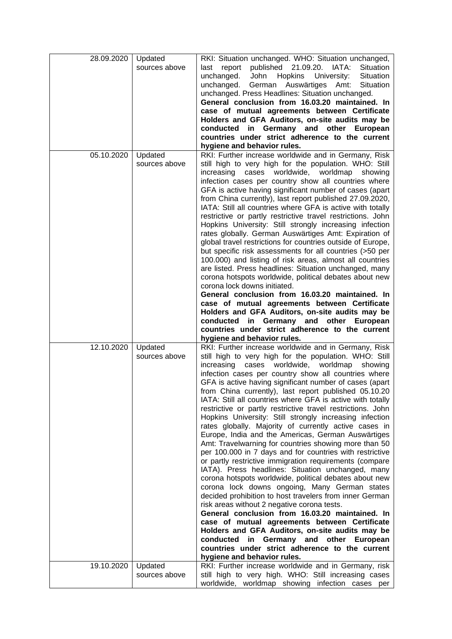| 28.09.2020 | Updated                  | RKI: Situation unchanged. WHO: Situation unchanged,                                                          |
|------------|--------------------------|--------------------------------------------------------------------------------------------------------------|
|            | sources above            | published 21.09.20.<br>report<br>IATA:<br><b>Situation</b><br>last                                           |
|            |                          | unchanged.<br><b>Hopkins</b><br>Situation<br>John<br>University:                                             |
|            |                          | unchanged.<br>German Auswärtiges<br>Amt:<br>Situation                                                        |
|            |                          | unchanged. Press Headlines: Situation unchanged.                                                             |
|            |                          | General conclusion from 16.03.20 maintained. In                                                              |
|            |                          |                                                                                                              |
|            |                          | case of mutual agreements between Certificate                                                                |
|            |                          | Holders and GFA Auditors, on-site audits may be                                                              |
|            |                          | conducted in Germany and other European                                                                      |
|            |                          | countries under strict adherence to the current                                                              |
|            |                          | hygiene and behavior rules.                                                                                  |
| 05.10.2020 | Updated                  | RKI: Further increase worldwide and in Germany, Risk                                                         |
|            | sources above            | still high to very high for the population. WHO: Still                                                       |
|            |                          | worldwide,<br>increasing<br>worldmap<br>cases<br>showing                                                     |
|            |                          | infection cases per country show all countries where                                                         |
|            |                          | GFA is active having significant number of cases (apart                                                      |
|            |                          | from China currently), last report published 27.09.2020,                                                     |
|            |                          | IATA: Still all countries where GFA is active with totally                                                   |
|            |                          | restrictive or partly restrictive travel restrictions. John                                                  |
|            |                          | Hopkins University: Still strongly increasing infection                                                      |
|            |                          | rates globally. German Auswärtiges Amt: Expiration of                                                        |
|            |                          | global travel restrictions for countries outside of Europe,                                                  |
|            |                          | but specific risk assessments for all countries (>50 per                                                     |
|            |                          | 100.000) and listing of risk areas, almost all countries                                                     |
|            |                          | are listed. Press headlines: Situation unchanged, many                                                       |
|            |                          | corona hotspots worldwide, political debates about new                                                       |
|            |                          | corona lock downs initiated.                                                                                 |
|            |                          | General conclusion from 16.03.20 maintained. In                                                              |
|            |                          | case of mutual agreements between Certificate                                                                |
|            |                          | Holders and GFA Auditors, on-site audits may be                                                              |
|            |                          | conducted in Germany and other European                                                                      |
|            |                          | countries under strict adherence to the current                                                              |
|            |                          |                                                                                                              |
|            |                          | hygiene and behavior rules.                                                                                  |
| 12.10.2020 | Updated                  | RKI: Further increase worldwide and in Germany, Risk                                                         |
|            | sources above            | still high to very high for the population. WHO: Still                                                       |
|            |                          | increasing cases worldwide, worldmap<br>showing                                                              |
|            |                          | infection cases per country show all countries where                                                         |
|            |                          | GFA is active having significant number of cases (apart                                                      |
|            |                          | from China currently), last report published 05.10.20                                                        |
|            |                          | IATA: Still all countries where GFA is active with totally                                                   |
|            |                          | restrictive or partly restrictive travel restrictions. John                                                  |
|            |                          | Hopkins University: Still strongly increasing infection                                                      |
|            |                          | rates globally. Majority of currently active cases in                                                        |
|            |                          | Europe, India and the Americas, German Auswärtiges                                                           |
|            |                          | Amt: Travelwarning for countries showing more than 50                                                        |
|            |                          | per 100.000 in 7 days and for countries with restrictive                                                     |
|            |                          | or partly restrictive immigration requirements (compare                                                      |
|            |                          | IATA). Press headlines: Situation unchanged, many                                                            |
|            |                          | corona hotspots worldwide, political debates about new                                                       |
|            |                          | corona lock downs ongoing, Many German states                                                                |
|            |                          | decided prohibition to host travelers from inner German                                                      |
|            |                          | risk areas without 2 negative corona tests.                                                                  |
|            |                          | General conclusion from 16.03.20 maintained. In                                                              |
|            |                          | case of mutual agreements between Certificate                                                                |
|            |                          |                                                                                                              |
|            |                          | Holders and GFA Auditors, on-site audits may be<br>conducted in Germany and other<br>European                |
|            |                          | countries under strict adherence to the current                                                              |
|            |                          |                                                                                                              |
| 19.10.2020 |                          | hygiene and behavior rules.                                                                                  |
|            | Updated<br>sources above | RKI: Further increase worldwide and in Germany, risk<br>still high to very high. WHO: Still increasing cases |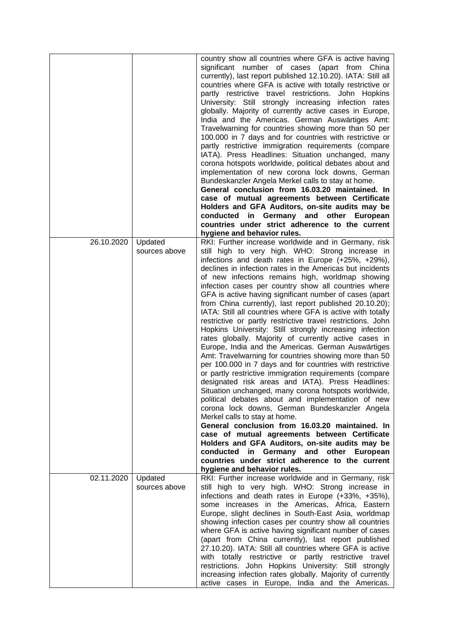|            |                          | country show all countries where GFA is active having<br>significant number of cases (apart from China<br>currently), last report published 12.10.20). IATA: Still all<br>countries where GFA is active with totally restrictive or<br>partly restrictive travel restrictions. John Hopkins<br>University: Still strongly increasing infection rates<br>globally. Majority of currently active cases in Europe,<br>India and the Americas. German Auswärtiges Amt:<br>Travelwarning for countries showing more than 50 per<br>100.000 in 7 days and for countries with restrictive or<br>partly restrictive immigration requirements (compare<br>IATA). Press Headlines: Situation unchanged, many<br>corona hotspots worldwide, political debates about and<br>implementation of new corona lock downs, German |
|------------|--------------------------|-----------------------------------------------------------------------------------------------------------------------------------------------------------------------------------------------------------------------------------------------------------------------------------------------------------------------------------------------------------------------------------------------------------------------------------------------------------------------------------------------------------------------------------------------------------------------------------------------------------------------------------------------------------------------------------------------------------------------------------------------------------------------------------------------------------------|
|            |                          | Bundeskanzler Angela Merkel calls to stay at home.<br>General conclusion from 16.03.20 maintained. In<br>case of mutual agreements between Certificate                                                                                                                                                                                                                                                                                                                                                                                                                                                                                                                                                                                                                                                          |
|            |                          | Holders and GFA Auditors, on-site audits may be                                                                                                                                                                                                                                                                                                                                                                                                                                                                                                                                                                                                                                                                                                                                                                 |
|            |                          | conducted in Germany and other European                                                                                                                                                                                                                                                                                                                                                                                                                                                                                                                                                                                                                                                                                                                                                                         |
|            |                          | countries under strict adherence to the current                                                                                                                                                                                                                                                                                                                                                                                                                                                                                                                                                                                                                                                                                                                                                                 |
| 26.10.2020 | Updated                  | hygiene and behavior rules.<br>RKI: Further increase worldwide and in Germany, risk                                                                                                                                                                                                                                                                                                                                                                                                                                                                                                                                                                                                                                                                                                                             |
|            | sources above            | still high to very high. WHO: Strong increase in<br>infections and death rates in Europe (+25%, +29%),<br>declines in infection rates in the Americas but incidents<br>of new infections remains high, worldmap showing<br>infection cases per country show all countries where<br>GFA is active having significant number of cases (apart<br>from China currently), last report published 20.10.20);<br>IATA: Still all countries where GFA is active with totally                                                                                                                                                                                                                                                                                                                                             |
|            |                          | restrictive or partly restrictive travel restrictions. John<br>Hopkins University: Still strongly increasing infection<br>rates globally. Majority of currently active cases in<br>Europe, India and the Americas. German Auswärtiges<br>Amt: Travelwarning for countries showing more than 50<br>per 100.000 in 7 days and for countries with restrictive<br>or partly restrictive immigration requirements (compare<br>designated risk areas and IATA). Press Headlines:<br>Situation unchanged, many corona hotspots worldwide,<br>political debates about and implementation of new<br>corona lock downs, German Bundeskanzler Angela<br>Merkel calls to stay at home.<br>General conclusion from 16.03.20 maintained. In                                                                                   |
|            |                          | case of mutual agreements between Certificate                                                                                                                                                                                                                                                                                                                                                                                                                                                                                                                                                                                                                                                                                                                                                                   |
|            |                          | Holders and GFA Auditors, on-site audits may be                                                                                                                                                                                                                                                                                                                                                                                                                                                                                                                                                                                                                                                                                                                                                                 |
|            |                          | conducted in Germany and other European<br>countries under strict adherence to the current                                                                                                                                                                                                                                                                                                                                                                                                                                                                                                                                                                                                                                                                                                                      |
|            |                          | hygiene and behavior rules.                                                                                                                                                                                                                                                                                                                                                                                                                                                                                                                                                                                                                                                                                                                                                                                     |
| 02.11.2020 | Updated<br>sources above | RKI: Further increase worldwide and in Germany, risk<br>still high to very high. WHO: Strong increase in<br>infections and death rates in Europe (+33%, +35%),<br>some increases in the Americas, Africa, Eastern<br>Europe, slight declines in South-East Asia, worldmap<br>showing infection cases per country show all countries<br>where GFA is active having significant number of cases<br>(apart from China currently), last report published<br>27.10.20). IATA: Still all countries where GFA is active<br>with totally restrictive or partly restrictive travel<br>restrictions. John Hopkins University: Still strongly<br>increasing infection rates globally. Majority of currently<br>active cases in Europe, India and the Americas.                                                             |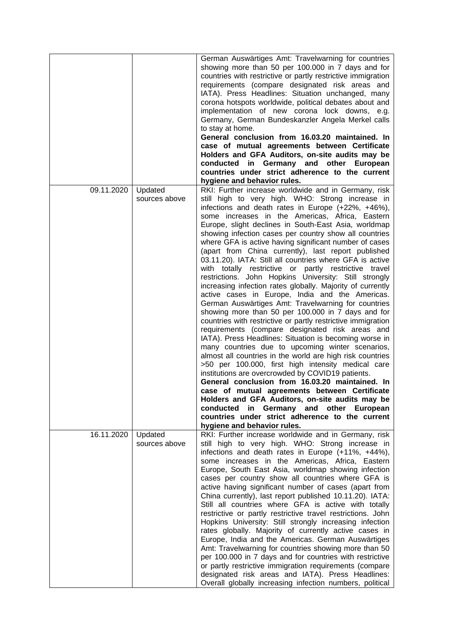|            |                          | German Auswärtiges Amt: Travelwarning for countries<br>showing more than 50 per 100.000 in 7 days and for<br>countries with restrictive or partly restrictive immigration<br>requirements (compare designated risk areas and<br>IATA). Press Headlines: Situation unchanged, many<br>corona hotspots worldwide, political debates about and<br>implementation of new corona lock downs, e.g.<br>Germany, German Bundeskanzler Angela Merkel calls<br>to stay at home.<br>General conclusion from 16.03.20 maintained. In<br>case of mutual agreements between Certificate<br>Holders and GFA Auditors, on-site audits may be<br>conducted<br>Germany and other<br>in<br>European<br>countries under strict adherence to the current<br>hygiene and behavior rules.                                                                                                                                                                                                                                                                                                                                                                                                                                                                                                                                                                                                                                                                                                                                                                                            |
|------------|--------------------------|---------------------------------------------------------------------------------------------------------------------------------------------------------------------------------------------------------------------------------------------------------------------------------------------------------------------------------------------------------------------------------------------------------------------------------------------------------------------------------------------------------------------------------------------------------------------------------------------------------------------------------------------------------------------------------------------------------------------------------------------------------------------------------------------------------------------------------------------------------------------------------------------------------------------------------------------------------------------------------------------------------------------------------------------------------------------------------------------------------------------------------------------------------------------------------------------------------------------------------------------------------------------------------------------------------------------------------------------------------------------------------------------------------------------------------------------------------------------------------------------------------------------------------------------------------------|
| 09.11.2020 | Updated<br>sources above | RKI: Further increase worldwide and in Germany, risk<br>still high to very high. WHO: Strong increase in<br>infections and death rates in Europe (+22%, +46%),<br>some increases in the Americas, Africa, Eastern<br>Europe, slight declines in South-East Asia, worldmap<br>showing infection cases per country show all countries<br>where GFA is active having significant number of cases<br>(apart from China currently), last report published<br>03.11.20). IATA: Still all countries where GFA is active<br>with totally restrictive or partly restrictive travel<br>restrictions. John Hopkins University: Still strongly<br>increasing infection rates globally. Majority of currently<br>active cases in Europe, India and the Americas.<br>German Auswärtiges Amt: Travelwarning for countries<br>showing more than 50 per 100.000 in 7 days and for<br>countries with restrictive or partly restrictive immigration<br>requirements (compare designated risk areas and<br>IATA). Press Headlines: Situation is becoming worse in<br>many countries due to upcoming winter scenarios,<br>almost all countries in the world are high risk countries<br>>50 per 100.000, first high intensity medical care<br>institutions are overcrowded by COVID19 patients.<br>General conclusion from 16.03.20 maintained. In<br>case of mutual agreements between Certificate<br>Holders and GFA Auditors, on-site audits may be<br>conducted in Germany and other European<br>countries under strict adherence to the current<br>hygiene and behavior rules. |
| 16.11.2020 | Updated<br>sources above | RKI: Further increase worldwide and in Germany, risk<br>still high to very high. WHO: Strong increase in<br>infections and death rates in Europe (+11%, +44%),<br>some increases in the Americas, Africa, Eastern<br>Europe, South East Asia, worldmap showing infection<br>cases per country show all countries where GFA is<br>active having significant number of cases (apart from<br>China currently), last report published 10.11.20). IATA:<br>Still all countries where GFA is active with totally<br>restrictive or partly restrictive travel restrictions. John<br>Hopkins University: Still strongly increasing infection<br>rates globally. Majority of currently active cases in<br>Europe, India and the Americas. German Auswärtiges<br>Amt: Travelwarning for countries showing more than 50<br>per 100.000 in 7 days and for countries with restrictive<br>or partly restrictive immigration requirements (compare<br>designated risk areas and IATA). Press Headlines:<br>Overall globally increasing infection numbers, political                                                                                                                                                                                                                                                                                                                                                                                                                                                                                                          |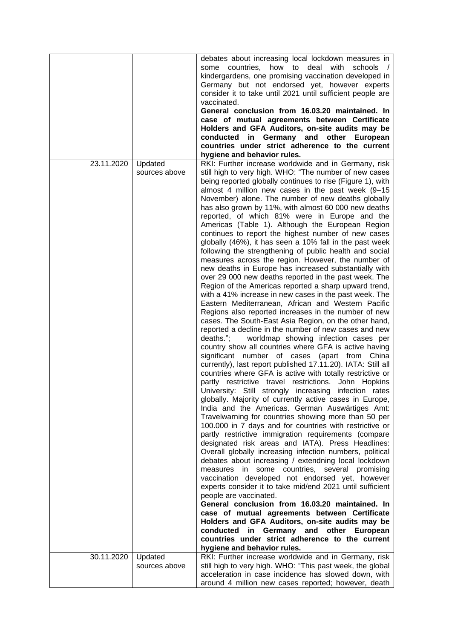|            |               | debates about increasing local lockdown measures in          |
|------------|---------------|--------------------------------------------------------------|
|            |               | some countries,<br>how to<br>deal with<br>schools /          |
|            |               | kindergardens, one promising vaccination developed in        |
|            |               | Germany but not endorsed yet, however experts                |
|            |               | consider it to take until 2021 until sufficient people are   |
|            |               |                                                              |
|            |               | vaccinated.                                                  |
|            |               | General conclusion from 16.03.20 maintained. In              |
|            |               | case of mutual agreements between Certificate                |
|            |               | Holders and GFA Auditors, on-site audits may be              |
|            |               | conducted in Germany and other European                      |
|            |               | countries under strict adherence to the current              |
|            |               | hygiene and behavior rules.                                  |
| 23.11.2020 | Updated       | RKI: Further increase worldwide and in Germany, risk         |
|            | sources above | still high to very high. WHO: "The number of new cases       |
|            |               | being reported globally continues to rise (Figure 1), with   |
|            |               | almost 4 million new cases in the past week (9-15            |
|            |               | November) alone. The number of new deaths globally           |
|            |               | has also grown by 11%, with almost 60 000 new deaths         |
|            |               | reported, of which 81% were in Europe and the                |
|            |               | Americas (Table 1). Although the European Region             |
|            |               | continues to report the highest number of new cases          |
|            |               | globally (46%), it has seen a 10% fall in the past week      |
|            |               | following the strengthening of public health and social      |
|            |               | measures across the region. However, the number of           |
|            |               | new deaths in Europe has increased substantially with        |
|            |               | over 29 000 new deaths reported in the past week. The        |
|            |               | Region of the Americas reported a sharp upward trend,        |
|            |               | with a 41% increase in new cases in the past week. The       |
|            |               | Eastern Mediterranean, African and Western Pacific           |
|            |               | Regions also reported increases in the number of new         |
|            |               | cases. The South-East Asia Region, on the other hand,        |
|            |               | reported a decline in the number of new cases and new        |
|            |               | deaths.";<br>worldmap showing infection cases per            |
|            |               | country show all countries where GFA is active having        |
|            |               | significant number of cases (apart from China                |
|            |               |                                                              |
|            |               | currently), last report published 17.11.20). IATA: Still all |
|            |               | countries where GFA is active with totally restrictive or    |
|            |               | partly restrictive travel restrictions. John Hopkins         |
|            |               | University: Still strongly increasing infection rates        |
|            |               | globally. Majority of currently active cases in Europe,      |
|            |               | India and the Americas. German Auswärtiges Amt:              |
|            |               | Travelwarning for countries showing more than 50 per         |
|            |               | 100.000 in 7 days and for countries with restrictive or      |
|            |               | partly restrictive immigration requirements (compare         |
|            |               | designated risk areas and IATA). Press Headlines:            |
|            |               | Overall globally increasing infection numbers, political     |
|            |               | debates about increasing / extendning local lockdown         |
|            |               | measures in some countries, several promising                |
|            |               | vaccination developed not endorsed yet, however              |
|            |               | experts consider it to take mid/end 2021 until sufficient    |
|            |               | people are vaccinated.                                       |
|            |               | General conclusion from 16.03.20 maintained. In              |
|            |               | case of mutual agreements between Certificate                |
|            |               | Holders and GFA Auditors, on-site audits may be              |
|            |               | conducted in Germany and other European                      |
|            |               | countries under strict adherence to the current              |
|            |               | hygiene and behavior rules.                                  |
| 30.11.2020 | Updated       | RKI: Further increase worldwide and in Germany, risk         |
|            | sources above | still high to very high. WHO: "This past week, the global    |
|            |               | acceleration in case incidence has slowed down, with         |
|            |               |                                                              |
|            |               | around 4 million new cases reported; however, death          |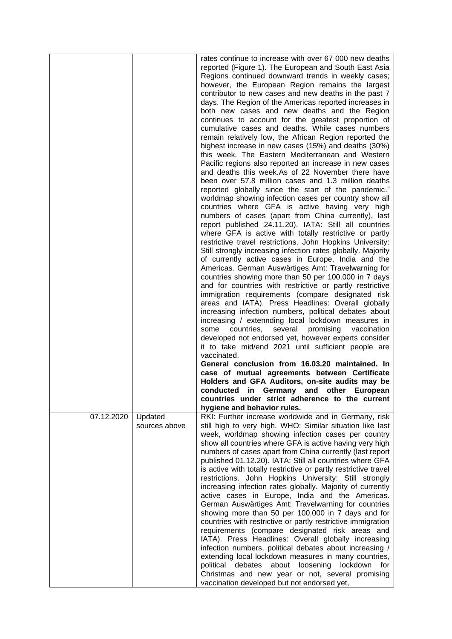|            |                          | rates continue to increase with over 67 000 new deaths<br>reported (Figure 1). The European and South East Asia<br>Regions continued downward trends in weekly cases;<br>however, the European Region remains the largest<br>contributor to new cases and new deaths in the past 7<br>days. The Region of the Americas reported increases in<br>both new cases and new deaths and the Region<br>continues to account for the greatest proportion of<br>cumulative cases and deaths. While cases numbers<br>remain relatively low, the African Region reported the<br>highest increase in new cases (15%) and deaths (30%)<br>this week. The Eastern Mediterranean and Western<br>Pacific regions also reported an increase in new cases<br>and deaths this week.As of 22 November there have<br>been over 57.8 million cases and 1.3 million deaths<br>reported globally since the start of the pandemic."<br>worldmap showing infection cases per country show all<br>countries where GFA is active having very high<br>numbers of cases (apart from China currently), last<br>report published 24.11.20). IATA: Still all countries<br>where GFA is active with totally restrictive or partly<br>restrictive travel restrictions. John Hopkins University:<br>Still strongly increasing infection rates globally. Majority<br>of currently active cases in Europe, India and the<br>Americas. German Auswärtiges Amt: Travelwarning for<br>countries showing more than 50 per 100.000 in 7 days<br>and for countries with restrictive or partly restrictive<br>immigration requirements (compare designated risk<br>areas and IATA). Press Headlines: Overall globally<br>increasing infection numbers, political debates about<br>increasing / extennding local lockdown measures in<br>several<br>some<br>countries,<br>promising<br>vaccination<br>developed not endorsed yet, however experts consider<br>it to take mid/end 2021 until sufficient people are<br>vaccinated.<br>General conclusion from 16.03.20 maintained. In<br>case of mutual agreements between Certificate<br>Holders and GFA Auditors, on-site audits may be |
|------------|--------------------------|-------------------------------------------------------------------------------------------------------------------------------------------------------------------------------------------------------------------------------------------------------------------------------------------------------------------------------------------------------------------------------------------------------------------------------------------------------------------------------------------------------------------------------------------------------------------------------------------------------------------------------------------------------------------------------------------------------------------------------------------------------------------------------------------------------------------------------------------------------------------------------------------------------------------------------------------------------------------------------------------------------------------------------------------------------------------------------------------------------------------------------------------------------------------------------------------------------------------------------------------------------------------------------------------------------------------------------------------------------------------------------------------------------------------------------------------------------------------------------------------------------------------------------------------------------------------------------------------------------------------------------------------------------------------------------------------------------------------------------------------------------------------------------------------------------------------------------------------------------------------------------------------------------------------------------------------------------------------------------------------------------------------------------------------------------------------------------------------------------------------------------------------|
|            |                          | conducted in Germanv and other European<br>countries under strict adherence to the current                                                                                                                                                                                                                                                                                                                                                                                                                                                                                                                                                                                                                                                                                                                                                                                                                                                                                                                                                                                                                                                                                                                                                                                                                                                                                                                                                                                                                                                                                                                                                                                                                                                                                                                                                                                                                                                                                                                                                                                                                                                |
|            |                          | hygiene and behavior rules.                                                                                                                                                                                                                                                                                                                                                                                                                                                                                                                                                                                                                                                                                                                                                                                                                                                                                                                                                                                                                                                                                                                                                                                                                                                                                                                                                                                                                                                                                                                                                                                                                                                                                                                                                                                                                                                                                                                                                                                                                                                                                                               |
| 07.12.2020 | Updated<br>sources above | RKI: Further increase worldwide and in Germany, risk<br>still high to very high. WHO: Similar situation like last<br>week, worldmap showing infection cases per country<br>show all countries where GFA is active having very high<br>numbers of cases apart from China currently (last report<br>published 01.12.20). IATA: Still all countries where GFA<br>is active with totally restrictive or partly restrictive travel<br>restrictions. John Hopkins University: Still strongly<br>increasing infection rates globally. Majority of currently<br>active cases in Europe, India and the Americas.<br>German Auswärtiges Amt: Travelwarning for countries<br>showing more than 50 per 100.000 in 7 days and for<br>countries with restrictive or partly restrictive immigration<br>requirements (compare designated risk areas and<br>IATA). Press Headlines: Overall globally increasing<br>infection numbers, political debates about increasing /<br>extending local lockdown measures in many countries,<br>political debates about loosening<br>lockdown<br>for<br>Christmas and new year or not, several promising<br>vaccination developed but not endorsed yet,                                                                                                                                                                                                                                                                                                                                                                                                                                                                                                                                                                                                                                                                                                                                                                                                                                                                                                                                                              |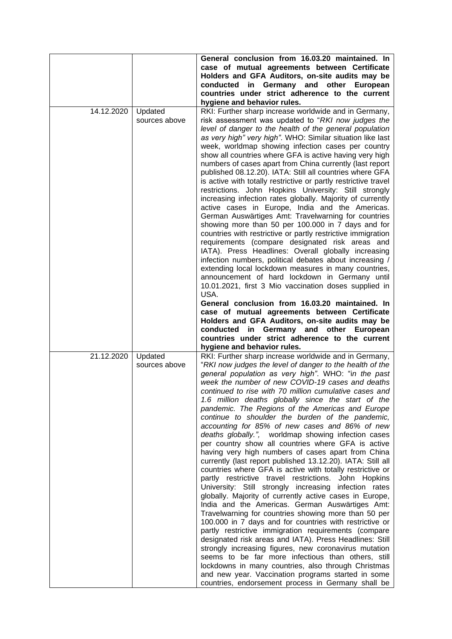|            |                          | General conclusion from 16.03.20 maintained. In<br>case of mutual agreements between Certificate<br>Holders and GFA Auditors, on-site audits may be<br>conducted in Germany and other European<br>countries under strict adherence to the current<br>hygiene and behavior rules.                                                                                                                                                                                                                                                                                                                                                                                                                                                                                                                                                                                                                                                                                                                                                                                                                                                                                                                                                                                                                                                                                                                                                                                                                                                                             |
|------------|--------------------------|--------------------------------------------------------------------------------------------------------------------------------------------------------------------------------------------------------------------------------------------------------------------------------------------------------------------------------------------------------------------------------------------------------------------------------------------------------------------------------------------------------------------------------------------------------------------------------------------------------------------------------------------------------------------------------------------------------------------------------------------------------------------------------------------------------------------------------------------------------------------------------------------------------------------------------------------------------------------------------------------------------------------------------------------------------------------------------------------------------------------------------------------------------------------------------------------------------------------------------------------------------------------------------------------------------------------------------------------------------------------------------------------------------------------------------------------------------------------------------------------------------------------------------------------------------------|
| 14.12.2020 | Updated<br>sources above | RKI: Further sharp increase worldwide and in Germany,<br>risk assessment was updated to "RKI now judges the<br>level of danger to the health of the general population<br>as very high" very high". WHO: Similar situation like last<br>week, worldmap showing infection cases per country<br>show all countries where GFA is active having very high<br>numbers of cases apart from China currently (last report<br>published 08.12.20). IATA: Still all countries where GFA<br>is active with totally restrictive or partly restrictive travel<br>restrictions. John Hopkins University: Still strongly<br>increasing infection rates globally. Majority of currently<br>active cases in Europe, India and the Americas.<br>German Auswärtiges Amt: Travelwarning for countries<br>showing more than 50 per 100.000 in 7 days and for<br>countries with restrictive or partly restrictive immigration<br>requirements (compare designated risk areas and<br>IATA). Press Headlines: Overall globally increasing<br>infection numbers, political debates about increasing /<br>extending local lockdown measures in many countries,<br>announcement of hard lockdown in Germany until<br>10.01.2021, first 3 Mio vaccination doses supplied in<br>USA.<br>General conclusion from 16.03.20 maintained. In<br>case of mutual agreements between Certificate                                                                                                                                                                                                  |
|            |                          | Holders and GFA Auditors, on-site audits may be<br>conducted in Germany and other European<br>countries under strict adherence to the current<br>hygiene and behavior rules.                                                                                                                                                                                                                                                                                                                                                                                                                                                                                                                                                                                                                                                                                                                                                                                                                                                                                                                                                                                                                                                                                                                                                                                                                                                                                                                                                                                 |
| 21.12.2020 | Updated<br>sources above | RKI: Further sharp increase worldwide and in Germany,<br>"RKI now judges the level of danger to the health of the<br>general population as very high". WHO: "in the past<br>week the number of new COVID-19 cases and deaths<br>continued to rise with 70 million cumulative cases and<br>1.6 million deaths globally since the start of the<br>pandemic. The Regions of the Americas and Europe<br>continue to shoulder the burden of the pandemic,<br>accounting for 85% of new cases and 86% of new<br>deaths globally.", worldmap showing infection cases<br>per country show all countries where GFA is active<br>having very high numbers of cases apart from China<br>currently (last report published 13.12.20). IATA: Still all<br>countries where GFA is active with totally restrictive or<br>partly restrictive travel restrictions. John Hopkins<br>University: Still strongly increasing infection rates<br>globally. Majority of currently active cases in Europe,<br>India and the Americas. German Auswärtiges Amt:<br>Travelwarning for countries showing more than 50 per<br>100.000 in 7 days and for countries with restrictive or<br>partly restrictive immigration requirements (compare<br>designated risk areas and IATA). Press Headlines: Still<br>strongly increasing figures, new coronavirus mutation<br>seems to be far more infectious than others, still<br>lockdowns in many countries, also through Christmas<br>and new year. Vaccination programs started in some<br>countries, endorsement process in Germany shall be |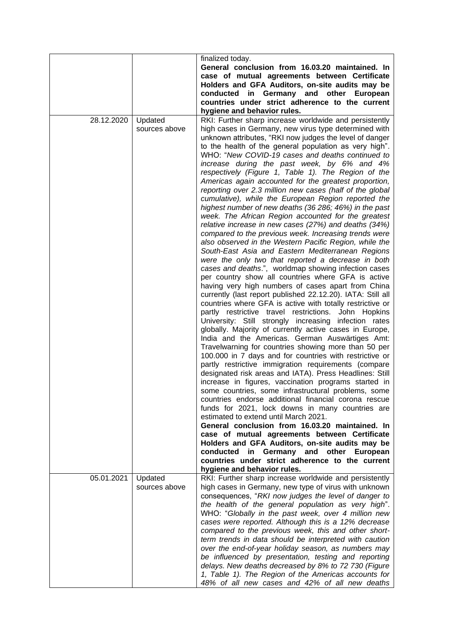|            |               | finalized today.                                                                                                                                    |
|------------|---------------|-----------------------------------------------------------------------------------------------------------------------------------------------------|
|            |               | General conclusion from 16.03.20 maintained. In<br>case of mutual agreements between Certificate<br>Holders and GFA Auditors, on-site audits may be |
|            |               | conducted in Germany and other European                                                                                                             |
|            |               | countries under strict adherence to the current                                                                                                     |
|            |               | hygiene and behavior rules.                                                                                                                         |
| 28.12.2020 | Updated       | RKI: Further sharp increase worldwide and persistently                                                                                              |
|            | sources above | high cases in Germany, new virus type determined with                                                                                               |
|            |               | unknown attributes, "RKI now judges the level of danger                                                                                             |
|            |               | to the health of the general population as very high".                                                                                              |
|            |               | WHO: "New COVID-19 cases and deaths continued to                                                                                                    |
|            |               | increase during the past week, by 6% and 4%                                                                                                         |
|            |               | respectively (Figure 1, Table 1). The Region of the                                                                                                 |
|            |               | Americas again accounted for the greatest proportion,                                                                                               |
|            |               | reporting over 2.3 million new cases (half of the global                                                                                            |
|            |               | cumulative), while the European Region reported the                                                                                                 |
|            |               | highest number of new deaths (36 286; 46%) in the past                                                                                              |
|            |               | week. The African Region accounted for the greatest                                                                                                 |
|            |               | relative increase in new cases (27%) and deaths (34%)                                                                                               |
|            |               | compared to the previous week. Increasing trends were                                                                                               |
|            |               | also observed in the Western Pacific Region, while the                                                                                              |
|            |               | South-East Asia and Eastern Mediterranean Regions                                                                                                   |
|            |               | were the only two that reported a decrease in both                                                                                                  |
|            |               | cases and deaths.", worldmap showing infection cases                                                                                                |
|            |               | per country show all countries where GFA is active                                                                                                  |
|            |               | having very high numbers of cases apart from China                                                                                                  |
|            |               | currently (last report published 22.12.20). IATA: Still all                                                                                         |
|            |               | countries where GFA is active with totally restrictive or                                                                                           |
|            |               | partly restrictive travel restrictions. John Hopkins                                                                                                |
|            |               | University: Still strongly increasing infection rates                                                                                               |
|            |               | globally. Majority of currently active cases in Europe,                                                                                             |
|            |               | India and the Americas. German Auswärtiges Amt:                                                                                                     |
|            |               | Travelwarning for countries showing more than 50 per                                                                                                |
|            |               | 100.000 in 7 days and for countries with restrictive or                                                                                             |
|            |               | partly restrictive immigration requirements (compare                                                                                                |
|            |               | designated risk areas and IATA). Press Headlines: Still                                                                                             |
|            |               | increase in figures, vaccination programs started in                                                                                                |
|            |               | some countries, some infrastructural problems, some                                                                                                 |
|            |               | countries endorse additional financial corona rescue                                                                                                |
|            |               | funds for 2021, lock downs in many countries are                                                                                                    |
|            |               | estimated to extend until March 2021.                                                                                                               |
|            |               | General conclusion from 16.03.20 maintained. In                                                                                                     |
|            |               | case of mutual agreements between Certificate                                                                                                       |
|            |               | Holders and GFA Auditors, on-site audits may be                                                                                                     |
|            |               | conducted in Germany and other European                                                                                                             |
|            |               | countries under strict adherence to the current                                                                                                     |
|            |               | hygiene and behavior rules.                                                                                                                         |
| 05.01.2021 | Updated       | RKI: Further sharp increase worldwide and persistently                                                                                              |
|            | sources above | high cases in Germany, new type of virus with unknown                                                                                               |
|            |               | consequences, "RKI now judges the level of danger to                                                                                                |
|            |               | the health of the general population as very high".                                                                                                 |
|            |               | WHO: "Globally in the past week, over 4 million new                                                                                                 |
|            |               | cases were reported. Although this is a 12% decrease                                                                                                |
|            |               | compared to the previous week, this and other short-                                                                                                |
|            |               | term trends in data should be interpreted with caution                                                                                              |
|            |               | over the end-of-year holiday season, as numbers may                                                                                                 |
|            |               | be influenced by presentation, testing and reporting                                                                                                |
|            |               | delays. New deaths decreased by 8% to 72 730 (Figure                                                                                                |
|            |               | 1, Table 1). The Region of the Americas accounts for                                                                                                |
|            |               | 48% of all new cases and 42% of all new deaths                                                                                                      |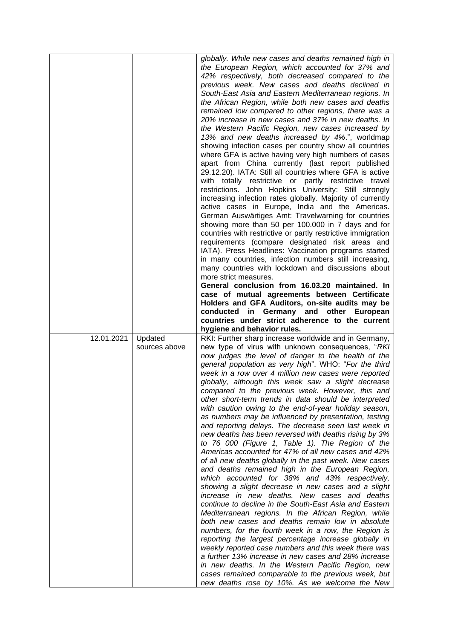|            |               | globally. While new cases and deaths remained high in                                                           |
|------------|---------------|-----------------------------------------------------------------------------------------------------------------|
|            |               | the European Region, which accounted for 37% and<br>42% respectively, both decreased compared to the            |
|            |               | previous week. New cases and deaths declined in                                                                 |
|            |               | South-East Asia and Eastern Mediterranean regions. In                                                           |
|            |               | the African Region, while both new cases and deaths                                                             |
|            |               | remained low compared to other regions, there was a                                                             |
|            |               | 20% increase in new cases and 37% in new deaths. In                                                             |
|            |               | the Western Pacific Region, new cases increased by                                                              |
|            |               | 13% and new deaths increased by 4%.", worldmap                                                                  |
|            |               | showing infection cases per country show all countries<br>where GFA is active having very high numbers of cases |
|            |               | apart from China currently (last report published                                                               |
|            |               | 29.12.20). IATA: Still all countries where GFA is active                                                        |
|            |               | with totally restrictive or partly restrictive travel                                                           |
|            |               | restrictions. John Hopkins University: Still strongly                                                           |
|            |               | increasing infection rates globally. Majority of currently                                                      |
|            |               | active cases in Europe, India and the Americas.                                                                 |
|            |               | German Auswärtiges Amt: Travelwarning for countries<br>showing more than 50 per 100.000 in 7 days and for       |
|            |               | countries with restrictive or partly restrictive immigration                                                    |
|            |               | requirements (compare designated risk areas and                                                                 |
|            |               | IATA). Press Headlines: Vaccination programs started                                                            |
|            |               | in many countries, infection numbers still increasing,                                                          |
|            |               | many countries with lockdown and discussions about                                                              |
|            |               | more strict measures.<br>General conclusion from 16.03.20 maintained. In                                        |
|            |               | case of mutual agreements between Certificate                                                                   |
|            |               | Holders and GFA Auditors, on-site audits may be                                                                 |
|            |               | conducted in Germany and other European                                                                         |
|            |               |                                                                                                                 |
|            |               | countries under strict adherence to the current                                                                 |
|            |               | hygiene and behavior rules.                                                                                     |
| 12.01.2021 | Updated       | RKI: Further sharp increase worldwide and in Germany,                                                           |
|            | sources above | new type of virus with unknown consequences, "RKI                                                               |
|            |               | now judges the level of danger to the health of the<br>general population as very high". WHO: "For the third    |
|            |               | week in a row over 4 million new cases were reported                                                            |
|            |               | globally, although this week saw a slight decrease                                                              |
|            |               | compared to the previous week. However, this and                                                                |
|            |               | other short-term trends in data should be interpreted                                                           |
|            |               | with caution owing to the end-of-year holiday season,                                                           |
|            |               | as numbers may be influenced by presentation, testing<br>and reporting delays. The decrease seen last week in   |
|            |               | new deaths has been reversed with deaths rising by 3%                                                           |
|            |               | to 76 000 (Figure 1, Table 1). The Region of the                                                                |
|            |               | Americas accounted for 47% of all new cases and 42%                                                             |
|            |               | of all new deaths globally in the past week. New cases                                                          |
|            |               | and deaths remained high in the European Region,                                                                |
|            |               | which accounted for 38% and 43% respectively,                                                                   |
|            |               | showing a slight decrease in new cases and a slight<br>increase in new deaths. New cases and deaths             |
|            |               | continue to decline in the South-East Asia and Eastern                                                          |
|            |               | Mediterranean regions. In the African Region, while                                                             |
|            |               | both new cases and deaths remain low in absolute                                                                |
|            |               | numbers, for the fourth week in a row, the Region is                                                            |
|            |               | reporting the largest percentage increase globally in                                                           |
|            |               | weekly reported case numbers and this week there was<br>a further 13% increase in new cases and 28% increase    |
|            |               | in new deaths. In the Western Pacific Region, new                                                               |
|            |               | cases remained comparable to the previous week, but<br>new deaths rose by 10%. As we welcome the New            |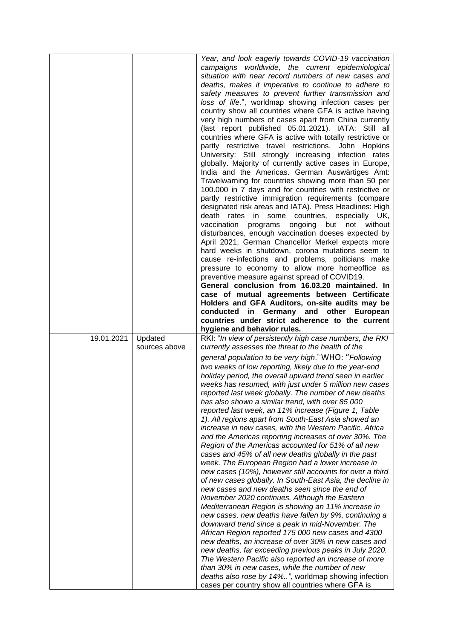|            |               | Year, and look eagerly towards COVID-19 vaccination       |
|------------|---------------|-----------------------------------------------------------|
|            |               | campaigns worldwide, the current epidemiological          |
|            |               | situation with near record numbers of new cases and       |
|            |               | deaths, makes it imperative to continue to adhere to      |
|            |               | safety measures to prevent further transmission and       |
|            |               | loss of life.", worldmap showing infection cases per      |
|            |               | country show all countries where GFA is active having     |
|            |               | very high numbers of cases apart from China currently     |
|            |               |                                                           |
|            |               | (last report published 05.01.2021). IATA: Still all       |
|            |               | countries where GFA is active with totally restrictive or |
|            |               | partly restrictive travel restrictions. John Hopkins      |
|            |               | University: Still strongly increasing infection rates     |
|            |               | globally. Majority of currently active cases in Europe,   |
|            |               | India and the Americas. German Auswärtiges Amt:           |
|            |               | Travelwarning for countries showing more than 50 per      |
|            |               | 100.000 in 7 days and for countries with restrictive or   |
|            |               |                                                           |
|            |               | partly restrictive immigration requirements (compare      |
|            |               | designated risk areas and IATA). Press Headlines: High    |
|            |               | rates in<br>some countries, especially UK,<br>death       |
|            |               | vaccination<br>ongoing<br>but not without<br>programs     |
|            |               | disturbances, enough vaccination doeses expected by       |
|            |               | April 2021, German Chancellor Merkel expects more         |
|            |               | hard weeks in shutdown, corona mutations seem to          |
|            |               | cause re-infections and problems, poiticians make         |
|            |               |                                                           |
|            |               | pressure to economy to allow more homeoffice as           |
|            |               | preventive measure against spread of COVID19.             |
|            |               | General conclusion from 16.03.20 maintained. In           |
|            |               | case of mutual agreements between Certificate             |
|            |               | Holders and GFA Auditors, on-site audits may be           |
|            |               | conducted in Germany and other European                   |
|            |               |                                                           |
|            |               |                                                           |
|            |               | countries under strict adherence to the current           |
|            |               | hygiene and behavior rules.                               |
| 19.01.2021 | Updated       | RKI: "In view of persistently high case numbers, the RKI  |
|            | sources above | currently assesses the threat to the health of the        |
|            |               | general population to be very high." WHO: "Following      |
|            |               | two weeks of low reporting, likely due to the year-end    |
|            |               | holiday period, the overall upward trend seen in earlier  |
|            |               | weeks has resumed, with just under 5 million new cases    |
|            |               | reported last week globally. The number of new deaths     |
|            |               | has also shown a similar trend, with over 85 000          |
|            |               |                                                           |
|            |               | reported last week, an 11% increase (Figure 1, Table      |
|            |               | 1). All regions apart from South-East Asia showed an      |
|            |               | increase in new cases, with the Western Pacific, Africa   |
|            |               | and the Americas reporting increases of over 30%. The     |
|            |               | Region of the Americas accounted for 51% of all new       |
|            |               | cases and 45% of all new deaths globally in the past      |
|            |               | week. The European Region had a lower increase in         |
|            |               | new cases (10%), however still accounts for over a third  |
|            |               | of new cases globally. In South-East Asia, the decline in |
|            |               | new cases and new deaths seen since the end of            |
|            |               |                                                           |
|            |               | November 2020 continues. Although the Eastern             |
|            |               | Mediterranean Region is showing an 11% increase in        |
|            |               | new cases, new deaths have fallen by 9%, continuing a     |
|            |               | downward trend since a peak in mid-November. The          |
|            |               | African Region reported 175 000 new cases and 4300        |
|            |               | new deaths, an increase of over 30% in new cases and      |
|            |               | new deaths, far exceeding previous peaks in July 2020.    |
|            |               | The Western Pacific also reported an increase of more     |
|            |               | than 30% in new cases, while the number of new            |
|            |               | deaths also rose by 14%", worldmap showing infection      |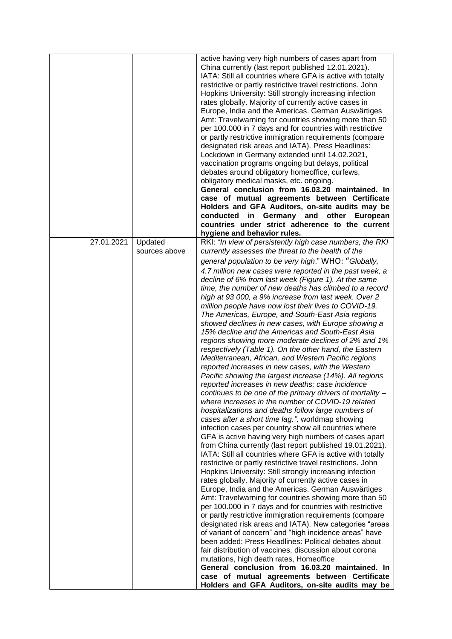|            |               | active having very high numbers of cases apart from<br>China currently (last report published 12.01.2021).<br>IATA: Still all countries where GFA is active with totally<br>restrictive or partly restrictive travel restrictions. John<br>Hopkins University: Still strongly increasing infection<br>rates globally. Majority of currently active cases in<br>Europe, India and the Americas. German Auswärtiges<br>Amt: Travelwarning for countries showing more than 50<br>per 100.000 in 7 days and for countries with restrictive<br>or partly restrictive immigration requirements (compare<br>designated risk areas and IATA). Press Headlines: |
|------------|---------------|--------------------------------------------------------------------------------------------------------------------------------------------------------------------------------------------------------------------------------------------------------------------------------------------------------------------------------------------------------------------------------------------------------------------------------------------------------------------------------------------------------------------------------------------------------------------------------------------------------------------------------------------------------|
|            |               | Lockdown in Germany extended until 14.02.2021,<br>vaccination programs ongoing but delays, political<br>debates around obligatory homeoffice, curfews,                                                                                                                                                                                                                                                                                                                                                                                                                                                                                                 |
|            |               | obligatory medical masks, etc. ongoing.<br>General conclusion from 16.03.20 maintained. In<br>case of mutual agreements between Certificate                                                                                                                                                                                                                                                                                                                                                                                                                                                                                                            |
|            |               | Holders and GFA Auditors, on-site audits may be<br>in Germany and other<br>conducted<br>European<br>countries under strict adherence to the current<br>hygiene and behavior rules.                                                                                                                                                                                                                                                                                                                                                                                                                                                                     |
| 27.01.2021 | Updated       | RKI: "In view of persistently high case numbers, the RKI                                                                                                                                                                                                                                                                                                                                                                                                                                                                                                                                                                                               |
|            | sources above | currently assesses the threat to the health of the                                                                                                                                                                                                                                                                                                                                                                                                                                                                                                                                                                                                     |
|            |               | general population to be very high." WHO: "Globally,<br>4.7 million new cases were reported in the past week, a                                                                                                                                                                                                                                                                                                                                                                                                                                                                                                                                        |
|            |               | decline of 6% from last week (Figure 1). At the same                                                                                                                                                                                                                                                                                                                                                                                                                                                                                                                                                                                                   |
|            |               | time, the number of new deaths has climbed to a record                                                                                                                                                                                                                                                                                                                                                                                                                                                                                                                                                                                                 |
|            |               | high at 93 000, a 9% increase from last week. Over 2<br>million people have now lost their lives to COVID-19.                                                                                                                                                                                                                                                                                                                                                                                                                                                                                                                                          |
|            |               | The Americas, Europe, and South-East Asia regions                                                                                                                                                                                                                                                                                                                                                                                                                                                                                                                                                                                                      |
|            |               | showed declines in new cases, with Europe showing a                                                                                                                                                                                                                                                                                                                                                                                                                                                                                                                                                                                                    |
|            |               | 15% decline and the Americas and South-East Asia<br>regions showing more moderate declines of 2% and 1%                                                                                                                                                                                                                                                                                                                                                                                                                                                                                                                                                |
|            |               | respectively (Table 1). On the other hand, the Eastern                                                                                                                                                                                                                                                                                                                                                                                                                                                                                                                                                                                                 |
|            |               | Mediterranean, African, and Western Pacific regions                                                                                                                                                                                                                                                                                                                                                                                                                                                                                                                                                                                                    |
|            |               | reported increases in new cases, with the Western                                                                                                                                                                                                                                                                                                                                                                                                                                                                                                                                                                                                      |
|            |               | Pacific showing the largest increase (14%). All regions<br>reported increases in new deaths; case incidence                                                                                                                                                                                                                                                                                                                                                                                                                                                                                                                                            |
|            |               | continues to be one of the primary drivers of mortality -                                                                                                                                                                                                                                                                                                                                                                                                                                                                                                                                                                                              |
|            |               | where increases in the number of COVID-19 related                                                                                                                                                                                                                                                                                                                                                                                                                                                                                                                                                                                                      |
|            |               | hospitalizations and deaths follow large numbers of<br>cases after a short time lag.", worldmap showing                                                                                                                                                                                                                                                                                                                                                                                                                                                                                                                                                |
|            |               | infection cases per country show all countries where                                                                                                                                                                                                                                                                                                                                                                                                                                                                                                                                                                                                   |
|            |               | GFA is active having very high numbers of cases apart                                                                                                                                                                                                                                                                                                                                                                                                                                                                                                                                                                                                  |
|            |               | from China currently (last report published 19.01.2021).<br>IATA: Still all countries where GFA is active with totally                                                                                                                                                                                                                                                                                                                                                                                                                                                                                                                                 |
|            |               | restrictive or partly restrictive travel restrictions. John                                                                                                                                                                                                                                                                                                                                                                                                                                                                                                                                                                                            |
|            |               | Hopkins University: Still strongly increasing infection                                                                                                                                                                                                                                                                                                                                                                                                                                                                                                                                                                                                |
|            |               | rates globally. Majority of currently active cases in<br>Europe, India and the Americas. German Auswärtiges                                                                                                                                                                                                                                                                                                                                                                                                                                                                                                                                            |
|            |               | Amt: Travelwarning for countries showing more than 50                                                                                                                                                                                                                                                                                                                                                                                                                                                                                                                                                                                                  |
|            |               | per 100.000 in 7 days and for countries with restrictive                                                                                                                                                                                                                                                                                                                                                                                                                                                                                                                                                                                               |
|            |               | or partly restrictive immigration requirements (compare<br>designated risk areas and IATA). New categories "areas                                                                                                                                                                                                                                                                                                                                                                                                                                                                                                                                      |
|            |               | of variant of concern" and "high incidence areas" have                                                                                                                                                                                                                                                                                                                                                                                                                                                                                                                                                                                                 |
|            |               | been added: Press Headlines: Political debates about                                                                                                                                                                                                                                                                                                                                                                                                                                                                                                                                                                                                   |
|            |               | fair distribution of vaccines, discussion about corona<br>mutations, high death rates, Homeoffice                                                                                                                                                                                                                                                                                                                                                                                                                                                                                                                                                      |
|            |               | General conclusion from 16.03.20 maintained. In                                                                                                                                                                                                                                                                                                                                                                                                                                                                                                                                                                                                        |
|            |               | case of mutual agreements between Certificate                                                                                                                                                                                                                                                                                                                                                                                                                                                                                                                                                                                                          |
|            |               | Holders and GFA Auditors, on-site audits may be                                                                                                                                                                                                                                                                                                                                                                                                                                                                                                                                                                                                        |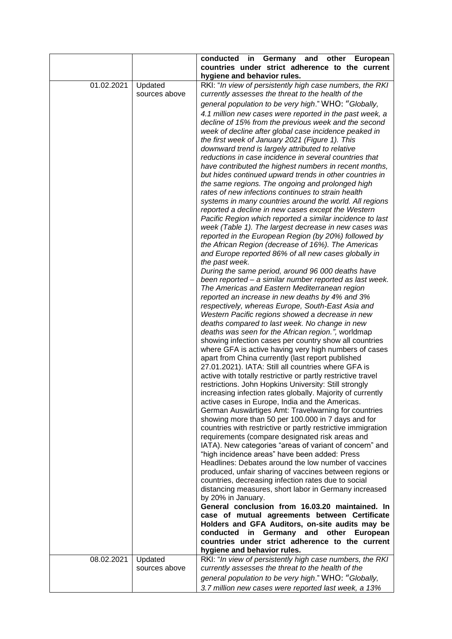|            |               | conducted<br>in Germany and other European                                                          |
|------------|---------------|-----------------------------------------------------------------------------------------------------|
|            |               | countries under strict adherence to the current                                                     |
|            |               | hygiene and behavior rules.                                                                         |
| 01.02.2021 | Updated       | RKI: "In view of persistently high case numbers, the RKI                                            |
|            | sources above | currently assesses the threat to the health of the                                                  |
|            |               | general population to be very high." WHO: "Globally,                                                |
|            |               | 4.1 million new cases were reported in the past week, a                                             |
|            |               | decline of 15% from the previous week and the second                                                |
|            |               | week of decline after global case incidence peaked in                                               |
|            |               | the first week of January 2021 (Figure 1). This                                                     |
|            |               | downward trend is largely attributed to relative                                                    |
|            |               | reductions in case incidence in several countries that                                              |
|            |               | have contributed the highest numbers in recent months,                                              |
|            |               | but hides continued upward trends in other countries in                                             |
|            |               | the same regions. The ongoing and prolonged high                                                    |
|            |               | rates of new infections continues to strain health                                                  |
|            |               | systems in many countries around the world. All regions                                             |
|            |               | reported a decline in new cases except the Western                                                  |
|            |               | Pacific Region which reported a similar incidence to last                                           |
|            |               | week (Table 1). The largest decrease in new cases was                                               |
|            |               | reported in the European Region (by 20%) followed by                                                |
|            |               | the African Region (decrease of 16%). The Americas                                                  |
|            |               | and Europe reported 86% of all new cases globally in                                                |
|            |               | the past week.                                                                                      |
|            |               | During the same period, around 96 000 deaths have                                                   |
|            |               | been reported - a similar number reported as last week.                                             |
|            |               | The Americas and Eastern Mediterranean region                                                       |
|            |               | reported an increase in new deaths by 4% and 3%                                                     |
|            |               | respectively, whereas Europe, South-East Asia and                                                   |
|            |               | Western Pacific regions showed a decrease in new                                                    |
|            |               | deaths compared to last week. No change in new                                                      |
|            |               | deaths was seen for the African region.", worldmap                                                  |
|            |               | showing infection cases per country show all countries                                              |
|            |               | where GFA is active having very high numbers of cases                                               |
|            |               | apart from China currently (last report published                                                   |
|            |               | 27.01.2021). IATA: Still all countries where GFA is                                                 |
|            |               | active with totally restrictive or partly restrictive travel                                        |
|            |               | restrictions. John Hopkins University: Still strongly                                               |
|            |               | increasing infection rates globally. Majority of currently                                          |
|            |               | active cases in Europe, India and the Americas.                                                     |
|            |               | German Auswärtiges Amt: Travelwarning for countries                                                 |
|            |               | showing more than 50 per 100.000 in 7 days and for                                                  |
|            |               | countries with restrictive or partly restrictive immigration                                        |
|            |               | requirements (compare designated risk areas and                                                     |
|            |               | IATA). New categories "areas of variant of concern" and                                             |
|            |               | "high incidence areas" have been added: Press                                                       |
|            |               | Headlines: Debates around the low number of vaccines                                                |
|            |               | produced, unfair sharing of vaccines between regions or                                             |
|            |               | countries, decreasing infection rates due to social                                                 |
|            |               | distancing measures, short labor in Germany increased                                               |
|            |               | by 20% in January.                                                                                  |
|            |               | General conclusion from 16.03.20 maintained. In                                                     |
|            |               | case of mutual agreements between Certificate                                                       |
|            |               | Holders and GFA Auditors, on-site audits may be                                                     |
|            |               | conducted<br>Germany and other<br>European<br>in<br>countries under strict adherence to the current |
|            |               | hygiene and behavior rules.                                                                         |
| 08.02.2021 | Updated       | RKI: "In view of persistently high case numbers, the RKI                                            |
|            | sources above | currently assesses the threat to the health of the                                                  |
|            |               |                                                                                                     |
|            |               | general population to be very high." WHO: "Globally,                                                |
|            |               | 3.7 million new cases were reported last week, a 13%                                                |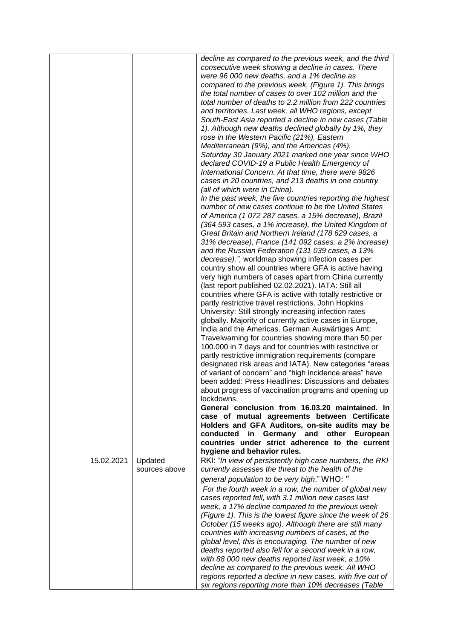|            |                          | decline as compared to the previous week, and the third<br>consecutive week showing a decline in cases. There<br>were 96 000 new deaths, and a 1% decline as<br>compared to the previous week, (Figure 1). This brings<br>the total number of cases to over 102 million and the<br>total number of deaths to 2.2 million from 222 countries<br>and territories. Last week, all WHO regions, except<br>South-East Asia reported a decline in new cases (Table<br>1). Although new deaths declined globally by 1%, they<br>rose in the Western Pacific (21%), Eastern<br>Mediterranean (9%), and the Americas (4%).<br>Saturday 30 January 2021 marked one year since WHO<br>declared COVID-19 a Public Health Emergency of<br>International Concern. At that time, there were 9826<br>cases in 20 countries, and 213 deaths in one country<br>(all of which were in China).<br>In the past week, the five countries reporting the highest<br>number of new cases continue to be the United States<br>of America (1 072 287 cases, a 15% decrease), Brazil<br>(364 593 cases, a 1% increase), the United Kingdom of<br>Great Britain and Northern Ireland (178 629 cases, a<br>31% decrease), France (141 092 cases, a 2% increase)<br>and the Russian Federation (131 039 cases, a 13%<br>decrease).", worldmap showing infection cases per<br>country show all countries where GFA is active having<br>very high numbers of cases apart from China currently<br>(last report published 02.02.2021). IATA: Still all<br>countries where GFA is active with totally restrictive or<br>partly restrictive travel restrictions. John Hopkins<br>University: Still strongly increasing infection rates<br>globally. Majority of currently active cases in Europe,<br>India and the Americas. German Auswärtiges Amt:<br>Travelwarning for countries showing more than 50 per<br>100.000 in 7 days and for countries with restrictive or<br>partly restrictive immigration requirements (compare<br>designated risk areas and IATA). New categories "areas<br>of variant of concern" and "high incidence areas" have<br>been added: Press Headlines: Discussions and debates<br>about progress of vaccination programs and opening up<br>lockdowns.<br>General conclusion from 16.03.20 maintained. In<br>case of mutual agreements between Certificate<br>Holders and GFA Auditors, on-site audits may be<br>conducted in Germany and other European<br>countries under strict adherence to the current |
|------------|--------------------------|----------------------------------------------------------------------------------------------------------------------------------------------------------------------------------------------------------------------------------------------------------------------------------------------------------------------------------------------------------------------------------------------------------------------------------------------------------------------------------------------------------------------------------------------------------------------------------------------------------------------------------------------------------------------------------------------------------------------------------------------------------------------------------------------------------------------------------------------------------------------------------------------------------------------------------------------------------------------------------------------------------------------------------------------------------------------------------------------------------------------------------------------------------------------------------------------------------------------------------------------------------------------------------------------------------------------------------------------------------------------------------------------------------------------------------------------------------------------------------------------------------------------------------------------------------------------------------------------------------------------------------------------------------------------------------------------------------------------------------------------------------------------------------------------------------------------------------------------------------------------------------------------------------------------------------------------------------------------------------------------------------------------------------------------------------------------------------------------------------------------------------------------------------------------------------------------------------------------------------------------------------------------------------------------------------------------------------------------------------------------------------------------------------------------------------------------------------------------------------------------------|
| 15.02.2021 | Updated<br>sources above | hygiene and behavior rules.<br>RKI: "In view of persistently high case numbers, the RKI<br>currently assesses the threat to the health of the<br>general population to be very high." WHO: "                                                                                                                                                                                                                                                                                                                                                                                                                                                                                                                                                                                                                                                                                                                                                                                                                                                                                                                                                                                                                                                                                                                                                                                                                                                                                                                                                                                                                                                                                                                                                                                                                                                                                                                                                                                                                                                                                                                                                                                                                                                                                                                                                                                                                                                                                                       |
|            |                          | For the fourth week in a row, the number of global new<br>cases reported fell, with 3.1 million new cases last<br>week, a 17% decline compared to the previous week<br>(Figure 1). This is the lowest figure since the week of 26<br>October (15 weeks ago). Although there are still many<br>countries with increasing numbers of cases, at the<br>global level, this is encouraging. The number of new<br>deaths reported also fell for a second week in a row,<br>with 88 000 new deaths reported last week, a 10%<br>decline as compared to the previous week. All WHO<br>regions reported a decline in new cases, with five out of<br>six regions reporting more than 10% decreases (Table                                                                                                                                                                                                                                                                                                                                                                                                                                                                                                                                                                                                                                                                                                                                                                                                                                                                                                                                                                                                                                                                                                                                                                                                                                                                                                                                                                                                                                                                                                                                                                                                                                                                                                                                                                                                    |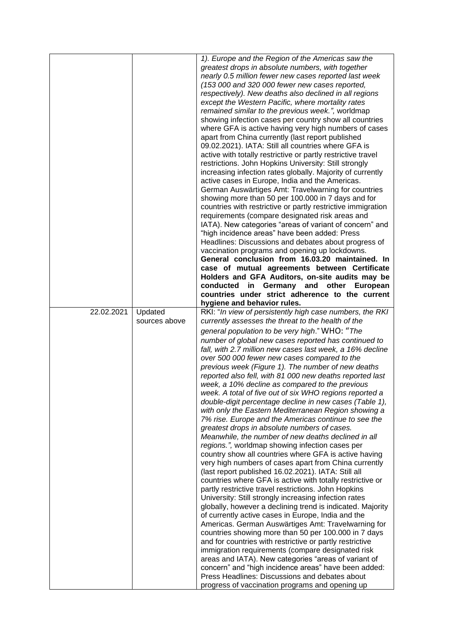|            |               | 1). Europe and the Region of the Americas saw the                                                 |
|------------|---------------|---------------------------------------------------------------------------------------------------|
|            |               | greatest drops in absolute numbers, with together                                                 |
|            |               | nearly 0.5 million fewer new cases reported last week                                             |
|            |               | (153 000 and 320 000 fewer new cases reported,                                                    |
|            |               | respectively). New deaths also declined in all regions                                            |
|            |               | except the Western Pacific, where mortality rates                                                 |
|            |               | remained similar to the previous week.", worldmap                                                 |
|            |               | showing infection cases per country show all countries                                            |
|            |               | where GFA is active having very high numbers of cases                                             |
|            |               | apart from China currently (last report published                                                 |
|            |               | 09.02.2021). IATA: Still all countries where GFA is                                               |
|            |               | active with totally restrictive or partly restrictive travel                                      |
|            |               | restrictions. John Hopkins University: Still strongly                                             |
|            |               | increasing infection rates globally. Majority of currently                                        |
|            |               | active cases in Europe, India and the Americas.                                                   |
|            |               | German Auswärtiges Amt: Travelwarning for countries                                               |
|            |               | showing more than 50 per 100.000 in 7 days and for                                                |
|            |               | countries with restrictive or partly restrictive immigration                                      |
|            |               | requirements (compare designated risk areas and                                                   |
|            |               | IATA). New categories "areas of variant of concern" and                                           |
|            |               | "high incidence areas" have been added: Press                                                     |
|            |               | Headlines: Discussions and debates about progress of                                              |
|            |               | vaccination programs and opening up lockdowns.                                                    |
|            |               | General conclusion from 16.03.20 maintained. In                                                   |
|            |               | case of mutual agreements between Certificate                                                     |
|            |               | Holders and GFA Auditors, on-site audits may be                                                   |
|            |               | conducted in Germany and other European                                                           |
|            |               | countries under strict adherence to the current                                                   |
|            |               | hygiene and behavior rules.                                                                       |
| 22.02.2021 | Updated       | RKI: "In view of persistently high case numbers, the RKI                                          |
|            | sources above | currently assesses the threat to the health of the                                                |
|            |               |                                                                                                   |
|            |               | general population to be very high." WHO: "The                                                    |
|            |               | number of global new cases reported has continued to                                              |
|            |               | fall, with 2.7 million new cases last week, a 16% decline                                         |
|            |               | over 500 000 fewer new cases compared to the                                                      |
|            |               | previous week (Figure 1). The number of new deaths                                                |
|            |               | reported also fell, with 81 000 new deaths reported last                                          |
|            |               | week, a 10% decline as compared to the previous                                                   |
|            |               | week. A total of five out of six WHO regions reported a                                           |
|            |               | double-digit percentage decline in new cases (Table 1),                                           |
|            |               | with only the Eastern Mediterranean Region showing a                                              |
|            |               | 7% rise. Europe and the Americas continue to see the                                              |
|            |               | greatest drops in absolute numbers of cases.                                                      |
|            |               | Meanwhile, the number of new deaths declined in all                                               |
|            |               | regions.", worldmap showing infection cases per                                                   |
|            |               | country show all countries where GFA is active having                                             |
|            |               | very high numbers of cases apart from China currently                                             |
|            |               | (last report published 16.02.2021). IATA: Still all                                               |
|            |               | countries where GFA is active with totally restrictive or                                         |
|            |               | partly restrictive travel restrictions. John Hopkins                                              |
|            |               | University: Still strongly increasing infection rates                                             |
|            |               | globally, however a declining trend is indicated. Majority                                        |
|            |               | of currently active cases in Europe, India and the                                                |
|            |               | Americas. German Auswärtiges Amt: Travelwarning for                                               |
|            |               | countries showing more than 50 per 100.000 in 7 days                                              |
|            |               | and for countries with restrictive or partly restrictive                                          |
|            |               | immigration requirements (compare designated risk                                                 |
|            |               | areas and IATA). New categories "areas of variant of                                              |
|            |               | concern" and "high incidence areas" have been added:                                              |
|            |               | Press Headlines: Discussions and debates about<br>progress of vaccination programs and opening up |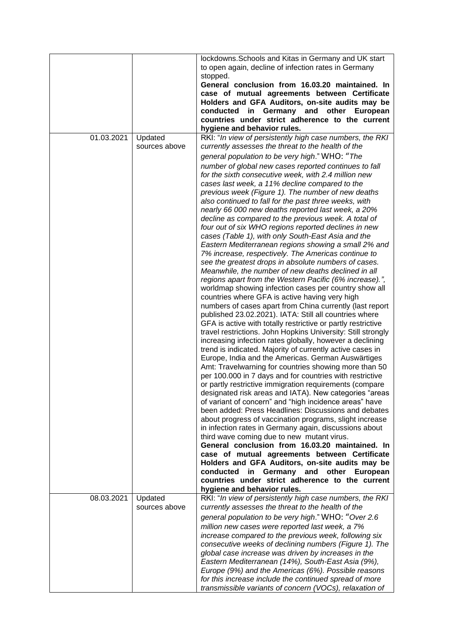|            |                          | lockdowns. Schools and Kitas in Germany and UK start<br>to open again, decline of infection rates in Germany<br>stopped. |
|------------|--------------------------|--------------------------------------------------------------------------------------------------------------------------|
|            |                          | General conclusion from 16.03.20 maintained. In                                                                          |
|            |                          | case of mutual agreements between Certificate                                                                            |
|            |                          | Holders and GFA Auditors, on-site audits may be                                                                          |
|            |                          | conducted in Germany and other European                                                                                  |
|            |                          | countries under strict adherence to the current                                                                          |
| 01.03.2021 | Updated                  | hygiene and behavior rules.<br>RKI: "In view of persistently high case numbers, the RKI                                  |
|            | sources above            | currently assesses the threat to the health of the                                                                       |
|            |                          | general population to be very high." WHO: "The                                                                           |
|            |                          | number of global new cases reported continues to fall                                                                    |
|            |                          | for the sixth consecutive week, with 2.4 million new                                                                     |
|            |                          | cases last week, a 11% decline compared to the                                                                           |
|            |                          | previous week (Figure 1). The number of new deaths<br>also continued to fall for the past three weeks, with              |
|            |                          | nearly 66 000 new deaths reported last week, a 20%                                                                       |
|            |                          | decline as compared to the previous week. A total of                                                                     |
|            |                          | four out of six WHO regions reported declines in new                                                                     |
|            |                          | cases (Table 1), with only South-East Asia and the                                                                       |
|            |                          | Eastern Mediterranean regions showing a small 2% and<br>7% increase, respectively. The Americas continue to              |
|            |                          | see the greatest drops in absolute numbers of cases.                                                                     |
|            |                          | Meanwhile, the number of new deaths declined in all                                                                      |
|            |                          | regions apart from the Western Pacific (6% increase).",                                                                  |
|            |                          | worldmap showing infection cases per country show all                                                                    |
|            |                          | countries where GFA is active having very high<br>numbers of cases apart from China currently (last report               |
|            |                          | published 23.02.2021). IATA: Still all countries where                                                                   |
|            |                          | GFA is active with totally restrictive or partly restrictive                                                             |
|            |                          | travel restrictions. John Hopkins University: Still strongly                                                             |
|            |                          | increasing infection rates globally, however a declining                                                                 |
|            |                          | trend is indicated. Majority of currently active cases in<br>Europe, India and the Americas. German Auswärtiges          |
|            |                          | Amt: Travelwarning for countries showing more than 50                                                                    |
|            |                          | per 100.000 in 7 days and for countries with restrictive                                                                 |
|            |                          | or partly restrictive immigration requirements (compare                                                                  |
|            |                          | designated risk areas and IATA). New categories "areas<br>of variant of concern" and "high incidence areas" have         |
|            |                          | been added: Press Headlines: Discussions and debates                                                                     |
|            |                          | about progress of vaccination programs, slight increase                                                                  |
|            |                          | in infection rates in Germany again, discussions about                                                                   |
|            |                          | third wave coming due to new mutant virus.                                                                               |
|            |                          | General conclusion from 16.03.20 maintained. In<br>case of mutual agreements between Certificate                         |
|            |                          | Holders and GFA Auditors, on-site audits may be                                                                          |
|            |                          | conducted<br>in Germany and other European                                                                               |
|            |                          | countries under strict adherence to the current                                                                          |
|            |                          | hygiene and behavior rules.                                                                                              |
| 08.03.2021 | Updated<br>sources above | RKI: "In view of persistently high case numbers, the RKI<br>currently assesses the threat to the health of the           |
|            |                          | general population to be very high." WHO: "Over 2.6                                                                      |
|            |                          | million new cases were reported last week, a 7%                                                                          |
|            |                          | increase compared to the previous week, following six                                                                    |
|            |                          | consecutive weeks of declining numbers (Figure 1). The                                                                   |
|            |                          | global case increase was driven by increases in the                                                                      |
|            |                          | Eastern Mediterranean (14%), South-East Asia (9%),<br>Europe (9%) and the Americas (6%). Possible reasons                |
|            |                          | for this increase include the continued spread of more                                                                   |
|            |                          | transmissible variants of concern (VOCs), relaxation of                                                                  |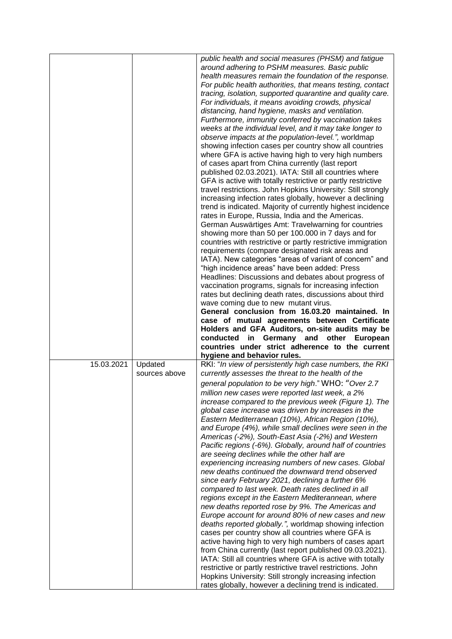|            |                          | public health and social measures (PHSM) and fatigue<br>around adhering to PSHM measures. Basic public<br>health measures remain the foundation of the response.<br>For public health authorities, that means testing, contact<br>tracing, isolation, supported quarantine and quality care.<br>For individuals, it means avoiding crowds, physical<br>distancing, hand hygiene, masks and ventilation.<br>Furthermore, immunity conferred by vaccination takes<br>weeks at the individual level, and it may take longer to<br>observe impacts at the population-level.", worldmap<br>showing infection cases per country show all countries<br>where GFA is active having high to very high numbers<br>of cases apart from China currently (last report<br>published 02.03.2021). IATA: Still all countries where<br>GFA is active with totally restrictive or partly restrictive<br>travel restrictions. John Hopkins University: Still strongly<br>increasing infection rates globally, however a declining<br>trend is indicated. Majority of currently highest incidence<br>rates in Europe, Russia, India and the Americas.<br>German Auswärtiges Amt: Travelwarning for countries<br>showing more than 50 per 100.000 in 7 days and for<br>countries with restrictive or partly restrictive immigration<br>requirements (compare designated risk areas and<br>IATA). New categories "areas of variant of concern" and<br>"high incidence areas" have been added: Press<br>Headlines: Discussions and debates about progress of<br>vaccination programs, signals for increasing infection<br>rates but declining death rates, discussions about third<br>wave coming due to new mutant virus.<br>General conclusion from 16.03.20 maintained. In<br>case of mutual agreements between Certificate<br>Holders and GFA Auditors, on-site audits may be<br>conducted in Germany and other<br>European<br>countries under strict adherence to the current |
|------------|--------------------------|-------------------------------------------------------------------------------------------------------------------------------------------------------------------------------------------------------------------------------------------------------------------------------------------------------------------------------------------------------------------------------------------------------------------------------------------------------------------------------------------------------------------------------------------------------------------------------------------------------------------------------------------------------------------------------------------------------------------------------------------------------------------------------------------------------------------------------------------------------------------------------------------------------------------------------------------------------------------------------------------------------------------------------------------------------------------------------------------------------------------------------------------------------------------------------------------------------------------------------------------------------------------------------------------------------------------------------------------------------------------------------------------------------------------------------------------------------------------------------------------------------------------------------------------------------------------------------------------------------------------------------------------------------------------------------------------------------------------------------------------------------------------------------------------------------------------------------------------------------------------------------------------------------------------------------------------------------------|
| 15.03.2021 | Updated<br>sources above | RKI: "In view of persistently high case numbers, the RKI<br>currently assesses the threat to the health of the<br>general population to be very high." WHO: "Over 2.7<br>million new cases were reported last week, a 2%<br>increase compared to the previous week (Figure 1). The<br>global case increase was driven by increases in the<br>Eastern Mediterranean (10%), African Region (10%),<br>and Europe (4%), while small declines were seen in the<br>Americas (-2%), South-East Asia (-2%) and Western<br>Pacific regions (-6%). Globally, around half of countries<br>are seeing declines while the other half are<br>experiencing increasing numbers of new cases. Global<br>new deaths continued the downward trend observed<br>since early February 2021, declining a further 6%<br>compared to last week. Death rates declined in all<br>regions except in the Eastern Mediterannean, where                                                                                                                                                                                                                                                                                                                                                                                                                                                                                                                                                                                                                                                                                                                                                                                                                                                                                                                                                                                                                                                    |
|            |                          | new deaths reported rose by 9%. The Americas and<br>Europe account for around 80% of new cases and new<br>deaths reported globally.", worldmap showing infection<br>cases per country show all countries where GFA is<br>active having high to very high numbers of cases apart<br>from China currently (last report published 09.03.2021).<br>IATA: Still all countries where GFA is active with totally<br>restrictive or partly restrictive travel restrictions. John<br>Hopkins University: Still strongly increasing infection<br>rates globally, however a declining trend is indicated.                                                                                                                                                                                                                                                                                                                                                                                                                                                                                                                                                                                                                                                                                                                                                                                                                                                                                                                                                                                                                                                                                                                                                                                                                                                                                                                                                              |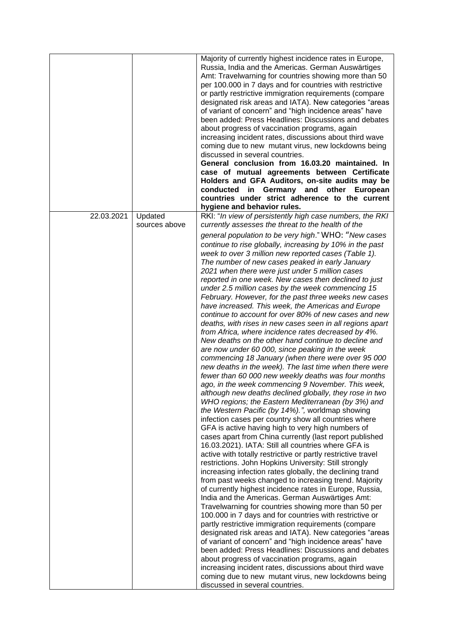| Majority of currently highest incidence rates in Europe,<br>Russia, India and the Americas. German Auswärtiges<br>Amt: Travelwarning for countries showing more than 50<br>per 100.000 in 7 days and for countries with restrictive<br>or partly restrictive immigration requirements (compare |          |
|------------------------------------------------------------------------------------------------------------------------------------------------------------------------------------------------------------------------------------------------------------------------------------------------|----------|
| designated risk areas and IATA). New categories "areas<br>of variant of concern" and "high incidence areas" have                                                                                                                                                                               |          |
| been added: Press Headlines: Discussions and debates                                                                                                                                                                                                                                           |          |
| about progress of vaccination programs, again<br>increasing incident rates, discussions about third wave                                                                                                                                                                                       |          |
| coming due to new mutant virus, new lockdowns being                                                                                                                                                                                                                                            |          |
| discussed in several countries.                                                                                                                                                                                                                                                                |          |
| General conclusion from 16.03.20 maintained. In                                                                                                                                                                                                                                                |          |
| case of mutual agreements between Certificate<br>Holders and GFA Auditors, on-site audits may be                                                                                                                                                                                               |          |
| conducted in Germany and other                                                                                                                                                                                                                                                                 | European |
| countries under strict adherence to the current                                                                                                                                                                                                                                                |          |
| hygiene and behavior rules.                                                                                                                                                                                                                                                                    |          |
| 22.03.2021<br>Updated<br>RKI: "In view of persistently high case numbers, the RKI<br>currently assesses the threat to the health of the<br>sources above                                                                                                                                       |          |
| general population to be very high." WHO: "New cases                                                                                                                                                                                                                                           |          |
| continue to rise globally, increasing by 10% in the past                                                                                                                                                                                                                                       |          |
| week to over 3 million new reported cases (Table 1).                                                                                                                                                                                                                                           |          |
| The number of new cases peaked in early January<br>2021 when there were just under 5 million cases                                                                                                                                                                                             |          |
| reported in one week. New cases then declined to just                                                                                                                                                                                                                                          |          |
| under 2.5 million cases by the week commencing 15                                                                                                                                                                                                                                              |          |
| February. However, for the past three weeks new cases                                                                                                                                                                                                                                          |          |
| have increased. This week, the Americas and Europe<br>continue to account for over 80% of new cases and new                                                                                                                                                                                    |          |
| deaths, with rises in new cases seen in all regions apart                                                                                                                                                                                                                                      |          |
| from Africa, where incidence rates decreased by 4%.<br>New deaths on the other hand continue to decline and                                                                                                                                                                                    |          |
| are now under 60 000, since peaking in the week                                                                                                                                                                                                                                                |          |
| commencing 18 January (when there were over 95 000                                                                                                                                                                                                                                             |          |
| new deaths in the week). The last time when there were                                                                                                                                                                                                                                         |          |
| fewer than 60 000 new weekly deaths was four months<br>ago, in the week commencing 9 November. This week,                                                                                                                                                                                      |          |
| although new deaths declined globally, they rose in two                                                                                                                                                                                                                                        |          |
| WHO regions; the Eastern Mediterranean (by 3%) and                                                                                                                                                                                                                                             |          |
| the Western Pacific (by 14%).", worldmap showing                                                                                                                                                                                                                                               |          |
| infection cases per country show all countries where<br>GFA is active having high to very high numbers of                                                                                                                                                                                      |          |
| cases apart from China currently (last report published<br>16.03.2021). IATA: Still all countries where GFA is                                                                                                                                                                                 |          |
| active with totally restrictive or partly restrictive travel                                                                                                                                                                                                                                   |          |
| restrictions. John Hopkins University: Still strongly                                                                                                                                                                                                                                          |          |
| increasing infection rates globally, the declining trand<br>from past weeks changed to increasing trend. Majority                                                                                                                                                                              |          |
| of currently highest incidence rates in Europe, Russia,                                                                                                                                                                                                                                        |          |
| India and the Americas. German Auswärtiges Amt:                                                                                                                                                                                                                                                |          |
| Travelwarning for countries showing more than 50 per                                                                                                                                                                                                                                           |          |
| 100.000 in 7 days and for countries with restrictive or<br>partly restrictive immigration requirements (compare                                                                                                                                                                                |          |
| designated risk areas and IATA). New categories "areas                                                                                                                                                                                                                                         |          |
| of variant of concern" and "high incidence areas" have                                                                                                                                                                                                                                         |          |
| been added: Press Headlines: Discussions and debates                                                                                                                                                                                                                                           |          |
| about progress of vaccination programs, again                                                                                                                                                                                                                                                  |          |
| increasing incident rates, discussions about third wave<br>coming due to new mutant virus, new lockdowns being                                                                                                                                                                                 |          |
|                                                                                                                                                                                                                                                                                                |          |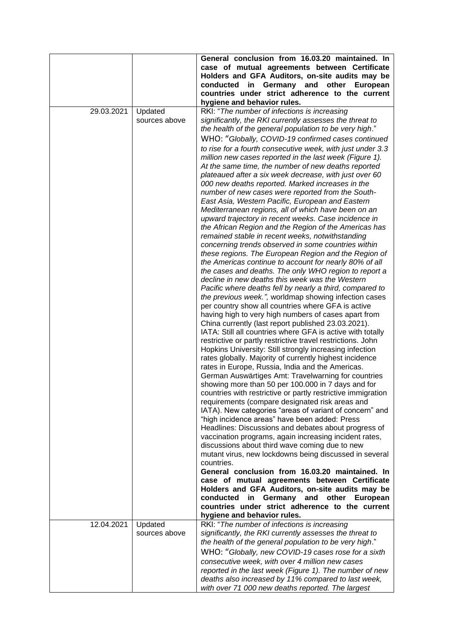|            |                          | General conclusion from 16.03.20 maintained. In<br>case of mutual agreements between Certificate<br>Holders and GFA Auditors, on-site audits may be<br>conducted in Germany and other European<br>countries under strict adherence to the current<br>hygiene and behavior rules.                                                                                                                                                                                                                                                                                                                                                                                                                                                                                                                                                                                                                                                                                                                                                                                                                                                                                                                                                                                                                                                                                                                                                                                                                                                                                                                                                                                                                                                                                                                                                                                                                                                                                                                                                      |
|------------|--------------------------|---------------------------------------------------------------------------------------------------------------------------------------------------------------------------------------------------------------------------------------------------------------------------------------------------------------------------------------------------------------------------------------------------------------------------------------------------------------------------------------------------------------------------------------------------------------------------------------------------------------------------------------------------------------------------------------------------------------------------------------------------------------------------------------------------------------------------------------------------------------------------------------------------------------------------------------------------------------------------------------------------------------------------------------------------------------------------------------------------------------------------------------------------------------------------------------------------------------------------------------------------------------------------------------------------------------------------------------------------------------------------------------------------------------------------------------------------------------------------------------------------------------------------------------------------------------------------------------------------------------------------------------------------------------------------------------------------------------------------------------------------------------------------------------------------------------------------------------------------------------------------------------------------------------------------------------------------------------------------------------------------------------------------------------|
| 29.03.2021 | Updated<br>sources above | RKI: "The number of infections is increasing<br>significantly, the RKI currently assesses the threat to<br>the health of the general population to be very high."                                                                                                                                                                                                                                                                                                                                                                                                                                                                                                                                                                                                                                                                                                                                                                                                                                                                                                                                                                                                                                                                                                                                                                                                                                                                                                                                                                                                                                                                                                                                                                                                                                                                                                                                                                                                                                                                     |
|            |                          | WHO: "Globally, COVID-19 confirmed cases continued                                                                                                                                                                                                                                                                                                                                                                                                                                                                                                                                                                                                                                                                                                                                                                                                                                                                                                                                                                                                                                                                                                                                                                                                                                                                                                                                                                                                                                                                                                                                                                                                                                                                                                                                                                                                                                                                                                                                                                                    |
|            |                          | to rise for a fourth consecutive week, with just under 3.3<br>million new cases reported in the last week (Figure 1).<br>At the same time, the number of new deaths reported<br>plateaued after a six week decrease, with just over 60<br>000 new deaths reported. Marked increases in the<br>number of new cases were reported from the South-<br>East Asia, Western Pacific, European and Eastern<br>Mediterranean regions, all of which have been on an<br>upward trajectory in recent weeks. Case incidence in<br>the African Region and the Region of the Americas has<br>remained stable in recent weeks, notwithstanding<br>concerning trends observed in some countries within<br>these regions. The European Region and the Region of<br>the Americas continue to account for nearly 80% of all<br>the cases and deaths. The only WHO region to report a<br>decline in new deaths this week was the Western<br>Pacific where deaths fell by nearly a third, compared to<br>the previous week.", worldmap showing infection cases<br>per country show all countries where GFA is active<br>having high to very high numbers of cases apart from<br>China currently (last report published 23.03.2021).<br>IATA: Still all countries where GFA is active with totally<br>restrictive or partly restrictive travel restrictions. John<br>Hopkins University: Still strongly increasing infection<br>rates globally. Majority of currently highest incidence<br>rates in Europe, Russia, India and the Americas.<br>German Auswärtiges Amt: Travelwarning for countries<br>showing more than 50 per 100.000 in 7 days and for<br>countries with restrictive or partly restrictive immigration<br>requirements (compare designated risk areas and<br>IATA). New categories "areas of variant of concern" and<br>"high incidence areas" have been added: Press<br>Headlines: Discussions and debates about progress of<br>vaccination programs, again increasing incident rates,<br>discussions about third wave coming due to new |
|            |                          | mutant virus, new lockdowns being discussed in several<br>countries.                                                                                                                                                                                                                                                                                                                                                                                                                                                                                                                                                                                                                                                                                                                                                                                                                                                                                                                                                                                                                                                                                                                                                                                                                                                                                                                                                                                                                                                                                                                                                                                                                                                                                                                                                                                                                                                                                                                                                                  |
|            |                          | General conclusion from 16.03.20 maintained. In                                                                                                                                                                                                                                                                                                                                                                                                                                                                                                                                                                                                                                                                                                                                                                                                                                                                                                                                                                                                                                                                                                                                                                                                                                                                                                                                                                                                                                                                                                                                                                                                                                                                                                                                                                                                                                                                                                                                                                                       |
|            |                          | case of mutual agreements between Certificate<br>Holders and GFA Auditors, on-site audits may be                                                                                                                                                                                                                                                                                                                                                                                                                                                                                                                                                                                                                                                                                                                                                                                                                                                                                                                                                                                                                                                                                                                                                                                                                                                                                                                                                                                                                                                                                                                                                                                                                                                                                                                                                                                                                                                                                                                                      |
|            |                          | conducted in Germany and other European<br>countries under strict adherence to the current<br>hygiene and behavior rules.                                                                                                                                                                                                                                                                                                                                                                                                                                                                                                                                                                                                                                                                                                                                                                                                                                                                                                                                                                                                                                                                                                                                                                                                                                                                                                                                                                                                                                                                                                                                                                                                                                                                                                                                                                                                                                                                                                             |
| 12.04.2021 | Updated<br>sources above | RKI: "The number of infections is increasing<br>significantly, the RKI currently assesses the threat to                                                                                                                                                                                                                                                                                                                                                                                                                                                                                                                                                                                                                                                                                                                                                                                                                                                                                                                                                                                                                                                                                                                                                                                                                                                                                                                                                                                                                                                                                                                                                                                                                                                                                                                                                                                                                                                                                                                               |
|            |                          | the health of the general population to be very high."<br>WHO: "Globally, new COVID-19 cases rose for a sixth                                                                                                                                                                                                                                                                                                                                                                                                                                                                                                                                                                                                                                                                                                                                                                                                                                                                                                                                                                                                                                                                                                                                                                                                                                                                                                                                                                                                                                                                                                                                                                                                                                                                                                                                                                                                                                                                                                                         |
|            |                          | consecutive week, with over 4 million new cases                                                                                                                                                                                                                                                                                                                                                                                                                                                                                                                                                                                                                                                                                                                                                                                                                                                                                                                                                                                                                                                                                                                                                                                                                                                                                                                                                                                                                                                                                                                                                                                                                                                                                                                                                                                                                                                                                                                                                                                       |
|            |                          | reported in the last week (Figure 1). The number of new<br>deaths also increased by 11% compared to last week,                                                                                                                                                                                                                                                                                                                                                                                                                                                                                                                                                                                                                                                                                                                                                                                                                                                                                                                                                                                                                                                                                                                                                                                                                                                                                                                                                                                                                                                                                                                                                                                                                                                                                                                                                                                                                                                                                                                        |
|            |                          | with over 71 000 new deaths reported. The largest                                                                                                                                                                                                                                                                                                                                                                                                                                                                                                                                                                                                                                                                                                                                                                                                                                                                                                                                                                                                                                                                                                                                                                                                                                                                                                                                                                                                                                                                                                                                                                                                                                                                                                                                                                                                                                                                                                                                                                                     |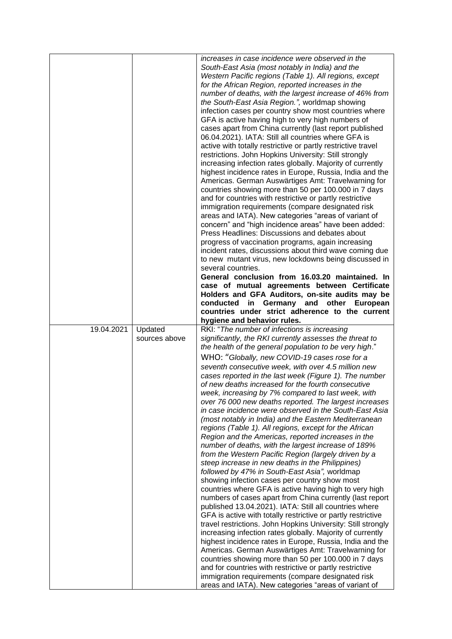|            |                          | increases in case incidence were observed in the<br>South-East Asia (most notably in India) and the<br>Western Pacific regions (Table 1). All regions, except<br>for the African Region, reported increases in the<br>number of deaths, with the largest increase of 46% from<br>the South-East Asia Region.", worldmap showing<br>infection cases per country show most countries where<br>GFA is active having high to very high numbers of<br>cases apart from China currently (last report published<br>06.04.2021). IATA: Still all countries where GFA is<br>active with totally restrictive or partly restrictive travel<br>restrictions. John Hopkins University: Still strongly<br>increasing infection rates globally. Majority of currently<br>highest incidence rates in Europe, Russia, India and the<br>Americas. German Auswärtiges Amt: Travelwarning for<br>countries showing more than 50 per 100.000 in 7 days<br>and for countries with restrictive or partly restrictive<br>immigration requirements (compare designated risk<br>areas and IATA). New categories "areas of variant of<br>concern" and "high incidence areas" have been added:<br>Press Headlines: Discussions and debates about<br>progress of vaccination programs, again increasing<br>incident rates, discussions about third wave coming due<br>to new mutant virus, new lockdowns being discussed in<br>several countries.<br>General conclusion from 16.03.20 maintained. In<br>case of mutual agreements between Certificate<br>Holders and GFA Auditors, on-site audits may be<br>conducted in Germany and other European<br>countries under strict adherence to the current<br>hygiene and behavior rules.                                            |
|------------|--------------------------|-----------------------------------------------------------------------------------------------------------------------------------------------------------------------------------------------------------------------------------------------------------------------------------------------------------------------------------------------------------------------------------------------------------------------------------------------------------------------------------------------------------------------------------------------------------------------------------------------------------------------------------------------------------------------------------------------------------------------------------------------------------------------------------------------------------------------------------------------------------------------------------------------------------------------------------------------------------------------------------------------------------------------------------------------------------------------------------------------------------------------------------------------------------------------------------------------------------------------------------------------------------------------------------------------------------------------------------------------------------------------------------------------------------------------------------------------------------------------------------------------------------------------------------------------------------------------------------------------------------------------------------------------------------------------------------------------------------------------------------------------------|
| 19.04.2021 | Updated<br>sources above | RKI: "The number of infections is increasing<br>significantly, the RKI currently assesses the threat to<br>the health of the general population to be very high."<br>WHO: "Globally, new COVID-19 cases rose for a<br>seventh consecutive week, with over 4.5 million new<br>cases reported in the last week (Figure 1). The number<br>of new deaths increased for the fourth consecutive<br>week, increasing by 7% compared to last week, with<br>over 76 000 new deaths reported. The largest increases<br>in case incidence were observed in the South-East Asia<br>(most notably in India) and the Eastern Mediterranean<br>regions (Table 1). All regions, except for the African<br>Region and the Americas, reported increases in the<br>number of deaths, with the largest increase of 189%<br>from the Western Pacific Region (largely driven by a<br>steep increase in new deaths in the Philippines)<br>followed by 47% in South-East Asia", worldmap<br>showing infection cases per country show most<br>countries where GFA is active having high to very high<br>numbers of cases apart from China currently (last report<br>published 13.04.2021). IATA: Still all countries where<br>GFA is active with totally restrictive or partly restrictive<br>travel restrictions. John Hopkins University: Still strongly<br>increasing infection rates globally. Majority of currently<br>highest incidence rates in Europe, Russia, India and the<br>Americas. German Auswärtiges Amt: Travelwarning for<br>countries showing more than 50 per 100.000 in 7 days<br>and for countries with restrictive or partly restrictive<br>immigration requirements (compare designated risk<br>areas and IATA). New categories "areas of variant of |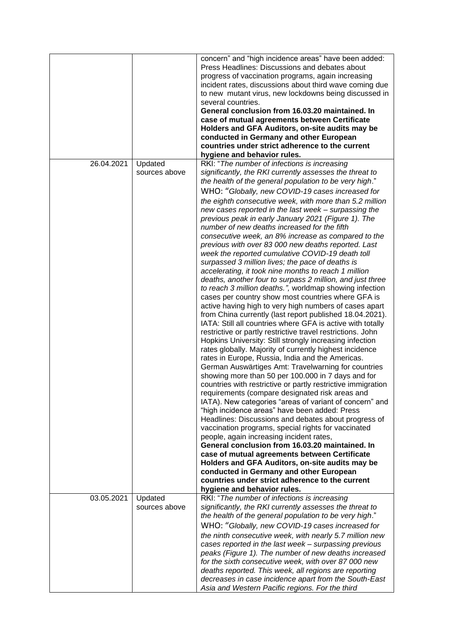|            |                          | concern" and "high incidence areas" have been added:<br>Press Headlines: Discussions and debates about<br>progress of vaccination programs, again increasing<br>incident rates, discussions about third wave coming due<br>to new mutant virus, new lockdowns being discussed in<br>several countries.<br>General conclusion from 16.03.20 maintained. In<br>case of mutual agreements between Certificate<br>Holders and GFA Auditors, on-site audits may be<br>conducted in Germany and other European<br>countries under strict adherence to the current<br>hygiene and behavior rules.                                                                                                                                                                                                                                                                                                                                                                                                                                                                                                                                                                                                                                                                                                                                                                                                                                                                                                                                                                                                                                                                                                                                                                                                                                                                                                                                                                                                                                                                                                           |
|------------|--------------------------|------------------------------------------------------------------------------------------------------------------------------------------------------------------------------------------------------------------------------------------------------------------------------------------------------------------------------------------------------------------------------------------------------------------------------------------------------------------------------------------------------------------------------------------------------------------------------------------------------------------------------------------------------------------------------------------------------------------------------------------------------------------------------------------------------------------------------------------------------------------------------------------------------------------------------------------------------------------------------------------------------------------------------------------------------------------------------------------------------------------------------------------------------------------------------------------------------------------------------------------------------------------------------------------------------------------------------------------------------------------------------------------------------------------------------------------------------------------------------------------------------------------------------------------------------------------------------------------------------------------------------------------------------------------------------------------------------------------------------------------------------------------------------------------------------------------------------------------------------------------------------------------------------------------------------------------------------------------------------------------------------------------------------------------------------------------------------------------------------|
| 26.04.2021 | Updated<br>sources above | RKI: "The number of infections is increasing<br>significantly, the RKI currently assesses the threat to<br>the health of the general population to be very high."<br>WHO: "Globally, new COVID-19 cases increased for<br>the eighth consecutive week, with more than 5.2 million<br>new cases reported in the last week - surpassing the<br>previous peak in early January 2021 (Figure 1). The<br>number of new deaths increased for the fifth<br>consecutive week, an 8% increase as compared to the<br>previous with over 83 000 new deaths reported. Last<br>week the reported cumulative COVID-19 death toll<br>surpassed 3 million lives; the pace of deaths is<br>accelerating, it took nine months to reach 1 million<br>deaths, another four to surpass 2 million, and just three<br>to reach 3 million deaths.", worldmap showing infection<br>cases per country show most countries where GFA is<br>active having high to very high numbers of cases apart<br>from China currently (last report published 18.04.2021).<br>IATA: Still all countries where GFA is active with totally<br>restrictive or partly restrictive travel restrictions. John<br>Hopkins University: Still strongly increasing infection<br>rates globally. Majority of currently highest incidence<br>rates in Europe, Russia, India and the Americas.<br>German Auswärtiges Amt: Travelwarning for countries<br>showing more than 50 per 100.000 in 7 days and for<br>countries with restrictive or partly restrictive immigration<br>requirements (compare designated risk areas and<br>IATA). New categories "areas of variant of concern" and<br>"high incidence areas" have been added: Press<br>Headlines: Discussions and debates about progress of<br>vaccination programs, special rights for vaccinated<br>people, again increasing incident rates,<br>General conclusion from 16.03.20 maintained. In<br>case of mutual agreements between Certificate<br>Holders and GFA Auditors, on-site audits may be<br>conducted in Germany and other European<br>countries under strict adherence to the current |
| 03.05.2021 | Updated<br>sources above | hygiene and behavior rules.<br>RKI: "The number of infections is increasing<br>significantly, the RKI currently assesses the threat to<br>the health of the general population to be very high."<br>WHO: "Globally, new COVID-19 cases increased for<br>the ninth consecutive week, with nearly 5.7 million new<br>cases reported in the last week - surpassing previous<br>peaks (Figure 1). The number of new deaths increased<br>for the sixth consecutive week, with over 87 000 new<br>deaths reported. This week, all regions are reporting<br>decreases in case incidence apart from the South-East<br>Asia and Western Pacific regions. For the third                                                                                                                                                                                                                                                                                                                                                                                                                                                                                                                                                                                                                                                                                                                                                                                                                                                                                                                                                                                                                                                                                                                                                                                                                                                                                                                                                                                                                                        |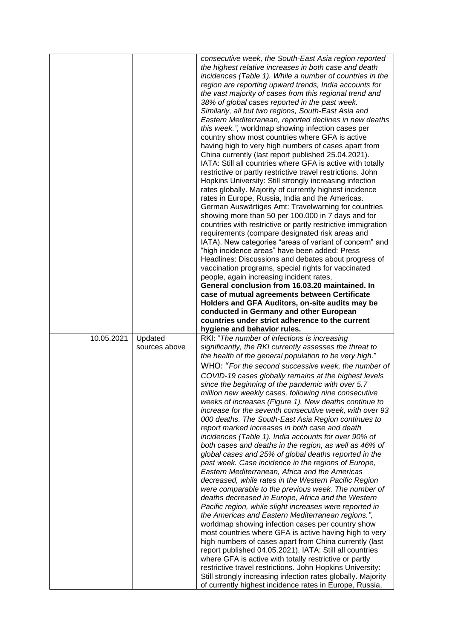|            |                          | consecutive week, the South-East Asia region reported<br>the highest relative increases in both case and death<br>incidences (Table 1). While a number of countries in the<br>region are reporting upward trends, India accounts for<br>the vast majority of cases from this regional trend and<br>38% of global cases reported in the past week.<br>Similarly, all but two regions, South-East Asia and<br>Eastern Mediterranean, reported declines in new deaths<br>this week.", worldmap showing infection cases per<br>country show most countries where GFA is active<br>having high to very high numbers of cases apart from<br>China currently (last report published 25.04.2021).<br>IATA: Still all countries where GFA is active with totally<br>restrictive or partly restrictive travel restrictions. John<br>Hopkins University: Still strongly increasing infection<br>rates globally. Majority of currently highest incidence<br>rates in Europe, Russia, India and the Americas.<br>German Auswärtiges Amt: Travelwarning for countries<br>showing more than 50 per 100.000 in 7 days and for<br>countries with restrictive or partly restrictive immigration<br>requirements (compare designated risk areas and<br>IATA). New categories "areas of variant of concern" and<br>"high incidence areas" have been added: Press<br>Headlines: Discussions and debates about progress of<br>vaccination programs, special rights for vaccinated<br>people, again increasing incident rates,<br>General conclusion from 16.03.20 maintained. In<br>case of mutual agreements between Certificate<br>Holders and GFA Auditors, on-site audits may be<br>conducted in Germany and other European<br>countries under strict adherence to the current<br>hygiene and behavior rules. |
|------------|--------------------------|---------------------------------------------------------------------------------------------------------------------------------------------------------------------------------------------------------------------------------------------------------------------------------------------------------------------------------------------------------------------------------------------------------------------------------------------------------------------------------------------------------------------------------------------------------------------------------------------------------------------------------------------------------------------------------------------------------------------------------------------------------------------------------------------------------------------------------------------------------------------------------------------------------------------------------------------------------------------------------------------------------------------------------------------------------------------------------------------------------------------------------------------------------------------------------------------------------------------------------------------------------------------------------------------------------------------------------------------------------------------------------------------------------------------------------------------------------------------------------------------------------------------------------------------------------------------------------------------------------------------------------------------------------------------------------------------------------------------------------------------------------------------------------------------|
| 10.05.2021 | Updated<br>sources above | RKI: "The number of infections is increasing<br>significantly, the RKI currently assesses the threat to<br>the health of the general population to be very high."<br>WHO: "For the second successive week, the number of<br>COVID-19 cases globally remains at the highest levels<br>since the beginning of the pandemic with over 5.7<br>million new weekly cases, following nine consecutive<br>weeks of increases (Figure 1). New deaths continue to<br>increase for the seventh consecutive week, with over 93<br>000 deaths. The South-East Asia Region continues to<br>report marked increases in both case and death<br>incidences (Table 1). India accounts for over 90% of<br>both cases and deaths in the region, as well as 46% of<br>global cases and 25% of global deaths reported in the<br>past week. Case incidence in the regions of Europe,<br>Eastern Mediterranean, Africa and the Americas<br>decreased, while rates in the Western Pacific Region<br>were comparable to the previous week. The number of<br>deaths decreased in Europe, Africa and the Western<br>Pacific region, while slight increases were reported in<br>the Americas and Eastern Mediterranean regions.",<br>worldmap showing infection cases per country show<br>most countries where GFA is active having high to very<br>high numbers of cases apart from China currently (last<br>report published 04.05.2021). IATA: Still all countries<br>where GFA is active with totally restrictive or partly<br>restrictive travel restrictions. John Hopkins University:<br>Still strongly increasing infection rates globally. Majority<br>of currently highest incidence rates in Europe, Russia,                                                                                                  |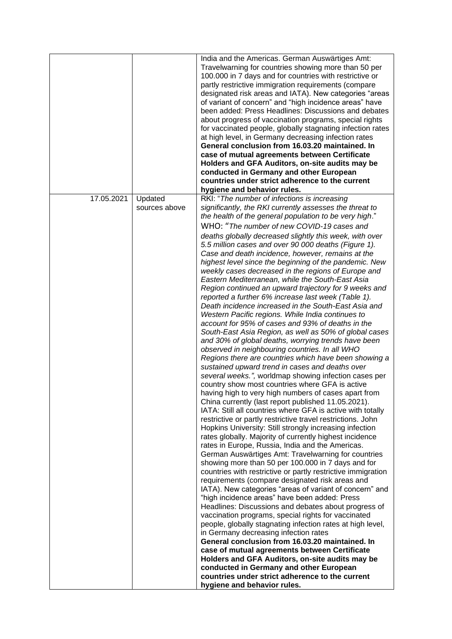|            |                          | India and the Americas. German Auswärtiges Amt:<br>Travelwarning for countries showing more than 50 per<br>100.000 in 7 days and for countries with restrictive or<br>partly restrictive immigration requirements (compare<br>designated risk areas and IATA). New categories "areas<br>of variant of concern" and "high incidence areas" have<br>been added: Press Headlines: Discussions and debates<br>about progress of vaccination programs, special rights<br>for vaccinated people, globally stagnating infection rates<br>at high level, in Germany decreasing infection rates<br>General conclusion from 16.03.20 maintained. In<br>case of mutual agreements between Certificate<br>Holders and GFA Auditors, on-site audits may be<br>conducted in Germany and other European<br>countries under strict adherence to the current                                                                                                                                                                                                                                                                                                                                                                                                                                                                                                                                                                                                                                                                                                                                                                                                                                                                                                                                                                                                                                                                                                                                                                                                |
|------------|--------------------------|--------------------------------------------------------------------------------------------------------------------------------------------------------------------------------------------------------------------------------------------------------------------------------------------------------------------------------------------------------------------------------------------------------------------------------------------------------------------------------------------------------------------------------------------------------------------------------------------------------------------------------------------------------------------------------------------------------------------------------------------------------------------------------------------------------------------------------------------------------------------------------------------------------------------------------------------------------------------------------------------------------------------------------------------------------------------------------------------------------------------------------------------------------------------------------------------------------------------------------------------------------------------------------------------------------------------------------------------------------------------------------------------------------------------------------------------------------------------------------------------------------------------------------------------------------------------------------------------------------------------------------------------------------------------------------------------------------------------------------------------------------------------------------------------------------------------------------------------------------------------------------------------------------------------------------------------------------------------------------------------------------------------------------------------|
|            |                          |                                                                                                                                                                                                                                                                                                                                                                                                                                                                                                                                                                                                                                                                                                                                                                                                                                                                                                                                                                                                                                                                                                                                                                                                                                                                                                                                                                                                                                                                                                                                                                                                                                                                                                                                                                                                                                                                                                                                                                                                                                            |
|            |                          |                                                                                                                                                                                                                                                                                                                                                                                                                                                                                                                                                                                                                                                                                                                                                                                                                                                                                                                                                                                                                                                                                                                                                                                                                                                                                                                                                                                                                                                                                                                                                                                                                                                                                                                                                                                                                                                                                                                                                                                                                                            |
| 17.05.2021 | Updated<br>sources above | hygiene and behavior rules.<br>RKI: "The number of infections is increasing<br>significantly, the RKI currently assesses the threat to<br>the health of the general population to be very high."<br>WHO: "The number of new COVID-19 cases and<br>deaths globally decreased slightly this week, with over<br>5.5 million cases and over 90 000 deaths (Figure 1).<br>Case and death incidence, however, remains at the<br>highest level since the beginning of the pandemic. New<br>weekly cases decreased in the regions of Europe and<br>Eastern Mediterranean, while the South-East Asia<br>Region continued an upward trajectory for 9 weeks and<br>reported a further 6% increase last week (Table 1).<br>Death incidence increased in the South-East Asia and<br>Western Pacific regions. While India continues to<br>account for 95% of cases and 93% of deaths in the<br>South-East Asia Region, as well as 50% of global cases<br>and 30% of global deaths, worrying trends have been<br>observed in neighbouring countries. In all WHO<br>Regions there are countries which have been showing a<br>sustained upward trend in cases and deaths over<br>several weeks.", worldmap showing infection cases per<br>country show most countries where GFA is active<br>having high to very high numbers of cases apart from<br>China currently (last report published 11.05.2021).<br>IATA: Still all countries where GFA is active with totally<br>restrictive or partly restrictive travel restrictions. John<br>Hopkins University: Still strongly increasing infection<br>rates globally. Majority of currently highest incidence<br>rates in Europe, Russia, India and the Americas.<br>German Auswärtiges Amt: Travelwarning for countries<br>showing more than 50 per 100.000 in 7 days and for<br>countries with restrictive or partly restrictive immigration<br>requirements (compare designated risk areas and<br>IATA). New categories "areas of variant of concern" and<br>"high incidence areas" have been added: Press |
|            |                          | Headlines: Discussions and debates about progress of<br>vaccination programs, special rights for vaccinated<br>people, globally stagnating infection rates at high level,<br>in Germany decreasing infection rates<br>General conclusion from 16.03.20 maintained. In<br>case of mutual agreements between Certificate<br>Holders and GFA Auditors, on-site audits may be<br>conducted in Germany and other European<br>countries under strict adherence to the current<br>hygiene and behavior rules.                                                                                                                                                                                                                                                                                                                                                                                                                                                                                                                                                                                                                                                                                                                                                                                                                                                                                                                                                                                                                                                                                                                                                                                                                                                                                                                                                                                                                                                                                                                                     |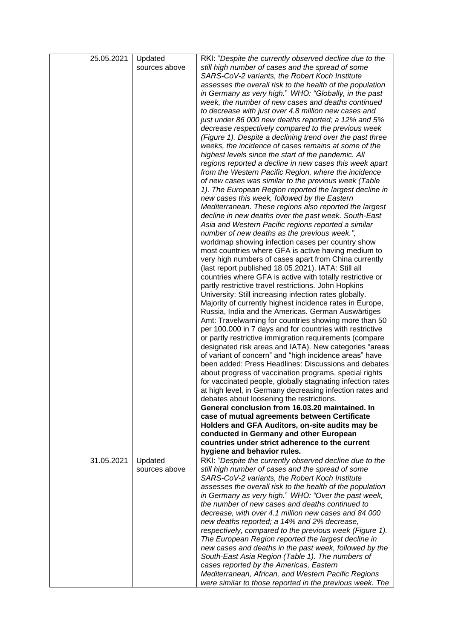| 25.05.2021 | Updated       | RKI: "Despite the currently observed decline due to the    |
|------------|---------------|------------------------------------------------------------|
|            | sources above | still high number of cases and the spread of some          |
|            |               | SARS-CoV-2 variants, the Robert Koch Institute             |
|            |               | assesses the overall risk to the health of the population  |
|            |               | in Germany as very high." WHO: "Globally, in the past      |
|            |               | week, the number of new cases and deaths continued         |
|            |               | to decrease with just over 4.8 million new cases and       |
|            |               | just under 86 000 new deaths reported; a 12% and 5%        |
|            |               | decrease respectively compared to the previous week        |
|            |               | (Figure 1). Despite a declining trend over the past three  |
|            |               | weeks, the incidence of cases remains at some of the       |
|            |               | highest levels since the start of the pandemic. All        |
|            |               | regions reported a decline in new cases this week apart    |
|            |               | from the Western Pacific Region, where the incidence       |
|            |               | of new cases was similar to the previous week (Table       |
|            |               | 1). The European Region reported the largest decline in    |
|            |               | new cases this week, followed by the Eastern               |
|            |               | Mediterranean. These regions also reported the largest     |
|            |               | decline in new deaths over the past week. South-East       |
|            |               | Asia and Western Pacific regions reported a similar        |
|            |               | number of new deaths as the previous week.",               |
|            |               | worldmap showing infection cases per country show          |
|            |               | most countries where GFA is active having medium to        |
|            |               | very high numbers of cases apart from China currently      |
|            |               | (last report published 18.05.2021). IATA: Still all        |
|            |               | countries where GFA is active with totally restrictive or  |
|            |               | partly restrictive travel restrictions. John Hopkins       |
|            |               | University: Still increasing infection rates globally.     |
|            |               | Majority of currently highest incidence rates in Europe,   |
|            |               | Russia, India and the Americas. German Auswärtiges         |
|            |               | Amt: Travelwarning for countries showing more than 50      |
|            |               | per 100.000 in 7 days and for countries with restrictive   |
|            |               | or partly restrictive immigration requirements (compare    |
|            |               | designated risk areas and IATA). New categories "areas     |
|            |               | of variant of concern" and "high incidence areas" have     |
|            |               | been added: Press Headlines: Discussions and debates       |
|            |               | about progress of vaccination programs, special rights     |
|            |               | for vaccinated people, globally stagnating infection rates |
|            |               | at high level, in Germany decreasing infection rates and   |
|            |               | debates about loosening the restrictions.                  |
|            |               | General conclusion from 16.03.20 maintained. In            |
|            |               | case of mutual agreements between Certificate              |
|            |               | Holders and GFA Auditors, on-site audits may be            |
|            |               | conducted in Germany and other European                    |
|            |               | countries under strict adherence to the current            |
|            |               | hygiene and behavior rules.                                |
| 31.05.2021 | Updated       | RKI: "Despite the currently observed decline due to the    |
|            | sources above | still high number of cases and the spread of some          |
|            |               | SARS-CoV-2 variants, the Robert Koch Institute             |
|            |               | assesses the overall risk to the health of the population  |
|            |               | in Germany as very high." WHO: "Over the past week,        |
|            |               | the number of new cases and deaths continued to            |
|            |               | decrease, with over 4.1 million new cases and 84 000       |
|            |               | new deaths reported; a 14% and 2% decrease,                |
|            |               | respectively, compared to the previous week (Figure 1).    |
|            |               | The European Region reported the largest decline in        |
|            |               | new cases and deaths in the past week, followed by the     |
|            |               | South-East Asia Region (Table 1). The numbers of           |
|            |               | cases reported by the Americas, Eastern                    |
|            |               | Mediterranean, African, and Western Pacific Regions        |
|            |               | were similar to those reported in the previous week. The   |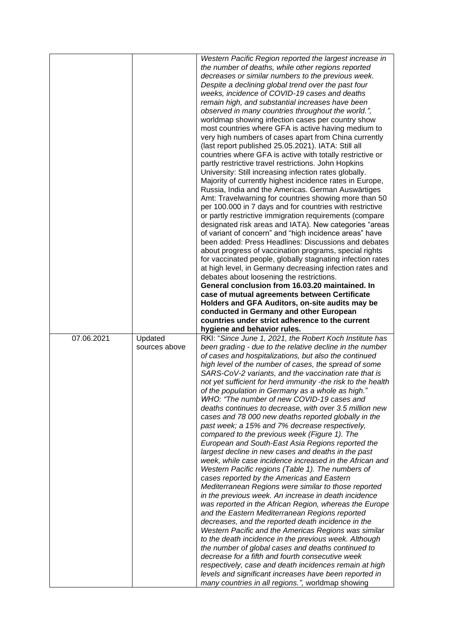|            |               | Western Pacific Region reported the largest increase in                                                     |
|------------|---------------|-------------------------------------------------------------------------------------------------------------|
|            |               | the number of deaths, while other regions reported                                                          |
|            |               | decreases or similar numbers to the previous week.                                                          |
|            |               | Despite a declining global trend over the past four                                                         |
|            |               | weeks, incidence of COVID-19 cases and deaths                                                               |
|            |               | remain high, and substantial increases have been                                                            |
|            |               | observed in many countries throughout the world.",                                                          |
|            |               |                                                                                                             |
|            |               | worldmap showing infection cases per country show                                                           |
|            |               | most countries where GFA is active having medium to                                                         |
|            |               | very high numbers of cases apart from China currently                                                       |
|            |               | (last report published 25.05.2021). IATA: Still all                                                         |
|            |               | countries where GFA is active with totally restrictive or                                                   |
|            |               | partly restrictive travel restrictions. John Hopkins                                                        |
|            |               | University: Still increasing infection rates globally.                                                      |
|            |               | Majority of currently highest incidence rates in Europe,                                                    |
|            |               | Russia, India and the Americas. German Auswärtiges                                                          |
|            |               | Amt: Travelwarning for countries showing more than 50                                                       |
|            |               | per 100.000 in 7 days and for countries with restrictive                                                    |
|            |               | or partly restrictive immigration requirements (compare                                                     |
|            |               | designated risk areas and IATA). New categories "areas                                                      |
|            |               | of variant of concern" and "high incidence areas" have                                                      |
|            |               | been added: Press Headlines: Discussions and debates                                                        |
|            |               | about progress of vaccination programs, special rights                                                      |
|            |               | for vaccinated people, globally stagnating infection rates                                                  |
|            |               | at high level, in Germany decreasing infection rates and                                                    |
|            |               | debates about loosening the restrictions.                                                                   |
|            |               | General conclusion from 16.03.20 maintained. In                                                             |
|            |               | case of mutual agreements between Certificate                                                               |
|            |               | Holders and GFA Auditors, on-site audits may be                                                             |
|            |               | conducted in Germany and other European                                                                     |
|            |               |                                                                                                             |
|            |               |                                                                                                             |
|            |               | countries under strict adherence to the current                                                             |
|            |               | hygiene and behavior rules.                                                                                 |
| 07.06.2021 | Updated       | RKI: "Since June 1, 2021, the Robert Koch Institute has                                                     |
|            | sources above | been grading - due to the relative decline in the number                                                    |
|            |               | of cases and hospitalizations, but also the continued                                                       |
|            |               | high level of the number of cases, the spread of some                                                       |
|            |               | SARS-CoV-2 variants, and the vaccination rate that is                                                       |
|            |               | not yet sufficient for herd immunity -the risk to the health                                                |
|            |               | of the population in Germany as a whole as high."                                                           |
|            |               | WHO: "The number of new COVID-19 cases and                                                                  |
|            |               | deaths continues to decrease, with over 3.5 million new                                                     |
|            |               | cases and 78 000 new deaths reported globally in the                                                        |
|            |               | past week; a 15% and 7% decrease respectively,                                                              |
|            |               | compared to the previous week (Figure 1). The                                                               |
|            |               | European and South-East Asia Regions reported the                                                           |
|            |               | largest decline in new cases and deaths in the past                                                         |
|            |               | week, while case incidence increased in the African and                                                     |
|            |               | Western Pacific regions (Table 1). The numbers of                                                           |
|            |               | cases reported by the Americas and Eastern                                                                  |
|            |               | Mediterranean Regions were similar to those reported                                                        |
|            |               | in the previous week. An increase in death incidence                                                        |
|            |               | was reported in the African Region, whereas the Europe                                                      |
|            |               | and the Eastern Mediterranean Regions reported                                                              |
|            |               | decreases, and the reported death incidence in the                                                          |
|            |               | Western Pacific and the Americas Regions was similar                                                        |
|            |               | to the death incidence in the previous week. Although                                                       |
|            |               | the number of global cases and deaths continued to                                                          |
|            |               | decrease for a fifth and fourth consecutive week                                                            |
|            |               | respectively, case and death incidences remain at high                                                      |
|            |               | levels and significant increases have been reported in<br>many countries in all regions.", worldmap showing |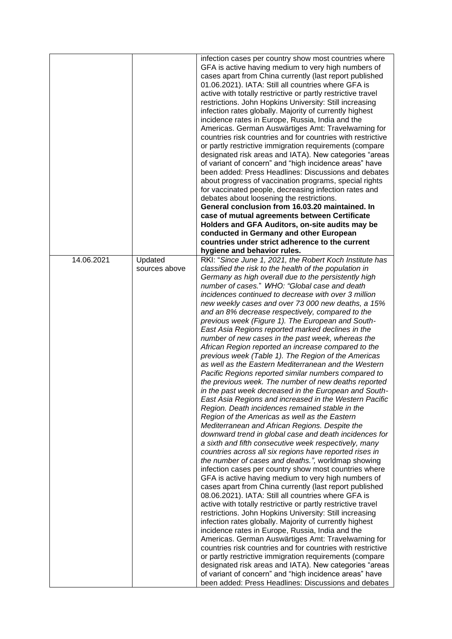|            |               | infection cases per country show most countries where<br>GFA is active having medium to very high numbers of<br>cases apart from China currently (last report published<br>01.06.2021). IATA: Still all countries where GFA is<br>active with totally restrictive or partly restrictive travel<br>restrictions. John Hopkins University: Still increasing<br>infection rates globally. Majority of currently highest<br>incidence rates in Europe, Russia, India and the<br>Americas. German Auswärtiges Amt: Travelwarning for<br>countries risk countries and for countries with restrictive<br>or partly restrictive immigration requirements (compare<br>designated risk areas and IATA). New categories "areas<br>of variant of concern" and "high incidence areas" have<br>been added: Press Headlines: Discussions and debates<br>about progress of vaccination programs, special rights<br>for vaccinated people, decreasing infection rates and<br>debates about loosening the restrictions.<br>General conclusion from 16.03.20 maintained. In<br>case of mutual agreements between Certificate<br>Holders and GFA Auditors, on-site audits may be<br>conducted in Germany and other European<br>countries under strict adherence to the current                                                                                                                                                                                                                                                                                                                                                                                                                                                                                                                                                                                                                                                                                                                                                                                                                                                                                   |
|------------|---------------|----------------------------------------------------------------------------------------------------------------------------------------------------------------------------------------------------------------------------------------------------------------------------------------------------------------------------------------------------------------------------------------------------------------------------------------------------------------------------------------------------------------------------------------------------------------------------------------------------------------------------------------------------------------------------------------------------------------------------------------------------------------------------------------------------------------------------------------------------------------------------------------------------------------------------------------------------------------------------------------------------------------------------------------------------------------------------------------------------------------------------------------------------------------------------------------------------------------------------------------------------------------------------------------------------------------------------------------------------------------------------------------------------------------------------------------------------------------------------------------------------------------------------------------------------------------------------------------------------------------------------------------------------------------------------------------------------------------------------------------------------------------------------------------------------------------------------------------------------------------------------------------------------------------------------------------------------------------------------------------------------------------------------------------------------------------------------------------------------------------------------------------------|
|            |               | hygiene and behavior rules.                                                                                                                                                                                                                                                                                                                                                                                                                                                                                                                                                                                                                                                                                                                                                                                                                                                                                                                                                                                                                                                                                                                                                                                                                                                                                                                                                                                                                                                                                                                                                                                                                                                                                                                                                                                                                                                                                                                                                                                                                                                                                                                  |
| 14.06.2021 | Updated       | RKI: "Since June 1, 2021, the Robert Koch Institute has                                                                                                                                                                                                                                                                                                                                                                                                                                                                                                                                                                                                                                                                                                                                                                                                                                                                                                                                                                                                                                                                                                                                                                                                                                                                                                                                                                                                                                                                                                                                                                                                                                                                                                                                                                                                                                                                                                                                                                                                                                                                                      |
|            | sources above | classified the risk to the health of the population in<br>Germany as high overall due to the persistently high<br>number of cases." WHO: "Global case and death<br>incidences continued to decrease with over 3 million<br>new weekly cases and over 73 000 new deaths, a 15%<br>and an 8% decrease respectively, compared to the<br>previous week (Figure 1). The European and South-<br>East Asia Regions reported marked declines in the<br>number of new cases in the past week, whereas the<br>African Region reported an increase compared to the<br>previous week (Table 1). The Region of the Americas<br>as well as the Eastern Mediterranean and the Western<br>Pacific Regions reported similar numbers compared to<br>the previous week. The number of new deaths reported<br>in the past week decreased in the European and South-<br>East Asia Regions and increased in the Western Pacific<br>Region. Death incidences remained stable in the<br>Region of the Americas as well as the Eastern<br>Mediterranean and African Regions. Despite the<br>downward trend in global case and death incidences for<br>a sixth and fifth consecutive week respectively, many<br>countries across all six regions have reported rises in<br>the number of cases and deaths.", worldmap showing<br>infection cases per country show most countries where<br>GFA is active having medium to very high numbers of<br>cases apart from China currently (last report published<br>08.06.2021). IATA: Still all countries where GFA is<br>active with totally restrictive or partly restrictive travel<br>restrictions. John Hopkins University: Still increasing<br>infection rates globally. Majority of currently highest<br>incidence rates in Europe, Russia, India and the<br>Americas. German Auswärtiges Amt: Travelwarning for<br>countries risk countries and for countries with restrictive<br>or partly restrictive immigration requirements (compare<br>designated risk areas and IATA). New categories "areas<br>of variant of concern" and "high incidence areas" have<br>been added: Press Headlines: Discussions and debates |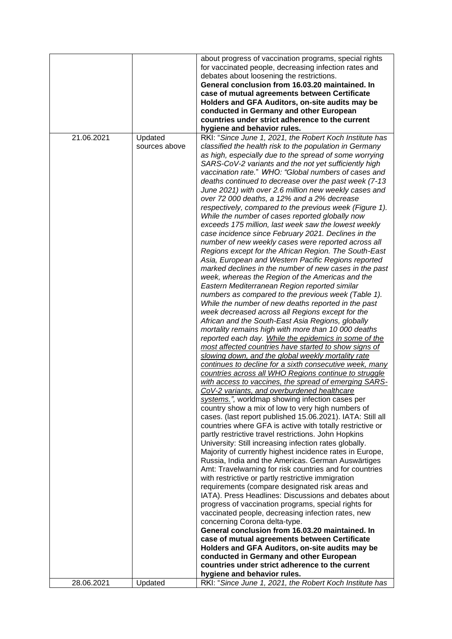|            |               | about progress of vaccination programs, special rights     |
|------------|---------------|------------------------------------------------------------|
|            |               |                                                            |
|            |               | for vaccinated people, decreasing infection rates and      |
|            |               | debates about loosening the restrictions.                  |
|            |               | General conclusion from 16.03.20 maintained. In            |
|            |               | case of mutual agreements between Certificate              |
|            |               | Holders and GFA Auditors, on-site audits may be            |
|            |               | conducted in Germany and other European                    |
|            |               | countries under strict adherence to the current            |
|            |               | hygiene and behavior rules.                                |
| 21.06.2021 | Updated       | RKI: "Since June 1, 2021, the Robert Koch Institute has    |
|            | sources above |                                                            |
|            |               | classified the health risk to the population in Germany    |
|            |               | as high, especially due to the spread of some worrying     |
|            |               | SARS-CoV-2 variants and the not yet sufficiently high      |
|            |               | vaccination rate." WHO: "Global numbers of cases and       |
|            |               | deaths continued to decrease over the past week (7-13      |
|            |               | June 2021) with over 2.6 million new weekly cases and      |
|            |               | over 72 000 deaths, a 12% and a 2% decrease                |
|            |               | respectively, compared to the previous week (Figure 1).    |
|            |               | While the number of cases reported globally now            |
|            |               | exceeds 175 million, last week saw the lowest weekly       |
|            |               | case incidence since February 2021. Declines in the        |
|            |               |                                                            |
|            |               | number of new weekly cases were reported across all        |
|            |               | Regions except for the African Region. The South-East      |
|            |               | Asia, European and Western Pacific Regions reported        |
|            |               | marked declines in the number of new cases in the past     |
|            |               | week, whereas the Region of the Americas and the           |
|            |               | Eastern Mediterranean Region reported similar              |
|            |               | numbers as compared to the previous week (Table 1).        |
|            |               | While the number of new deaths reported in the past        |
|            |               | week decreased across all Regions except for the           |
|            |               | African and the South-East Asia Regions, globally          |
|            |               | mortality remains high with more than 10 000 deaths        |
|            |               | reported each day. While the epidemics in some of the      |
|            |               | most affected countries have started to show signs of      |
|            |               | slowing down, and the global weekly mortality rate         |
|            |               | continues to decline for a sixth consecutive week, many    |
|            |               | countries across all WHO Regions continue to struggle      |
|            |               |                                                            |
|            |               | with access to vaccines, the spread of emerging SARS-      |
|            |               | CoV-2 variants, and overburdened healthcare                |
|            |               | systems.", worldmap showing infection cases per            |
|            |               | country show a mix of low to very high numbers of          |
|            |               | cases. (last report published 15.06.2021). IATA: Still all |
|            |               | countries where GFA is active with totally restrictive or  |
|            |               | partly restrictive travel restrictions. John Hopkins       |
|            |               | University: Still increasing infection rates globally.     |
|            |               | Majority of currently highest incidence rates in Europe,   |
|            |               | Russia, India and the Americas. German Auswärtiges         |
|            |               | Amt: Travelwarning for risk countries and for countries    |
|            |               | with restrictive or partly restrictive immigration         |
|            |               | requirements (compare designated risk areas and            |
|            |               | IATA). Press Headlines: Discussions and debates about      |
|            |               | progress of vaccination programs, special rights for       |
|            |               | vaccinated people, decreasing infection rates, new         |
|            |               | concerning Corona delta-type.                              |
|            |               | General conclusion from 16.03.20 maintained. In            |
|            |               |                                                            |
|            |               | case of mutual agreements between Certificate              |
|            |               | Holders and GFA Auditors, on-site audits may be            |
|            |               | conducted in Germany and other European                    |
|            |               | countries under strict adherence to the current            |
|            |               | hygiene and behavior rules.                                |
| 28.06.2021 | Updated       | RKI: "Since June 1, 2021, the Robert Koch Institute has    |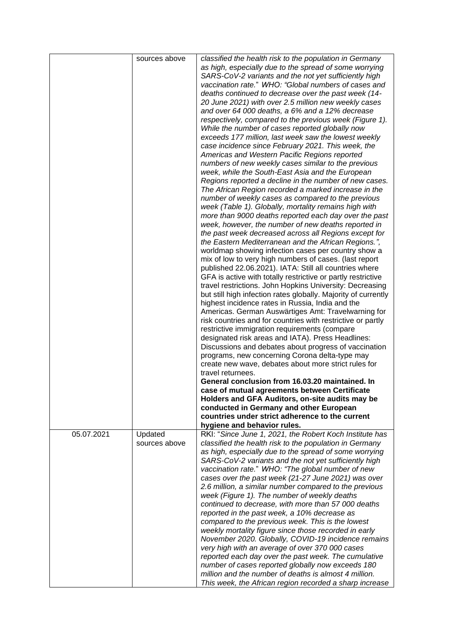|            | sources above            | classified the health risk to the population in Germany<br>as high, especially due to the spread of some worrying<br>SARS-CoV-2 variants and the not yet sufficiently high<br>vaccination rate." WHO: "Global numbers of cases and<br>deaths continued to decrease over the past week (14-<br>20 June 2021) with over 2.5 million new weekly cases<br>and over 64 000 deaths, a 6% and a 12% decrease<br>respectively, compared to the previous week (Figure 1).<br>While the number of cases reported globally now<br>exceeds 177 million, last week saw the lowest weekly<br>case incidence since February 2021. This week, the<br>Americas and Western Pacific Regions reported<br>numbers of new weekly cases similar to the previous<br>week, while the South-East Asia and the European<br>Regions reported a decline in the number of new cases.<br>The African Region recorded a marked increase in the<br>number of weekly cases as compared to the previous<br>week (Table 1). Globally, mortality remains high with<br>more than 9000 deaths reported each day over the past<br>week, however, the number of new deaths reported in<br>the past week decreased across all Regions except for<br>the Eastern Mediterranean and the African Regions.",<br>worldmap showing infection cases per country show a<br>mix of low to very high numbers of cases. (last report<br>published 22.06.2021). IATA: Still all countries where<br>GFA is active with totally restrictive or partly restrictive<br>travel restrictions. John Hopkins University: Decreasing<br>but still high infection rates globally. Majority of currently<br>highest incidence rates in Russia, India and the<br>Americas. German Auswärtiges Amt: Travelwarning for<br>risk countries and for countries with restrictive or partly<br>restrictive immigration requirements (compare<br>designated risk areas and IATA). Press Headlines:<br>Discussions and debates about progress of vaccination<br>programs, new concerning Corona delta-type may<br>create new wave, debates about more strict rules for |
|------------|--------------------------|---------------------------------------------------------------------------------------------------------------------------------------------------------------------------------------------------------------------------------------------------------------------------------------------------------------------------------------------------------------------------------------------------------------------------------------------------------------------------------------------------------------------------------------------------------------------------------------------------------------------------------------------------------------------------------------------------------------------------------------------------------------------------------------------------------------------------------------------------------------------------------------------------------------------------------------------------------------------------------------------------------------------------------------------------------------------------------------------------------------------------------------------------------------------------------------------------------------------------------------------------------------------------------------------------------------------------------------------------------------------------------------------------------------------------------------------------------------------------------------------------------------------------------------------------------------------------------------------------------------------------------------------------------------------------------------------------------------------------------------------------------------------------------------------------------------------------------------------------------------------------------------------------------------------------------------------------------------------------------------------------------------------------------------------------------------------------------------------|
|            |                          | travel returnees.                                                                                                                                                                                                                                                                                                                                                                                                                                                                                                                                                                                                                                                                                                                                                                                                                                                                                                                                                                                                                                                                                                                                                                                                                                                                                                                                                                                                                                                                                                                                                                                                                                                                                                                                                                                                                                                                                                                                                                                                                                                                           |
|            |                          | General conclusion from 16.03.20 maintained. In                                                                                                                                                                                                                                                                                                                                                                                                                                                                                                                                                                                                                                                                                                                                                                                                                                                                                                                                                                                                                                                                                                                                                                                                                                                                                                                                                                                                                                                                                                                                                                                                                                                                                                                                                                                                                                                                                                                                                                                                                                             |
|            |                          | case of mutual agreements between Certificate                                                                                                                                                                                                                                                                                                                                                                                                                                                                                                                                                                                                                                                                                                                                                                                                                                                                                                                                                                                                                                                                                                                                                                                                                                                                                                                                                                                                                                                                                                                                                                                                                                                                                                                                                                                                                                                                                                                                                                                                                                               |
|            |                          | Holders and GFA Auditors, on-site audits may be<br>conducted in Germany and other European                                                                                                                                                                                                                                                                                                                                                                                                                                                                                                                                                                                                                                                                                                                                                                                                                                                                                                                                                                                                                                                                                                                                                                                                                                                                                                                                                                                                                                                                                                                                                                                                                                                                                                                                                                                                                                                                                                                                                                                                  |
|            |                          | countries under strict adherence to the current                                                                                                                                                                                                                                                                                                                                                                                                                                                                                                                                                                                                                                                                                                                                                                                                                                                                                                                                                                                                                                                                                                                                                                                                                                                                                                                                                                                                                                                                                                                                                                                                                                                                                                                                                                                                                                                                                                                                                                                                                                             |
|            |                          | hygiene and behavior rules.                                                                                                                                                                                                                                                                                                                                                                                                                                                                                                                                                                                                                                                                                                                                                                                                                                                                                                                                                                                                                                                                                                                                                                                                                                                                                                                                                                                                                                                                                                                                                                                                                                                                                                                                                                                                                                                                                                                                                                                                                                                                 |
| 05.07.2021 | Updated<br>sources above | RKI: "Since June 1, 2021, the Robert Koch Institute has<br>classified the health risk to the population in Germany                                                                                                                                                                                                                                                                                                                                                                                                                                                                                                                                                                                                                                                                                                                                                                                                                                                                                                                                                                                                                                                                                                                                                                                                                                                                                                                                                                                                                                                                                                                                                                                                                                                                                                                                                                                                                                                                                                                                                                          |
|            |                          | as high, especially due to the spread of some worrying<br>SARS-CoV-2 variants and the not yet sufficiently high                                                                                                                                                                                                                                                                                                                                                                                                                                                                                                                                                                                                                                                                                                                                                                                                                                                                                                                                                                                                                                                                                                                                                                                                                                                                                                                                                                                                                                                                                                                                                                                                                                                                                                                                                                                                                                                                                                                                                                             |
|            |                          | vaccination rate." WHO: "The global number of new                                                                                                                                                                                                                                                                                                                                                                                                                                                                                                                                                                                                                                                                                                                                                                                                                                                                                                                                                                                                                                                                                                                                                                                                                                                                                                                                                                                                                                                                                                                                                                                                                                                                                                                                                                                                                                                                                                                                                                                                                                           |
|            |                          | cases over the past week (21-27 June 2021) was over                                                                                                                                                                                                                                                                                                                                                                                                                                                                                                                                                                                                                                                                                                                                                                                                                                                                                                                                                                                                                                                                                                                                                                                                                                                                                                                                                                                                                                                                                                                                                                                                                                                                                                                                                                                                                                                                                                                                                                                                                                         |
|            |                          | 2.6 million, a similar number compared to the previous                                                                                                                                                                                                                                                                                                                                                                                                                                                                                                                                                                                                                                                                                                                                                                                                                                                                                                                                                                                                                                                                                                                                                                                                                                                                                                                                                                                                                                                                                                                                                                                                                                                                                                                                                                                                                                                                                                                                                                                                                                      |
|            |                          | week (Figure 1). The number of weekly deaths<br>continued to decrease, with more than 57 000 deaths                                                                                                                                                                                                                                                                                                                                                                                                                                                                                                                                                                                                                                                                                                                                                                                                                                                                                                                                                                                                                                                                                                                                                                                                                                                                                                                                                                                                                                                                                                                                                                                                                                                                                                                                                                                                                                                                                                                                                                                         |
|            |                          | reported in the past week, a 10% decrease as                                                                                                                                                                                                                                                                                                                                                                                                                                                                                                                                                                                                                                                                                                                                                                                                                                                                                                                                                                                                                                                                                                                                                                                                                                                                                                                                                                                                                                                                                                                                                                                                                                                                                                                                                                                                                                                                                                                                                                                                                                                |
|            |                          | compared to the previous week. This is the lowest                                                                                                                                                                                                                                                                                                                                                                                                                                                                                                                                                                                                                                                                                                                                                                                                                                                                                                                                                                                                                                                                                                                                                                                                                                                                                                                                                                                                                                                                                                                                                                                                                                                                                                                                                                                                                                                                                                                                                                                                                                           |
|            |                          | weekly mortality figure since those recorded in early                                                                                                                                                                                                                                                                                                                                                                                                                                                                                                                                                                                                                                                                                                                                                                                                                                                                                                                                                                                                                                                                                                                                                                                                                                                                                                                                                                                                                                                                                                                                                                                                                                                                                                                                                                                                                                                                                                                                                                                                                                       |
|            |                          | November 2020. Globally, COVID-19 incidence remains<br>very high with an average of over 370 000 cases                                                                                                                                                                                                                                                                                                                                                                                                                                                                                                                                                                                                                                                                                                                                                                                                                                                                                                                                                                                                                                                                                                                                                                                                                                                                                                                                                                                                                                                                                                                                                                                                                                                                                                                                                                                                                                                                                                                                                                                      |
|            |                          | reported each day over the past week. The cumulative                                                                                                                                                                                                                                                                                                                                                                                                                                                                                                                                                                                                                                                                                                                                                                                                                                                                                                                                                                                                                                                                                                                                                                                                                                                                                                                                                                                                                                                                                                                                                                                                                                                                                                                                                                                                                                                                                                                                                                                                                                        |
|            |                          | number of cases reported globally now exceeds 180                                                                                                                                                                                                                                                                                                                                                                                                                                                                                                                                                                                                                                                                                                                                                                                                                                                                                                                                                                                                                                                                                                                                                                                                                                                                                                                                                                                                                                                                                                                                                                                                                                                                                                                                                                                                                                                                                                                                                                                                                                           |
|            |                          | million and the number of deaths is almost 4 million.                                                                                                                                                                                                                                                                                                                                                                                                                                                                                                                                                                                                                                                                                                                                                                                                                                                                                                                                                                                                                                                                                                                                                                                                                                                                                                                                                                                                                                                                                                                                                                                                                                                                                                                                                                                                                                                                                                                                                                                                                                       |
|            |                          | This week, the African region recorded a sharp increase                                                                                                                                                                                                                                                                                                                                                                                                                                                                                                                                                                                                                                                                                                                                                                                                                                                                                                                                                                                                                                                                                                                                                                                                                                                                                                                                                                                                                                                                                                                                                                                                                                                                                                                                                                                                                                                                                                                                                                                                                                     |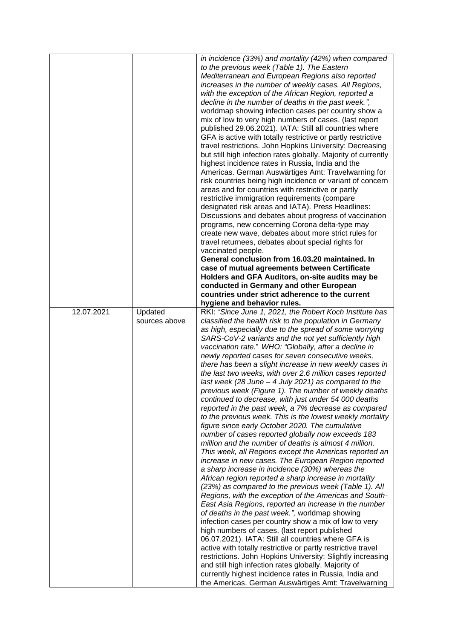|            |                          | in incidence (33%) and mortality (42%) when compared<br>to the previous week (Table 1). The Eastern<br>Mediterranean and European Regions also reported<br>increases in the number of weekly cases. All Regions,<br>with the exception of the African Region, reported a<br>decline in the number of deaths in the past week.",<br>worldmap showing infection cases per country show a<br>mix of low to very high numbers of cases. (last report<br>published 29.06.2021). IATA: Still all countries where<br>GFA is active with totally restrictive or partly restrictive<br>travel restrictions. John Hopkins University: Decreasing<br>but still high infection rates globally. Majority of currently<br>highest incidence rates in Russia, India and the<br>Americas. German Auswärtiges Amt: Travelwarning for<br>risk countries being high incidence or variant of concern<br>areas and for countries with restrictive or partly<br>restrictive immigration requirements (compare<br>designated risk areas and IATA). Press Headlines:<br>Discussions and debates about progress of vaccination<br>programs, new concerning Corona delta-type may<br>create new wave, debates about more strict rules for<br>travel returnees, debates about special rights for<br>vaccinated people.<br>General conclusion from 16.03.20 maintained. In<br>case of mutual agreements between Certificate<br>Holders and GFA Auditors, on-site audits may be<br>conducted in Germany and other European                                                                                                                                                                                                                                                                                                                                                                                                                 |
|------------|--------------------------|---------------------------------------------------------------------------------------------------------------------------------------------------------------------------------------------------------------------------------------------------------------------------------------------------------------------------------------------------------------------------------------------------------------------------------------------------------------------------------------------------------------------------------------------------------------------------------------------------------------------------------------------------------------------------------------------------------------------------------------------------------------------------------------------------------------------------------------------------------------------------------------------------------------------------------------------------------------------------------------------------------------------------------------------------------------------------------------------------------------------------------------------------------------------------------------------------------------------------------------------------------------------------------------------------------------------------------------------------------------------------------------------------------------------------------------------------------------------------------------------------------------------------------------------------------------------------------------------------------------------------------------------------------------------------------------------------------------------------------------------------------------------------------------------------------------------------------------------------------------------------------------------------------------|
|            |                          | countries under strict adherence to the current                                                                                                                                                                                                                                                                                                                                                                                                                                                                                                                                                                                                                                                                                                                                                                                                                                                                                                                                                                                                                                                                                                                                                                                                                                                                                                                                                                                                                                                                                                                                                                                                                                                                                                                                                                                                                                                               |
| 12.07.2021 | Updated<br>sources above | hygiene and behavior rules.<br>RKI: "Since June 1, 2021, the Robert Koch Institute has<br>classified the health risk to the population in Germany<br>as high, especially due to the spread of some worrying<br>SARS-CoV-2 variants and the not yet sufficiently high<br>vaccination rate." WHO: "Globally, after a decline in<br>newly reported cases for seven consecutive weeks,<br>there has been a slight increase in new weekly cases in<br>the last two weeks, with over 2.6 million cases reported<br>last week (28 June $-$ 4 July 2021) as compared to the<br>previous week (Figure 1). The number of weekly deaths<br>continued to decrease, with just under 54 000 deaths<br>reported in the past week, a 7% decrease as compared<br>to the previous week. This is the lowest weekly mortality<br>figure since early October 2020. The cumulative<br>number of cases reported globally now exceeds 183<br>million and the number of deaths is almost 4 million.<br>This week, all Regions except the Americas reported an<br>increase in new cases. The European Region reported<br>a sharp increase in incidence (30%) whereas the<br>African region reported a sharp increase in mortality<br>(23%) as compared to the previous week (Table 1). All<br>Regions, with the exception of the Americas and South-<br>East Asia Regions, reported an increase in the number<br>of deaths in the past week.", worldmap showing<br>infection cases per country show a mix of low to very<br>high numbers of cases. (last report published<br>06.07.2021). IATA: Still all countries where GFA is<br>active with totally restrictive or partly restrictive travel<br>restrictions. John Hopkins University: Slightly increasing<br>and still high infection rates globally. Majority of<br>currently highest incidence rates in Russia, India and<br>the Americas. German Auswärtiges Amt: Travelwarning |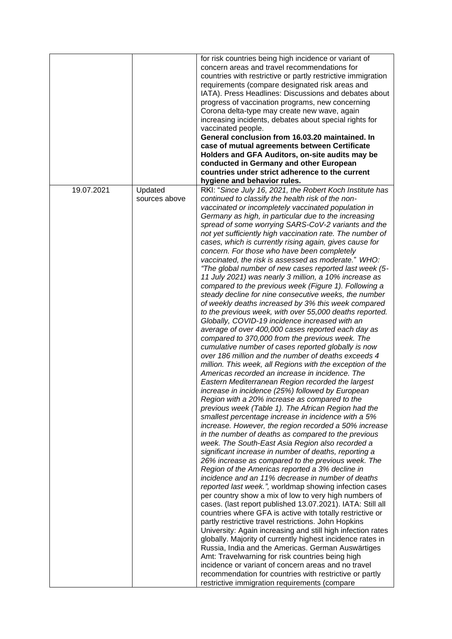|            |                          | for risk countries being high incidence or variant of<br>concern areas and travel recommendations for<br>countries with restrictive or partly restrictive immigration<br>requirements (compare designated risk areas and<br>IATA). Press Headlines: Discussions and debates about<br>progress of vaccination programs, new concerning<br>Corona delta-type may create new wave, again<br>increasing incidents, debates about special rights for<br>vaccinated people.<br>General conclusion from 16.03.20 maintained. In<br>case of mutual agreements between Certificate<br>Holders and GFA Auditors, on-site audits may be<br>conducted in Germany and other European<br>countries under strict adherence to the current<br>hygiene and behavior rules.                                                                                                                                                                                                                                                                                                                                                                                                                                                                                                                                                                                                                                                                                                                                                                                                                                                                                                                                                                                                                                                                                                                                                                                                                                                                                                                                                                                                                                                                                                                                                                                                                                                                                                                                                                                                                                                                                            |
|------------|--------------------------|------------------------------------------------------------------------------------------------------------------------------------------------------------------------------------------------------------------------------------------------------------------------------------------------------------------------------------------------------------------------------------------------------------------------------------------------------------------------------------------------------------------------------------------------------------------------------------------------------------------------------------------------------------------------------------------------------------------------------------------------------------------------------------------------------------------------------------------------------------------------------------------------------------------------------------------------------------------------------------------------------------------------------------------------------------------------------------------------------------------------------------------------------------------------------------------------------------------------------------------------------------------------------------------------------------------------------------------------------------------------------------------------------------------------------------------------------------------------------------------------------------------------------------------------------------------------------------------------------------------------------------------------------------------------------------------------------------------------------------------------------------------------------------------------------------------------------------------------------------------------------------------------------------------------------------------------------------------------------------------------------------------------------------------------------------------------------------------------------------------------------------------------------------------------------------------------------------------------------------------------------------------------------------------------------------------------------------------------------------------------------------------------------------------------------------------------------------------------------------------------------------------------------------------------------------------------------------------------------------------------------------------------------|
| 19.07.2021 | Updated<br>sources above | RKI: "Since July 16, 2021, the Robert Koch Institute has<br>continued to classify the health risk of the non-<br>vaccinated or incompletely vaccinated population in<br>Germany as high, in particular due to the increasing<br>spread of some worrying SARS-CoV-2 variants and the<br>not yet sufficiently high vaccination rate. The number of<br>cases, which is currently rising again, gives cause for<br>concern. For those who have been completely<br>vaccinated, the risk is assessed as moderate." WHO:<br>"The global number of new cases reported last week (5-<br>11 July 2021) was nearly 3 million, a 10% increase as<br>compared to the previous week (Figure 1). Following a<br>steady decline for nine consecutive weeks, the number<br>of weekly deaths increased by 3% this week compared<br>to the previous week, with over 55,000 deaths reported.<br>Globally, COVID-19 incidence increased with an<br>average of over 400,000 cases reported each day as<br>compared to 370,000 from the previous week. The<br>cumulative number of cases reported globally is now<br>over 186 million and the number of deaths exceeds 4<br>million. This week, all Regions with the exception of the<br>Americas recorded an increase in incidence. The<br>Eastern Mediterranean Region recorded the largest<br>increase in incidence (25%) followed by European<br>Region with a 20% increase as compared to the<br>previous week (Table 1). The African Region had the<br>smallest percentage increase in incidence with a 5%<br>increase. However, the region recorded a 50% increase<br>in the number of deaths as compared to the previous<br>week. The South-East Asia Region also recorded a<br>significant increase in number of deaths, reporting a<br>26% increase as compared to the previous week. The<br>Region of the Americas reported a 3% decline in<br>incidence and an 11% decrease in number of deaths<br>reported last week.", worldmap showing infection cases<br>per country show a mix of low to very high numbers of<br>cases. (last report published 13.07.2021). IATA: Still all<br>countries where GFA is active with totally restrictive or<br>partly restrictive travel restrictions. John Hopkins<br>University: Again increasing and still high infection rates<br>globally. Majority of currently highest incidence rates in<br>Russia, India and the Americas. German Auswärtiges<br>Amt: Travelwarning for risk countries being high<br>incidence or variant of concern areas and no travel<br>recommendation for countries with restrictive or partly<br>restrictive immigration requirements (compare |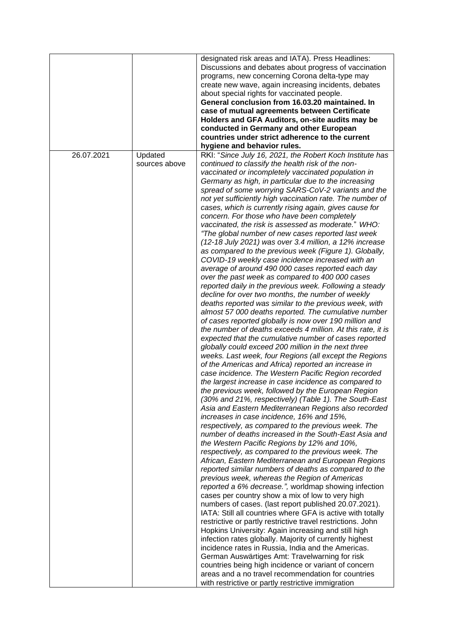|            |                          | designated risk areas and IATA). Press Headlines:<br>Discussions and debates about progress of vaccination<br>programs, new concerning Corona delta-type may<br>create new wave, again increasing incidents, debates<br>about special rights for vaccinated people.<br>General conclusion from 16.03.20 maintained. In<br>case of mutual agreements between Certificate<br>Holders and GFA Auditors, on-site audits may be<br>conducted in Germany and other European<br>countries under strict adherence to the current<br>hygiene and behavior rules.                                                                                                                                                                                                                                                                                                                                                                                                                                                                                                                                                                                                                                                                                                                                                                                                                                                                                                                                                                                                                                                                                                                                                                                                                                                                                                                                                                                                                                                                                                                                                                                                                                                                                                                                                                                                                                                                                                                                                                                                                                                                                                                                                                                                                                                                                                                        |
|------------|--------------------------|--------------------------------------------------------------------------------------------------------------------------------------------------------------------------------------------------------------------------------------------------------------------------------------------------------------------------------------------------------------------------------------------------------------------------------------------------------------------------------------------------------------------------------------------------------------------------------------------------------------------------------------------------------------------------------------------------------------------------------------------------------------------------------------------------------------------------------------------------------------------------------------------------------------------------------------------------------------------------------------------------------------------------------------------------------------------------------------------------------------------------------------------------------------------------------------------------------------------------------------------------------------------------------------------------------------------------------------------------------------------------------------------------------------------------------------------------------------------------------------------------------------------------------------------------------------------------------------------------------------------------------------------------------------------------------------------------------------------------------------------------------------------------------------------------------------------------------------------------------------------------------------------------------------------------------------------------------------------------------------------------------------------------------------------------------------------------------------------------------------------------------------------------------------------------------------------------------------------------------------------------------------------------------------------------------------------------------------------------------------------------------------------------------------------------------------------------------------------------------------------------------------------------------------------------------------------------------------------------------------------------------------------------------------------------------------------------------------------------------------------------------------------------------------------------------------------------------------------------------------------------------|
| 26.07.2021 | Updated<br>sources above | RKI: "Since July 16, 2021, the Robert Koch Institute has<br>continued to classify the health risk of the non-<br>vaccinated or incompletely vaccinated population in<br>Germany as high, in particular due to the increasing<br>spread of some worrying SARS-CoV-2 variants and the<br>not yet sufficiently high vaccination rate. The number of<br>cases, which is currently rising again, gives cause for<br>concern. For those who have been completely<br>vaccinated, the risk is assessed as moderate." WHO:<br>"The global number of new cases reported last week<br>(12-18 July 2021) was over 3.4 million, a 12% increase<br>as compared to the previous week (Figure 1). Globally,<br>COVID-19 weekly case incidence increased with an<br>average of around 490 000 cases reported each day<br>over the past week as compared to 400 000 cases<br>reported daily in the previous week. Following a steady<br>decline for over two months, the number of weekly<br>deaths reported was similar to the previous week, with<br>almost 57 000 deaths reported. The cumulative number<br>of cases reported globally is now over 190 million and<br>the number of deaths exceeds 4 million. At this rate, it is<br>expected that the cumulative number of cases reported<br>globally could exceed 200 million in the next three<br>weeks. Last week, four Regions (all except the Regions<br>of the Americas and Africa) reported an increase in<br>case incidence. The Western Pacific Region recorded<br>the largest increase in case incidence as compared to<br>the previous week, followed by the European Region<br>(30% and 21%, respectively) (Table 1). The South-East<br>Asia and Eastern Mediterranean Regions also recorded<br>increases in case incidence, 16% and 15%,<br>respectively, as compared to the previous week. The<br>number of deaths increased in the South-East Asia and<br>the Western Pacific Regions by 12% and 10%,<br>respectively, as compared to the previous week. The<br>African, Eastern Mediterranean and European Regions<br>reported similar numbers of deaths as compared to the<br>previous week, whereas the Region of Americas<br>reported a 6% decrease.", worldmap showing infection<br>cases per country show a mix of low to very high<br>numbers of cases. (last report published 20.07.2021).<br>IATA: Still all countries where GFA is active with totally<br>restrictive or partly restrictive travel restrictions. John<br>Hopkins University: Again increasing and still high<br>infection rates globally. Majority of currently highest<br>incidence rates in Russia, India and the Americas.<br>German Auswärtiges Amt: Travelwarning for risk<br>countries being high incidence or variant of concern<br>areas and a no travel recommendation for countries<br>with restrictive or partly restrictive immigration |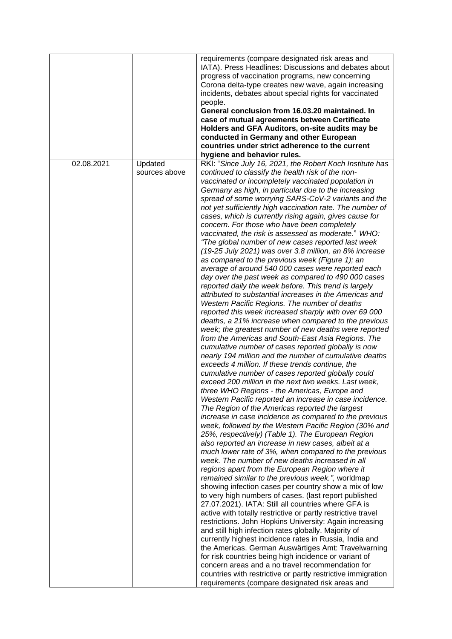|            |               | requirements (compare designated risk areas and<br>IATA). Press Headlines: Discussions and debates about<br>progress of vaccination programs, new concerning<br>Corona delta-type creates new wave, again increasing<br>incidents, debates about special rights for vaccinated<br>people.<br>General conclusion from 16.03.20 maintained. In<br>case of mutual agreements between Certificate<br>Holders and GFA Auditors, on-site audits may be<br>conducted in Germany and other European<br>countries under strict adherence to the current<br>hygiene and behavior rules.                                                                                                                                                                                                                                                                                                                                                                                                                                                                                                                                                                                                                                                                                                                                                                                                                                                                                                                                                                                                                                                                                                                                                                                                                                                                                                                                                                                                                                                                                                                                                                                                                                                                                                                                                                                                                                                                                                                                                                                                                                                                                                                             |
|------------|---------------|-----------------------------------------------------------------------------------------------------------------------------------------------------------------------------------------------------------------------------------------------------------------------------------------------------------------------------------------------------------------------------------------------------------------------------------------------------------------------------------------------------------------------------------------------------------------------------------------------------------------------------------------------------------------------------------------------------------------------------------------------------------------------------------------------------------------------------------------------------------------------------------------------------------------------------------------------------------------------------------------------------------------------------------------------------------------------------------------------------------------------------------------------------------------------------------------------------------------------------------------------------------------------------------------------------------------------------------------------------------------------------------------------------------------------------------------------------------------------------------------------------------------------------------------------------------------------------------------------------------------------------------------------------------------------------------------------------------------------------------------------------------------------------------------------------------------------------------------------------------------------------------------------------------------------------------------------------------------------------------------------------------------------------------------------------------------------------------------------------------------------------------------------------------------------------------------------------------------------------------------------------------------------------------------------------------------------------------------------------------------------------------------------------------------------------------------------------------------------------------------------------------------------------------------------------------------------------------------------------------------------------------------------------------------------------------------------------------|
| 02.08.2021 | Updated       | RKI: "Since July 16, 2021, the Robert Koch Institute has                                                                                                                                                                                                                                                                                                                                                                                                                                                                                                                                                                                                                                                                                                                                                                                                                                                                                                                                                                                                                                                                                                                                                                                                                                                                                                                                                                                                                                                                                                                                                                                                                                                                                                                                                                                                                                                                                                                                                                                                                                                                                                                                                                                                                                                                                                                                                                                                                                                                                                                                                                                                                                                  |
|            | sources above | continued to classify the health risk of the non-<br>vaccinated or incompletely vaccinated population in<br>Germany as high, in particular due to the increasing<br>spread of some worrying SARS-CoV-2 variants and the<br>not yet sufficiently high vaccination rate. The number of<br>cases, which is currently rising again, gives cause for<br>concern. For those who have been completely<br>vaccinated, the risk is assessed as moderate." WHO:<br>"The global number of new cases reported last week<br>$(19-25$ July 2021) was over 3.8 million, an 8% increase<br>as compared to the previous week (Figure 1); an<br>average of around 540 000 cases were reported each<br>day over the past week as compared to 490 000 cases<br>reported daily the week before. This trend is largely<br>attributed to substantial increases in the Americas and<br>Western Pacific Regions. The number of deaths<br>reported this week increased sharply with over 69 000<br>deaths, a 21% increase when compared to the previous<br>week; the greatest number of new deaths were reported<br>from the Americas and South-East Asia Regions. The<br>cumulative number of cases reported globally is now<br>nearly 194 million and the number of cumulative deaths<br>exceeds 4 million. If these trends continue, the<br>cumulative number of cases reported globally could<br>exceed 200 million in the next two weeks. Last week,<br>three WHO Regions - the Americas, Europe and<br>Western Pacific reported an increase in case incidence.<br>The Region of the Americas reported the largest<br>increase in case incidence as compared to the previous<br>week, followed by the Western Pacific Region (30% and<br>25%, respectively) (Table 1). The European Region<br>also reported an increase in new cases, albeit at a<br>much lower rate of 3%, when compared to the previous<br>week. The number of new deaths increased in all<br>regions apart from the European Region where it<br>remained similar to the previous week.", worldmap<br>showing infection cases per country show a mix of low<br>to very high numbers of cases. (last report published<br>27.07.2021). IATA: Still all countries where GFA is<br>active with totally restrictive or partly restrictive travel<br>restrictions. John Hopkins University: Again increasing<br>and still high infection rates globally. Majority of<br>currently highest incidence rates in Russia, India and<br>the Americas. German Auswärtiges Amt: Travelwarning<br>for risk countries being high incidence or variant of<br>concern areas and a no travel recommendation for<br>countries with restrictive or partly restrictive immigration |
|            |               | requirements (compare designated risk areas and                                                                                                                                                                                                                                                                                                                                                                                                                                                                                                                                                                                                                                                                                                                                                                                                                                                                                                                                                                                                                                                                                                                                                                                                                                                                                                                                                                                                                                                                                                                                                                                                                                                                                                                                                                                                                                                                                                                                                                                                                                                                                                                                                                                                                                                                                                                                                                                                                                                                                                                                                                                                                                                           |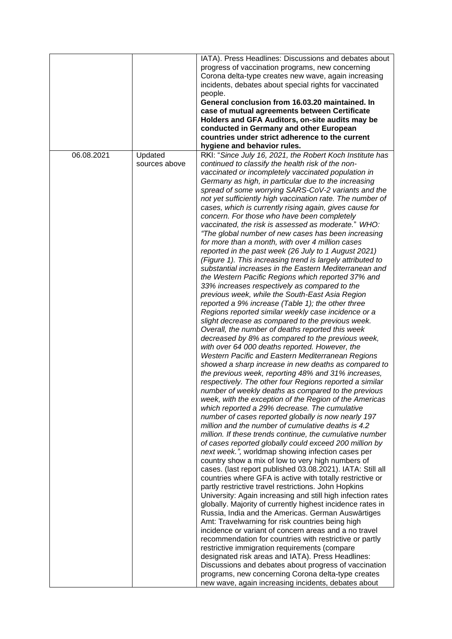|            |               | IATA). Press Headlines: Discussions and debates about       |
|------------|---------------|-------------------------------------------------------------|
|            |               | progress of vaccination programs, new concerning            |
|            |               | Corona delta-type creates new wave, again increasing        |
|            |               | incidents, debates about special rights for vaccinated      |
|            |               | people.                                                     |
|            |               | General conclusion from 16.03.20 maintained. In             |
|            |               | case of mutual agreements between Certificate               |
|            |               | Holders and GFA Auditors, on-site audits may be             |
|            |               | conducted in Germany and other European                     |
|            |               | countries under strict adherence to the current             |
|            |               | hygiene and behavior rules.                                 |
| 06.08.2021 |               |                                                             |
|            | Updated       | RKI: "Since July 16, 2021, the Robert Koch Institute has    |
|            | sources above | continued to classify the health risk of the non-           |
|            |               | vaccinated or incompletely vaccinated population in         |
|            |               | Germany as high, in particular due to the increasing        |
|            |               | spread of some worrying SARS-CoV-2 variants and the         |
|            |               | not yet sufficiently high vaccination rate. The number of   |
|            |               | cases, which is currently rising again, gives cause for     |
|            |               | concern. For those who have been completely                 |
|            |               | vaccinated, the risk is assessed as moderate." WHO:         |
|            |               | "The global number of new cases has been increasing         |
|            |               | for more than a month, with over 4 million cases            |
|            |               | reported in the past week (26 July to 1 August 2021)        |
|            |               | (Figure 1). This increasing trend is largely attributed to  |
|            |               | substantial increases in the Eastern Mediterranean and      |
|            |               | the Western Pacific Regions which reported 37% and          |
|            |               | 33% increases respectively as compared to the               |
|            |               | previous week, while the South-East Asia Region             |
|            |               | reported a 9% increase (Table 1); the other three           |
|            |               | Regions reported similar weekly case incidence or a         |
|            |               | slight decrease as compared to the previous week.           |
|            |               | Overall, the number of deaths reported this week            |
|            |               | decreased by 8% as compared to the previous week,           |
|            |               | with over 64 000 deaths reported. However, the              |
|            |               |                                                             |
|            |               | Western Pacific and Eastern Mediterranean Regions           |
|            |               | showed a sharp increase in new deaths as compared to        |
|            |               | the previous week, reporting 48% and 31% increases,         |
|            |               | respectively. The other four Regions reported a similar     |
|            |               | number of weekly deaths as compared to the previous         |
|            |               | week, with the exception of the Region of the Americas      |
|            |               | which reported a 29% decrease. The cumulative               |
|            |               | number of cases reported globally is now nearly 197         |
|            |               | million and the number of cumulative deaths is 4.2          |
|            |               | million. If these trends continue, the cumulative number    |
|            |               | of cases reported globally could exceed 200 million by      |
|            |               | next week.", worldmap showing infection cases per           |
|            |               | country show a mix of low to very high numbers of           |
|            |               | cases. (last report published 03.08.2021). IATA: Still all  |
|            |               | countries where GFA is active with totally restrictive or   |
|            |               | partly restrictive travel restrictions. John Hopkins        |
|            |               | University: Again increasing and still high infection rates |
|            |               | globally. Majority of currently highest incidence rates in  |
|            |               | Russia, India and the Americas. German Auswärtiges          |
|            |               | Amt: Travelwarning for risk countries being high            |
|            |               | incidence or variant of concern areas and a no travel       |
|            |               | recommendation for countries with restrictive or partly     |
|            |               | restrictive immigration requirements (compare               |
|            |               | designated risk areas and IATA). Press Headlines:           |
|            |               | Discussions and debates about progress of vaccination       |
|            |               |                                                             |
|            |               | programs, new concerning Corona delta-type creates          |
|            |               | new wave, again increasing incidents, debates about         |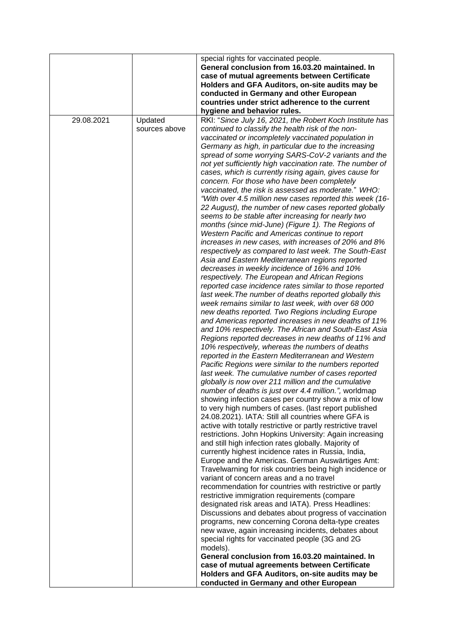|            |                          | special rights for vaccinated people.<br>General conclusion from 16.03.20 maintained. In<br>case of mutual agreements between Certificate<br>Holders and GFA Auditors, on-site audits may be<br>conducted in Germany and other European                                                                                                                                                                                                                                                                                                                                                                                                                                                                                                                                                                                                                                                                                                                                                                                                                                                                                                                                                                                                                                                                                                                                                                                                                                                                                                                                                                                                                                                                                                                                                                                                                                                                                                                                                                                                                                                                                                                                                                                                                                                                                                                                                                                                                                                                                                                                                                                                                                                                                                                                                                                                                                                                                                                                                                                                          |
|------------|--------------------------|--------------------------------------------------------------------------------------------------------------------------------------------------------------------------------------------------------------------------------------------------------------------------------------------------------------------------------------------------------------------------------------------------------------------------------------------------------------------------------------------------------------------------------------------------------------------------------------------------------------------------------------------------------------------------------------------------------------------------------------------------------------------------------------------------------------------------------------------------------------------------------------------------------------------------------------------------------------------------------------------------------------------------------------------------------------------------------------------------------------------------------------------------------------------------------------------------------------------------------------------------------------------------------------------------------------------------------------------------------------------------------------------------------------------------------------------------------------------------------------------------------------------------------------------------------------------------------------------------------------------------------------------------------------------------------------------------------------------------------------------------------------------------------------------------------------------------------------------------------------------------------------------------------------------------------------------------------------------------------------------------------------------------------------------------------------------------------------------------------------------------------------------------------------------------------------------------------------------------------------------------------------------------------------------------------------------------------------------------------------------------------------------------------------------------------------------------------------------------------------------------------------------------------------------------------------------------------------------------------------------------------------------------------------------------------------------------------------------------------------------------------------------------------------------------------------------------------------------------------------------------------------------------------------------------------------------------------------------------------------------------------------------------------------------------|
|            |                          | countries under strict adherence to the current                                                                                                                                                                                                                                                                                                                                                                                                                                                                                                                                                                                                                                                                                                                                                                                                                                                                                                                                                                                                                                                                                                                                                                                                                                                                                                                                                                                                                                                                                                                                                                                                                                                                                                                                                                                                                                                                                                                                                                                                                                                                                                                                                                                                                                                                                                                                                                                                                                                                                                                                                                                                                                                                                                                                                                                                                                                                                                                                                                                                  |
| 29.08.2021 | Updated<br>sources above | hygiene and behavior rules.<br>RKI: "Since July 16, 2021, the Robert Koch Institute has<br>continued to classify the health risk of the non-<br>vaccinated or incompletely vaccinated population in<br>Germany as high, in particular due to the increasing<br>spread of some worrying SARS-CoV-2 variants and the<br>not yet sufficiently high vaccination rate. The number of<br>cases, which is currently rising again, gives cause for<br>concern. For those who have been completely<br>vaccinated, the risk is assessed as moderate." WHO:<br>"With over 4.5 million new cases reported this week (16-<br>22 August), the number of new cases reported globally<br>seems to be stable after increasing for nearly two<br>months (since mid-June) (Figure 1). The Regions of<br>Western Pacific and Americas continue to report<br>increases in new cases, with increases of 20% and 8%<br>respectively as compared to last week. The South-East<br>Asia and Eastern Mediterranean regions reported<br>decreases in weekly incidence of 16% and 10%<br>respectively. The European and African Regions<br>reported case incidence rates similar to those reported<br>last week. The number of deaths reported globally this<br>week remains similar to last week, with over 68 000<br>new deaths reported. Two Regions including Europe<br>and Americas reported increases in new deaths of 11%<br>and 10% respectively. The African and South-East Asia<br>Regions reported decreases in new deaths of 11% and<br>10% respectively, whereas the numbers of deaths<br>reported in the Eastern Mediterranean and Western<br>Pacific Regions were similar to the numbers reported<br>last week. The cumulative number of cases reported<br>globally is now over 211 million and the cumulative<br>number of deaths is just over 4.4 million.", worldmap<br>showing infection cases per country show a mix of low<br>to very high numbers of cases. (last report published<br>24.08.2021). IATA: Still all countries where GFA is<br>active with totally restrictive or partly restrictive travel<br>restrictions. John Hopkins University: Again increasing<br>and still high infection rates globally. Majority of<br>currently highest incidence rates in Russia, India,<br>Europe and the Americas. German Auswärtiges Amt:<br>Travelwarning for risk countries being high incidence or<br>variant of concern areas and a no travel<br>recommendation for countries with restrictive or partly<br>restrictive immigration requirements (compare<br>designated risk areas and IATA). Press Headlines:<br>Discussions and debates about progress of vaccination<br>programs, new concerning Corona delta-type creates<br>new wave, again increasing incidents, debates about<br>special rights for vaccinated people (3G and 2G<br>models).<br>General conclusion from 16.03.20 maintained. In<br>case of mutual agreements between Certificate<br>Holders and GFA Auditors, on-site audits may be<br>conducted in Germany and other European |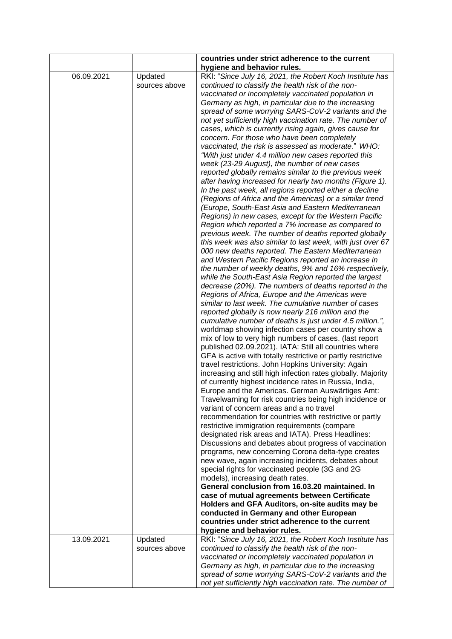|            |               | countries under strict adherence to the current                                            |
|------------|---------------|--------------------------------------------------------------------------------------------|
|            |               | hygiene and behavior rules.                                                                |
| 06.09.2021 | Updated       | RKI: "Since July 16, 2021, the Robert Koch Institute has                                   |
|            | sources above | continued to classify the health risk of the non-                                          |
|            |               | vaccinated or incompletely vaccinated population in                                        |
|            |               | Germany as high, in particular due to the increasing                                       |
|            |               | spread of some worrying SARS-CoV-2 variants and the                                        |
|            |               | not yet sufficiently high vaccination rate. The number of                                  |
|            |               | cases, which is currently rising again, gives cause for                                    |
|            |               | concern. For those who have been completely                                                |
|            |               | vaccinated, the risk is assessed as moderate." WHO:                                        |
|            |               | "With just under 4.4 million new cases reported this                                       |
|            |               | week (23-29 August), the number of new cases                                               |
|            |               | reported globally remains similar to the previous week                                     |
|            |               | after having increased for nearly two months (Figure 1).                                   |
|            |               | In the past week, all regions reported either a decline                                    |
|            |               | (Regions of Africa and the Americas) or a similar trend                                    |
|            |               | (Europe, South-East Asia and Eastern Mediterranean                                         |
|            |               | Regions) in new cases, except for the Western Pacific                                      |
|            |               | Region which reported a 7% increase as compared to                                         |
|            |               | previous week. The number of deaths reported globally                                      |
|            |               | this week was also similar to last week, with just over 67                                 |
|            |               | 000 new deaths reported. The Eastern Mediterranean                                         |
|            |               | and Western Pacific Regions reported an increase in                                        |
|            |               | the number of weekly deaths, 9% and 16% respectively,                                      |
|            |               | while the South-East Asia Region reported the largest                                      |
|            |               | decrease (20%). The numbers of deaths reported in the                                      |
|            |               | Regions of Africa, Europe and the Americas were                                            |
|            |               | similar to last week. The cumulative number of cases                                       |
|            |               | reported globally is now nearly 216 million and the                                        |
|            |               | cumulative number of deaths is just under 4.5 million.",                                   |
|            |               | worldmap showing infection cases per country show a                                        |
|            |               | mix of low to very high numbers of cases. (last report                                     |
|            |               | published 02.09.2021). IATA: Still all countries where                                     |
|            |               | GFA is active with totally restrictive or partly restrictive                               |
|            |               | travel restrictions. John Hopkins University: Again                                        |
|            |               | increasing and still high infection rates globally. Majority                               |
|            |               | of currently highest incidence rates in Russia, India,                                     |
|            |               | Europe and the Americas. German Auswärtiges Amt:                                           |
|            |               | Travelwarning for risk countries being high incidence or                                   |
|            |               | variant of concern areas and a no travel                                                   |
|            |               | recommendation for countries with restrictive or partly                                    |
|            |               | restrictive immigration requirements (compare                                              |
|            |               | designated risk areas and IATA). Press Headlines:                                          |
|            |               | Discussions and debates about progress of vaccination                                      |
|            |               | programs, new concerning Corona delta-type creates                                         |
|            |               | new wave, again increasing incidents, debates about                                        |
|            |               | special rights for vaccinated people (3G and 2G                                            |
|            |               | models), increasing death rates.<br>General conclusion from 16.03.20 maintained. In        |
|            |               |                                                                                            |
|            |               | case of mutual agreements between Certificate                                              |
|            |               | Holders and GFA Auditors, on-site audits may be                                            |
|            |               | conducted in Germany and other European<br>countries under strict adherence to the current |
|            |               |                                                                                            |
|            |               | hygiene and behavior rules.                                                                |
| 13.09.2021 | Updated       | RKI: "Since July 16, 2021, the Robert Koch Institute has                                   |
|            | sources above | continued to classify the health risk of the non-                                          |
|            |               | vaccinated or incompletely vaccinated population in                                        |
|            |               | Germany as high, in particular due to the increasing                                       |
|            |               | spread of some worrying SARS-CoV-2 variants and the                                        |
|            |               | not yet sufficiently high vaccination rate. The number of                                  |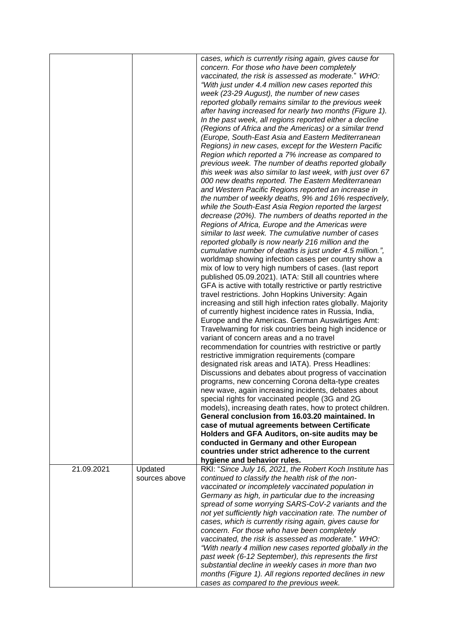|            |               | cases, which is currently rising again, gives cause for<br>concern. For those who have been completely<br>vaccinated, the risk is assessed as moderate." WHO:<br>"With just under 4.4 million new cases reported this<br>week (23-29 August), the number of new cases<br>reported globally remains similar to the previous week<br>after having increased for nearly two months (Figure 1).<br>In the past week, all regions reported either a decline<br>(Regions of Africa and the Americas) or a similar trend<br>(Europe, South-East Asia and Eastern Mediterranean<br>Regions) in new cases, except for the Western Pacific<br>Region which reported a 7% increase as compared to<br>previous week. The number of deaths reported globally<br>this week was also similar to last week, with just over 67<br>000 new deaths reported. The Eastern Mediterranean<br>and Western Pacific Regions reported an increase in<br>the number of weekly deaths, 9% and 16% respectively,<br>while the South-East Asia Region reported the largest<br>decrease (20%). The numbers of deaths reported in the<br>Regions of Africa, Europe and the Americas were<br>similar to last week. The cumulative number of cases<br>reported globally is now nearly 216 million and the<br>cumulative number of deaths is just under 4.5 million.",<br>worldmap showing infection cases per country show a<br>mix of low to very high numbers of cases. (last report<br>published 05.09.2021). IATA: Still all countries where<br>GFA is active with totally restrictive or partly restrictive<br>travel restrictions. John Hopkins University: Again<br>increasing and still high infection rates globally. Majority<br>of currently highest incidence rates in Russia, India,<br>Europe and the Americas. German Auswärtiges Amt:<br>Travelwarning for risk countries being high incidence or<br>variant of concern areas and a no travel<br>recommendation for countries with restrictive or partly<br>restrictive immigration requirements (compare<br>designated risk areas and IATA). Press Headlines:<br>Discussions and debates about progress of vaccination<br>programs, new concerning Corona delta-type creates<br>new wave, again increasing incidents, debates about<br>special rights for vaccinated people (3G and 2G<br>models), increasing death rates, how to protect children.<br>General conclusion from 16.03.20 maintained. In |
|------------|---------------|---------------------------------------------------------------------------------------------------------------------------------------------------------------------------------------------------------------------------------------------------------------------------------------------------------------------------------------------------------------------------------------------------------------------------------------------------------------------------------------------------------------------------------------------------------------------------------------------------------------------------------------------------------------------------------------------------------------------------------------------------------------------------------------------------------------------------------------------------------------------------------------------------------------------------------------------------------------------------------------------------------------------------------------------------------------------------------------------------------------------------------------------------------------------------------------------------------------------------------------------------------------------------------------------------------------------------------------------------------------------------------------------------------------------------------------------------------------------------------------------------------------------------------------------------------------------------------------------------------------------------------------------------------------------------------------------------------------------------------------------------------------------------------------------------------------------------------------------------------------------------------------------------------------------------------------------------------------------------------------------------------------------------------------------------------------------------------------------------------------------------------------------------------------------------------------------------------------------------------------------------------------------------------------------------------------------------------------------------------------------------------------------------------------------------------------|
|            |               |                                                                                                                                                                                                                                                                                                                                                                                                                                                                                                                                                                                                                                                                                                                                                                                                                                                                                                                                                                                                                                                                                                                                                                                                                                                                                                                                                                                                                                                                                                                                                                                                                                                                                                                                                                                                                                                                                                                                                                                                                                                                                                                                                                                                                                                                                                                                                                                                                                       |
|            |               |                                                                                                                                                                                                                                                                                                                                                                                                                                                                                                                                                                                                                                                                                                                                                                                                                                                                                                                                                                                                                                                                                                                                                                                                                                                                                                                                                                                                                                                                                                                                                                                                                                                                                                                                                                                                                                                                                                                                                                                                                                                                                                                                                                                                                                                                                                                                                                                                                                       |
|            |               |                                                                                                                                                                                                                                                                                                                                                                                                                                                                                                                                                                                                                                                                                                                                                                                                                                                                                                                                                                                                                                                                                                                                                                                                                                                                                                                                                                                                                                                                                                                                                                                                                                                                                                                                                                                                                                                                                                                                                                                                                                                                                                                                                                                                                                                                                                                                                                                                                                       |
|            |               | case of mutual agreements between Certificate                                                                                                                                                                                                                                                                                                                                                                                                                                                                                                                                                                                                                                                                                                                                                                                                                                                                                                                                                                                                                                                                                                                                                                                                                                                                                                                                                                                                                                                                                                                                                                                                                                                                                                                                                                                                                                                                                                                                                                                                                                                                                                                                                                                                                                                                                                                                                                                         |
|            |               | Holders and GFA Auditors, on-site audits may be<br>conducted in Germany and other European                                                                                                                                                                                                                                                                                                                                                                                                                                                                                                                                                                                                                                                                                                                                                                                                                                                                                                                                                                                                                                                                                                                                                                                                                                                                                                                                                                                                                                                                                                                                                                                                                                                                                                                                                                                                                                                                                                                                                                                                                                                                                                                                                                                                                                                                                                                                            |
|            |               | countries under strict adherence to the current                                                                                                                                                                                                                                                                                                                                                                                                                                                                                                                                                                                                                                                                                                                                                                                                                                                                                                                                                                                                                                                                                                                                                                                                                                                                                                                                                                                                                                                                                                                                                                                                                                                                                                                                                                                                                                                                                                                                                                                                                                                                                                                                                                                                                                                                                                                                                                                       |
|            |               | hygiene and behavior rules.                                                                                                                                                                                                                                                                                                                                                                                                                                                                                                                                                                                                                                                                                                                                                                                                                                                                                                                                                                                                                                                                                                                                                                                                                                                                                                                                                                                                                                                                                                                                                                                                                                                                                                                                                                                                                                                                                                                                                                                                                                                                                                                                                                                                                                                                                                                                                                                                           |
| 21.09.2021 | Updated       | RKI: "Since July 16, 2021, the Robert Koch Institute has                                                                                                                                                                                                                                                                                                                                                                                                                                                                                                                                                                                                                                                                                                                                                                                                                                                                                                                                                                                                                                                                                                                                                                                                                                                                                                                                                                                                                                                                                                                                                                                                                                                                                                                                                                                                                                                                                                                                                                                                                                                                                                                                                                                                                                                                                                                                                                              |
|            | sources above | continued to classify the health risk of the non-<br>vaccinated or incompletely vaccinated population in                                                                                                                                                                                                                                                                                                                                                                                                                                                                                                                                                                                                                                                                                                                                                                                                                                                                                                                                                                                                                                                                                                                                                                                                                                                                                                                                                                                                                                                                                                                                                                                                                                                                                                                                                                                                                                                                                                                                                                                                                                                                                                                                                                                                                                                                                                                              |
|            |               | Germany as high, in particular due to the increasing                                                                                                                                                                                                                                                                                                                                                                                                                                                                                                                                                                                                                                                                                                                                                                                                                                                                                                                                                                                                                                                                                                                                                                                                                                                                                                                                                                                                                                                                                                                                                                                                                                                                                                                                                                                                                                                                                                                                                                                                                                                                                                                                                                                                                                                                                                                                                                                  |
|            |               | spread of some worrying SARS-CoV-2 variants and the                                                                                                                                                                                                                                                                                                                                                                                                                                                                                                                                                                                                                                                                                                                                                                                                                                                                                                                                                                                                                                                                                                                                                                                                                                                                                                                                                                                                                                                                                                                                                                                                                                                                                                                                                                                                                                                                                                                                                                                                                                                                                                                                                                                                                                                                                                                                                                                   |
|            |               | not yet sufficiently high vaccination rate. The number of                                                                                                                                                                                                                                                                                                                                                                                                                                                                                                                                                                                                                                                                                                                                                                                                                                                                                                                                                                                                                                                                                                                                                                                                                                                                                                                                                                                                                                                                                                                                                                                                                                                                                                                                                                                                                                                                                                                                                                                                                                                                                                                                                                                                                                                                                                                                                                             |
|            |               | cases, which is currently rising again, gives cause for                                                                                                                                                                                                                                                                                                                                                                                                                                                                                                                                                                                                                                                                                                                                                                                                                                                                                                                                                                                                                                                                                                                                                                                                                                                                                                                                                                                                                                                                                                                                                                                                                                                                                                                                                                                                                                                                                                                                                                                                                                                                                                                                                                                                                                                                                                                                                                               |
|            |               | concern. For those who have been completely<br>vaccinated, the risk is assessed as moderate." WHO:                                                                                                                                                                                                                                                                                                                                                                                                                                                                                                                                                                                                                                                                                                                                                                                                                                                                                                                                                                                                                                                                                                                                                                                                                                                                                                                                                                                                                                                                                                                                                                                                                                                                                                                                                                                                                                                                                                                                                                                                                                                                                                                                                                                                                                                                                                                                    |
|            |               | "With nearly 4 million new cases reported globally in the                                                                                                                                                                                                                                                                                                                                                                                                                                                                                                                                                                                                                                                                                                                                                                                                                                                                                                                                                                                                                                                                                                                                                                                                                                                                                                                                                                                                                                                                                                                                                                                                                                                                                                                                                                                                                                                                                                                                                                                                                                                                                                                                                                                                                                                                                                                                                                             |
|            |               | past week (6-12 September), this represents the first                                                                                                                                                                                                                                                                                                                                                                                                                                                                                                                                                                                                                                                                                                                                                                                                                                                                                                                                                                                                                                                                                                                                                                                                                                                                                                                                                                                                                                                                                                                                                                                                                                                                                                                                                                                                                                                                                                                                                                                                                                                                                                                                                                                                                                                                                                                                                                                 |
|            |               | substantial decline in weekly cases in more than two                                                                                                                                                                                                                                                                                                                                                                                                                                                                                                                                                                                                                                                                                                                                                                                                                                                                                                                                                                                                                                                                                                                                                                                                                                                                                                                                                                                                                                                                                                                                                                                                                                                                                                                                                                                                                                                                                                                                                                                                                                                                                                                                                                                                                                                                                                                                                                                  |
|            |               | months (Figure 1). All regions reported declines in new<br>cases as compared to the previous week.                                                                                                                                                                                                                                                                                                                                                                                                                                                                                                                                                                                                                                                                                                                                                                                                                                                                                                                                                                                                                                                                                                                                                                                                                                                                                                                                                                                                                                                                                                                                                                                                                                                                                                                                                                                                                                                                                                                                                                                                                                                                                                                                                                                                                                                                                                                                    |
|            |               |                                                                                                                                                                                                                                                                                                                                                                                                                                                                                                                                                                                                                                                                                                                                                                                                                                                                                                                                                                                                                                                                                                                                                                                                                                                                                                                                                                                                                                                                                                                                                                                                                                                                                                                                                                                                                                                                                                                                                                                                                                                                                                                                                                                                                                                                                                                                                                                                                                       |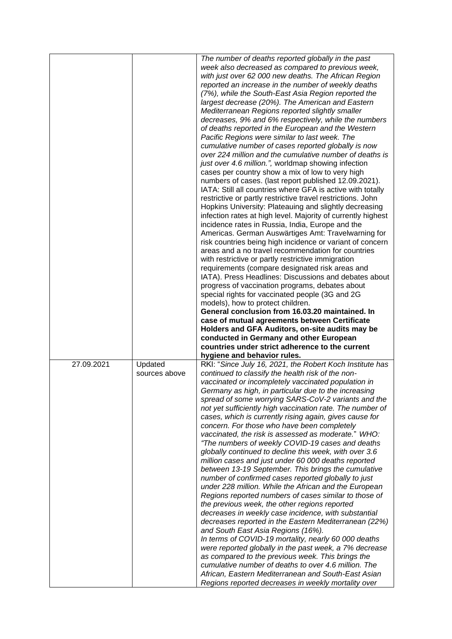|            |               | The number of deaths reported globally in the past                                                      |
|------------|---------------|---------------------------------------------------------------------------------------------------------|
|            |               | week also decreased as compared to previous week,                                                       |
|            |               | with just over 62 000 new deaths. The African Region                                                    |
|            |               |                                                                                                         |
|            |               | reported an increase in the number of weekly deaths                                                     |
|            |               | (7%), while the South-East Asia Region reported the                                                     |
|            |               | largest decrease (20%). The American and Eastern                                                        |
|            |               | Mediterranean Regions reported slightly smaller                                                         |
|            |               | decreases, 9% and 6% respectively, while the numbers                                                    |
|            |               | of deaths reported in the European and the Western                                                      |
|            |               | Pacific Regions were similar to last week. The                                                          |
|            |               | cumulative number of cases reported globally is now                                                     |
|            |               | over 224 million and the cumulative number of deaths is                                                 |
|            |               | just over 4.6 million.", worldmap showing infection                                                     |
|            |               | cases per country show a mix of low to very high                                                        |
|            |               | numbers of cases. (last report published 12.09.2021).                                                   |
|            |               |                                                                                                         |
|            |               | IATA: Still all countries where GFA is active with totally                                              |
|            |               | restrictive or partly restrictive travel restrictions. John                                             |
|            |               | Hopkins University: Plateauing and slightly decreasing                                                  |
|            |               | infection rates at high level. Majority of currently highest                                            |
|            |               | incidence rates in Russia, India, Europe and the                                                        |
|            |               | Americas. German Auswärtiges Amt: Travelwarning for                                                     |
|            |               | risk countries being high incidence or variant of concern                                               |
|            |               | areas and a no travel recommendation for countries                                                      |
|            |               | with restrictive or partly restrictive immigration                                                      |
|            |               | requirements (compare designated risk areas and                                                         |
|            |               | IATA). Press Headlines: Discussions and debates about                                                   |
|            |               | progress of vaccination programs, debates about                                                         |
|            |               | special rights for vaccinated people (3G and 2G                                                         |
|            |               | models), how to protect children.                                                                       |
|            |               | General conclusion from 16.03.20 maintained. In                                                         |
|            |               |                                                                                                         |
|            |               |                                                                                                         |
|            |               | case of mutual agreements between Certificate                                                           |
|            |               | Holders and GFA Auditors, on-site audits may be                                                         |
|            |               | conducted in Germany and other European                                                                 |
|            |               | countries under strict adherence to the current                                                         |
|            |               | hygiene and behavior rules.                                                                             |
| 27.09.2021 | Updated       | RKI: "Since July 16, 2021, the Robert Koch Institute has                                                |
|            | sources above | continued to classify the health risk of the non-                                                       |
|            |               | vaccinated or incompletely vaccinated population in                                                     |
|            |               | Germany as high, in particular due to the increasing                                                    |
|            |               | spread of some worrying SARS-CoV-2 variants and the                                                     |
|            |               | not yet sufficiently high vaccination rate. The number of                                               |
|            |               | cases, which is currently rising again, gives cause for                                                 |
|            |               | concern. For those who have been completely                                                             |
|            |               |                                                                                                         |
|            |               | vaccinated, the risk is assessed as moderate." WHO:<br>"The numbers of weekly COVID-19 cases and deaths |
|            |               |                                                                                                         |
|            |               | globally continued to decline this week, with over 3.6                                                  |
|            |               | million cases and just under 60 000 deaths reported                                                     |
|            |               | between 13-19 September. This brings the cumulative                                                     |
|            |               | number of confirmed cases reported globally to just                                                     |
|            |               | under 228 million. While the African and the European                                                   |
|            |               | Regions reported numbers of cases similar to those of                                                   |
|            |               | the previous week, the other regions reported                                                           |
|            |               | decreases in weekly case incidence, with substantial                                                    |
|            |               | decreases reported in the Eastern Mediterranean (22%)                                                   |
|            |               | and South East Asia Regions (16%).                                                                      |
|            |               | In terms of COVID-19 mortality, nearly 60 000 deaths                                                    |
|            |               | were reported globally in the past week, a 7% decrease                                                  |
|            |               | as compared to the previous week. This brings the                                                       |
|            |               | cumulative number of deaths to over 4.6 million. The                                                    |
|            |               | African, Eastern Mediterranean and South-East Asian                                                     |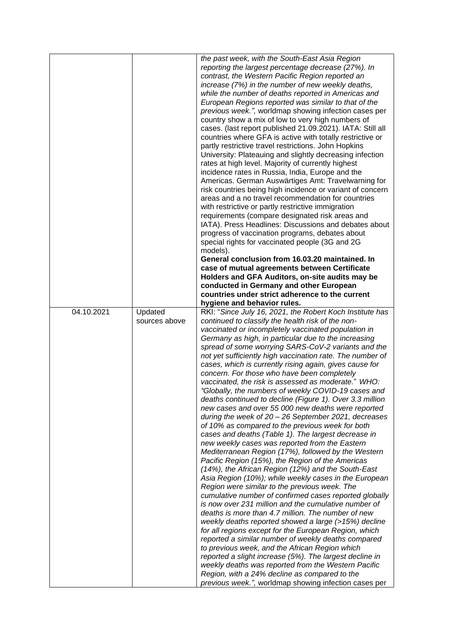|            |                          | the past week, with the South-East Asia Region<br>reporting the largest percentage decrease (27%). In<br>contrast, the Western Pacific Region reported an<br>increase (7%) in the number of new weekly deaths,<br>while the number of deaths reported in Americas and<br>European Regions reported was similar to that of the<br>previous week.", worldmap showing infection cases per<br>country show a mix of low to very high numbers of<br>cases. (last report published 21.09.2021). IATA: Still all<br>countries where GFA is active with totally restrictive or<br>partly restrictive travel restrictions. John Hopkins<br>University: Plateauing and slightly decreasing infection<br>rates at high level. Majority of currently highest<br>incidence rates in Russia, India, Europe and the<br>Americas. German Auswärtiges Amt: Travelwarning for<br>risk countries being high incidence or variant of concern<br>areas and a no travel recommendation for countries<br>with restrictive or partly restrictive immigration<br>requirements (compare designated risk areas and<br>IATA). Press Headlines: Discussions and debates about<br>progress of vaccination programs, debates about<br>special rights for vaccinated people (3G and 2G<br>models).<br>General conclusion from 16.03.20 maintained. In<br>case of mutual agreements between Certificate<br>Holders and GFA Auditors, on-site audits may be<br>conducted in Germany and other European<br>countries under strict adherence to the current<br>hygiene and behavior rules.                                                                                                                                                                                                                                                                   |
|------------|--------------------------|--------------------------------------------------------------------------------------------------------------------------------------------------------------------------------------------------------------------------------------------------------------------------------------------------------------------------------------------------------------------------------------------------------------------------------------------------------------------------------------------------------------------------------------------------------------------------------------------------------------------------------------------------------------------------------------------------------------------------------------------------------------------------------------------------------------------------------------------------------------------------------------------------------------------------------------------------------------------------------------------------------------------------------------------------------------------------------------------------------------------------------------------------------------------------------------------------------------------------------------------------------------------------------------------------------------------------------------------------------------------------------------------------------------------------------------------------------------------------------------------------------------------------------------------------------------------------------------------------------------------------------------------------------------------------------------------------------------------------------------------------------------------------------------------------------------------------|
| 04.10.2021 | Updated<br>sources above | RKI: "Since July 16, 2021, the Robert Koch Institute has<br>continued to classify the health risk of the non-<br>vaccinated or incompletely vaccinated population in<br>Germany as high, in particular due to the increasing<br>spread of some worrying SARS-CoV-2 variants and the<br>not yet sufficiently high vaccination rate. The number of<br>cases, which is currently rising again, gives cause for<br>concern. For those who have been completely<br>vaccinated, the risk is assessed as moderate." WHO:<br>"Globally, the numbers of weekly COVID-19 cases and<br>deaths continued to decline (Figure 1). Over 3.3 million<br>new cases and over 55 000 new deaths were reported<br>during the week of 20 - 26 September 2021, decreases<br>of 10% as compared to the previous week for both<br>cases and deaths (Table 1). The largest decrease in<br>new weekly cases was reported from the Eastern<br>Mediterranean Region (17%), followed by the Western<br>Pacific Region (15%), the Region of the Americas<br>(14%), the African Region (12%) and the South-East<br>Asia Region (10%); while weekly cases in the European<br>Region were similar to the previous week. The<br>cumulative number of confirmed cases reported globally<br>is now over 231 million and the cumulative number of<br>deaths is more than 4.7 million. The number of new<br>weekly deaths reported showed a large (>15%) decline<br>for all regions except for the European Region, which<br>reported a similar number of weekly deaths compared<br>to previous week, and the African Region which<br>reported a slight increase (5%). The largest decline in<br>weekly deaths was reported from the Western Pacific<br>Region, with a 24% decline as compared to the<br>previous week.", worldmap showing infection cases per |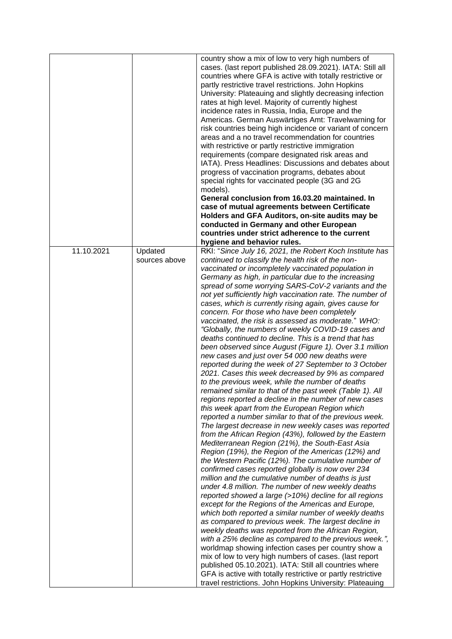|            |                          | country show a mix of low to very high numbers of<br>cases. (last report published 28.09.2021). IATA: Still all<br>countries where GFA is active with totally restrictive or<br>partly restrictive travel restrictions. John Hopkins<br>University: Plateauing and slightly decreasing infection<br>rates at high level. Majority of currently highest<br>incidence rates in Russia, India, Europe and the<br>Americas. German Auswärtiges Amt: Travelwarning for<br>risk countries being high incidence or variant of concern<br>areas and a no travel recommendation for countries<br>with restrictive or partly restrictive immigration<br>requirements (compare designated risk areas and<br>IATA). Press Headlines: Discussions and debates about<br>progress of vaccination programs, debates about<br>special rights for vaccinated people (3G and 2G<br>models).<br>General conclusion from 16.03.20 maintained. In<br>case of mutual agreements between Certificate<br>Holders and GFA Auditors, on-site audits may be<br>conducted in Germany and other European<br>countries under strict adherence to the current                                                                                                                                                                                                                                                                                                                                                                                                                                                                                                                                                                                                                                                                                                                                                                                                                                                                                                                                                                                                                                                                                                                                    |
|------------|--------------------------|------------------------------------------------------------------------------------------------------------------------------------------------------------------------------------------------------------------------------------------------------------------------------------------------------------------------------------------------------------------------------------------------------------------------------------------------------------------------------------------------------------------------------------------------------------------------------------------------------------------------------------------------------------------------------------------------------------------------------------------------------------------------------------------------------------------------------------------------------------------------------------------------------------------------------------------------------------------------------------------------------------------------------------------------------------------------------------------------------------------------------------------------------------------------------------------------------------------------------------------------------------------------------------------------------------------------------------------------------------------------------------------------------------------------------------------------------------------------------------------------------------------------------------------------------------------------------------------------------------------------------------------------------------------------------------------------------------------------------------------------------------------------------------------------------------------------------------------------------------------------------------------------------------------------------------------------------------------------------------------------------------------------------------------------------------------------------------------------------------------------------------------------------------------------------------------------------------------------------------------------------------------|
|            |                          | hygiene and behavior rules.                                                                                                                                                                                                                                                                                                                                                                                                                                                                                                                                                                                                                                                                                                                                                                                                                                                                                                                                                                                                                                                                                                                                                                                                                                                                                                                                                                                                                                                                                                                                                                                                                                                                                                                                                                                                                                                                                                                                                                                                                                                                                                                                                                                                                                      |
| 11.10.2021 | Updated<br>sources above | RKI: "Since July 16, 2021, the Robert Koch Institute has<br>continued to classify the health risk of the non-<br>vaccinated or incompletely vaccinated population in<br>Germany as high, in particular due to the increasing<br>spread of some worrying SARS-CoV-2 variants and the<br>not yet sufficiently high vaccination rate. The number of<br>cases, which is currently rising again, gives cause for<br>concern. For those who have been completely<br>vaccinated, the risk is assessed as moderate." WHO:<br>"Globally, the numbers of weekly COVID-19 cases and<br>deaths continued to decline. This is a trend that has<br>been observed since August (Figure 1). Over 3.1 million<br>new cases and just over 54 000 new deaths were<br>reported during the week of 27 September to 3 October<br>2021. Cases this week decreased by 9% as compared<br>to the previous week, while the number of deaths<br>remained similar to that of the past week (Table 1). All<br>regions reported a decline in the number of new cases<br>this week apart from the European Region which<br>reported a number similar to that of the previous week.<br>The largest decrease in new weekly cases was reported<br>from the African Region (43%), followed by the Eastern<br>Mediterranean Region (21%), the South-East Asia<br>Region (19%), the Region of the Americas (12%) and<br>the Western Pacific (12%). The cumulative number of<br>confirmed cases reported globally is now over 234<br>million and the cumulative number of deaths is just<br>under 4.8 million. The number of new weekly deaths<br>reported showed a large (>10%) decline for all regions<br>except for the Regions of the Americas and Europe,<br>which both reported a similar number of weekly deaths<br>as compared to previous week. The largest decline in<br>weekly deaths was reported from the African Region,<br>with a 25% decline as compared to the previous week.",<br>worldmap showing infection cases per country show a<br>mix of low to very high numbers of cases. (last report<br>published 05.10.2021). IATA: Still all countries where<br>GFA is active with totally restrictive or partly restrictive<br>travel restrictions. John Hopkins University: Plateauing |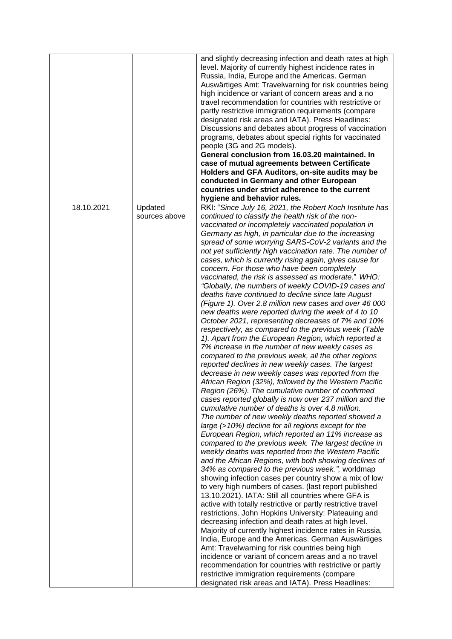|            |               | and slightly decreasing infection and death rates at high<br>level. Majority of currently highest incidence rates in<br>Russia, India, Europe and the Americas. German<br>Auswärtiges Amt: Travelwarning for risk countries being<br>high incidence or variant of concern areas and a no<br>travel recommendation for countries with restrictive or<br>partly restrictive immigration requirements (compare<br>designated risk areas and IATA). Press Headlines:<br>Discussions and debates about progress of vaccination<br>programs, debates about special rights for vaccinated<br>people (3G and 2G models).<br>General conclusion from 16.03.20 maintained. In<br>case of mutual agreements between Certificate<br>Holders and GFA Auditors, on-site audits may be<br>conducted in Germany and other European<br>countries under strict adherence to the current<br>hygiene and behavior rules.                                                                                                                                                                                                                                                                                                                                                                                                                                                                                                                                                                                                                                                                                                                                                                                                                                                                                                                                                                                                                                                                                                                                                                                                                                                                                                                                                                                                                                                                                                                                                                    |
|------------|---------------|-------------------------------------------------------------------------------------------------------------------------------------------------------------------------------------------------------------------------------------------------------------------------------------------------------------------------------------------------------------------------------------------------------------------------------------------------------------------------------------------------------------------------------------------------------------------------------------------------------------------------------------------------------------------------------------------------------------------------------------------------------------------------------------------------------------------------------------------------------------------------------------------------------------------------------------------------------------------------------------------------------------------------------------------------------------------------------------------------------------------------------------------------------------------------------------------------------------------------------------------------------------------------------------------------------------------------------------------------------------------------------------------------------------------------------------------------------------------------------------------------------------------------------------------------------------------------------------------------------------------------------------------------------------------------------------------------------------------------------------------------------------------------------------------------------------------------------------------------------------------------------------------------------------------------------------------------------------------------------------------------------------------------------------------------------------------------------------------------------------------------------------------------------------------------------------------------------------------------------------------------------------------------------------------------------------------------------------------------------------------------------------------------------------------------------------------------------------------------|
| 18.10.2021 | Updated       | RKI: "Since July 16, 2021, the Robert Koch Institute has                                                                                                                                                                                                                                                                                                                                                                                                                                                                                                                                                                                                                                                                                                                                                                                                                                                                                                                                                                                                                                                                                                                                                                                                                                                                                                                                                                                                                                                                                                                                                                                                                                                                                                                                                                                                                                                                                                                                                                                                                                                                                                                                                                                                                                                                                                                                                                                                                |
|            | sources above | continued to classify the health risk of the non-<br>vaccinated or incompletely vaccinated population in<br>Germany as high, in particular due to the increasing<br>spread of some worrying SARS-CoV-2 variants and the<br>not yet sufficiently high vaccination rate. The number of<br>cases, which is currently rising again, gives cause for<br>concern. For those who have been completely<br>vaccinated, the risk is assessed as moderate." WHO:<br>"Globally, the numbers of weekly COVID-19 cases and<br>deaths have continued to decline since late August<br>(Figure 1). Over 2.8 million new cases and over 46 000<br>new deaths were reported during the week of 4 to 10<br>October 2021, representing decreases of 7% and 10%<br>respectively, as compared to the previous week (Table<br>1). Apart from the European Region, which reported a<br>7% increase in the number of new weekly cases as<br>compared to the previous week, all the other regions<br>reported declines in new weekly cases. The largest<br>decrease in new weekly cases was reported from the<br>African Region (32%), followed by the Western Pacific<br>Region (26%). The cumulative number of confirmed<br>cases reported globally is now over 237 million and the<br>cumulative number of deaths is over 4.8 million.<br>The number of new weekly deaths reported showed a<br>large (>10%) decline for all regions except for the<br>European Region, which reported an 11% increase as<br>compared to the previous week. The largest decline in<br>weekly deaths was reported from the Western Pacific<br>and the African Regions, with both showing declines of<br>34% as compared to the previous week.", worldmap<br>showing infection cases per country show a mix of low<br>to very high numbers of cases. (last report published<br>13.10.2021). IATA: Still all countries where GFA is<br>active with totally restrictive or partly restrictive travel<br>restrictions. John Hopkins University: Plateauing and<br>decreasing infection and death rates at high level.<br>Majority of currently highest incidence rates in Russia,<br>India, Europe and the Americas. German Auswärtiges<br>Amt: Travelwarning for risk countries being high<br>incidence or variant of concern areas and a no travel<br>recommendation for countries with restrictive or partly<br>restrictive immigration requirements (compare<br>designated risk areas and IATA). Press Headlines: |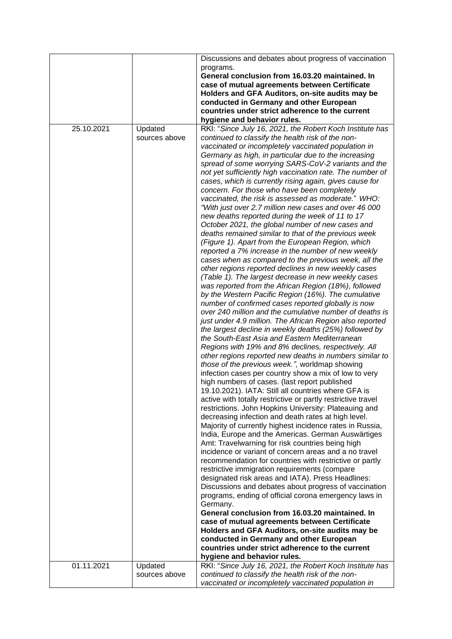|            |               | Discussions and debates about progress of vaccination        |
|------------|---------------|--------------------------------------------------------------|
|            |               | programs.                                                    |
|            |               | General conclusion from 16.03.20 maintained. In              |
|            |               | case of mutual agreements between Certificate                |
|            |               |                                                              |
|            |               | Holders and GFA Auditors, on-site audits may be              |
|            |               | conducted in Germany and other European                      |
|            |               | countries under strict adherence to the current              |
|            |               | hygiene and behavior rules.                                  |
| 25.10.2021 | Updated       | RKI: "Since July 16, 2021, the Robert Koch Institute has     |
|            | sources above | continued to classify the health risk of the non-            |
|            |               | vaccinated or incompletely vaccinated population in          |
|            |               | Germany as high, in particular due to the increasing         |
|            |               | spread of some worrying SARS-CoV-2 variants and the          |
|            |               | not yet sufficiently high vaccination rate. The number of    |
|            |               | cases, which is currently rising again, gives cause for      |
|            |               | concern. For those who have been completely                  |
|            |               | vaccinated, the risk is assessed as moderate." WHO:          |
|            |               | "With just over 2.7 million new cases and over 46 000        |
|            |               | new deaths reported during the week of 11 to 17              |
|            |               | October 2021, the global number of new cases and             |
|            |               | deaths remained similar to that of the previous week         |
|            |               | (Figure 1). Apart from the European Region, which            |
|            |               | reported a 7% increase in the number of new weekly           |
|            |               | cases when as compared to the previous week, all the         |
|            |               | other regions reported declines in new weekly cases          |
|            |               | (Table 1). The largest decrease in new weekly cases          |
|            |               | was reported from the African Region (18%), followed         |
|            |               | by the Western Pacific Region (16%). The cumulative          |
|            |               |                                                              |
|            |               | number of confirmed cases reported globally is now           |
|            |               | over 240 million and the cumulative number of deaths is      |
|            |               | just under 4.9 million. The African Region also reported     |
|            |               | the largest decline in weekly deaths (25%) followed by       |
|            |               | the South-East Asia and Eastern Mediterranean                |
|            |               | Regions with 19% and 8% declines, respectively. All          |
|            |               | other regions reported new deaths in numbers similar to      |
|            |               | those of the previous week.", worldmap showing               |
|            |               | infection cases per country show a mix of low to very        |
|            |               | high numbers of cases. (last report published                |
|            |               | 19.10.2021). IATA: Still all countries where GFA is          |
|            |               | active with totally restrictive or partly restrictive travel |
|            |               | restrictions. John Hopkins University: Plateauing and        |
|            |               | decreasing infection and death rates at high level.          |
|            |               | Majority of currently highest incidence rates in Russia,     |
|            |               | India, Europe and the Americas. German Auswärtiges           |
|            |               | Amt: Travelwarning for risk countries being high             |
|            |               | incidence or variant of concern areas and a no travel        |
|            |               | recommendation for countries with restrictive or partly      |
|            |               | restrictive immigration requirements (compare                |
|            |               | designated risk areas and IATA). Press Headlines:            |
|            |               | Discussions and debates about progress of vaccination        |
|            |               | programs, ending of official corona emergency laws in        |
|            |               | Germany.                                                     |
|            |               | General conclusion from 16.03.20 maintained. In              |
|            |               | case of mutual agreements between Certificate                |
|            |               | Holders and GFA Auditors, on-site audits may be              |
|            |               | conducted in Germany and other European                      |
|            |               | countries under strict adherence to the current              |
|            |               | hygiene and behavior rules.                                  |
| 01.11.2021 | Updated       | RKI: "Since July 16, 2021, the Robert Koch Institute has     |
|            | sources above | continued to classify the health risk of the non-            |
|            |               | vaccinated or incompletely vaccinated population in          |
|            |               |                                                              |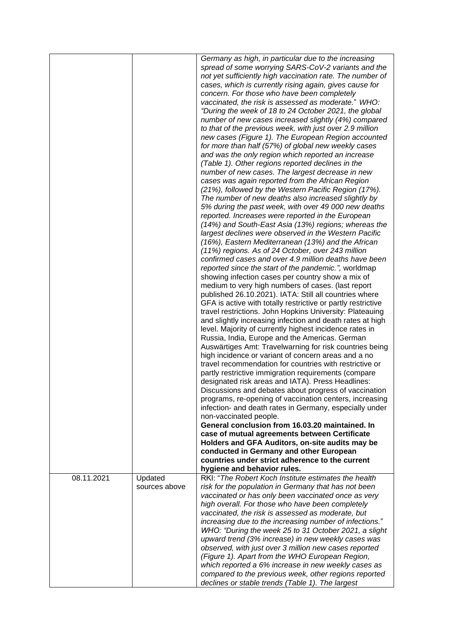|            |               | Germany as high, in particular due to the increasing<br>spread of some worrying SARS-CoV-2 variants and the<br>not yet sufficiently high vaccination rate. The number of<br>cases, which is currently rising again, gives cause for<br>concern. For those who have been completely<br>vaccinated, the risk is assessed as moderate." WHO:<br>"During the week of 18 to 24 October 2021, the global<br>number of new cases increased slightly (4%) compared<br>to that of the previous week, with just over 2.9 million<br>new cases (Figure 1). The European Region accounted<br>for more than half (57%) of global new weekly cases<br>and was the only region which reported an increase<br>(Table 1). Other regions reported declines in the<br>number of new cases. The largest decrease in new<br>cases was again reported from the African Region<br>(21%), followed by the Western Pacific Region (17%).<br>The number of new deaths also increased slightly by<br>5% during the past week, with over 49 000 new deaths<br>reported. Increases were reported in the European<br>(14%) and South-East Asia (13%) regions; whereas the<br>largest declines were observed in the Western Pacific<br>(16%), Eastern Mediterranean (13%) and the African<br>(11%) regions. As of 24 October, over 243 million<br>confirmed cases and over 4.9 million deaths have been<br>reported since the start of the pandemic.", worldmap<br>showing infection cases per country show a mix of<br>medium to very high numbers of cases. (last report<br>published 26.10.2021). IATA: Still all countries where<br>GFA is active with totally restrictive or partly restrictive<br>travel restrictions. John Hopkins University: Plateauing<br>and slightly increasing infection and death rates at high<br>level. Majority of currently highest incidence rates in<br>Russia, India, Europe and the Americas. German<br>Auswärtiges Amt: Travelwarning for risk countries being<br>high incidence or variant of concern areas and a no<br>travel recommendation for countries with restrictive or<br>partly restrictive immigration requirements (compare<br>designated risk areas and IATA). Press Headlines:<br>Discussions and debates about progress of vaccination<br>programs, re-opening of vaccination centers, increasing<br>infection- and death rates in Germany, especially under<br>non-vaccinated people.<br>General conclusion from 16.03.20 maintained. In<br>case of mutual agreements between Certificate<br>Holders and GFA Auditors, on-site audits may be<br>conducted in Germany and other European<br>countries under strict adherence to the current<br>hygiene and behavior rules. |
|------------|---------------|----------------------------------------------------------------------------------------------------------------------------------------------------------------------------------------------------------------------------------------------------------------------------------------------------------------------------------------------------------------------------------------------------------------------------------------------------------------------------------------------------------------------------------------------------------------------------------------------------------------------------------------------------------------------------------------------------------------------------------------------------------------------------------------------------------------------------------------------------------------------------------------------------------------------------------------------------------------------------------------------------------------------------------------------------------------------------------------------------------------------------------------------------------------------------------------------------------------------------------------------------------------------------------------------------------------------------------------------------------------------------------------------------------------------------------------------------------------------------------------------------------------------------------------------------------------------------------------------------------------------------------------------------------------------------------------------------------------------------------------------------------------------------------------------------------------------------------------------------------------------------------------------------------------------------------------------------------------------------------------------------------------------------------------------------------------------------------------------------------------------------------------------------------------------------------------------------------------------------------------------------------------------------------------------------------------------------------------------------------------------------------------------------------------------------------------------------------------------------------------------------------------------------------------------------------------------------------------------------------------------------------------------------------------------------------------------------|
| 08.11.2021 | Updated       | RKI: "The Robert Koch Institute estimates the health                                                                                                                                                                                                                                                                                                                                                                                                                                                                                                                                                                                                                                                                                                                                                                                                                                                                                                                                                                                                                                                                                                                                                                                                                                                                                                                                                                                                                                                                                                                                                                                                                                                                                                                                                                                                                                                                                                                                                                                                                                                                                                                                                                                                                                                                                                                                                                                                                                                                                                                                                                                                                                               |
|            | sources above | risk for the population in Germany that has not been                                                                                                                                                                                                                                                                                                                                                                                                                                                                                                                                                                                                                                                                                                                                                                                                                                                                                                                                                                                                                                                                                                                                                                                                                                                                                                                                                                                                                                                                                                                                                                                                                                                                                                                                                                                                                                                                                                                                                                                                                                                                                                                                                                                                                                                                                                                                                                                                                                                                                                                                                                                                                                               |
|            |               | vaccinated or has only been vaccinated once as very                                                                                                                                                                                                                                                                                                                                                                                                                                                                                                                                                                                                                                                                                                                                                                                                                                                                                                                                                                                                                                                                                                                                                                                                                                                                                                                                                                                                                                                                                                                                                                                                                                                                                                                                                                                                                                                                                                                                                                                                                                                                                                                                                                                                                                                                                                                                                                                                                                                                                                                                                                                                                                                |
|            |               | high overall. For those who have been completely                                                                                                                                                                                                                                                                                                                                                                                                                                                                                                                                                                                                                                                                                                                                                                                                                                                                                                                                                                                                                                                                                                                                                                                                                                                                                                                                                                                                                                                                                                                                                                                                                                                                                                                                                                                                                                                                                                                                                                                                                                                                                                                                                                                                                                                                                                                                                                                                                                                                                                                                                                                                                                                   |
|            |               | vaccinated, the risk is assessed as moderate, but                                                                                                                                                                                                                                                                                                                                                                                                                                                                                                                                                                                                                                                                                                                                                                                                                                                                                                                                                                                                                                                                                                                                                                                                                                                                                                                                                                                                                                                                                                                                                                                                                                                                                                                                                                                                                                                                                                                                                                                                                                                                                                                                                                                                                                                                                                                                                                                                                                                                                                                                                                                                                                                  |
|            |               | increasing due to the increasing number of infections."                                                                                                                                                                                                                                                                                                                                                                                                                                                                                                                                                                                                                                                                                                                                                                                                                                                                                                                                                                                                                                                                                                                                                                                                                                                                                                                                                                                                                                                                                                                                                                                                                                                                                                                                                                                                                                                                                                                                                                                                                                                                                                                                                                                                                                                                                                                                                                                                                                                                                                                                                                                                                                            |
|            |               | WHO: "During the week 25 to 31 October 2021, a slight                                                                                                                                                                                                                                                                                                                                                                                                                                                                                                                                                                                                                                                                                                                                                                                                                                                                                                                                                                                                                                                                                                                                                                                                                                                                                                                                                                                                                                                                                                                                                                                                                                                                                                                                                                                                                                                                                                                                                                                                                                                                                                                                                                                                                                                                                                                                                                                                                                                                                                                                                                                                                                              |
|            |               | upward trend (3% increase) in new weekly cases was<br>observed, with just over 3 million new cases reported                                                                                                                                                                                                                                                                                                                                                                                                                                                                                                                                                                                                                                                                                                                                                                                                                                                                                                                                                                                                                                                                                                                                                                                                                                                                                                                                                                                                                                                                                                                                                                                                                                                                                                                                                                                                                                                                                                                                                                                                                                                                                                                                                                                                                                                                                                                                                                                                                                                                                                                                                                                        |
|            |               | (Figure 1). Apart from the WHO European Region,                                                                                                                                                                                                                                                                                                                                                                                                                                                                                                                                                                                                                                                                                                                                                                                                                                                                                                                                                                                                                                                                                                                                                                                                                                                                                                                                                                                                                                                                                                                                                                                                                                                                                                                                                                                                                                                                                                                                                                                                                                                                                                                                                                                                                                                                                                                                                                                                                                                                                                                                                                                                                                                    |
|            |               | which reported a 6% increase in new weekly cases as                                                                                                                                                                                                                                                                                                                                                                                                                                                                                                                                                                                                                                                                                                                                                                                                                                                                                                                                                                                                                                                                                                                                                                                                                                                                                                                                                                                                                                                                                                                                                                                                                                                                                                                                                                                                                                                                                                                                                                                                                                                                                                                                                                                                                                                                                                                                                                                                                                                                                                                                                                                                                                                |
|            |               | compared to the previous week, other regions reported                                                                                                                                                                                                                                                                                                                                                                                                                                                                                                                                                                                                                                                                                                                                                                                                                                                                                                                                                                                                                                                                                                                                                                                                                                                                                                                                                                                                                                                                                                                                                                                                                                                                                                                                                                                                                                                                                                                                                                                                                                                                                                                                                                                                                                                                                                                                                                                                                                                                                                                                                                                                                                              |
|            |               | declines or stable trends (Table 1). The largest                                                                                                                                                                                                                                                                                                                                                                                                                                                                                                                                                                                                                                                                                                                                                                                                                                                                                                                                                                                                                                                                                                                                                                                                                                                                                                                                                                                                                                                                                                                                                                                                                                                                                                                                                                                                                                                                                                                                                                                                                                                                                                                                                                                                                                                                                                                                                                                                                                                                                                                                                                                                                                                   |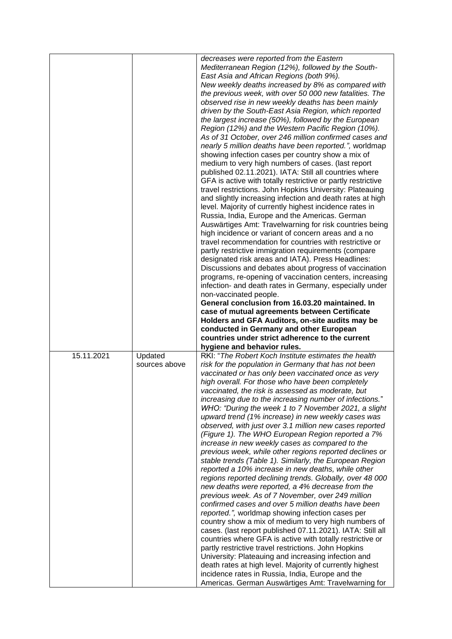|            |                          | decreases were reported from the Eastern<br>Mediterranean Region (12%), followed by the South-<br>East Asia and African Regions (both 9%).<br>New weekly deaths increased by 8% as compared with<br>the previous week, with over 50 000 new fatalities. The<br>observed rise in new weekly deaths has been mainly<br>driven by the South-East Asia Region, which reported<br>the largest increase (50%), followed by the European<br>Region (12%) and the Western Pacific Region (10%).<br>As of 31 October, over 246 million confirmed cases and<br>nearly 5 million deaths have been reported.", worldmap<br>showing infection cases per country show a mix of<br>medium to very high numbers of cases. (last report<br>published 02.11.2021). IATA: Still all countries where<br>GFA is active with totally restrictive or partly restrictive<br>travel restrictions. John Hopkins University: Plateauing<br>and slightly increasing infection and death rates at high<br>level. Majority of currently highest incidence rates in<br>Russia, India, Europe and the Americas. German<br>Auswärtiges Amt: Travelwarning for risk countries being<br>high incidence or variant of concern areas and a no<br>travel recommendation for countries with restrictive or<br>partly restrictive immigration requirements (compare<br>designated risk areas and IATA). Press Headlines:<br>Discussions and debates about progress of vaccination<br>programs, re-opening of vaccination centers, increasing<br>infection- and death rates in Germany, especially under<br>non-vaccinated people.<br>General conclusion from 16.03.20 maintained. In<br>case of mutual agreements between Certificate<br>Holders and GFA Auditors, on-site audits may be<br>conducted in Germany and other European<br>countries under strict adherence to the current |
|------------|--------------------------|------------------------------------------------------------------------------------------------------------------------------------------------------------------------------------------------------------------------------------------------------------------------------------------------------------------------------------------------------------------------------------------------------------------------------------------------------------------------------------------------------------------------------------------------------------------------------------------------------------------------------------------------------------------------------------------------------------------------------------------------------------------------------------------------------------------------------------------------------------------------------------------------------------------------------------------------------------------------------------------------------------------------------------------------------------------------------------------------------------------------------------------------------------------------------------------------------------------------------------------------------------------------------------------------------------------------------------------------------------------------------------------------------------------------------------------------------------------------------------------------------------------------------------------------------------------------------------------------------------------------------------------------------------------------------------------------------------------------------------------------------------------------------------------------------------------------------------------------|
| 15.11.2021 | Updated<br>sources above | hygiene and behavior rules.<br>RKI: "The Robert Koch Institute estimates the health<br>risk for the population in Germany that has not been<br>vaccinated or has only been vaccinated once as very<br>high overall. For those who have been completely<br>vaccinated, the risk is assessed as moderate, but<br>increasing due to the increasing number of infections."<br>WHO: "During the week 1 to 7 November 2021, a slight<br>upward trend (1% increase) in new weekly cases was<br>observed, with just over 3.1 million new cases reported<br>(Figure 1). The WHO European Region reported a 7%<br>increase in new weekly cases as compared to the<br>previous week, while other regions reported declines or<br>stable trends (Table 1). Similarly, the European Region<br>reported a 10% increase in new deaths, while other<br>regions reported declining trends. Globally, over 48 000<br>new deaths were reported, a 4% decrease from the<br>previous week. As of 7 November, over 249 million<br>confirmed cases and over 5 million deaths have been<br>reported.", worldmap showing infection cases per<br>country show a mix of medium to very high numbers of<br>cases. (last report published 07.11.2021). IATA: Still all<br>countries where GFA is active with totally restrictive or<br>partly restrictive travel restrictions. John Hopkins<br>University: Plateauing and increasing infection and<br>death rates at high level. Majority of currently highest<br>incidence rates in Russia, India, Europe and the<br>Americas. German Auswärtiges Amt: Travelwarning for                                                                                                                                                                                                                                                   |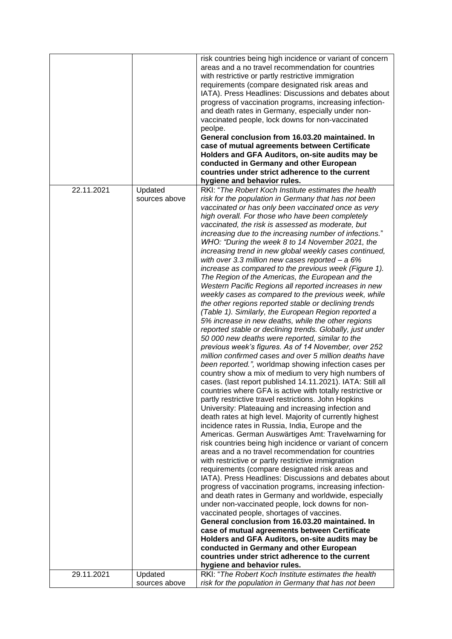|            |                          | risk countries being high incidence or variant of concern<br>areas and a no travel recommendation for countries<br>with restrictive or partly restrictive immigration<br>requirements (compare designated risk areas and<br>IATA). Press Headlines: Discussions and debates about<br>progress of vaccination programs, increasing infection-<br>and death rates in Germany, especially under non-<br>vaccinated people, lock downs for non-vaccinated<br>peolpe.<br>General conclusion from 16.03.20 maintained. In<br>case of mutual agreements between Certificate<br>Holders and GFA Auditors, on-site audits may be<br>conducted in Germany and other European<br>countries under strict adherence to the current<br>hygiene and behavior rules.                                                                                                                                                                                                                                                                                                                                                                                                                                                                                                                                                                                                                                                                                                                                                                                                                                                                                                                                                                                                                                                                                                                                                                                                                                                                                                                                                                                                                                                                                                                                                                                                                                                                                                                             |
|------------|--------------------------|----------------------------------------------------------------------------------------------------------------------------------------------------------------------------------------------------------------------------------------------------------------------------------------------------------------------------------------------------------------------------------------------------------------------------------------------------------------------------------------------------------------------------------------------------------------------------------------------------------------------------------------------------------------------------------------------------------------------------------------------------------------------------------------------------------------------------------------------------------------------------------------------------------------------------------------------------------------------------------------------------------------------------------------------------------------------------------------------------------------------------------------------------------------------------------------------------------------------------------------------------------------------------------------------------------------------------------------------------------------------------------------------------------------------------------------------------------------------------------------------------------------------------------------------------------------------------------------------------------------------------------------------------------------------------------------------------------------------------------------------------------------------------------------------------------------------------------------------------------------------------------------------------------------------------------------------------------------------------------------------------------------------------------------------------------------------------------------------------------------------------------------------------------------------------------------------------------------------------------------------------------------------------------------------------------------------------------------------------------------------------------------------------------------------------------------------------------------------------------|
| 22.11.2021 | Updated<br>sources above | RKI: "The Robert Koch Institute estimates the health<br>risk for the population in Germany that has not been<br>vaccinated or has only been vaccinated once as very<br>high overall. For those who have been completely<br>vaccinated, the risk is assessed as moderate, but<br>increasing due to the increasing number of infections."<br>WHO: "During the week 8 to 14 November 2021, the<br>increasing trend in new global weekly cases continued,<br>with over 3.3 million new cases reported $- a 6%$<br>increase as compared to the previous week (Figure 1).<br>The Region of the Americas, the European and the<br>Western Pacific Regions all reported increases in new<br>weekly cases as compared to the previous week, while<br>the other regions reported stable or declining trends<br>(Table 1). Similarly, the European Region reported a<br>5% increase in new deaths, while the other regions<br>reported stable or declining trends. Globally, just under<br>50 000 new deaths were reported, similar to the<br>previous week's figures. As of 14 November, over 252<br>million confirmed cases and over 5 million deaths have<br>been reported.", worldmap showing infection cases per<br>country show a mix of medium to very high numbers of<br>cases. (last report published 14.11.2021). IATA: Still all<br>countries where GFA is active with totally restrictive or<br>partly restrictive travel restrictions. John Hopkins<br>University: Plateauing and increasing infection and<br>death rates at high level. Majority of currently highest<br>incidence rates in Russia, India, Europe and the<br>Americas. German Auswärtiges Amt: Travelwarning for<br>risk countries being high incidence or variant of concern<br>areas and a no travel recommendation for countries<br>with restrictive or partly restrictive immigration<br>requirements (compare designated risk areas and<br>IATA). Press Headlines: Discussions and debates about<br>progress of vaccination programs, increasing infection-<br>and death rates in Germany and worldwide, especially<br>under non-vaccinated people, lock downs for non-<br>vaccinated people, shortages of vaccines.<br>General conclusion from 16.03.20 maintained. In<br>case of mutual agreements between Certificate<br>Holders and GFA Auditors, on-site audits may be<br>conducted in Germany and other European<br>countries under strict adherence to the current<br>hygiene and behavior rules. |
| 29.11.2021 | Updated<br>sources above | RKI: "The Robert Koch Institute estimates the health<br>risk for the population in Germany that has not been                                                                                                                                                                                                                                                                                                                                                                                                                                                                                                                                                                                                                                                                                                                                                                                                                                                                                                                                                                                                                                                                                                                                                                                                                                                                                                                                                                                                                                                                                                                                                                                                                                                                                                                                                                                                                                                                                                                                                                                                                                                                                                                                                                                                                                                                                                                                                                     |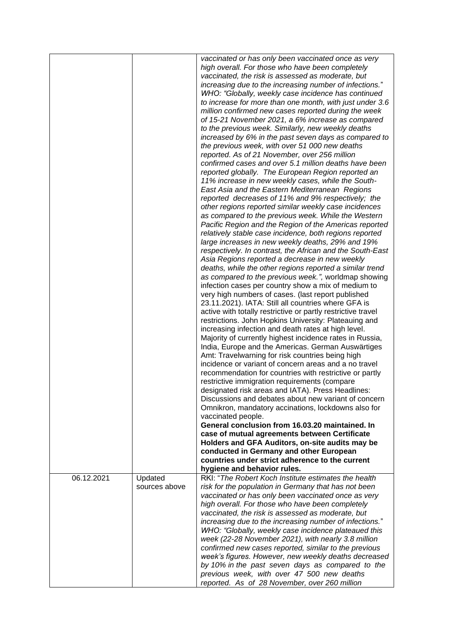|            |               | vaccinated or has only been vaccinated once as very          |
|------------|---------------|--------------------------------------------------------------|
|            |               | high overall. For those who have been completely             |
|            |               | vaccinated, the risk is assessed as moderate, but            |
|            |               | increasing due to the increasing number of infections."      |
|            |               | WHO: "Globally, weekly case incidence has continued          |
|            |               | to increase for more than one month, with just under 3.6     |
|            |               | million confirmed new cases reported during the week         |
|            |               | of 15-21 November 2021, a 6% increase as compared            |
|            |               | to the previous week. Similarly, new weekly deaths           |
|            |               | increased by 6% in the past seven days as compared to        |
|            |               | the previous week, with over 51 000 new deaths               |
|            |               | reported. As of 21 November, over 256 million                |
|            |               | confirmed cases and over 5.1 million deaths have been        |
|            |               | reported globally. The European Region reported an           |
|            |               | 11% increase in new weekly cases, while the South-           |
|            |               | East Asia and the Eastern Mediterranean Regions              |
|            |               | reported decreases of 11% and 9% respectively; the           |
|            |               |                                                              |
|            |               | other regions reported similar weekly case incidences        |
|            |               | as compared to the previous week. While the Western          |
|            |               | Pacific Region and the Region of the Americas reported       |
|            |               | relatively stable case incidence, both regions reported      |
|            |               | large increases in new weekly deaths, 29% and 19%            |
|            |               | respectively. In contrast, the African and the South-East    |
|            |               | Asia Regions reported a decrease in new weekly               |
|            |               | deaths, while the other regions reported a similar trend     |
|            |               | as compared to the previous week.", worldmap showing         |
|            |               | infection cases per country show a mix of medium to          |
|            |               | very high numbers of cases. (last report published           |
|            |               | 23.11.2021). IATA: Still all countries where GFA is          |
|            |               | active with totally restrictive or partly restrictive travel |
|            |               | restrictions. John Hopkins University: Plateauing and        |
|            |               | increasing infection and death rates at high level.          |
|            |               | Majority of currently highest incidence rates in Russia,     |
|            |               | India, Europe and the Americas. German Auswärtiges           |
|            |               | Amt: Travelwarning for risk countries being high             |
|            |               | incidence or variant of concern areas and a no travel        |
|            |               | recommendation for countries with restrictive or partly      |
|            |               | restrictive immigration requirements (compare                |
|            |               | designated risk areas and IATA). Press Headlines:            |
|            |               | Discussions and debates about new variant of concern         |
|            |               | Omnikron, mandatory accinations, lockdowns also for          |
|            |               | vaccinated people.                                           |
|            |               | General conclusion from 16.03.20 maintained. In              |
|            |               | case of mutual agreements between Certificate                |
|            |               | Holders and GFA Auditors, on-site audits may be              |
|            |               | conducted in Germany and other European                      |
|            |               | countries under strict adherence to the current              |
|            |               | hygiene and behavior rules.                                  |
| 06.12.2021 | Updated       | RKI: "The Robert Koch Institute estimates the health         |
|            | sources above | risk for the population in Germany that has not been         |
|            |               | vaccinated or has only been vaccinated once as very          |
|            |               | high overall. For those who have been completely             |
|            |               | vaccinated, the risk is assessed as moderate, but            |
|            |               | increasing due to the increasing number of infections."      |
|            |               | WHO: "Globally, weekly case incidence plateaued this         |
|            |               | week (22-28 November 2021), with nearly 3.8 million          |
|            |               | confirmed new cases reported, similar to the previous        |
|            |               | week's figures. However, new weekly deaths decreased         |
|            |               | by 10% in the past seven days as compared to the             |
|            |               |                                                              |
|            |               | previous week, with over 47 500 new deaths                   |
|            |               | reported. As of 28 November, over 260 million                |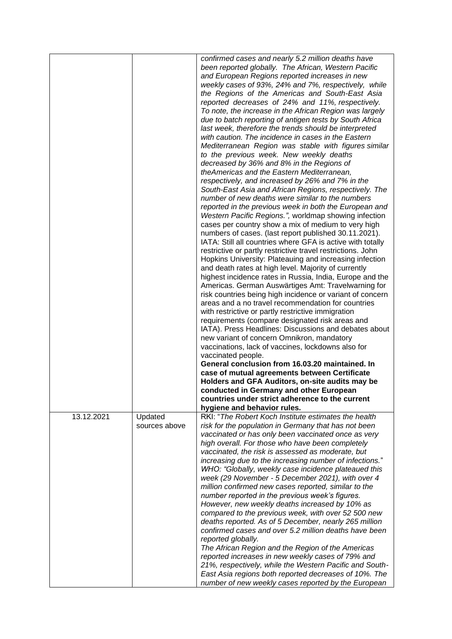|            |                          | confirmed cases and nearly 5.2 million deaths have<br>been reported globally. The African, Western Pacific<br>and European Regions reported increases in new<br>weekly cases of 93%, 24% and 7%, respectively, while<br>the Regions of the Americas and South-East Asia<br>reported decreases of 24% and 11%, respectively.<br>To note, the increase in the African Region was largely<br>due to batch reporting of antigen tests by South Africa<br>last week, therefore the trends should be interpreted<br>with caution. The incidence in cases in the Eastern<br>Mediterranean Region was stable with figures similar<br>to the previous week. New weekly deaths<br>decreased by 36% and 8% in the Regions of<br>theAmericas and the Eastern Mediterranean,<br>respectively, and increased by 26% and 7% in the<br>South-East Asia and African Regions, respectively. The<br>number of new deaths were similar to the numbers<br>reported in the previous week in both the European and<br>Western Pacific Regions.", worldmap showing infection<br>cases per country show a mix of medium to very high<br>numbers of cases. (last report published 30.11.2021).<br>IATA: Still all countries where GFA is active with totally<br>restrictive or partly restrictive travel restrictions. John<br>Hopkins University: Plateauing and increasing infection<br>and death rates at high level. Majority of currently<br>highest incidence rates in Russia, India, Europe and the<br>Americas. German Auswärtiges Amt: Travelwarning for<br>risk countries being high incidence or variant of concern<br>areas and a no travel recommendation for countries<br>with restrictive or partly restrictive immigration<br>requirements (compare designated risk areas and<br>IATA). Press Headlines: Discussions and debates about<br>new variant of concern Omnikron, mandatory<br>vaccinations, lack of vaccines, lockdowns also for<br>vaccinated people.<br>General conclusion from 16.03.20 maintained. In<br>case of mutual agreements between Certificate<br>Holders and GFA Auditors, on-site audits may be<br>conducted in Germany and other European<br>countries under strict adherence to the current |
|------------|--------------------------|-------------------------------------------------------------------------------------------------------------------------------------------------------------------------------------------------------------------------------------------------------------------------------------------------------------------------------------------------------------------------------------------------------------------------------------------------------------------------------------------------------------------------------------------------------------------------------------------------------------------------------------------------------------------------------------------------------------------------------------------------------------------------------------------------------------------------------------------------------------------------------------------------------------------------------------------------------------------------------------------------------------------------------------------------------------------------------------------------------------------------------------------------------------------------------------------------------------------------------------------------------------------------------------------------------------------------------------------------------------------------------------------------------------------------------------------------------------------------------------------------------------------------------------------------------------------------------------------------------------------------------------------------------------------------------------------------------------------------------------------------------------------------------------------------------------------------------------------------------------------------------------------------------------------------------------------------------------------------------------------------------------------------------------------------------------------------------------------------------------------------------------------------------------------------------------------------------------|
| 13.12.2021 | Updated<br>sources above | hygiene and behavior rules.<br>RKI: "The Robert Koch Institute estimates the health<br>risk for the population in Germany that has not been<br>vaccinated or has only been vaccinated once as very<br>high overall. For those who have been completely<br>vaccinated, the risk is assessed as moderate, but                                                                                                                                                                                                                                                                                                                                                                                                                                                                                                                                                                                                                                                                                                                                                                                                                                                                                                                                                                                                                                                                                                                                                                                                                                                                                                                                                                                                                                                                                                                                                                                                                                                                                                                                                                                                                                                                                                 |
|            |                          | increasing due to the increasing number of infections."<br>WHO: "Globally, weekly case incidence plateaued this<br>week (29 November - 5 December 2021), with over 4<br>million confirmed new cases reported, similar to the<br>number reported in the previous week's figures.                                                                                                                                                                                                                                                                                                                                                                                                                                                                                                                                                                                                                                                                                                                                                                                                                                                                                                                                                                                                                                                                                                                                                                                                                                                                                                                                                                                                                                                                                                                                                                                                                                                                                                                                                                                                                                                                                                                             |
|            |                          | However, new weekly deaths increased by 10% as<br>compared to the previous week, with over 52 500 new<br>deaths reported. As of 5 December, nearly 265 million<br>confirmed cases and over 5.2 million deaths have been                                                                                                                                                                                                                                                                                                                                                                                                                                                                                                                                                                                                                                                                                                                                                                                                                                                                                                                                                                                                                                                                                                                                                                                                                                                                                                                                                                                                                                                                                                                                                                                                                                                                                                                                                                                                                                                                                                                                                                                     |
|            |                          | reported globally.<br>The African Region and the Region of the Americas<br>reported increases in new weekly cases of 79% and                                                                                                                                                                                                                                                                                                                                                                                                                                                                                                                                                                                                                                                                                                                                                                                                                                                                                                                                                                                                                                                                                                                                                                                                                                                                                                                                                                                                                                                                                                                                                                                                                                                                                                                                                                                                                                                                                                                                                                                                                                                                                |
|            |                          | 21%, respectively, while the Western Pacific and South-<br>East Asia regions both reported decreases of 10%. The<br>number of new weekly cases reported by the European                                                                                                                                                                                                                                                                                                                                                                                                                                                                                                                                                                                                                                                                                                                                                                                                                                                                                                                                                                                                                                                                                                                                                                                                                                                                                                                                                                                                                                                                                                                                                                                                                                                                                                                                                                                                                                                                                                                                                                                                                                     |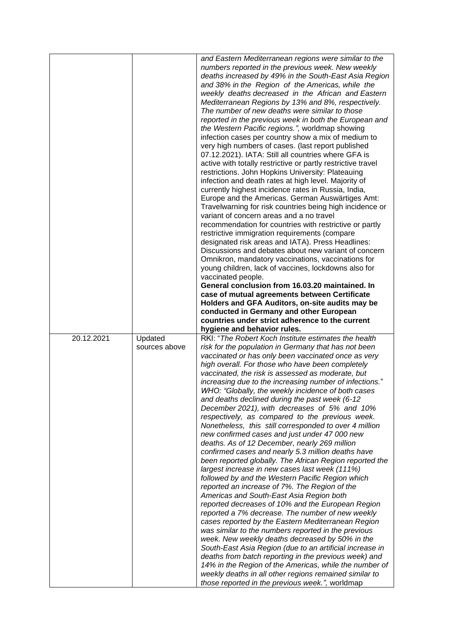|            |                          | and Eastern Mediterranean regions were similar to the<br>numbers reported in the previous week. New weekly<br>deaths increased by 49% in the South-East Asia Region<br>and 38% in the Region of the Americas, while the<br>weekly deaths decreased in the African and Eastern<br>Mediterranean Regions by 13% and 8%, respectively.<br>The number of new deaths were similar to those<br>reported in the previous week in both the European and<br>the Western Pacific regions.", worldmap showing<br>infection cases per country show a mix of medium to<br>very high numbers of cases. (last report published<br>07.12.2021). IATA: Still all countries where GFA is<br>active with totally restrictive or partly restrictive travel<br>restrictions. John Hopkins University: Plateauing<br>infection and death rates at high level. Majority of<br>currently highest incidence rates in Russia, India,<br>Europe and the Americas. German Auswärtiges Amt:<br>Travelwarning for risk countries being high incidence or<br>variant of concern areas and a no travel<br>recommendation for countries with restrictive or partly<br>restrictive immigration requirements (compare<br>designated risk areas and IATA). Press Headlines:<br>Discussions and debates about new variant of concern<br>Omnikron, mandatory vaccinations, vaccinations for<br>young children, lack of vaccines, lockdowns also for<br>vaccinated people.<br>General conclusion from 16.03.20 maintained. In<br>case of mutual agreements between Certificate<br>Holders and GFA Auditors, on-site audits may be              |
|------------|--------------------------|---------------------------------------------------------------------------------------------------------------------------------------------------------------------------------------------------------------------------------------------------------------------------------------------------------------------------------------------------------------------------------------------------------------------------------------------------------------------------------------------------------------------------------------------------------------------------------------------------------------------------------------------------------------------------------------------------------------------------------------------------------------------------------------------------------------------------------------------------------------------------------------------------------------------------------------------------------------------------------------------------------------------------------------------------------------------------------------------------------------------------------------------------------------------------------------------------------------------------------------------------------------------------------------------------------------------------------------------------------------------------------------------------------------------------------------------------------------------------------------------------------------------------------------------------------------------------------------------------------|
|            |                          | conducted in Germany and other European<br>countries under strict adherence to the current                                                                                                                                                                                                                                                                                                                                                                                                                                                                                                                                                                                                                                                                                                                                                                                                                                                                                                                                                                                                                                                                                                                                                                                                                                                                                                                                                                                                                                                                                                              |
|            |                          | hygiene and behavior rules.                                                                                                                                                                                                                                                                                                                                                                                                                                                                                                                                                                                                                                                                                                                                                                                                                                                                                                                                                                                                                                                                                                                                                                                                                                                                                                                                                                                                                                                                                                                                                                             |
| 20.12.2021 | Updated<br>sources above | RKI: "The Robert Koch Institute estimates the health<br>risk for the population in Germany that has not been<br>vaccinated or has only been vaccinated once as very<br>high overall. For those who have been completely<br>vaccinated, the risk is assessed as moderate, but<br>increasing due to the increasing number of infections."<br>WHO: "Globally, the weekly incidence of both cases<br>and deaths declined during the past week (6-12<br>December 2021), with decreases of 5% and 10%<br>respectively, as compared to the previous week.<br>Nonetheless, this still corresponded to over 4 million<br>new confirmed cases and just under 47 000 new<br>deaths. As of 12 December, nearly 269 million<br>confirmed cases and nearly 5.3 million deaths have<br>been reported globally. The African Region reported the<br>largest increase in new cases last week (111%)<br>followed by and the Western Pacific Region which<br>reported an increase of 7%. The Region of the<br>Americas and South-East Asia Region both<br>reported decreases of 10% and the European Region<br>reported a 7% decrease. The number of new weekly<br>cases reported by the Eastern Mediterranean Region<br>was similar to the numbers reported in the previous<br>week. New weekly deaths decreased by 50% in the<br>South-East Asia Region (due to an artificial increase in<br>deaths from batch reporting in the previous week) and<br>14% in the Region of the Americas, while the number of<br>weekly deaths in all other regions remained similar to<br>those reported in the previous week.", worldmap |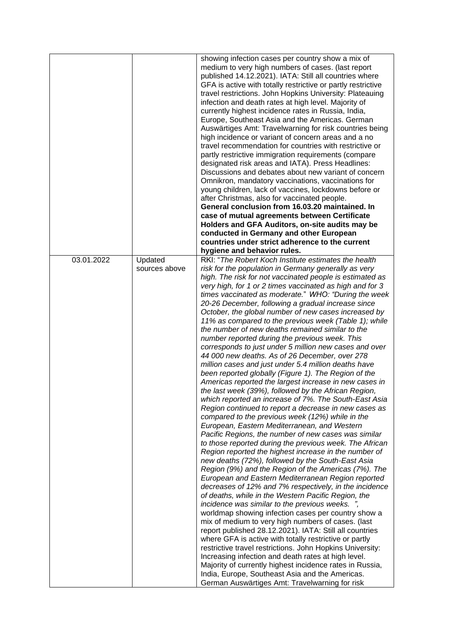|            |                          | showing infection cases per country show a mix of<br>medium to very high numbers of cases. (last report<br>published 14.12.2021). IATA: Still all countries where<br>GFA is active with totally restrictive or partly restrictive<br>travel restrictions. John Hopkins University: Plateauing<br>infection and death rates at high level. Majority of<br>currently highest incidence rates in Russia, India,<br>Europe, Southeast Asia and the Americas. German<br>Auswärtiges Amt: Travelwarning for risk countries being<br>high incidence or variant of concern areas and a no<br>travel recommendation for countries with restrictive or<br>partly restrictive immigration requirements (compare<br>designated risk areas and IATA). Press Headlines:<br>Discussions and debates about new variant of concern<br>Omnikron, mandatory vaccinations, vaccinations for<br>young children, lack of vaccines, lockdowns before or<br>after Christmas, also for vaccinated people.<br>General conclusion from 16.03.20 maintained. In<br>case of mutual agreements between Certificate<br>Holders and GFA Auditors, on-site audits may be                                                                                                                                                                                                                                                                                                                                                                                                                                                                                                                                                                                                                                                                                                                                                                                                                                                                                                                                                                                               |
|------------|--------------------------|---------------------------------------------------------------------------------------------------------------------------------------------------------------------------------------------------------------------------------------------------------------------------------------------------------------------------------------------------------------------------------------------------------------------------------------------------------------------------------------------------------------------------------------------------------------------------------------------------------------------------------------------------------------------------------------------------------------------------------------------------------------------------------------------------------------------------------------------------------------------------------------------------------------------------------------------------------------------------------------------------------------------------------------------------------------------------------------------------------------------------------------------------------------------------------------------------------------------------------------------------------------------------------------------------------------------------------------------------------------------------------------------------------------------------------------------------------------------------------------------------------------------------------------------------------------------------------------------------------------------------------------------------------------------------------------------------------------------------------------------------------------------------------------------------------------------------------------------------------------------------------------------------------------------------------------------------------------------------------------------------------------------------------------------------------------------------------------------------------------------------------------|
|            |                          | conducted in Germany and other European                                                                                                                                                                                                                                                                                                                                                                                                                                                                                                                                                                                                                                                                                                                                                                                                                                                                                                                                                                                                                                                                                                                                                                                                                                                                                                                                                                                                                                                                                                                                                                                                                                                                                                                                                                                                                                                                                                                                                                                                                                                                                               |
|            |                          | countries under strict adherence to the current                                                                                                                                                                                                                                                                                                                                                                                                                                                                                                                                                                                                                                                                                                                                                                                                                                                                                                                                                                                                                                                                                                                                                                                                                                                                                                                                                                                                                                                                                                                                                                                                                                                                                                                                                                                                                                                                                                                                                                                                                                                                                       |
|            |                          | hygiene and behavior rules.                                                                                                                                                                                                                                                                                                                                                                                                                                                                                                                                                                                                                                                                                                                                                                                                                                                                                                                                                                                                                                                                                                                                                                                                                                                                                                                                                                                                                                                                                                                                                                                                                                                                                                                                                                                                                                                                                                                                                                                                                                                                                                           |
| 03.01.2022 | Updated<br>sources above | RKI: "The Robert Koch Institute estimates the health<br>risk for the population in Germany generally as very<br>high. The risk for not vaccinated people is estimated as<br>very high, for 1 or 2 times vaccinated as high and for 3<br>times vaccinated as moderate." WHO: "During the week<br>20-26 December, following a gradual increase since<br>October, the global number of new cases increased by<br>11% as compared to the previous week (Table 1); while<br>the number of new deaths remained similar to the<br>number reported during the previous week. This<br>corresponds to just under 5 million new cases and over<br>44 000 new deaths. As of 26 December, over 278<br>million cases and just under 5.4 million deaths have<br>been reported globally (Figure 1). The Region of the<br>Americas reported the largest increase in new cases in<br>the last week (39%), followed by the African Region,<br>which reported an increase of 7%. The South-East Asia<br>Region continued to report a decrease in new cases as<br>compared to the previous week (12%) while in the<br>European, Eastern Mediterranean, and Western<br>Pacific Regions, the number of new cases was similar<br>to those reported during the previous week. The African<br>Region reported the highest increase in the number of<br>new deaths (72%), followed by the South-East Asia<br>Region (9%) and the Region of the Americas (7%). The<br>European and Eastern Mediterranean Region reported<br>decreases of 12% and 7% respectively, in the incidence<br>of deaths, while in the Western Pacific Region, the<br>incidence was similar to the previous weeks. ",<br>worldmap showing infection cases per country show a<br>mix of medium to very high numbers of cases. (last<br>report published 28.12.2021). IATA: Still all countries<br>where GFA is active with totally restrictive or partly<br>restrictive travel restrictions. John Hopkins University:<br>Increasing infection and death rates at high level.<br>Majority of currently highest incidence rates in Russia,<br>India, Europe, Southeast Asia and the Americas. |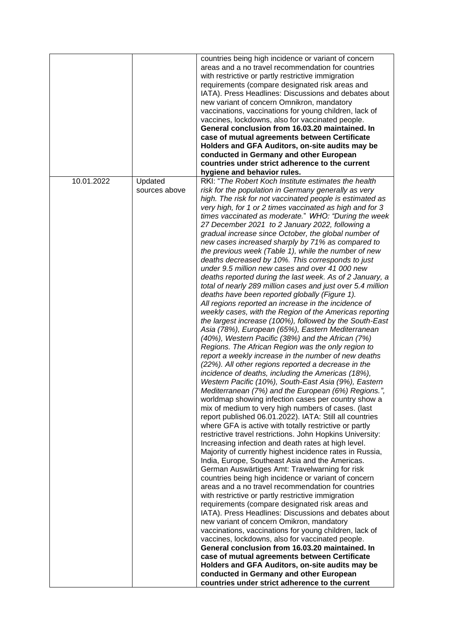|            |               | countries being high incidence or variant of concern<br>areas and a no travel recommendation for countries<br>with restrictive or partly restrictive immigration<br>requirements (compare designated risk areas and<br>IATA). Press Headlines: Discussions and debates about<br>new variant of concern Omnikron, mandatory<br>vaccinations, vaccinations for young children, lack of<br>vaccines, lockdowns, also for vaccinated people.<br>General conclusion from 16.03.20 maintained. In<br>case of mutual agreements between Certificate<br>Holders and GFA Auditors, on-site audits may be<br>conducted in Germany and other European<br>countries under strict adherence to the current<br>hygiene and behavior rules.                                                                                                                                                                                                                                                                                                                                                                                                                                                                                                                                                                                                                                                                                                                                                                                                                                                                                                                                                                                                                                                                                                                                                                                                                                                                                                                                                                                                                                                                                                                                                                                                                                                                                                                                                                                                                            |
|------------|---------------|---------------------------------------------------------------------------------------------------------------------------------------------------------------------------------------------------------------------------------------------------------------------------------------------------------------------------------------------------------------------------------------------------------------------------------------------------------------------------------------------------------------------------------------------------------------------------------------------------------------------------------------------------------------------------------------------------------------------------------------------------------------------------------------------------------------------------------------------------------------------------------------------------------------------------------------------------------------------------------------------------------------------------------------------------------------------------------------------------------------------------------------------------------------------------------------------------------------------------------------------------------------------------------------------------------------------------------------------------------------------------------------------------------------------------------------------------------------------------------------------------------------------------------------------------------------------------------------------------------------------------------------------------------------------------------------------------------------------------------------------------------------------------------------------------------------------------------------------------------------------------------------------------------------------------------------------------------------------------------------------------------------------------------------------------------------------------------------------------------------------------------------------------------------------------------------------------------------------------------------------------------------------------------------------------------------------------------------------------------------------------------------------------------------------------------------------------------------------------------------------------------------------------------------------------------|
| 10.01.2022 | Updated       | RKI: "The Robert Koch Institute estimates the health                                                                                                                                                                                                                                                                                                                                                                                                                                                                                                                                                                                                                                                                                                                                                                                                                                                                                                                                                                                                                                                                                                                                                                                                                                                                                                                                                                                                                                                                                                                                                                                                                                                                                                                                                                                                                                                                                                                                                                                                                                                                                                                                                                                                                                                                                                                                                                                                                                                                                                    |
|            | sources above | risk for the population in Germany generally as very<br>high. The risk for not vaccinated people is estimated as<br>very high, for 1 or 2 times vaccinated as high and for 3<br>times vaccinated as moderate." WHO: "During the week<br>27 December 2021 to 2 January 2022, following a<br>gradual increase since October, the global number of<br>new cases increased sharply by 71% as compared to<br>the previous week (Table 1), while the number of new<br>deaths decreased by 10%. This corresponds to just<br>under 9.5 million new cases and over 41 000 new<br>deaths reported during the last week. As of 2 January, a<br>total of nearly 289 million cases and just over 5.4 million<br>deaths have been reported globally (Figure 1).<br>All regions reported an increase in the incidence of<br>weekly cases, with the Region of the Americas reporting<br>the largest increase (100%), followed by the South-East<br>Asia (78%), European (65%), Eastern Mediterranean<br>(40%), Western Pacific (38%) and the African (7%)<br>Regions. The African Region was the only region to<br>report a weekly increase in the number of new deaths<br>(22%). All other regions reported a decrease in the<br>incidence of deaths, including the Americas (18%),<br>Western Pacific (10%), South-East Asia (9%), Eastern<br>Mediterranean (7%) and the European (6%) Regions.",<br>worldmap showing infection cases per country show a<br>mix of medium to very high numbers of cases. (last<br>report published 06.01.2022). IATA: Still all countries<br>where GFA is active with totally restrictive or partly<br>restrictive travel restrictions. John Hopkins University:<br>Increasing infection and death rates at high level.<br>Majority of currently highest incidence rates in Russia,<br>India, Europe, Southeast Asia and the Americas.<br>German Auswärtiges Amt: Travelwarning for risk<br>countries being high incidence or variant of concern<br>areas and a no travel recommendation for countries<br>with restrictive or partly restrictive immigration<br>requirements (compare designated risk areas and<br>IATA). Press Headlines: Discussions and debates about<br>new variant of concern Omikron, mandatory<br>vaccinations, vaccinations for young children, lack of<br>vaccines, lockdowns, also for vaccinated people.<br>General conclusion from 16.03.20 maintained. In<br>case of mutual agreements between Certificate<br>Holders and GFA Auditors, on-site audits may be<br>conducted in Germany and other European |
|            |               | countries under strict adherence to the current                                                                                                                                                                                                                                                                                                                                                                                                                                                                                                                                                                                                                                                                                                                                                                                                                                                                                                                                                                                                                                                                                                                                                                                                                                                                                                                                                                                                                                                                                                                                                                                                                                                                                                                                                                                                                                                                                                                                                                                                                                                                                                                                                                                                                                                                                                                                                                                                                                                                                                         |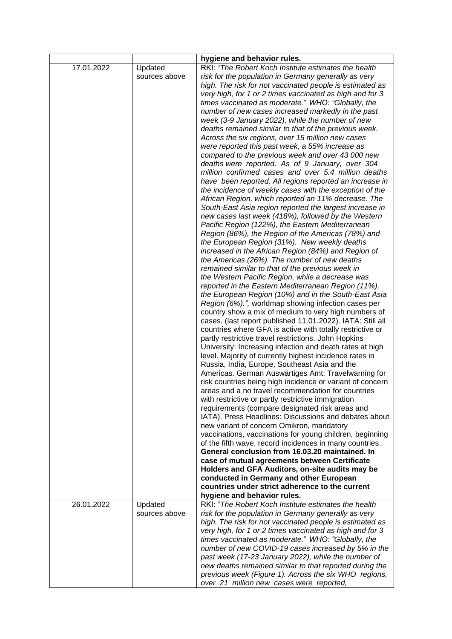|                          | hygiene and behavior rules.                                                                                                                                                                                                                                                                                                                                                                                                                                                                                                                                                                                                                                                                                                                                                                                                                                                                                                                                                                                                                                                                                                                                                                                                                                                                                                                                                                                                                                                                                                                                                                                                                                                                                                                                                                                                                                                                                                                                                                                                                                                                                                                                                                                                                                                                                                                                                                    |
|--------------------------|------------------------------------------------------------------------------------------------------------------------------------------------------------------------------------------------------------------------------------------------------------------------------------------------------------------------------------------------------------------------------------------------------------------------------------------------------------------------------------------------------------------------------------------------------------------------------------------------------------------------------------------------------------------------------------------------------------------------------------------------------------------------------------------------------------------------------------------------------------------------------------------------------------------------------------------------------------------------------------------------------------------------------------------------------------------------------------------------------------------------------------------------------------------------------------------------------------------------------------------------------------------------------------------------------------------------------------------------------------------------------------------------------------------------------------------------------------------------------------------------------------------------------------------------------------------------------------------------------------------------------------------------------------------------------------------------------------------------------------------------------------------------------------------------------------------------------------------------------------------------------------------------------------------------------------------------------------------------------------------------------------------------------------------------------------------------------------------------------------------------------------------------------------------------------------------------------------------------------------------------------------------------------------------------------------------------------------------------------------------------------------------------|
| Updated<br>sources above | RKI: "The Robert Koch Institute estimates the health<br>risk for the population in Germany generally as very<br>high. The risk for not vaccinated people is estimated as<br>very high, for 1 or 2 times vaccinated as high and for 3<br>times vaccinated as moderate." WHO: "Globally, the<br>number of new cases increased markedly in the past<br>week (3-9 January 2022), while the number of new<br>deaths remained similar to that of the previous week.<br>Across the six regions, over 15 million new cases<br>were reported this past week, a 55% increase as<br>compared to the previous week and over 43 000 new<br>deaths were reported. As of 9 January, over 304<br>million confirmed cases and over 5.4 million deaths<br>have been reported. All regions reported an increase in<br>the incidence of weekly cases with the exception of the<br>African Region, which reported an 11% decrease. The<br>South-East Asia region reported the largest increase in<br>new cases last week (418%), followed by the Western<br>Pacific Region (122%), the Eastern Mediterranean<br>Region (86%), the Region of the Americas (78%) and<br>the European Region (31%). New weekly deaths<br>increased in the African Region (84%) and Region of<br>the Americas (26%). The number of new deaths<br>remained similar to that of the previous week in<br>the Western Pacific Region, while a decrease was<br>reported in the Eastern Mediterranean Region (11%),<br>the European Region (10%) and in the South-East Asia<br>Region (6%).", worldmap showing infection cases per<br>country show a mix of medium to very high numbers of<br>cases. (last report published 11.01.2022). IATA: Still all<br>countries where GFA is active with totally restrictive or<br>partly restrictive travel restrictions. John Hopkins<br>University: Increasing infection and death rates at high<br>level. Majority of currently highest incidence rates in<br>Russia, India, Europe, Southeast Asia and the<br>Americas. German Auswärtiges Amt: Travelwarning for<br>risk countries being high incidence or variant of concern<br>areas and a no travel recommendation for countries<br>with restrictive or partly restrictive immigration<br>requirements (compare designated risk areas and<br>IATA). Press Headlines: Discussions and debates about<br>new variant of concern Omikron, mandatory |
|                          | vaccinations, vaccinations for young children, beginning<br>of the fifth wave, record incidences in many countries.                                                                                                                                                                                                                                                                                                                                                                                                                                                                                                                                                                                                                                                                                                                                                                                                                                                                                                                                                                                                                                                                                                                                                                                                                                                                                                                                                                                                                                                                                                                                                                                                                                                                                                                                                                                                                                                                                                                                                                                                                                                                                                                                                                                                                                                                            |
|                          | General conclusion from 16.03.20 maintained. In<br>case of mutual agreements between Certificate<br>Holders and GFA Auditors, on-site audits may be<br>conducted in Germany and other European                                                                                                                                                                                                                                                                                                                                                                                                                                                                                                                                                                                                                                                                                                                                                                                                                                                                                                                                                                                                                                                                                                                                                                                                                                                                                                                                                                                                                                                                                                                                                                                                                                                                                                                                                                                                                                                                                                                                                                                                                                                                                                                                                                                                 |
|                          | countries under strict adherence to the current                                                                                                                                                                                                                                                                                                                                                                                                                                                                                                                                                                                                                                                                                                                                                                                                                                                                                                                                                                                                                                                                                                                                                                                                                                                                                                                                                                                                                                                                                                                                                                                                                                                                                                                                                                                                                                                                                                                                                                                                                                                                                                                                                                                                                                                                                                                                                |
|                          | hygiene and behavior rules.<br>RKI: "The Robert Koch Institute estimates the health                                                                                                                                                                                                                                                                                                                                                                                                                                                                                                                                                                                                                                                                                                                                                                                                                                                                                                                                                                                                                                                                                                                                                                                                                                                                                                                                                                                                                                                                                                                                                                                                                                                                                                                                                                                                                                                                                                                                                                                                                                                                                                                                                                                                                                                                                                            |
| sources above            | risk for the population in Germany generally as very<br>high. The risk for not vaccinated people is estimated as<br>very high, for 1 or 2 times vaccinated as high and for 3<br>times vaccinated as moderate." WHO: "Globally, the<br>number of new COVID-19 cases increased by 5% in the<br>past week (17-23 January 2022), while the number of<br>new deaths remained similar to that reported during the<br>previous week (Figure 1). Across the six WHO regions,<br>over 21 million new cases were reported,                                                                                                                                                                                                                                                                                                                                                                                                                                                                                                                                                                                                                                                                                                                                                                                                                                                                                                                                                                                                                                                                                                                                                                                                                                                                                                                                                                                                                                                                                                                                                                                                                                                                                                                                                                                                                                                                               |
|                          | Updated                                                                                                                                                                                                                                                                                                                                                                                                                                                                                                                                                                                                                                                                                                                                                                                                                                                                                                                                                                                                                                                                                                                                                                                                                                                                                                                                                                                                                                                                                                                                                                                                                                                                                                                                                                                                                                                                                                                                                                                                                                                                                                                                                                                                                                                                                                                                                                                        |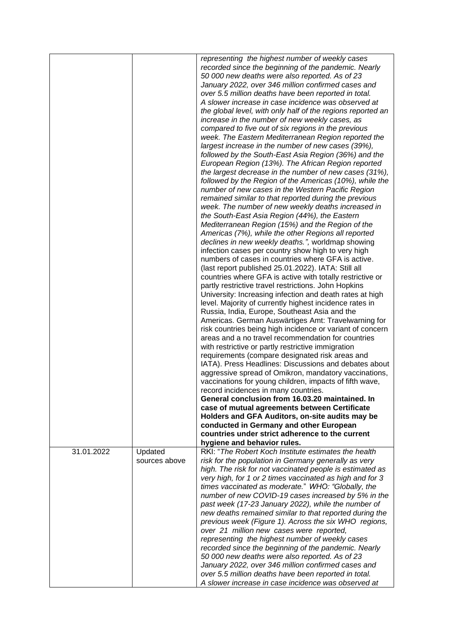|            |                          | representing the highest number of weekly cases<br>recorded since the beginning of the pandemic. Nearly<br>50 000 new deaths were also reported. As of 23<br>January 2022, over 346 million confirmed cases and<br>over 5.5 million deaths have been reported in total.<br>A slower increase in case incidence was observed at<br>the global level, with only half of the regions reported an<br>increase in the number of new weekly cases, as<br>compared to five out of six regions in the previous<br>week. The Eastern Mediterranean Region reported the<br>largest increase in the number of new cases (39%),<br>followed by the South-East Asia Region (36%) and the<br>European Region (13%). The African Region reported<br>the largest decrease in the number of new cases (31%),<br>followed by the Region of the Americas (10%), while the<br>number of new cases in the Western Pacific Region<br>remained similar to that reported during the previous<br>week. The number of new weekly deaths increased in<br>the South-East Asia Region (44%), the Eastern<br>Mediterranean Region (15%) and the Region of the<br>Americas (7%), while the other Regions all reported<br>declines in new weekly deaths.", worldmap showing<br>infection cases per country show high to very high<br>numbers of cases in countries where GFA is active.<br>(last report published 25.01.2022). IATA: Still all<br>countries where GFA is active with totally restrictive or<br>partly restrictive travel restrictions. John Hopkins<br>University: Increasing infection and death rates at high<br>level. Majority of currently highest incidence rates in<br>Russia, India, Europe, Southeast Asia and the<br>Americas. German Auswärtiges Amt: Travelwarning for<br>risk countries being high incidence or variant of concern<br>areas and a no travel recommendation for countries<br>with restrictive or partly restrictive immigration<br>requirements (compare designated risk areas and<br>IATA). Press Headlines: Discussions and debates about<br>aggressive spread of Omikron, mandatory vaccinations,<br>vaccinations for young children, impacts of fifth wave,<br>record incidences in many countries.<br>General conclusion from 16.03.20 maintained. In<br>case of mutual agreements between Certificate<br>Holders and GFA Auditors, on-site audits may be<br>conducted in Germany and other European<br>countries under strict adherence to the current |
|------------|--------------------------|--------------------------------------------------------------------------------------------------------------------------------------------------------------------------------------------------------------------------------------------------------------------------------------------------------------------------------------------------------------------------------------------------------------------------------------------------------------------------------------------------------------------------------------------------------------------------------------------------------------------------------------------------------------------------------------------------------------------------------------------------------------------------------------------------------------------------------------------------------------------------------------------------------------------------------------------------------------------------------------------------------------------------------------------------------------------------------------------------------------------------------------------------------------------------------------------------------------------------------------------------------------------------------------------------------------------------------------------------------------------------------------------------------------------------------------------------------------------------------------------------------------------------------------------------------------------------------------------------------------------------------------------------------------------------------------------------------------------------------------------------------------------------------------------------------------------------------------------------------------------------------------------------------------------------------------------------------------------------------------------------------------------------------------------------------------------------------------------------------------------------------------------------------------------------------------------------------------------------------------------------------------------------------------------------------------------------------------------------------------------------------------------------------------------------------------------------------------------------|
|            |                          | hygiene and behavior rules.                                                                                                                                                                                                                                                                                                                                                                                                                                                                                                                                                                                                                                                                                                                                                                                                                                                                                                                                                                                                                                                                                                                                                                                                                                                                                                                                                                                                                                                                                                                                                                                                                                                                                                                                                                                                                                                                                                                                                                                                                                                                                                                                                                                                                                                                                                                                                                                                                                              |
| 31.01.2022 | Updated<br>sources above | RKI: "The Robert Koch Institute estimates the health<br>risk for the population in Germany generally as very<br>high. The risk for not vaccinated people is estimated as<br>very high, for 1 or 2 times vaccinated as high and for 3<br>times vaccinated as moderate." WHO: "Globally, the<br>number of new COVID-19 cases increased by 5% in the<br>past week (17-23 January 2022), while the number of<br>new deaths remained similar to that reported during the<br>previous week (Figure 1). Across the six WHO regions,<br>over 21 million new cases were reported,<br>representing the highest number of weekly cases<br>recorded since the beginning of the pandemic. Nearly<br>50 000 new deaths were also reported. As of 23<br>January 2022, over 346 million confirmed cases and<br>over 5.5 million deaths have been reported in total.<br>A slower increase in case incidence was observed at                                                                                                                                                                                                                                                                                                                                                                                                                                                                                                                                                                                                                                                                                                                                                                                                                                                                                                                                                                                                                                                                                                                                                                                                                                                                                                                                                                                                                                                                                                                                                               |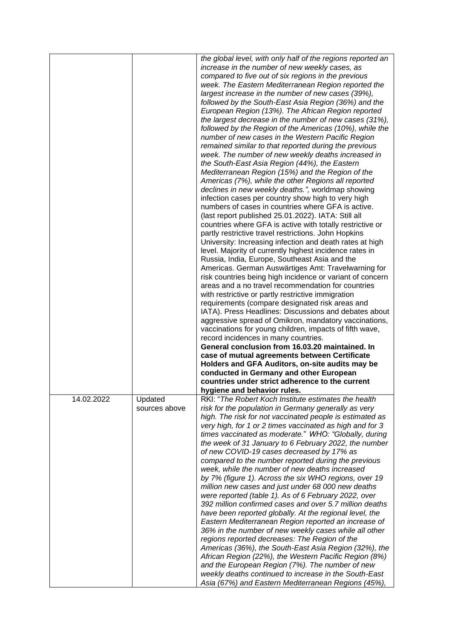|            |               | the global level, with only half of the regions reported an                                                  |
|------------|---------------|--------------------------------------------------------------------------------------------------------------|
|            |               | increase in the number of new weekly cases, as                                                               |
|            |               | compared to five out of six regions in the previous                                                          |
|            |               | week. The Eastern Mediterranean Region reported the                                                          |
|            |               | largest increase in the number of new cases (39%),                                                           |
|            |               | followed by the South-East Asia Region (36%) and the                                                         |
|            |               |                                                                                                              |
|            |               | European Region (13%). The African Region reported                                                           |
|            |               | the largest decrease in the number of new cases (31%),                                                       |
|            |               | followed by the Region of the Americas (10%), while the                                                      |
|            |               | number of new cases in the Western Pacific Region                                                            |
|            |               | remained similar to that reported during the previous                                                        |
|            |               | week. The number of new weekly deaths increased in                                                           |
|            |               |                                                                                                              |
|            |               | the South-East Asia Region (44%), the Eastern                                                                |
|            |               | Mediterranean Region (15%) and the Region of the                                                             |
|            |               | Americas (7%), while the other Regions all reported                                                          |
|            |               | declines in new weekly deaths.", worldmap showing                                                            |
|            |               | infection cases per country show high to very high                                                           |
|            |               | numbers of cases in countries where GFA is active.                                                           |
|            |               |                                                                                                              |
|            |               | (last report published 25.01.2022). IATA: Still all                                                          |
|            |               | countries where GFA is active with totally restrictive or                                                    |
|            |               | partly restrictive travel restrictions. John Hopkins                                                         |
|            |               | University: Increasing infection and death rates at high                                                     |
|            |               | level. Majority of currently highest incidence rates in                                                      |
|            |               | Russia, India, Europe, Southeast Asia and the                                                                |
|            |               |                                                                                                              |
|            |               | Americas. German Auswärtiges Amt: Travelwarning for                                                          |
|            |               | risk countries being high incidence or variant of concern                                                    |
|            |               | areas and a no travel recommendation for countries                                                           |
|            |               | with restrictive or partly restrictive immigration                                                           |
|            |               | requirements (compare designated risk areas and                                                              |
|            |               | IATA). Press Headlines: Discussions and debates about                                                        |
|            |               |                                                                                                              |
|            |               | aggressive spread of Omikron, mandatory vaccinations,                                                        |
|            |               |                                                                                                              |
|            |               | vaccinations for young children, impacts of fifth wave,                                                      |
|            |               | record incidences in many countries.                                                                         |
|            |               | General conclusion from 16.03.20 maintained. In                                                              |
|            |               |                                                                                                              |
|            |               | case of mutual agreements between Certificate                                                                |
|            |               | Holders and GFA Auditors, on-site audits may be                                                              |
|            |               | conducted in Germany and other European                                                                      |
|            |               | countries under strict adherence to the current                                                              |
|            |               | hygiene and behavior rules.                                                                                  |
| 14.02.2022 | Updated       | RKI: "The Robert Koch Institute estimates the health                                                         |
|            | sources above | risk for the population in Germany generally as very                                                         |
|            |               |                                                                                                              |
|            |               | high. The risk for not vaccinated people is estimated as                                                     |
|            |               | very high, for 1 or 2 times vaccinated as high and for 3                                                     |
|            |               | times vaccinated as moderate." WHO: "Globally, during                                                        |
|            |               | the week of 31 January to 6 February 2022, the number                                                        |
|            |               | of new COVID-19 cases decreased by 17% as                                                                    |
|            |               | compared to the number reported during the previous                                                          |
|            |               | week, while the number of new deaths increased                                                               |
|            |               |                                                                                                              |
|            |               | by 7% (figure 1). Across the six WHO regions, over 19                                                        |
|            |               | million new cases and just under 68 000 new deaths                                                           |
|            |               | were reported (table 1). As of 6 February 2022, over                                                         |
|            |               | 392 million confirmed cases and over 5.7 million deaths                                                      |
|            |               | have been reported globally. At the regional level, the                                                      |
|            |               | Eastern Mediterranean Region reported an increase of                                                         |
|            |               | 36% in the number of new weekly cases while all other                                                        |
|            |               | regions reported decreases: The Region of the                                                                |
|            |               |                                                                                                              |
|            |               | Americas (36%), the South-East Asia Region (32%), the                                                        |
|            |               | African Region (22%), the Western Pacific Region (8%)                                                        |
|            |               | and the European Region (7%). The number of new                                                              |
|            |               | weekly deaths continued to increase in the South-East<br>Asia (67%) and Eastern Mediterranean Regions (45%), |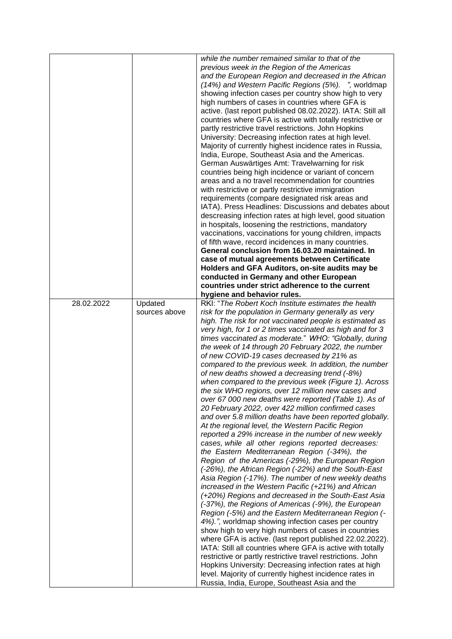|            |                          | while the number remained similar to that of the<br>previous week in the Region of the Americas<br>and the European Region and decreased in the African<br>(14%) and Western Pacific Regions (5%). ", worldmap<br>showing infection cases per country show high to very<br>high numbers of cases in countries where GFA is<br>active. (last report published 08.02.2022). IATA: Still all<br>countries where GFA is active with totally restrictive or<br>partly restrictive travel restrictions. John Hopkins<br>University: Decreasing infection rates at high level.<br>Majority of currently highest incidence rates in Russia,<br>India, Europe, Southeast Asia and the Americas.<br>German Auswärtiges Amt: Travelwarning for risk<br>countries being high incidence or variant of concern<br>areas and a no travel recommendation for countries<br>with restrictive or partly restrictive immigration<br>requirements (compare designated risk areas and<br>IATA). Press Headlines: Discussions and debates about<br>descreasing infection rates at high level, good situation<br>in hospitals, loosening the restrictions, mandatory<br>vaccinations, vaccinations for young children, impacts                                                                                                                                                                                                                                                                                                                                                                                                                                                                                                                                                                                                                                                  |
|------------|--------------------------|---------------------------------------------------------------------------------------------------------------------------------------------------------------------------------------------------------------------------------------------------------------------------------------------------------------------------------------------------------------------------------------------------------------------------------------------------------------------------------------------------------------------------------------------------------------------------------------------------------------------------------------------------------------------------------------------------------------------------------------------------------------------------------------------------------------------------------------------------------------------------------------------------------------------------------------------------------------------------------------------------------------------------------------------------------------------------------------------------------------------------------------------------------------------------------------------------------------------------------------------------------------------------------------------------------------------------------------------------------------------------------------------------------------------------------------------------------------------------------------------------------------------------------------------------------------------------------------------------------------------------------------------------------------------------------------------------------------------------------------------------------------------------------------------------------------------------------------------------------|
|            |                          | of fifth wave, record incidences in many countries.<br>General conclusion from 16.03.20 maintained. In                                                                                                                                                                                                                                                                                                                                                                                                                                                                                                                                                                                                                                                                                                                                                                                                                                                                                                                                                                                                                                                                                                                                                                                                                                                                                                                                                                                                                                                                                                                                                                                                                                                                                                                                                  |
|            |                          | case of mutual agreements between Certificate                                                                                                                                                                                                                                                                                                                                                                                                                                                                                                                                                                                                                                                                                                                                                                                                                                                                                                                                                                                                                                                                                                                                                                                                                                                                                                                                                                                                                                                                                                                                                                                                                                                                                                                                                                                                           |
|            |                          | Holders and GFA Auditors, on-site audits may be                                                                                                                                                                                                                                                                                                                                                                                                                                                                                                                                                                                                                                                                                                                                                                                                                                                                                                                                                                                                                                                                                                                                                                                                                                                                                                                                                                                                                                                                                                                                                                                                                                                                                                                                                                                                         |
|            |                          | conducted in Germany and other European                                                                                                                                                                                                                                                                                                                                                                                                                                                                                                                                                                                                                                                                                                                                                                                                                                                                                                                                                                                                                                                                                                                                                                                                                                                                                                                                                                                                                                                                                                                                                                                                                                                                                                                                                                                                                 |
|            |                          | countries under strict adherence to the current                                                                                                                                                                                                                                                                                                                                                                                                                                                                                                                                                                                                                                                                                                                                                                                                                                                                                                                                                                                                                                                                                                                                                                                                                                                                                                                                                                                                                                                                                                                                                                                                                                                                                                                                                                                                         |
|            |                          | hygiene and behavior rules.                                                                                                                                                                                                                                                                                                                                                                                                                                                                                                                                                                                                                                                                                                                                                                                                                                                                                                                                                                                                                                                                                                                                                                                                                                                                                                                                                                                                                                                                                                                                                                                                                                                                                                                                                                                                                             |
| 28.02.2022 | Updated<br>sources above | RKI: "The Robert Koch Institute estimates the health<br>risk for the population in Germany generally as very<br>high. The risk for not vaccinated people is estimated as<br>very high, for 1 or 2 times vaccinated as high and for 3<br>times vaccinated as moderate." WHO: "Globally, during<br>the week of 14 through 20 February 2022, the number<br>of new COVID-19 cases decreased by 21% as<br>compared to the previous week. In addition, the number<br>of new deaths showed a decreasing trend (-8%)<br>when compared to the previous week (Figure 1). Across<br>the six WHO regions, over 12 million new cases and<br>over 67 000 new deaths were reported (Table 1). As of<br>20 February 2022, over 422 million confirmed cases<br>and over 5.8 million deaths have been reported globally.<br>At the regional level, the Western Pacific Region<br>reported a 29% increase in the number of new weekly<br>cases, while all other regions reported decreases:<br>the Eastern Mediterranean Region (-34%), the<br>Region of the Americas (-29%), the European Region<br>(-26%), the African Region (-22%) and the South-East<br>Asia Region (-17%). The number of new weekly deaths<br>increased in the Western Pacific (+21%) and African<br>(+20%) Regions and decreased in the South-East Asia<br>(-37%), the Regions of Americas (-9%), the European<br>Region (-5%) and the Eastern Mediterranean Region (-<br>4%).", worldmap showing infection cases per country<br>show high to very high numbers of cases in countries<br>where GFA is active. (last report published 22.02.2022).<br>IATA: Still all countries where GFA is active with totally<br>restrictive or partly restrictive travel restrictions. John<br>Hopkins University: Decreasing infection rates at high<br>level. Majority of currently highest incidence rates in |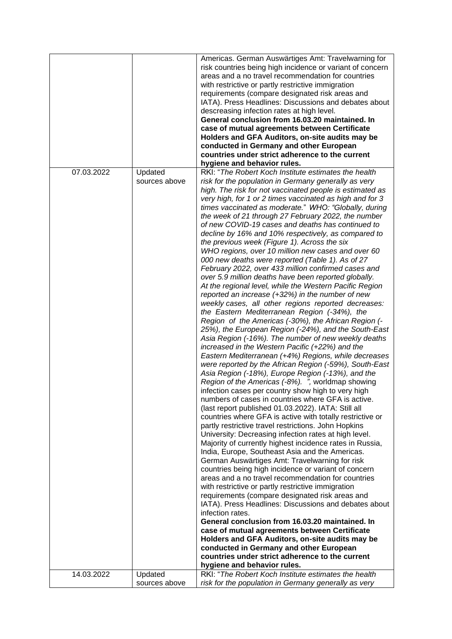|            |                          | Americas. German Auswärtiges Amt: Travelwarning for<br>risk countries being high incidence or variant of concern<br>areas and a no travel recommendation for countries<br>with restrictive or partly restrictive immigration<br>requirements (compare designated risk areas and                                                                                                                                                                                                                                                                                    |
|------------|--------------------------|--------------------------------------------------------------------------------------------------------------------------------------------------------------------------------------------------------------------------------------------------------------------------------------------------------------------------------------------------------------------------------------------------------------------------------------------------------------------------------------------------------------------------------------------------------------------|
|            |                          | IATA). Press Headlines: Discussions and debates about<br>descreasing infection rates at high level.<br>General conclusion from 16.03.20 maintained. In                                                                                                                                                                                                                                                                                                                                                                                                             |
|            |                          | case of mutual agreements between Certificate                                                                                                                                                                                                                                                                                                                                                                                                                                                                                                                      |
|            |                          | Holders and GFA Auditors, on-site audits may be                                                                                                                                                                                                                                                                                                                                                                                                                                                                                                                    |
|            |                          | conducted in Germany and other European                                                                                                                                                                                                                                                                                                                                                                                                                                                                                                                            |
|            |                          | countries under strict adherence to the current                                                                                                                                                                                                                                                                                                                                                                                                                                                                                                                    |
| 07.03.2022 | Updated                  | hygiene and behavior rules.<br>RKI: "The Robert Koch Institute estimates the health                                                                                                                                                                                                                                                                                                                                                                                                                                                                                |
|            |                          | risk for the population in Germany generally as very<br>high. The risk for not vaccinated people is estimated as<br>very high, for 1 or 2 times vaccinated as high and for 3<br>times vaccinated as moderate." WHO: "Globally, during<br>the week of 21 through 27 February 2022, the number<br>of new COVID-19 cases and deaths has continued to<br>decline by 16% and 10% respectively, as compared to<br>the previous week (Figure 1). Across the six<br>WHO regions, over 10 million new cases and over 60<br>000 new deaths were reported (Table 1). As of 27 |
|            |                          | February 2022, over 433 million confirmed cases and<br>over 5.9 million deaths have been reported globally.<br>At the regional level, while the Western Pacific Region<br>reported an increase $(+32%)$ in the number of new<br>weekly cases, all other regions reported decreases:<br>the Eastern Mediterranean Region (-34%), the<br>Region of the Americas (-30%), the African Region (-                                                                                                                                                                        |
|            |                          | 25%), the European Region (-24%), and the South-East<br>Asia Region (-16%). The number of new weekly deaths<br>increased in the Western Pacific (+22%) and the<br>Eastern Mediterranean (+4%) Regions, while decreases<br>were reported by the African Region (-59%), South-East<br>Asia Region (-18%), Europe Region (-13%), and the<br>Region of the Americas (-8%). ", worldmap showing<br>infection cases per country show high to very high<br>numbers of cases in countries where GFA is active.<br>(last report published 01.03.2022). IATA: Still all      |
|            |                          | countries where GFA is active with totally restrictive or<br>partly restrictive travel restrictions. John Hopkins<br>University: Decreasing infection rates at high level.<br>Majority of currently highest incidence rates in Russia,<br>India, Europe, Southeast Asia and the Americas.<br>German Auswärtiges Amt: Travelwarning for risk<br>countries being high incidence or variant of concern                                                                                                                                                                |
|            |                          | areas and a no travel recommendation for countries<br>with restrictive or partly restrictive immigration<br>requirements (compare designated risk areas and<br>IATA). Press Headlines: Discussions and debates about                                                                                                                                                                                                                                                                                                                                               |
|            |                          | infection rates.<br>General conclusion from 16.03.20 maintained. In                                                                                                                                                                                                                                                                                                                                                                                                                                                                                                |
|            |                          | case of mutual agreements between Certificate                                                                                                                                                                                                                                                                                                                                                                                                                                                                                                                      |
|            |                          | Holders and GFA Auditors, on-site audits may be                                                                                                                                                                                                                                                                                                                                                                                                                                                                                                                    |
|            |                          | conducted in Germany and other European                                                                                                                                                                                                                                                                                                                                                                                                                                                                                                                            |
|            |                          | countries under strict adherence to the current                                                                                                                                                                                                                                                                                                                                                                                                                                                                                                                    |
|            |                          | hygiene and behavior rules.                                                                                                                                                                                                                                                                                                                                                                                                                                                                                                                                        |
| 14.03.2022 | Updated<br>sources above | RKI: "The Robert Koch Institute estimates the health<br>risk for the population in Germany generally as very                                                                                                                                                                                                                                                                                                                                                                                                                                                       |
|            |                          |                                                                                                                                                                                                                                                                                                                                                                                                                                                                                                                                                                    |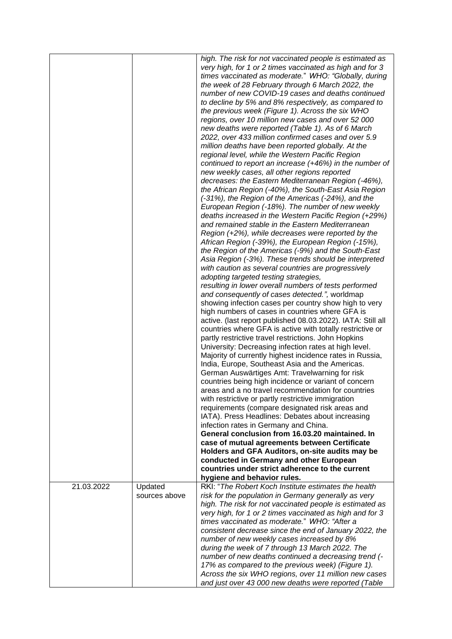| very high, for 1 or 2 times vaccinated as high and for 3<br>times vaccinated as moderate." WHO: "Globally, during<br>the week of 28 February through 6 March 2022, the<br>number of new COVID-19 cases and deaths continued<br>to decline by 5% and 8% respectively, as compared to<br>the previous week (Figure 1). Across the six WHO<br>regions, over 10 million new cases and over 52 000<br>new deaths were reported (Table 1). As of 6 March<br>2022, over 433 million confirmed cases and over 5.9<br>million deaths have been reported globally. At the<br>regional level, while the Western Pacific Region<br>continued to report an increase (+46%) in the number of<br>new weekly cases, all other regions reported<br>decreases: the Eastern Mediterranean Region (-46%),<br>the African Region (-40%), the South-East Asia Region<br>(-31%), the Region of the Americas (-24%), and the<br>European Region (-18%). The number of new weekly<br>deaths increased in the Western Pacific Region (+29%)<br>and remained stable in the Eastern Mediterranean<br>Region (+2%), while decreases were reported by the<br>African Region (-39%), the European Region (-15%),<br>the Region of the Americas (-9%) and the South-East<br>Asia Region (-3%). These trends should be interpreted<br>with caution as several countries are progressively<br>adopting targeted testing strategies,<br>resulting in lower overall numbers of tests performed<br>and consequently of cases detected.", worldmap<br>showing infection cases per country show high to very<br>high numbers of cases in countries where GFA is<br>active. (last report published 08.03.2022). IATA: Still all<br>countries where GFA is active with totally restrictive or<br>partly restrictive travel restrictions. John Hopkins<br>University: Decreasing infection rates at high level.<br>Majority of currently highest incidence rates in Russia,<br>India, Europe, Southeast Asia and the Americas.<br>German Auswärtiges Amt: Travelwarning for risk<br>countries being high incidence or variant of concern<br>areas and a no travel recommendation for countries<br>with restrictive or partly restrictive immigration<br>requirements (compare designated risk areas and<br>IATA). Press Headlines: Debates about increasing<br>infection rates in Germany and China.<br>General conclusion from 16.03.20 maintained. In<br>case of mutual agreements between Certificate<br>Holders and GFA Auditors, on-site audits may be<br>conducted in Germany and other European<br>countries under strict adherence to the current<br>hygiene and behavior rules.<br>21.03.2022<br>Updated<br>RKI: "The Robert Koch Institute estimates the health<br>sources above<br>risk for the population in Germany generally as very<br>high. The risk for not vaccinated people is estimated as<br>very high, for 1 or 2 times vaccinated as high and for 3<br>times vaccinated as moderate." WHO: "After a<br>consistent decrease since the end of January 2022, the<br>number of new weekly cases increased by 8%<br>during the week of 7 through 13 March 2022. The<br>number of new deaths continued a decreasing trend (-<br>17% as compared to the previous week) (Figure 1).<br>Across the six WHO regions, over 11 million new cases |  |                                                          |
|-------------------------------------------------------------------------------------------------------------------------------------------------------------------------------------------------------------------------------------------------------------------------------------------------------------------------------------------------------------------------------------------------------------------------------------------------------------------------------------------------------------------------------------------------------------------------------------------------------------------------------------------------------------------------------------------------------------------------------------------------------------------------------------------------------------------------------------------------------------------------------------------------------------------------------------------------------------------------------------------------------------------------------------------------------------------------------------------------------------------------------------------------------------------------------------------------------------------------------------------------------------------------------------------------------------------------------------------------------------------------------------------------------------------------------------------------------------------------------------------------------------------------------------------------------------------------------------------------------------------------------------------------------------------------------------------------------------------------------------------------------------------------------------------------------------------------------------------------------------------------------------------------------------------------------------------------------------------------------------------------------------------------------------------------------------------------------------------------------------------------------------------------------------------------------------------------------------------------------------------------------------------------------------------------------------------------------------------------------------------------------------------------------------------------------------------------------------------------------------------------------------------------------------------------------------------------------------------------------------------------------------------------------------------------------------------------------------------------------------------------------------------------------------------------------------------------------------------------------------------------------------------------------------------------------------------------------------------------------------------------------------------------------------------------------------------------------------------------------------------------------------------------------------------------------------------------------------------------------------------------------------------------------------------------------------------|--|----------------------------------------------------------|
|                                                                                                                                                                                                                                                                                                                                                                                                                                                                                                                                                                                                                                                                                                                                                                                                                                                                                                                                                                                                                                                                                                                                                                                                                                                                                                                                                                                                                                                                                                                                                                                                                                                                                                                                                                                                                                                                                                                                                                                                                                                                                                                                                                                                                                                                                                                                                                                                                                                                                                                                                                                                                                                                                                                                                                                                                                                                                                                                                                                                                                                                                                                                                                                                                                                                                                                   |  | high. The risk for not vaccinated people is estimated as |
|                                                                                                                                                                                                                                                                                                                                                                                                                                                                                                                                                                                                                                                                                                                                                                                                                                                                                                                                                                                                                                                                                                                                                                                                                                                                                                                                                                                                                                                                                                                                                                                                                                                                                                                                                                                                                                                                                                                                                                                                                                                                                                                                                                                                                                                                                                                                                                                                                                                                                                                                                                                                                                                                                                                                                                                                                                                                                                                                                                                                                                                                                                                                                                                                                                                                                                                   |  |                                                          |
|                                                                                                                                                                                                                                                                                                                                                                                                                                                                                                                                                                                                                                                                                                                                                                                                                                                                                                                                                                                                                                                                                                                                                                                                                                                                                                                                                                                                                                                                                                                                                                                                                                                                                                                                                                                                                                                                                                                                                                                                                                                                                                                                                                                                                                                                                                                                                                                                                                                                                                                                                                                                                                                                                                                                                                                                                                                                                                                                                                                                                                                                                                                                                                                                                                                                                                                   |  |                                                          |
|                                                                                                                                                                                                                                                                                                                                                                                                                                                                                                                                                                                                                                                                                                                                                                                                                                                                                                                                                                                                                                                                                                                                                                                                                                                                                                                                                                                                                                                                                                                                                                                                                                                                                                                                                                                                                                                                                                                                                                                                                                                                                                                                                                                                                                                                                                                                                                                                                                                                                                                                                                                                                                                                                                                                                                                                                                                                                                                                                                                                                                                                                                                                                                                                                                                                                                                   |  |                                                          |
|                                                                                                                                                                                                                                                                                                                                                                                                                                                                                                                                                                                                                                                                                                                                                                                                                                                                                                                                                                                                                                                                                                                                                                                                                                                                                                                                                                                                                                                                                                                                                                                                                                                                                                                                                                                                                                                                                                                                                                                                                                                                                                                                                                                                                                                                                                                                                                                                                                                                                                                                                                                                                                                                                                                                                                                                                                                                                                                                                                                                                                                                                                                                                                                                                                                                                                                   |  |                                                          |
|                                                                                                                                                                                                                                                                                                                                                                                                                                                                                                                                                                                                                                                                                                                                                                                                                                                                                                                                                                                                                                                                                                                                                                                                                                                                                                                                                                                                                                                                                                                                                                                                                                                                                                                                                                                                                                                                                                                                                                                                                                                                                                                                                                                                                                                                                                                                                                                                                                                                                                                                                                                                                                                                                                                                                                                                                                                                                                                                                                                                                                                                                                                                                                                                                                                                                                                   |  |                                                          |
|                                                                                                                                                                                                                                                                                                                                                                                                                                                                                                                                                                                                                                                                                                                                                                                                                                                                                                                                                                                                                                                                                                                                                                                                                                                                                                                                                                                                                                                                                                                                                                                                                                                                                                                                                                                                                                                                                                                                                                                                                                                                                                                                                                                                                                                                                                                                                                                                                                                                                                                                                                                                                                                                                                                                                                                                                                                                                                                                                                                                                                                                                                                                                                                                                                                                                                                   |  |                                                          |
|                                                                                                                                                                                                                                                                                                                                                                                                                                                                                                                                                                                                                                                                                                                                                                                                                                                                                                                                                                                                                                                                                                                                                                                                                                                                                                                                                                                                                                                                                                                                                                                                                                                                                                                                                                                                                                                                                                                                                                                                                                                                                                                                                                                                                                                                                                                                                                                                                                                                                                                                                                                                                                                                                                                                                                                                                                                                                                                                                                                                                                                                                                                                                                                                                                                                                                                   |  |                                                          |
|                                                                                                                                                                                                                                                                                                                                                                                                                                                                                                                                                                                                                                                                                                                                                                                                                                                                                                                                                                                                                                                                                                                                                                                                                                                                                                                                                                                                                                                                                                                                                                                                                                                                                                                                                                                                                                                                                                                                                                                                                                                                                                                                                                                                                                                                                                                                                                                                                                                                                                                                                                                                                                                                                                                                                                                                                                                                                                                                                                                                                                                                                                                                                                                                                                                                                                                   |  |                                                          |
|                                                                                                                                                                                                                                                                                                                                                                                                                                                                                                                                                                                                                                                                                                                                                                                                                                                                                                                                                                                                                                                                                                                                                                                                                                                                                                                                                                                                                                                                                                                                                                                                                                                                                                                                                                                                                                                                                                                                                                                                                                                                                                                                                                                                                                                                                                                                                                                                                                                                                                                                                                                                                                                                                                                                                                                                                                                                                                                                                                                                                                                                                                                                                                                                                                                                                                                   |  |                                                          |
|                                                                                                                                                                                                                                                                                                                                                                                                                                                                                                                                                                                                                                                                                                                                                                                                                                                                                                                                                                                                                                                                                                                                                                                                                                                                                                                                                                                                                                                                                                                                                                                                                                                                                                                                                                                                                                                                                                                                                                                                                                                                                                                                                                                                                                                                                                                                                                                                                                                                                                                                                                                                                                                                                                                                                                                                                                                                                                                                                                                                                                                                                                                                                                                                                                                                                                                   |  |                                                          |
|                                                                                                                                                                                                                                                                                                                                                                                                                                                                                                                                                                                                                                                                                                                                                                                                                                                                                                                                                                                                                                                                                                                                                                                                                                                                                                                                                                                                                                                                                                                                                                                                                                                                                                                                                                                                                                                                                                                                                                                                                                                                                                                                                                                                                                                                                                                                                                                                                                                                                                                                                                                                                                                                                                                                                                                                                                                                                                                                                                                                                                                                                                                                                                                                                                                                                                                   |  |                                                          |
|                                                                                                                                                                                                                                                                                                                                                                                                                                                                                                                                                                                                                                                                                                                                                                                                                                                                                                                                                                                                                                                                                                                                                                                                                                                                                                                                                                                                                                                                                                                                                                                                                                                                                                                                                                                                                                                                                                                                                                                                                                                                                                                                                                                                                                                                                                                                                                                                                                                                                                                                                                                                                                                                                                                                                                                                                                                                                                                                                                                                                                                                                                                                                                                                                                                                                                                   |  |                                                          |
|                                                                                                                                                                                                                                                                                                                                                                                                                                                                                                                                                                                                                                                                                                                                                                                                                                                                                                                                                                                                                                                                                                                                                                                                                                                                                                                                                                                                                                                                                                                                                                                                                                                                                                                                                                                                                                                                                                                                                                                                                                                                                                                                                                                                                                                                                                                                                                                                                                                                                                                                                                                                                                                                                                                                                                                                                                                                                                                                                                                                                                                                                                                                                                                                                                                                                                                   |  |                                                          |
|                                                                                                                                                                                                                                                                                                                                                                                                                                                                                                                                                                                                                                                                                                                                                                                                                                                                                                                                                                                                                                                                                                                                                                                                                                                                                                                                                                                                                                                                                                                                                                                                                                                                                                                                                                                                                                                                                                                                                                                                                                                                                                                                                                                                                                                                                                                                                                                                                                                                                                                                                                                                                                                                                                                                                                                                                                                                                                                                                                                                                                                                                                                                                                                                                                                                                                                   |  |                                                          |
|                                                                                                                                                                                                                                                                                                                                                                                                                                                                                                                                                                                                                                                                                                                                                                                                                                                                                                                                                                                                                                                                                                                                                                                                                                                                                                                                                                                                                                                                                                                                                                                                                                                                                                                                                                                                                                                                                                                                                                                                                                                                                                                                                                                                                                                                                                                                                                                                                                                                                                                                                                                                                                                                                                                                                                                                                                                                                                                                                                                                                                                                                                                                                                                                                                                                                                                   |  |                                                          |
|                                                                                                                                                                                                                                                                                                                                                                                                                                                                                                                                                                                                                                                                                                                                                                                                                                                                                                                                                                                                                                                                                                                                                                                                                                                                                                                                                                                                                                                                                                                                                                                                                                                                                                                                                                                                                                                                                                                                                                                                                                                                                                                                                                                                                                                                                                                                                                                                                                                                                                                                                                                                                                                                                                                                                                                                                                                                                                                                                                                                                                                                                                                                                                                                                                                                                                                   |  |                                                          |
|                                                                                                                                                                                                                                                                                                                                                                                                                                                                                                                                                                                                                                                                                                                                                                                                                                                                                                                                                                                                                                                                                                                                                                                                                                                                                                                                                                                                                                                                                                                                                                                                                                                                                                                                                                                                                                                                                                                                                                                                                                                                                                                                                                                                                                                                                                                                                                                                                                                                                                                                                                                                                                                                                                                                                                                                                                                                                                                                                                                                                                                                                                                                                                                                                                                                                                                   |  |                                                          |
|                                                                                                                                                                                                                                                                                                                                                                                                                                                                                                                                                                                                                                                                                                                                                                                                                                                                                                                                                                                                                                                                                                                                                                                                                                                                                                                                                                                                                                                                                                                                                                                                                                                                                                                                                                                                                                                                                                                                                                                                                                                                                                                                                                                                                                                                                                                                                                                                                                                                                                                                                                                                                                                                                                                                                                                                                                                                                                                                                                                                                                                                                                                                                                                                                                                                                                                   |  |                                                          |
|                                                                                                                                                                                                                                                                                                                                                                                                                                                                                                                                                                                                                                                                                                                                                                                                                                                                                                                                                                                                                                                                                                                                                                                                                                                                                                                                                                                                                                                                                                                                                                                                                                                                                                                                                                                                                                                                                                                                                                                                                                                                                                                                                                                                                                                                                                                                                                                                                                                                                                                                                                                                                                                                                                                                                                                                                                                                                                                                                                                                                                                                                                                                                                                                                                                                                                                   |  |                                                          |
|                                                                                                                                                                                                                                                                                                                                                                                                                                                                                                                                                                                                                                                                                                                                                                                                                                                                                                                                                                                                                                                                                                                                                                                                                                                                                                                                                                                                                                                                                                                                                                                                                                                                                                                                                                                                                                                                                                                                                                                                                                                                                                                                                                                                                                                                                                                                                                                                                                                                                                                                                                                                                                                                                                                                                                                                                                                                                                                                                                                                                                                                                                                                                                                                                                                                                                                   |  |                                                          |
|                                                                                                                                                                                                                                                                                                                                                                                                                                                                                                                                                                                                                                                                                                                                                                                                                                                                                                                                                                                                                                                                                                                                                                                                                                                                                                                                                                                                                                                                                                                                                                                                                                                                                                                                                                                                                                                                                                                                                                                                                                                                                                                                                                                                                                                                                                                                                                                                                                                                                                                                                                                                                                                                                                                                                                                                                                                                                                                                                                                                                                                                                                                                                                                                                                                                                                                   |  |                                                          |
|                                                                                                                                                                                                                                                                                                                                                                                                                                                                                                                                                                                                                                                                                                                                                                                                                                                                                                                                                                                                                                                                                                                                                                                                                                                                                                                                                                                                                                                                                                                                                                                                                                                                                                                                                                                                                                                                                                                                                                                                                                                                                                                                                                                                                                                                                                                                                                                                                                                                                                                                                                                                                                                                                                                                                                                                                                                                                                                                                                                                                                                                                                                                                                                                                                                                                                                   |  |                                                          |
|                                                                                                                                                                                                                                                                                                                                                                                                                                                                                                                                                                                                                                                                                                                                                                                                                                                                                                                                                                                                                                                                                                                                                                                                                                                                                                                                                                                                                                                                                                                                                                                                                                                                                                                                                                                                                                                                                                                                                                                                                                                                                                                                                                                                                                                                                                                                                                                                                                                                                                                                                                                                                                                                                                                                                                                                                                                                                                                                                                                                                                                                                                                                                                                                                                                                                                                   |  |                                                          |
|                                                                                                                                                                                                                                                                                                                                                                                                                                                                                                                                                                                                                                                                                                                                                                                                                                                                                                                                                                                                                                                                                                                                                                                                                                                                                                                                                                                                                                                                                                                                                                                                                                                                                                                                                                                                                                                                                                                                                                                                                                                                                                                                                                                                                                                                                                                                                                                                                                                                                                                                                                                                                                                                                                                                                                                                                                                                                                                                                                                                                                                                                                                                                                                                                                                                                                                   |  |                                                          |
|                                                                                                                                                                                                                                                                                                                                                                                                                                                                                                                                                                                                                                                                                                                                                                                                                                                                                                                                                                                                                                                                                                                                                                                                                                                                                                                                                                                                                                                                                                                                                                                                                                                                                                                                                                                                                                                                                                                                                                                                                                                                                                                                                                                                                                                                                                                                                                                                                                                                                                                                                                                                                                                                                                                                                                                                                                                                                                                                                                                                                                                                                                                                                                                                                                                                                                                   |  |                                                          |
|                                                                                                                                                                                                                                                                                                                                                                                                                                                                                                                                                                                                                                                                                                                                                                                                                                                                                                                                                                                                                                                                                                                                                                                                                                                                                                                                                                                                                                                                                                                                                                                                                                                                                                                                                                                                                                                                                                                                                                                                                                                                                                                                                                                                                                                                                                                                                                                                                                                                                                                                                                                                                                                                                                                                                                                                                                                                                                                                                                                                                                                                                                                                                                                                                                                                                                                   |  |                                                          |
|                                                                                                                                                                                                                                                                                                                                                                                                                                                                                                                                                                                                                                                                                                                                                                                                                                                                                                                                                                                                                                                                                                                                                                                                                                                                                                                                                                                                                                                                                                                                                                                                                                                                                                                                                                                                                                                                                                                                                                                                                                                                                                                                                                                                                                                                                                                                                                                                                                                                                                                                                                                                                                                                                                                                                                                                                                                                                                                                                                                                                                                                                                                                                                                                                                                                                                                   |  |                                                          |
|                                                                                                                                                                                                                                                                                                                                                                                                                                                                                                                                                                                                                                                                                                                                                                                                                                                                                                                                                                                                                                                                                                                                                                                                                                                                                                                                                                                                                                                                                                                                                                                                                                                                                                                                                                                                                                                                                                                                                                                                                                                                                                                                                                                                                                                                                                                                                                                                                                                                                                                                                                                                                                                                                                                                                                                                                                                                                                                                                                                                                                                                                                                                                                                                                                                                                                                   |  |                                                          |
|                                                                                                                                                                                                                                                                                                                                                                                                                                                                                                                                                                                                                                                                                                                                                                                                                                                                                                                                                                                                                                                                                                                                                                                                                                                                                                                                                                                                                                                                                                                                                                                                                                                                                                                                                                                                                                                                                                                                                                                                                                                                                                                                                                                                                                                                                                                                                                                                                                                                                                                                                                                                                                                                                                                                                                                                                                                                                                                                                                                                                                                                                                                                                                                                                                                                                                                   |  |                                                          |
|                                                                                                                                                                                                                                                                                                                                                                                                                                                                                                                                                                                                                                                                                                                                                                                                                                                                                                                                                                                                                                                                                                                                                                                                                                                                                                                                                                                                                                                                                                                                                                                                                                                                                                                                                                                                                                                                                                                                                                                                                                                                                                                                                                                                                                                                                                                                                                                                                                                                                                                                                                                                                                                                                                                                                                                                                                                                                                                                                                                                                                                                                                                                                                                                                                                                                                                   |  |                                                          |
|                                                                                                                                                                                                                                                                                                                                                                                                                                                                                                                                                                                                                                                                                                                                                                                                                                                                                                                                                                                                                                                                                                                                                                                                                                                                                                                                                                                                                                                                                                                                                                                                                                                                                                                                                                                                                                                                                                                                                                                                                                                                                                                                                                                                                                                                                                                                                                                                                                                                                                                                                                                                                                                                                                                                                                                                                                                                                                                                                                                                                                                                                                                                                                                                                                                                                                                   |  |                                                          |
|                                                                                                                                                                                                                                                                                                                                                                                                                                                                                                                                                                                                                                                                                                                                                                                                                                                                                                                                                                                                                                                                                                                                                                                                                                                                                                                                                                                                                                                                                                                                                                                                                                                                                                                                                                                                                                                                                                                                                                                                                                                                                                                                                                                                                                                                                                                                                                                                                                                                                                                                                                                                                                                                                                                                                                                                                                                                                                                                                                                                                                                                                                                                                                                                                                                                                                                   |  |                                                          |
|                                                                                                                                                                                                                                                                                                                                                                                                                                                                                                                                                                                                                                                                                                                                                                                                                                                                                                                                                                                                                                                                                                                                                                                                                                                                                                                                                                                                                                                                                                                                                                                                                                                                                                                                                                                                                                                                                                                                                                                                                                                                                                                                                                                                                                                                                                                                                                                                                                                                                                                                                                                                                                                                                                                                                                                                                                                                                                                                                                                                                                                                                                                                                                                                                                                                                                                   |  |                                                          |
|                                                                                                                                                                                                                                                                                                                                                                                                                                                                                                                                                                                                                                                                                                                                                                                                                                                                                                                                                                                                                                                                                                                                                                                                                                                                                                                                                                                                                                                                                                                                                                                                                                                                                                                                                                                                                                                                                                                                                                                                                                                                                                                                                                                                                                                                                                                                                                                                                                                                                                                                                                                                                                                                                                                                                                                                                                                                                                                                                                                                                                                                                                                                                                                                                                                                                                                   |  |                                                          |
|                                                                                                                                                                                                                                                                                                                                                                                                                                                                                                                                                                                                                                                                                                                                                                                                                                                                                                                                                                                                                                                                                                                                                                                                                                                                                                                                                                                                                                                                                                                                                                                                                                                                                                                                                                                                                                                                                                                                                                                                                                                                                                                                                                                                                                                                                                                                                                                                                                                                                                                                                                                                                                                                                                                                                                                                                                                                                                                                                                                                                                                                                                                                                                                                                                                                                                                   |  |                                                          |
|                                                                                                                                                                                                                                                                                                                                                                                                                                                                                                                                                                                                                                                                                                                                                                                                                                                                                                                                                                                                                                                                                                                                                                                                                                                                                                                                                                                                                                                                                                                                                                                                                                                                                                                                                                                                                                                                                                                                                                                                                                                                                                                                                                                                                                                                                                                                                                                                                                                                                                                                                                                                                                                                                                                                                                                                                                                                                                                                                                                                                                                                                                                                                                                                                                                                                                                   |  |                                                          |
|                                                                                                                                                                                                                                                                                                                                                                                                                                                                                                                                                                                                                                                                                                                                                                                                                                                                                                                                                                                                                                                                                                                                                                                                                                                                                                                                                                                                                                                                                                                                                                                                                                                                                                                                                                                                                                                                                                                                                                                                                                                                                                                                                                                                                                                                                                                                                                                                                                                                                                                                                                                                                                                                                                                                                                                                                                                                                                                                                                                                                                                                                                                                                                                                                                                                                                                   |  |                                                          |
|                                                                                                                                                                                                                                                                                                                                                                                                                                                                                                                                                                                                                                                                                                                                                                                                                                                                                                                                                                                                                                                                                                                                                                                                                                                                                                                                                                                                                                                                                                                                                                                                                                                                                                                                                                                                                                                                                                                                                                                                                                                                                                                                                                                                                                                                                                                                                                                                                                                                                                                                                                                                                                                                                                                                                                                                                                                                                                                                                                                                                                                                                                                                                                                                                                                                                                                   |  |                                                          |
|                                                                                                                                                                                                                                                                                                                                                                                                                                                                                                                                                                                                                                                                                                                                                                                                                                                                                                                                                                                                                                                                                                                                                                                                                                                                                                                                                                                                                                                                                                                                                                                                                                                                                                                                                                                                                                                                                                                                                                                                                                                                                                                                                                                                                                                                                                                                                                                                                                                                                                                                                                                                                                                                                                                                                                                                                                                                                                                                                                                                                                                                                                                                                                                                                                                                                                                   |  |                                                          |
|                                                                                                                                                                                                                                                                                                                                                                                                                                                                                                                                                                                                                                                                                                                                                                                                                                                                                                                                                                                                                                                                                                                                                                                                                                                                                                                                                                                                                                                                                                                                                                                                                                                                                                                                                                                                                                                                                                                                                                                                                                                                                                                                                                                                                                                                                                                                                                                                                                                                                                                                                                                                                                                                                                                                                                                                                                                                                                                                                                                                                                                                                                                                                                                                                                                                                                                   |  |                                                          |
|                                                                                                                                                                                                                                                                                                                                                                                                                                                                                                                                                                                                                                                                                                                                                                                                                                                                                                                                                                                                                                                                                                                                                                                                                                                                                                                                                                                                                                                                                                                                                                                                                                                                                                                                                                                                                                                                                                                                                                                                                                                                                                                                                                                                                                                                                                                                                                                                                                                                                                                                                                                                                                                                                                                                                                                                                                                                                                                                                                                                                                                                                                                                                                                                                                                                                                                   |  |                                                          |
|                                                                                                                                                                                                                                                                                                                                                                                                                                                                                                                                                                                                                                                                                                                                                                                                                                                                                                                                                                                                                                                                                                                                                                                                                                                                                                                                                                                                                                                                                                                                                                                                                                                                                                                                                                                                                                                                                                                                                                                                                                                                                                                                                                                                                                                                                                                                                                                                                                                                                                                                                                                                                                                                                                                                                                                                                                                                                                                                                                                                                                                                                                                                                                                                                                                                                                                   |  |                                                          |
|                                                                                                                                                                                                                                                                                                                                                                                                                                                                                                                                                                                                                                                                                                                                                                                                                                                                                                                                                                                                                                                                                                                                                                                                                                                                                                                                                                                                                                                                                                                                                                                                                                                                                                                                                                                                                                                                                                                                                                                                                                                                                                                                                                                                                                                                                                                                                                                                                                                                                                                                                                                                                                                                                                                                                                                                                                                                                                                                                                                                                                                                                                                                                                                                                                                                                                                   |  |                                                          |
|                                                                                                                                                                                                                                                                                                                                                                                                                                                                                                                                                                                                                                                                                                                                                                                                                                                                                                                                                                                                                                                                                                                                                                                                                                                                                                                                                                                                                                                                                                                                                                                                                                                                                                                                                                                                                                                                                                                                                                                                                                                                                                                                                                                                                                                                                                                                                                                                                                                                                                                                                                                                                                                                                                                                                                                                                                                                                                                                                                                                                                                                                                                                                                                                                                                                                                                   |  |                                                          |
|                                                                                                                                                                                                                                                                                                                                                                                                                                                                                                                                                                                                                                                                                                                                                                                                                                                                                                                                                                                                                                                                                                                                                                                                                                                                                                                                                                                                                                                                                                                                                                                                                                                                                                                                                                                                                                                                                                                                                                                                                                                                                                                                                                                                                                                                                                                                                                                                                                                                                                                                                                                                                                                                                                                                                                                                                                                                                                                                                                                                                                                                                                                                                                                                                                                                                                                   |  |                                                          |
|                                                                                                                                                                                                                                                                                                                                                                                                                                                                                                                                                                                                                                                                                                                                                                                                                                                                                                                                                                                                                                                                                                                                                                                                                                                                                                                                                                                                                                                                                                                                                                                                                                                                                                                                                                                                                                                                                                                                                                                                                                                                                                                                                                                                                                                                                                                                                                                                                                                                                                                                                                                                                                                                                                                                                                                                                                                                                                                                                                                                                                                                                                                                                                                                                                                                                                                   |  |                                                          |
|                                                                                                                                                                                                                                                                                                                                                                                                                                                                                                                                                                                                                                                                                                                                                                                                                                                                                                                                                                                                                                                                                                                                                                                                                                                                                                                                                                                                                                                                                                                                                                                                                                                                                                                                                                                                                                                                                                                                                                                                                                                                                                                                                                                                                                                                                                                                                                                                                                                                                                                                                                                                                                                                                                                                                                                                                                                                                                                                                                                                                                                                                                                                                                                                                                                                                                                   |  |                                                          |
|                                                                                                                                                                                                                                                                                                                                                                                                                                                                                                                                                                                                                                                                                                                                                                                                                                                                                                                                                                                                                                                                                                                                                                                                                                                                                                                                                                                                                                                                                                                                                                                                                                                                                                                                                                                                                                                                                                                                                                                                                                                                                                                                                                                                                                                                                                                                                                                                                                                                                                                                                                                                                                                                                                                                                                                                                                                                                                                                                                                                                                                                                                                                                                                                                                                                                                                   |  |                                                          |
|                                                                                                                                                                                                                                                                                                                                                                                                                                                                                                                                                                                                                                                                                                                                                                                                                                                                                                                                                                                                                                                                                                                                                                                                                                                                                                                                                                                                                                                                                                                                                                                                                                                                                                                                                                                                                                                                                                                                                                                                                                                                                                                                                                                                                                                                                                                                                                                                                                                                                                                                                                                                                                                                                                                                                                                                                                                                                                                                                                                                                                                                                                                                                                                                                                                                                                                   |  |                                                          |
|                                                                                                                                                                                                                                                                                                                                                                                                                                                                                                                                                                                                                                                                                                                                                                                                                                                                                                                                                                                                                                                                                                                                                                                                                                                                                                                                                                                                                                                                                                                                                                                                                                                                                                                                                                                                                                                                                                                                                                                                                                                                                                                                                                                                                                                                                                                                                                                                                                                                                                                                                                                                                                                                                                                                                                                                                                                                                                                                                                                                                                                                                                                                                                                                                                                                                                                   |  |                                                          |
|                                                                                                                                                                                                                                                                                                                                                                                                                                                                                                                                                                                                                                                                                                                                                                                                                                                                                                                                                                                                                                                                                                                                                                                                                                                                                                                                                                                                                                                                                                                                                                                                                                                                                                                                                                                                                                                                                                                                                                                                                                                                                                                                                                                                                                                                                                                                                                                                                                                                                                                                                                                                                                                                                                                                                                                                                                                                                                                                                                                                                                                                                                                                                                                                                                                                                                                   |  |                                                          |
|                                                                                                                                                                                                                                                                                                                                                                                                                                                                                                                                                                                                                                                                                                                                                                                                                                                                                                                                                                                                                                                                                                                                                                                                                                                                                                                                                                                                                                                                                                                                                                                                                                                                                                                                                                                                                                                                                                                                                                                                                                                                                                                                                                                                                                                                                                                                                                                                                                                                                                                                                                                                                                                                                                                                                                                                                                                                                                                                                                                                                                                                                                                                                                                                                                                                                                                   |  |                                                          |
|                                                                                                                                                                                                                                                                                                                                                                                                                                                                                                                                                                                                                                                                                                                                                                                                                                                                                                                                                                                                                                                                                                                                                                                                                                                                                                                                                                                                                                                                                                                                                                                                                                                                                                                                                                                                                                                                                                                                                                                                                                                                                                                                                                                                                                                                                                                                                                                                                                                                                                                                                                                                                                                                                                                                                                                                                                                                                                                                                                                                                                                                                                                                                                                                                                                                                                                   |  |                                                          |
|                                                                                                                                                                                                                                                                                                                                                                                                                                                                                                                                                                                                                                                                                                                                                                                                                                                                                                                                                                                                                                                                                                                                                                                                                                                                                                                                                                                                                                                                                                                                                                                                                                                                                                                                                                                                                                                                                                                                                                                                                                                                                                                                                                                                                                                                                                                                                                                                                                                                                                                                                                                                                                                                                                                                                                                                                                                                                                                                                                                                                                                                                                                                                                                                                                                                                                                   |  |                                                          |
|                                                                                                                                                                                                                                                                                                                                                                                                                                                                                                                                                                                                                                                                                                                                                                                                                                                                                                                                                                                                                                                                                                                                                                                                                                                                                                                                                                                                                                                                                                                                                                                                                                                                                                                                                                                                                                                                                                                                                                                                                                                                                                                                                                                                                                                                                                                                                                                                                                                                                                                                                                                                                                                                                                                                                                                                                                                                                                                                                                                                                                                                                                                                                                                                                                                                                                                   |  |                                                          |
|                                                                                                                                                                                                                                                                                                                                                                                                                                                                                                                                                                                                                                                                                                                                                                                                                                                                                                                                                                                                                                                                                                                                                                                                                                                                                                                                                                                                                                                                                                                                                                                                                                                                                                                                                                                                                                                                                                                                                                                                                                                                                                                                                                                                                                                                                                                                                                                                                                                                                                                                                                                                                                                                                                                                                                                                                                                                                                                                                                                                                                                                                                                                                                                                                                                                                                                   |  |                                                          |
|                                                                                                                                                                                                                                                                                                                                                                                                                                                                                                                                                                                                                                                                                                                                                                                                                                                                                                                                                                                                                                                                                                                                                                                                                                                                                                                                                                                                                                                                                                                                                                                                                                                                                                                                                                                                                                                                                                                                                                                                                                                                                                                                                                                                                                                                                                                                                                                                                                                                                                                                                                                                                                                                                                                                                                                                                                                                                                                                                                                                                                                                                                                                                                                                                                                                                                                   |  |                                                          |
|                                                                                                                                                                                                                                                                                                                                                                                                                                                                                                                                                                                                                                                                                                                                                                                                                                                                                                                                                                                                                                                                                                                                                                                                                                                                                                                                                                                                                                                                                                                                                                                                                                                                                                                                                                                                                                                                                                                                                                                                                                                                                                                                                                                                                                                                                                                                                                                                                                                                                                                                                                                                                                                                                                                                                                                                                                                                                                                                                                                                                                                                                                                                                                                                                                                                                                                   |  |                                                          |
|                                                                                                                                                                                                                                                                                                                                                                                                                                                                                                                                                                                                                                                                                                                                                                                                                                                                                                                                                                                                                                                                                                                                                                                                                                                                                                                                                                                                                                                                                                                                                                                                                                                                                                                                                                                                                                                                                                                                                                                                                                                                                                                                                                                                                                                                                                                                                                                                                                                                                                                                                                                                                                                                                                                                                                                                                                                                                                                                                                                                                                                                                                                                                                                                                                                                                                                   |  |                                                          |
|                                                                                                                                                                                                                                                                                                                                                                                                                                                                                                                                                                                                                                                                                                                                                                                                                                                                                                                                                                                                                                                                                                                                                                                                                                                                                                                                                                                                                                                                                                                                                                                                                                                                                                                                                                                                                                                                                                                                                                                                                                                                                                                                                                                                                                                                                                                                                                                                                                                                                                                                                                                                                                                                                                                                                                                                                                                                                                                                                                                                                                                                                                                                                                                                                                                                                                                   |  |                                                          |
|                                                                                                                                                                                                                                                                                                                                                                                                                                                                                                                                                                                                                                                                                                                                                                                                                                                                                                                                                                                                                                                                                                                                                                                                                                                                                                                                                                                                                                                                                                                                                                                                                                                                                                                                                                                                                                                                                                                                                                                                                                                                                                                                                                                                                                                                                                                                                                                                                                                                                                                                                                                                                                                                                                                                                                                                                                                                                                                                                                                                                                                                                                                                                                                                                                                                                                                   |  |                                                          |
|                                                                                                                                                                                                                                                                                                                                                                                                                                                                                                                                                                                                                                                                                                                                                                                                                                                                                                                                                                                                                                                                                                                                                                                                                                                                                                                                                                                                                                                                                                                                                                                                                                                                                                                                                                                                                                                                                                                                                                                                                                                                                                                                                                                                                                                                                                                                                                                                                                                                                                                                                                                                                                                                                                                                                                                                                                                                                                                                                                                                                                                                                                                                                                                                                                                                                                                   |  |                                                          |
|                                                                                                                                                                                                                                                                                                                                                                                                                                                                                                                                                                                                                                                                                                                                                                                                                                                                                                                                                                                                                                                                                                                                                                                                                                                                                                                                                                                                                                                                                                                                                                                                                                                                                                                                                                                                                                                                                                                                                                                                                                                                                                                                                                                                                                                                                                                                                                                                                                                                                                                                                                                                                                                                                                                                                                                                                                                                                                                                                                                                                                                                                                                                                                                                                                                                                                                   |  |                                                          |
|                                                                                                                                                                                                                                                                                                                                                                                                                                                                                                                                                                                                                                                                                                                                                                                                                                                                                                                                                                                                                                                                                                                                                                                                                                                                                                                                                                                                                                                                                                                                                                                                                                                                                                                                                                                                                                                                                                                                                                                                                                                                                                                                                                                                                                                                                                                                                                                                                                                                                                                                                                                                                                                                                                                                                                                                                                                                                                                                                                                                                                                                                                                                                                                                                                                                                                                   |  |                                                          |
|                                                                                                                                                                                                                                                                                                                                                                                                                                                                                                                                                                                                                                                                                                                                                                                                                                                                                                                                                                                                                                                                                                                                                                                                                                                                                                                                                                                                                                                                                                                                                                                                                                                                                                                                                                                                                                                                                                                                                                                                                                                                                                                                                                                                                                                                                                                                                                                                                                                                                                                                                                                                                                                                                                                                                                                                                                                                                                                                                                                                                                                                                                                                                                                                                                                                                                                   |  |                                                          |
|                                                                                                                                                                                                                                                                                                                                                                                                                                                                                                                                                                                                                                                                                                                                                                                                                                                                                                                                                                                                                                                                                                                                                                                                                                                                                                                                                                                                                                                                                                                                                                                                                                                                                                                                                                                                                                                                                                                                                                                                                                                                                                                                                                                                                                                                                                                                                                                                                                                                                                                                                                                                                                                                                                                                                                                                                                                                                                                                                                                                                                                                                                                                                                                                                                                                                                                   |  | and just over 43 000 new deaths were reported (Table     |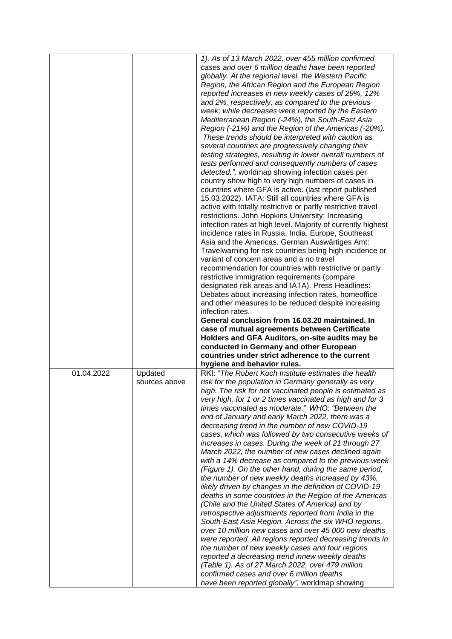|            |               | 1). As of 13 March 2022, over 455 million confirmed          |
|------------|---------------|--------------------------------------------------------------|
|            |               | cases and over 6 million deaths have been reported           |
|            |               | globally. At the regional level, the Western Pacific         |
|            |               | Region, the African Region and the European Region           |
|            |               | reported increases in new weekly cases of 29%, 12%           |
|            |               | and 2%, respectively, as compared to the previous            |
|            |               | week; while decreases were reported by the Eastern           |
|            |               | Mediterranean Region (-24%), the South-East Asia             |
|            |               | Region (-21%) and the Region of the Americas (-20%).         |
|            |               | These trends should be interpreted with caution as           |
|            |               | several countries are progressively changing their           |
|            |               | testing strategies, resulting in lower overall numbers of    |
|            |               | tests performed and consequently numbers of cases            |
|            |               | detected.", worldmap showing infection cases per             |
|            |               | country show high to very high numbers of cases in           |
|            |               |                                                              |
|            |               | countries where GFA is active. (last report published        |
|            |               | 15.03.2022). IATA: Still all countries where GFA is          |
|            |               | active with totally restrictive or partly restrictive travel |
|            |               | restrictions. John Hopkins University: Increasing            |
|            |               | infection rates at high level. Majority of currently highest |
|            |               | incidence rates in Russia, India, Europe, Southeast          |
|            |               | Asia and the Americas. German Auswärtiges Amt:               |
|            |               | Travelwarning for risk countries being high incidence or     |
|            |               | variant of concern areas and a no travel                     |
|            |               | recommendation for countries with restrictive or partly      |
|            |               | restrictive immigration requirements (compare                |
|            |               | designated risk areas and IATA). Press Headlines:            |
|            |               | Debates about increasing infection rates, homeoffice         |
|            |               | and other measures to be reduced despite increasing          |
|            |               | infection rates.                                             |
|            |               | General conclusion from 16.03.20 maintained. In              |
|            |               |                                                              |
|            |               |                                                              |
|            |               | case of mutual agreements between Certificate                |
|            |               | Holders and GFA Auditors, on-site audits may be              |
|            |               | conducted in Germany and other European                      |
|            |               | countries under strict adherence to the current              |
|            |               | hygiene and behavior rules.                                  |
| 01.04.2022 | Updated       | RKI: "The Robert Koch Institute estimates the health         |
|            | sources above | risk for the population in Germany generally as very         |
|            |               | high. The risk for not vaccinated people is estimated as     |
|            |               | very high, for 1 or 2 times vaccinated as high and for 3     |
|            |               |                                                              |
|            |               | times vaccinated as moderate." WHO: "Between the             |
|            |               | end of January and early March 2022, there was a             |
|            |               | decreasing trend in the number of new COVID-19               |
|            |               | cases, which was followed by two consecutive weeks of        |
|            |               | increases in cases. During the week of 21 through 27         |
|            |               | March 2022, the number of new cases declined again           |
|            |               | with a 14% decrease as compared to the previous week         |
|            |               | (Figure 1). On the other hand, during the same period,       |
|            |               | the number of new weekly deaths increased by 43%,            |
|            |               | likely driven by changes in the definition of COVID-19       |
|            |               | deaths in some countries in the Region of the Americas       |
|            |               | (Chile and the United States of America) and by              |
|            |               | retrospective adjustments reported from India in the         |
|            |               | South-East Asia Region. Across the six WHO regions,          |
|            |               | over 10 million new cases and over 45 000 new deaths         |
|            |               | were reported. All regions reported decreasing trends in     |
|            |               | the number of new weekly cases and four regions              |
|            |               | reported a decreasing trend innew weekly deaths              |
|            |               | (Table 1). As of 27 March 2022, over 479 million             |
|            |               | confirmed cases and over 6 million deaths                    |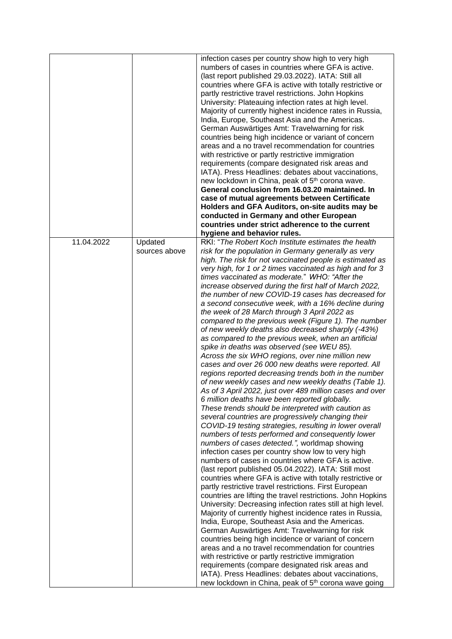|            |               | infection cases per country show high to very high                                                         |
|------------|---------------|------------------------------------------------------------------------------------------------------------|
|            |               | numbers of cases in countries where GFA is active.                                                         |
|            |               | (last report published 29.03.2022). IATA: Still all                                                        |
|            |               | countries where GFA is active with totally restrictive or                                                  |
|            |               | partly restrictive travel restrictions. John Hopkins                                                       |
|            |               | University: Plateauing infection rates at high level.                                                      |
|            |               | Majority of currently highest incidence rates in Russia,                                                   |
|            |               | India, Europe, Southeast Asia and the Americas.                                                            |
|            |               | German Auswärtiges Amt: Travelwarning for risk                                                             |
|            |               | countries being high incidence or variant of concern                                                       |
|            |               | areas and a no travel recommendation for countries                                                         |
|            |               | with restrictive or partly restrictive immigration                                                         |
|            |               | requirements (compare designated risk areas and                                                            |
|            |               | IATA). Press Headlines: debates about vaccinations,                                                        |
|            |               | new lockdown in China, peak of 5 <sup>th</sup> corona wave.                                                |
|            |               | General conclusion from 16.03.20 maintained. In                                                            |
|            |               | case of mutual agreements between Certificate                                                              |
|            |               | Holders and GFA Auditors, on-site audits may be                                                            |
|            |               | conducted in Germany and other European                                                                    |
|            |               | countries under strict adherence to the current                                                            |
|            |               | hygiene and behavior rules.                                                                                |
| 11.04.2022 | Updated       | RKI: "The Robert Koch Institute estimates the health                                                       |
|            | sources above | risk for the population in Germany generally as very                                                       |
|            |               |                                                                                                            |
|            |               | high. The risk for not vaccinated people is estimated as                                                   |
|            |               | very high, for 1 or 2 times vaccinated as high and for 3<br>times vaccinated as moderate." WHO: "After the |
|            |               |                                                                                                            |
|            |               | increase observed during the first half of March 2022,                                                     |
|            |               | the number of new COVID-19 cases has decreased for                                                         |
|            |               | a second consecutive week, with a 16% decline during                                                       |
|            |               | the week of 28 March through 3 April 2022 as                                                               |
|            |               | compared to the previous week (Figure 1). The number                                                       |
|            |               | of new weekly deaths also decreased sharply (-43%)                                                         |
|            |               | as compared to the previous week, when an artificial                                                       |
|            |               | spike in deaths was observed (see WEU 85).                                                                 |
|            |               | Across the six WHO regions, over nine million new                                                          |
|            |               | cases and over 26 000 new deaths were reported. All                                                        |
|            |               | regions reported decreasing trends both in the number                                                      |
|            |               | of new weekly cases and new weekly deaths (Table 1).                                                       |
|            |               | As of 3 April 2022, just over 489 million cases and over                                                   |
|            |               | 6 million deaths have been reported globally.                                                              |
|            |               | These trends should be interpreted with caution as                                                         |
|            |               | several countries are progressively changing their                                                         |
|            |               | COVID-19 testing strategies, resulting in lower overall                                                    |
|            |               | numbers of tests performed and consequently lower                                                          |
|            |               | numbers of cases detected.", worldmap showing                                                              |
|            |               | infection cases per country show low to very high                                                          |
|            |               | numbers of cases in countries where GFA is active.                                                         |
|            |               | (last report published 05.04.2022). IATA: Still most                                                       |
|            |               | countries where GFA is active with totally restrictive or                                                  |
|            |               | partly restrictive travel restrictions. First European                                                     |
|            |               | countries are lifting the travel restrictions. John Hopkins                                                |
|            |               | University: Decreasing infection rates still at high level.                                                |
|            |               | Majority of currently highest incidence rates in Russia,                                                   |
|            |               | India, Europe, Southeast Asia and the Americas.                                                            |
|            |               | German Auswärtiges Amt: Travelwarning for risk                                                             |
|            |               | countries being high incidence or variant of concern                                                       |
|            |               | areas and a no travel recommendation for countries                                                         |
|            |               | with restrictive or partly restrictive immigration                                                         |
|            |               | requirements (compare designated risk areas and                                                            |
|            |               | IATA). Press Headlines: debates about vaccinations,                                                        |
|            |               | new lockdown in China, peak of 5 <sup>th</sup> corona wave going                                           |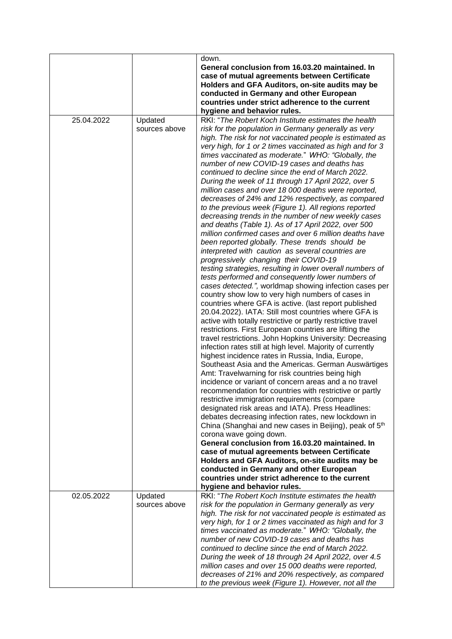|            |                          | down.<br>General conclusion from 16.03.20 maintained. In<br>case of mutual agreements between Certificate<br>Holders and GFA Auditors, on-site audits may be<br>conducted in Germany and other European<br>countries under strict adherence to the current<br>hygiene and behavior rules.                                                                                                                                                                                                                                                                                                                                                                                                                                                                                                                                                                                                                                                                                                                                                                                                                                                                                                                                                                                                                                                                                                                                                                                                                                                                                                                                                                                                                                                                                                                                                                                                                                                                                                                                                                                                                                                                                                                                                                          |
|------------|--------------------------|--------------------------------------------------------------------------------------------------------------------------------------------------------------------------------------------------------------------------------------------------------------------------------------------------------------------------------------------------------------------------------------------------------------------------------------------------------------------------------------------------------------------------------------------------------------------------------------------------------------------------------------------------------------------------------------------------------------------------------------------------------------------------------------------------------------------------------------------------------------------------------------------------------------------------------------------------------------------------------------------------------------------------------------------------------------------------------------------------------------------------------------------------------------------------------------------------------------------------------------------------------------------------------------------------------------------------------------------------------------------------------------------------------------------------------------------------------------------------------------------------------------------------------------------------------------------------------------------------------------------------------------------------------------------------------------------------------------------------------------------------------------------------------------------------------------------------------------------------------------------------------------------------------------------------------------------------------------------------------------------------------------------------------------------------------------------------------------------------------------------------------------------------------------------------------------------------------------------------------------------------------------------|
| 25.04.2022 | Updated<br>sources above | RKI: "The Robert Koch Institute estimates the health<br>risk for the population in Germany generally as very<br>high. The risk for not vaccinated people is estimated as<br>very high, for 1 or 2 times vaccinated as high and for 3<br>times vaccinated as moderate." WHO: "Globally, the<br>number of new COVID-19 cases and deaths has<br>continued to decline since the end of March 2022.<br>During the week of 11 through 17 April 2022, over 5<br>million cases and over 18 000 deaths were reported,<br>decreases of 24% and 12% respectively, as compared<br>to the previous week (Figure 1). All regions reported<br>decreasing trends in the number of new weekly cases<br>and deaths (Table 1). As of 17 April 2022, over 500<br>million confirmed cases and over 6 million deaths have<br>been reported globally. These trends should be<br>interpreted with caution as several countries are<br>progressively changing their COVID-19<br>testing strategies, resulting in lower overall numbers of<br>tests performed and consequently lower numbers of<br>cases detected.", worldmap showing infection cases per<br>country show low to very high numbers of cases in<br>countries where GFA is active. (last report published<br>20.04.2022). IATA: Still most countries where GFA is<br>active with totally restrictive or partly restrictive travel<br>restrictions. First European countries are lifting the<br>travel restrictions. John Hopkins University: Decreasing<br>infection rates still at high level. Majority of currently<br>highest incidence rates in Russia, India, Europe,<br>Southeast Asia and the Americas. German Auswärtiges<br>Amt: Travelwarning for risk countries being high<br>incidence or variant of concern areas and a no travel<br>recommendation for countries with restrictive or partly<br>restrictive immigration requirements (compare<br>designated risk areas and IATA). Press Headlines:<br>debates decreasing infection rates, new lockdown in<br>China (Shanghai and new cases in Beijing), peak of 5 <sup>th</sup><br>corona wave going down.<br>General conclusion from 16.03.20 maintained. In<br>case of mutual agreements between Certificate<br>Holders and GFA Auditors, on-site audits may be |
|            |                          | conducted in Germany and other European<br>countries under strict adherence to the current<br>hygiene and behavior rules.                                                                                                                                                                                                                                                                                                                                                                                                                                                                                                                                                                                                                                                                                                                                                                                                                                                                                                                                                                                                                                                                                                                                                                                                                                                                                                                                                                                                                                                                                                                                                                                                                                                                                                                                                                                                                                                                                                                                                                                                                                                                                                                                          |
| 02.05.2022 | Updated<br>sources above | RKI: "The Robert Koch Institute estimates the health<br>risk for the population in Germany generally as very<br>high. The risk for not vaccinated people is estimated as<br>very high, for 1 or 2 times vaccinated as high and for 3<br>times vaccinated as moderate." WHO: "Globally, the<br>number of new COVID-19 cases and deaths has<br>continued to decline since the end of March 2022.<br>During the week of 18 through 24 April 2022, over 4.5<br>million cases and over 15 000 deaths were reported,<br>decreases of 21% and 20% respectively, as compared<br>to the previous week (Figure 1). However, not all the                                                                                                                                                                                                                                                                                                                                                                                                                                                                                                                                                                                                                                                                                                                                                                                                                                                                                                                                                                                                                                                                                                                                                                                                                                                                                                                                                                                                                                                                                                                                                                                                                                      |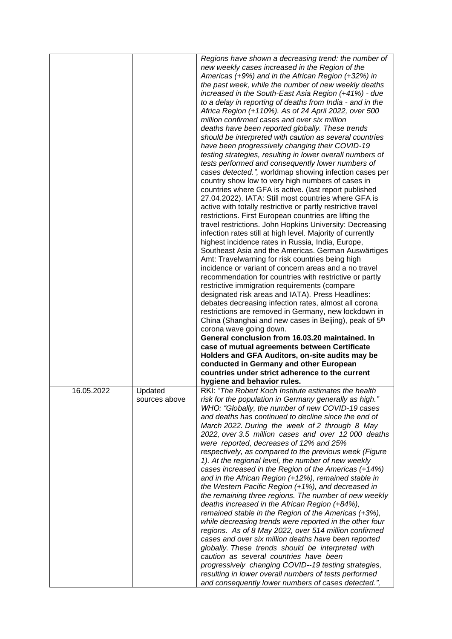|            |                          | Regions have shown a decreasing trend: the number of<br>new weekly cases increased in the Region of the<br>Americas (+9%) and in the African Region (+32%) in                                                                                                                                                                                                                                                                                                                                                                                                                                                                                                                                                                                                                                                                                                                                                                                                                                                                                                                                                                                                                                                                                                                               |
|------------|--------------------------|---------------------------------------------------------------------------------------------------------------------------------------------------------------------------------------------------------------------------------------------------------------------------------------------------------------------------------------------------------------------------------------------------------------------------------------------------------------------------------------------------------------------------------------------------------------------------------------------------------------------------------------------------------------------------------------------------------------------------------------------------------------------------------------------------------------------------------------------------------------------------------------------------------------------------------------------------------------------------------------------------------------------------------------------------------------------------------------------------------------------------------------------------------------------------------------------------------------------------------------------------------------------------------------------|
|            |                          | the past week, while the number of new weekly deaths<br>increased in the South-East Asia Region (+41%) - due<br>to a delay in reporting of deaths from India - and in the<br>Africa Region (+110%). As of 24 April 2022, over 500<br>million confirmed cases and over six million                                                                                                                                                                                                                                                                                                                                                                                                                                                                                                                                                                                                                                                                                                                                                                                                                                                                                                                                                                                                           |
|            |                          | deaths have been reported globally. These trends<br>should be interpreted with caution as several countries<br>have been progressively changing their COVID-19<br>testing strategies, resulting in lower overall numbers of<br>tests performed and consequently lower numbers of<br>cases detected.", worldmap showing infection cases per<br>country show low to very high numbers of cases in<br>countries where GFA is active. (last report published<br>27.04.2022). IATA: Still most countries where GFA is<br>active with totally restrictive or partly restrictive travel<br>restrictions. First European countries are lifting the<br>travel restrictions. John Hopkins University: Decreasing<br>infection rates still at high level. Majority of currently<br>highest incidence rates in Russia, India, Europe,<br>Southeast Asia and the Americas. German Auswärtiges<br>Amt: Travelwarning for risk countries being high                                                                                                                                                                                                                                                                                                                                                        |
|            |                          | incidence or variant of concern areas and a no travel<br>recommendation for countries with restrictive or partly<br>restrictive immigration requirements (compare<br>designated risk areas and IATA). Press Headlines:<br>debates decreasing infection rates, almost all corona<br>restrictions are removed in Germany, new lockdown in<br>China (Shanghai and new cases in Beijing), peak of 5 <sup>th</sup><br>corona wave going down.<br>General conclusion from 16.03.20 maintained. In<br>case of mutual agreements between Certificate<br>Holders and GFA Auditors, on-site audits may be<br>conducted in Germany and other European                                                                                                                                                                                                                                                                                                                                                                                                                                                                                                                                                                                                                                                  |
|            |                          | countries under strict adherence to the current<br>hygiene and behavior rules.                                                                                                                                                                                                                                                                                                                                                                                                                                                                                                                                                                                                                                                                                                                                                                                                                                                                                                                                                                                                                                                                                                                                                                                                              |
| 16.05.2022 | Updated<br>sources above | RKI: "The Robert Koch Institute estimates the health<br>risk for the population in Germany generally as high."<br>WHO: "Globally, the number of new COVID-19 cases<br>and deaths has continued to decline since the end of<br>March 2022. During the week of 2 through 8 May<br>2022, over 3.5 million cases and over 12 000 deaths<br>were reported, decreases of 12% and 25%<br>respectively, as compared to the previous week (Figure<br>1). At the regional level, the number of new weekly<br>cases increased in the Region of the Americas (+14%)<br>and in the African Region (+12%), remained stable in<br>the Western Pacific Region (+1%), and decreased in<br>the remaining three regions. The number of new weekly<br>deaths increased in the African Region (+84%),<br>remained stable in the Region of the Americas (+3%),<br>while decreasing trends were reported in the other four<br>regions. As of 8 May 2022, over 514 million confirmed<br>cases and over six million deaths have been reported<br>globally. These trends should be interpreted with<br>caution as several countries have been<br>progressively changing COVID--19 testing strategies,<br>resulting in lower overall numbers of tests performed<br>and consequently lower numbers of cases detected.", |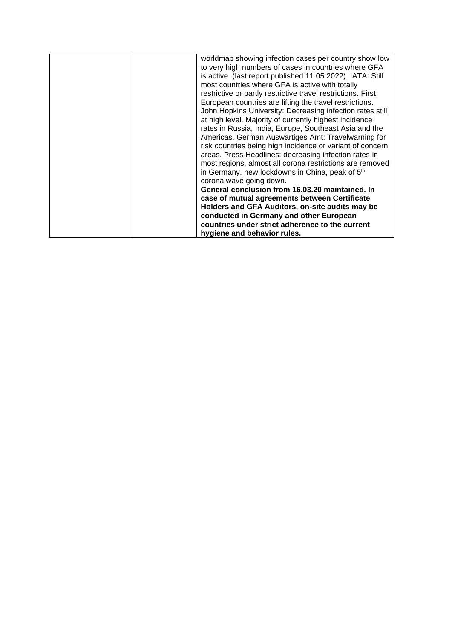| worldmap showing infection cases per country show low        |  |
|--------------------------------------------------------------|--|
| to very high numbers of cases in countries where GFA         |  |
| is active. (last report published 11.05.2022). IATA: Still   |  |
| most countries where GFA is active with totally              |  |
| restrictive or partly restrictive travel restrictions. First |  |
| European countries are lifting the travel restrictions.      |  |
| John Hopkins University: Decreasing infection rates still    |  |
| at high level. Majority of currently highest incidence       |  |
| rates in Russia, India, Europe, Southeast Asia and the       |  |
| Americas. German Auswärtiges Amt: Travelwarning for          |  |
| risk countries being high incidence or variant of concern    |  |
| areas. Press Headlines: decreasing infection rates in        |  |
| most regions, almost all corona restrictions are removed     |  |
| in Germany, new lockdowns in China, peak of 5 <sup>th</sup>  |  |
| corona wave going down.                                      |  |
| General conclusion from 16.03.20 maintained. In              |  |
| case of mutual agreements between Certificate                |  |
| Holders and GFA Auditors, on-site audits may be              |  |
| conducted in Germany and other European                      |  |
| countries under strict adherence to the current              |  |
| hygiene and behavior rules.                                  |  |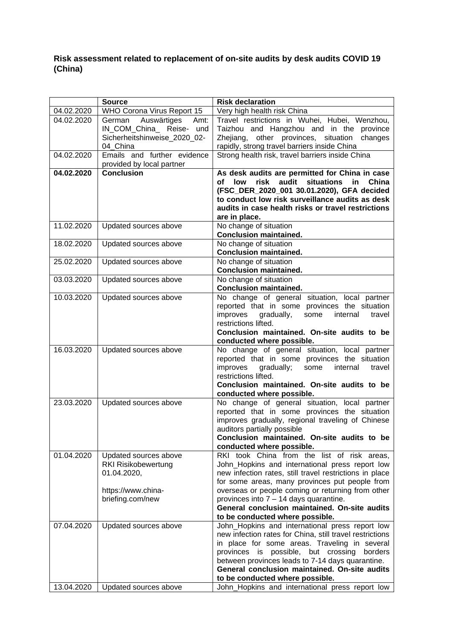## **Risk assessment related to replacement of on-site audits by desk audits COVID 19 (China)**

|            | <b>Source</b>                 | <b>Risk declaration</b>                                                          |
|------------|-------------------------------|----------------------------------------------------------------------------------|
| 04.02.2020 | WHO Corona Virus Report 15    | Very high health risk China                                                      |
| 04.02.2020 | German<br>Auswärtiges<br>Amt: | Travel restrictions in Wuhei, Hubei, Wenzhou,                                    |
|            | IN_COM_China_ Reise- und      | Taizhou and Hangzhou and in the province                                         |
|            | Sicherheitshinweise_2020_02-  | Zhejiang, other provinces, situation<br>changes                                  |
|            | 04 China                      | rapidly, strong travel barriers inside China                                     |
| 04.02.2020 | Emails and further evidence   | Strong health risk, travel barriers inside China                                 |
|            | provided by local partner     |                                                                                  |
| 04.02.2020 | <b>Conclusion</b>             | As desk audits are permitted for China in case                                   |
|            |                               | risk audit situations<br>of<br>low<br>in China                                   |
|            |                               | (FSC_DER_2020_001 30.01.2020), GFA decided                                       |
|            |                               | to conduct low risk surveillance audits as desk                                  |
|            |                               | audits in case health risks or travel restrictions                               |
| 11.02.2020 |                               | are in place.                                                                    |
|            | Updated sources above         | No change of situation<br><b>Conclusion maintained.</b>                          |
| 18.02.2020 | Updated sources above         | No change of situation                                                           |
|            |                               | <b>Conclusion maintained.</b>                                                    |
| 25.02.2020 | Updated sources above         | No change of situation                                                           |
|            |                               | <b>Conclusion maintained.</b>                                                    |
| 03.03.2020 | Updated sources above         | No change of situation                                                           |
|            |                               | <b>Conclusion maintained.</b>                                                    |
| 10.03.2020 | Updated sources above         | No change of general situation, local partner                                    |
|            |                               | reported that in some provinces the situation                                    |
|            |                               | improves<br>gradually,<br>some<br>internal<br>travel                             |
|            |                               | restrictions lifted.                                                             |
|            |                               | Conclusion maintained. On-site audits to be                                      |
|            |                               | conducted where possible.                                                        |
| 16.03.2020 | Updated sources above         | No change of general situation, local partner                                    |
|            |                               | reported that in some provinces the situation                                    |
|            |                               | improves<br>gradually;<br>some<br>internal<br>travel                             |
|            |                               | restrictions lifted.                                                             |
|            |                               | Conclusion maintained. On-site audits to be                                      |
|            |                               | conducted where possible.<br>No change of general situation, local partner       |
| 23.03.2020 | Updated sources above         | reported that in some provinces the situation                                    |
|            |                               | improves gradually, regional traveling of Chinese                                |
|            |                               | auditors partially possible                                                      |
|            |                               | Conclusion maintained. On-site audits to be                                      |
|            |                               | conducted where possible.                                                        |
| 01.04.2020 | Updated sources above         | RKI took China from the list of risk areas,                                      |
|            | <b>RKI Risikobewertung</b>    | John_Hopkins and international press report low                                  |
|            | 01.04.2020,                   | new infection rates, still travel restrictions in place                          |
|            |                               | for some areas, many provinces put people from                                   |
|            | https://www.china-            | overseas or people coming or returning from other                                |
|            | briefing.com/new              | provinces into $7 - 14$ days quarantine.                                         |
|            |                               | General conclusion maintained. On-site audits                                    |
|            |                               | to be conducted where possible.                                                  |
| 07.04.2020 | Updated sources above         | John_Hopkins and international press report low                                  |
|            |                               | new infection rates for China, still travel restrictions                         |
|            |                               | in place for some areas. Traveling in several                                    |
|            |                               | provinces is possible, but crossing<br>borders                                   |
|            |                               | between provinces leads to 7-14 days quarantine.                                 |
|            |                               | General conclusion maintained. On-site audits<br>to be conducted where possible. |
| 13.04.2020 | Updated sources above         | John_Hopkins and international press report low                                  |
|            |                               |                                                                                  |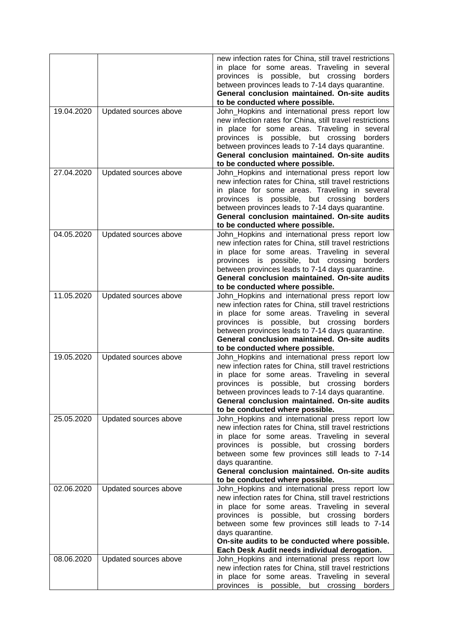|            |                       | new infection rates for China, still travel restrictions<br>in place for some areas. Traveling in several<br>provinces is possible, but crossing<br>borders<br>between provinces leads to 7-14 days quarantine.<br>General conclusion maintained. On-site audits<br>to be conducted where possible.                                                                                    |
|------------|-----------------------|----------------------------------------------------------------------------------------------------------------------------------------------------------------------------------------------------------------------------------------------------------------------------------------------------------------------------------------------------------------------------------------|
| 19.04.2020 | Updated sources above | John_Hopkins and international press report low<br>new infection rates for China, still travel restrictions<br>in place for some areas. Traveling in several<br>provinces is possible, but crossing<br>borders<br>between provinces leads to 7-14 days quarantine.<br>General conclusion maintained. On-site audits<br>to be conducted where possible.                                 |
| 27.04.2020 | Updated sources above | John_Hopkins and international press report low<br>new infection rates for China, still travel restrictions<br>in place for some areas. Traveling in several<br>provinces is possible, but crossing<br>borders<br>between provinces leads to 7-14 days quarantine.<br>General conclusion maintained. On-site audits<br>to be conducted where possible.                                 |
| 04.05.2020 | Updated sources above | John_Hopkins and international press report low<br>new infection rates for China, still travel restrictions<br>in place for some areas. Traveling in several<br>provinces is possible, but crossing<br>borders<br>between provinces leads to 7-14 days quarantine.<br>General conclusion maintained. On-site audits<br>to be conducted where possible.                                 |
| 11.05.2020 | Updated sources above | John_Hopkins and international press report low<br>new infection rates for China, still travel restrictions<br>in place for some areas. Traveling in several<br>provinces is possible, but crossing<br>borders<br>between provinces leads to 7-14 days quarantine.<br>General conclusion maintained. On-site audits<br>to be conducted where possible.                                 |
| 19.05.2020 | Updated sources above | John_Hopkins and international press report low<br>new infection rates for China, still travel restrictions<br>in place for some areas. Traveling in several<br>provinces is possible, but crossing<br>borders<br>between provinces leads to 7-14 days quarantine.<br>General conclusion maintained. On-site audits<br>to be conducted where possible.                                 |
| 25.05.2020 | Updated sources above | John_Hopkins and international press report low<br>new infection rates for China, still travel restrictions<br>in place for some areas. Traveling in several<br>provinces is possible, but crossing<br>borders<br>between some few provinces still leads to 7-14<br>days quarantine.<br>General conclusion maintained. On-site audits<br>to be conducted where possible.               |
| 02.06.2020 | Updated sources above | John_Hopkins and international press report low<br>new infection rates for China, still travel restrictions<br>in place for some areas. Traveling in several<br>provinces is possible, but crossing<br>borders<br>between some few provinces still leads to 7-14<br>days quarantine.<br>On-site audits to be conducted where possible.<br>Each Desk Audit needs individual derogation. |
| 08.06.2020 | Updated sources above | John_Hopkins and international press report low<br>new infection rates for China, still travel restrictions<br>in place for some areas. Traveling in several<br>provinces is possible, but crossing borders                                                                                                                                                                            |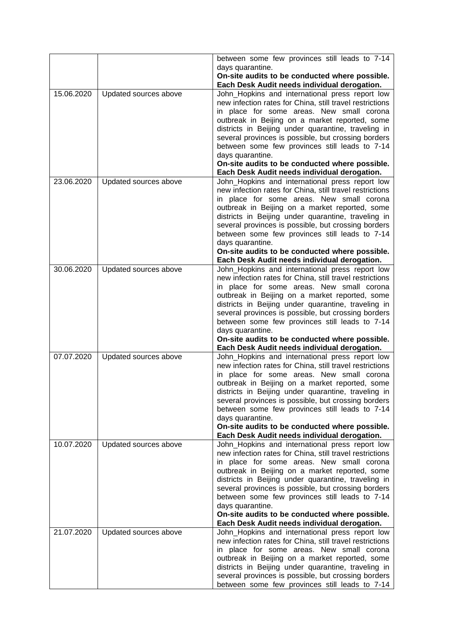|            |                       | between some few provinces still leads to 7-14                                                  |
|------------|-----------------------|-------------------------------------------------------------------------------------------------|
|            |                       | days quarantine.                                                                                |
|            |                       | On-site audits to be conducted where possible.                                                  |
|            |                       | Each Desk Audit needs individual derogation.                                                    |
| 15.06.2020 | Updated sources above | John_Hopkins and international press report low                                                 |
|            |                       | new infection rates for China, still travel restrictions                                        |
|            |                       | in place for some areas. New small corona                                                       |
|            |                       | outbreak in Beijing on a market reported, some                                                  |
|            |                       | districts in Beijing under quarantine, traveling in                                             |
|            |                       | several provinces is possible, but crossing borders                                             |
|            |                       | between some few provinces still leads to 7-14                                                  |
|            |                       | days quarantine.                                                                                |
|            |                       | On-site audits to be conducted where possible.                                                  |
|            |                       | Each Desk Audit needs individual derogation.                                                    |
| 23.06.2020 | Updated sources above | John_Hopkins and international press report low                                                 |
|            |                       | new infection rates for China, still travel restrictions                                        |
|            |                       | in place for some areas. New small corona                                                       |
|            |                       | outbreak in Beijing on a market reported, some                                                  |
|            |                       | districts in Beijing under quarantine, traveling in                                             |
|            |                       | several provinces is possible, but crossing borders                                             |
|            |                       | between some few provinces still leads to 7-14                                                  |
|            |                       | days quarantine.                                                                                |
|            |                       | On-site audits to be conducted where possible.                                                  |
|            |                       | Each Desk Audit needs individual derogation.                                                    |
| 30.06.2020 | Updated sources above | John_Hopkins and international press report low                                                 |
|            |                       | new infection rates for China, still travel restrictions                                        |
|            |                       | in place for some areas. New small corona                                                       |
|            |                       | outbreak in Beijing on a market reported, some                                                  |
|            |                       | districts in Beijing under quarantine, traveling in                                             |
|            |                       | several provinces is possible, but crossing borders                                             |
|            |                       | between some few provinces still leads to 7-14                                                  |
|            |                       | days quarantine.                                                                                |
|            |                       | On-site audits to be conducted where possible.                                                  |
|            |                       | Each Desk Audit needs individual derogation.                                                    |
| 07.07.2020 | Updated sources above | John_Hopkins and international press report low                                                 |
|            |                       | new infection rates for China, still travel restrictions                                        |
|            |                       | in place for some areas. New small corona                                                       |
|            |                       | outbreak in Beijing on a market reported, some                                                  |
|            |                       | districts in Beijing under quarantine, traveling in                                             |
|            |                       | several provinces is possible, but crossing borders                                             |
|            |                       | between some few provinces still leads to 7-14                                                  |
|            |                       | days quarantine.                                                                                |
|            |                       | On-site audits to be conducted where possible.                                                  |
| 10.07.2020 | Updated sources above | Each Desk Audit needs individual derogation.<br>John_Hopkins and international press report low |
|            |                       | new infection rates for China, still travel restrictions                                        |
|            |                       | in place for some areas. New small corona                                                       |
|            |                       | outbreak in Beijing on a market reported, some                                                  |
|            |                       | districts in Beijing under quarantine, traveling in                                             |
|            |                       | several provinces is possible, but crossing borders                                             |
|            |                       | between some few provinces still leads to 7-14                                                  |
|            |                       | days quarantine.                                                                                |
|            |                       | On-site audits to be conducted where possible.                                                  |
|            |                       | Each Desk Audit needs individual derogation.                                                    |
| 21.07.2020 | Updated sources above | John_Hopkins and international press report low                                                 |
|            |                       | new infection rates for China, still travel restrictions                                        |
|            |                       | in place for some areas. New small corona                                                       |
|            |                       | outbreak in Beijing on a market reported, some                                                  |
|            |                       | districts in Beijing under quarantine, traveling in                                             |
|            |                       | several provinces is possible, but crossing borders                                             |
|            |                       | between some few provinces still leads to 7-14                                                  |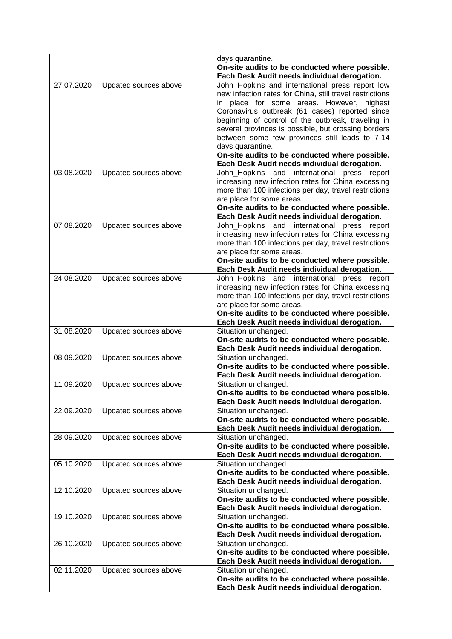|            |                       | days quarantine.                                                     |
|------------|-----------------------|----------------------------------------------------------------------|
|            |                       | On-site audits to be conducted where possible.                       |
|            |                       | Each Desk Audit needs individual derogation.                         |
| 27.07.2020 | Updated sources above | John_Hopkins and international press report low                      |
|            |                       | new infection rates for China, still travel restrictions             |
|            |                       | in place for some areas. However, highest                            |
|            |                       | Coronavirus outbreak (61 cases) reported since                       |
|            |                       | beginning of control of the outbreak, traveling in                   |
|            |                       | several provinces is possible, but crossing borders                  |
|            |                       | between some few provinces still leads to 7-14                       |
|            |                       | days quarantine.                                                     |
|            |                       | On-site audits to be conducted where possible.                       |
|            |                       | Each Desk Audit needs individual derogation.                         |
| 03.08.2020 | Updated sources above | John_Hopkins<br>international<br>and<br>press<br>report              |
|            |                       | increasing new infection rates for China excessing                   |
|            |                       | more than 100 infections per day, travel restrictions                |
|            |                       | are place for some areas.                                            |
|            |                       | On-site audits to be conducted where possible.                       |
|            |                       | Each Desk Audit needs individual derogation.                         |
| 07.08.2020 | Updated sources above | John_Hopkins and international press<br>report                       |
|            |                       | increasing new infection rates for China excessing                   |
|            |                       | more than 100 infections per day, travel restrictions                |
|            |                       | are place for some areas.                                            |
|            |                       | On-site audits to be conducted where possible.                       |
|            |                       | Each Desk Audit needs individual derogation.                         |
| 24.08.2020 | Updated sources above | John_Hopkins and international<br>press<br>report                    |
|            |                       | increasing new infection rates for China excessing                   |
|            |                       | more than 100 infections per day, travel restrictions                |
|            |                       | are place for some areas.                                            |
|            |                       | On-site audits to be conducted where possible.                       |
|            |                       | Each Desk Audit needs individual derogation.                         |
| 31.08.2020 | Updated sources above | Situation unchanged.                                                 |
|            |                       | On-site audits to be conducted where possible.                       |
| 08.09.2020 | Updated sources above | Each Desk Audit needs individual derogation.<br>Situation unchanged. |
|            |                       | On-site audits to be conducted where possible.                       |
|            |                       | Each Desk Audit needs individual derogation.                         |
| 11.09.2020 | Updated sources above | Situation unchanged.                                                 |
|            |                       | On-site audits to be conducted where possible.                       |
|            |                       | Each Desk Audit needs individual derogation.                         |
| 22.09.2020 | Updated sources above | Situation unchanged.                                                 |
|            |                       | On-site audits to be conducted where possible.                       |
|            |                       | Each Desk Audit needs individual derogation.                         |
| 28.09.2020 | Updated sources above | Situation unchanged.                                                 |
|            |                       | On-site audits to be conducted where possible.                       |
|            |                       | Each Desk Audit needs individual derogation.                         |
| 05.10.2020 | Updated sources above | Situation unchanged.                                                 |
|            |                       | On-site audits to be conducted where possible.                       |
|            |                       | Each Desk Audit needs individual derogation.                         |
| 12.10.2020 | Updated sources above | Situation unchanged.                                                 |
|            |                       | On-site audits to be conducted where possible.                       |
|            |                       | Each Desk Audit needs individual derogation.                         |
| 19.10.2020 | Updated sources above | Situation unchanged.                                                 |
|            |                       | On-site audits to be conducted where possible.                       |
|            |                       | Each Desk Audit needs individual derogation.                         |
| 26.10.2020 | Updated sources above | Situation unchanged.                                                 |
|            |                       | On-site audits to be conducted where possible.                       |
|            |                       | Each Desk Audit needs individual derogation.                         |
| 02.11.2020 | Updated sources above | Situation unchanged.                                                 |
|            |                       | On-site audits to be conducted where possible.                       |
|            |                       | Each Desk Audit needs individual derogation.                         |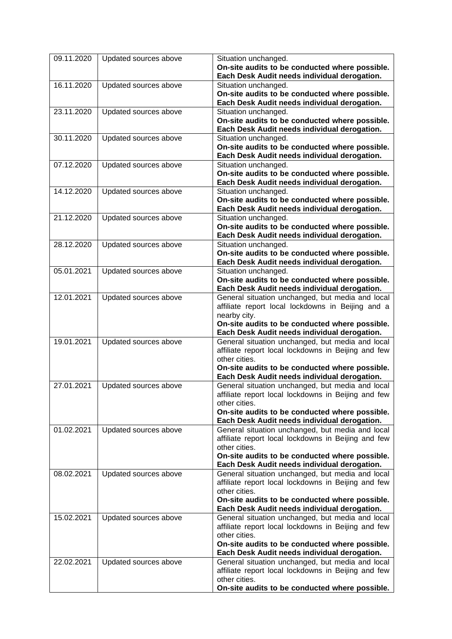| 09.11.2020 | Updated sources above | Situation unchanged.                                                                                    |
|------------|-----------------------|---------------------------------------------------------------------------------------------------------|
|            |                       | On-site audits to be conducted where possible.<br>Each Desk Audit needs individual derogation.          |
| 16.11.2020 | Updated sources above | Situation unchanged.                                                                                    |
|            |                       | On-site audits to be conducted where possible.                                                          |
|            |                       | Each Desk Audit needs individual derogation.                                                            |
| 23.11.2020 | Updated sources above | Situation unchanged.                                                                                    |
|            |                       | On-site audits to be conducted where possible.                                                          |
| 30.11.2020 |                       | Each Desk Audit needs individual derogation.                                                            |
|            | Updated sources above | Situation unchanged.<br>On-site audits to be conducted where possible.                                  |
|            |                       | Each Desk Audit needs individual derogation.                                                            |
| 07.12.2020 | Updated sources above | Situation unchanged.                                                                                    |
|            |                       | On-site audits to be conducted where possible.                                                          |
|            |                       | Each Desk Audit needs individual derogation.                                                            |
| 14.12.2020 | Updated sources above | Situation unchanged.                                                                                    |
|            |                       | On-site audits to be conducted where possible.<br>Each Desk Audit needs individual derogation.          |
| 21.12.2020 | Updated sources above | Situation unchanged.                                                                                    |
|            |                       | On-site audits to be conducted where possible.                                                          |
|            |                       | Each Desk Audit needs individual derogation.                                                            |
| 28.12.2020 | Updated sources above | Situation unchanged.                                                                                    |
|            |                       | On-site audits to be conducted where possible.                                                          |
|            |                       | Each Desk Audit needs individual derogation.                                                            |
| 05.01.2021 | Updated sources above | Situation unchanged.                                                                                    |
|            |                       | On-site audits to be conducted where possible.<br>Each Desk Audit needs individual derogation.          |
| 12.01.2021 | Updated sources above | General situation unchanged, but media and local                                                        |
|            |                       | affiliate report local lockdowns in Beijing and a                                                       |
|            |                       | nearby city.                                                                                            |
|            |                       | On-site audits to be conducted where possible.                                                          |
|            |                       | Each Desk Audit needs individual derogation.                                                            |
| 19.01.2021 | Updated sources above | General situation unchanged, but media and local                                                        |
|            |                       | affiliate report local lockdowns in Beijing and few<br>other cities.                                    |
|            |                       | On-site audits to be conducted where possible.                                                          |
|            |                       | Each Desk Audit needs individual derogation.                                                            |
| 27.01.2021 | Updated sources above | General situation unchanged, but media and local                                                        |
|            |                       | affiliate report local lockdowns in Beijing and few                                                     |
|            |                       | other cities.                                                                                           |
|            |                       | On-site audits to be conducted where possible.                                                          |
| 01.02.2021 | Updated sources above | Each Desk Audit needs individual derogation.<br>General situation unchanged, but media and local        |
|            |                       | affiliate report local lockdowns in Beijing and few                                                     |
|            |                       | other cities.                                                                                           |
|            |                       | On-site audits to be conducted where possible.                                                          |
|            |                       | Each Desk Audit needs individual derogation.                                                            |
| 08.02.2021 | Updated sources above | General situation unchanged, but media and local                                                        |
|            |                       | affiliate report local lockdowns in Beijing and few<br>other cities.                                    |
|            |                       | On-site audits to be conducted where possible.                                                          |
|            |                       | Each Desk Audit needs individual derogation.                                                            |
| 15.02.2021 | Updated sources above | General situation unchanged, but media and local                                                        |
|            |                       | affiliate report local lockdowns in Beijing and few                                                     |
|            |                       | other cities.                                                                                           |
|            |                       | On-site audits to be conducted where possible.                                                          |
| 22.02.2021 |                       | Each Desk Audit needs individual derogation.                                                            |
|            | Updated sources above | General situation unchanged, but media and local<br>affiliate report local lockdowns in Beijing and few |
|            |                       | other cities.                                                                                           |
|            |                       | On-site audits to be conducted where possible.                                                          |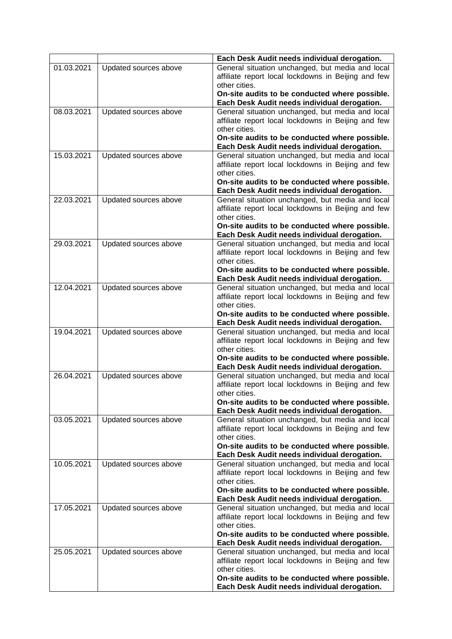|            |                       | Each Desk Audit needs individual derogation.                                                            |
|------------|-----------------------|---------------------------------------------------------------------------------------------------------|
| 01.03.2021 | Updated sources above | General situation unchanged, but media and local                                                        |
|            |                       | affiliate report local lockdowns in Beijing and few                                                     |
|            |                       | other cities.                                                                                           |
|            |                       | On-site audits to be conducted where possible.                                                          |
|            |                       | Each Desk Audit needs individual derogation.                                                            |
| 08.03.2021 | Updated sources above | General situation unchanged, but media and local                                                        |
|            |                       | affiliate report local lockdowns in Beijing and few                                                     |
|            |                       | other cities.                                                                                           |
|            |                       | On-site audits to be conducted where possible.<br>Each Desk Audit needs individual derogation.          |
| 15.03.2021 | Updated sources above | General situation unchanged, but media and local                                                        |
|            |                       | affiliate report local lockdowns in Beijing and few                                                     |
|            |                       | other cities.                                                                                           |
|            |                       | On-site audits to be conducted where possible.                                                          |
|            |                       | Each Desk Audit needs individual derogation.                                                            |
| 22.03.2021 | Updated sources above | General situation unchanged, but media and local                                                        |
|            |                       | affiliate report local lockdowns in Beijing and few                                                     |
|            |                       | other cities.                                                                                           |
|            |                       | On-site audits to be conducted where possible.                                                          |
|            |                       | Each Desk Audit needs individual derogation.                                                            |
| 29.03.2021 | Updated sources above | General situation unchanged, but media and local                                                        |
|            |                       | affiliate report local lockdowns in Beijing and few                                                     |
|            |                       | other cities.                                                                                           |
|            |                       | On-site audits to be conducted where possible.                                                          |
| 12.04.2021 | Updated sources above | Each Desk Audit needs individual derogation.<br>General situation unchanged, but media and local        |
|            |                       | affiliate report local lockdowns in Beijing and few                                                     |
|            |                       | other cities.                                                                                           |
|            |                       | On-site audits to be conducted where possible.                                                          |
|            |                       | Each Desk Audit needs individual derogation.                                                            |
| 19.04.2021 | Updated sources above | General situation unchanged, but media and local                                                        |
|            |                       | affiliate report local lockdowns in Beijing and few                                                     |
|            |                       | other cities.                                                                                           |
|            |                       | On-site audits to be conducted where possible.                                                          |
|            |                       | Each Desk Audit needs individual derogation.                                                            |
| 26.04.2021 | Updated sources above | General situation unchanged, but media and local                                                        |
|            |                       | affiliate report local lockdowns in Beijing and few<br>other cities                                     |
|            |                       | On-site audits to be conducted where possible.                                                          |
|            |                       | Each Desk Audit needs individual derogation.                                                            |
| 03.05.2021 | Updated sources above | General situation unchanged, but media and local                                                        |
|            |                       | affiliate report local lockdowns in Beijing and few                                                     |
|            |                       | other cities.                                                                                           |
|            |                       | On-site audits to be conducted where possible.                                                          |
|            |                       | Each Desk Audit needs individual derogation.                                                            |
| 10.05.2021 | Updated sources above | General situation unchanged, but media and local                                                        |
|            |                       | affiliate report local lockdowns in Beijing and few                                                     |
|            |                       | other cities.                                                                                           |
|            |                       | On-site audits to be conducted where possible.                                                          |
|            |                       | Each Desk Audit needs individual derogation.                                                            |
| 17.05.2021 | Updated sources above | General situation unchanged, but media and local<br>affiliate report local lockdowns in Beijing and few |
|            |                       | other cities.                                                                                           |
|            |                       | On-site audits to be conducted where possible.                                                          |
|            |                       | Each Desk Audit needs individual derogation.                                                            |
| 25.05.2021 | Updated sources above | General situation unchanged, but media and local                                                        |
|            |                       | affiliate report local lockdowns in Beijing and few                                                     |
|            |                       | other cities.                                                                                           |
|            |                       | On-site audits to be conducted where possible.                                                          |
|            |                       | Each Desk Audit needs individual derogation.                                                            |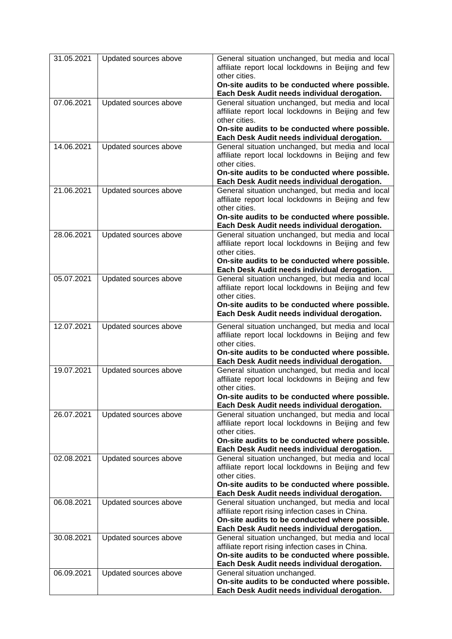| 31.05.2021 | Updated sources above | General situation unchanged, but media and local<br>affiliate report local lockdowns in Beijing and few<br>other cities.<br>On-site audits to be conducted where possible.<br>Each Desk Audit needs individual derogation. |
|------------|-----------------------|----------------------------------------------------------------------------------------------------------------------------------------------------------------------------------------------------------------------------|
| 07.06.2021 | Updated sources above | General situation unchanged, but media and local<br>affiliate report local lockdowns in Beijing and few<br>other cities.<br>On-site audits to be conducted where possible.<br>Each Desk Audit needs individual derogation. |
| 14.06.2021 | Updated sources above | General situation unchanged, but media and local<br>affiliate report local lockdowns in Beijing and few<br>other cities.<br>On-site audits to be conducted where possible.<br>Each Desk Audit needs individual derogation. |
| 21.06.2021 | Updated sources above | General situation unchanged, but media and local<br>affiliate report local lockdowns in Beijing and few<br>other cities.<br>On-site audits to be conducted where possible.<br>Each Desk Audit needs individual derogation. |
| 28.06.2021 | Updated sources above | General situation unchanged, but media and local<br>affiliate report local lockdowns in Beijing and few<br>other cities.<br>On-site audits to be conducted where possible.<br>Each Desk Audit needs individual derogation. |
| 05.07.2021 | Updated sources above | General situation unchanged, but media and local<br>affiliate report local lockdowns in Beijing and few<br>other cities.<br>On-site audits to be conducted where possible.<br>Each Desk Audit needs individual derogation. |
| 12.07.2021 | Updated sources above | General situation unchanged, but media and local<br>affiliate report local lockdowns in Beijing and few<br>other cities.<br>On-site audits to be conducted where possible.<br>Each Desk Audit needs individual derogation. |
| 19.07.2021 | Updated sources above | General situation unchanged, but media and local<br>affiliate report local lockdowns in Beijing and few<br>other cities.<br>On-site audits to be conducted where possible.<br>Each Desk Audit needs individual derogation. |
| 26.07.2021 | Updated sources above | General situation unchanged, but media and local<br>affiliate report local lockdowns in Beijing and few<br>other cities.<br>On-site audits to be conducted where possible.<br>Each Desk Audit needs individual derogation. |
| 02.08.2021 | Updated sources above | General situation unchanged, but media and local<br>affiliate report local lockdowns in Beijing and few<br>other cities.<br>On-site audits to be conducted where possible.<br>Each Desk Audit needs individual derogation. |
| 06.08.2021 | Updated sources above | General situation unchanged, but media and local<br>affiliate report rising infection cases in China.<br>On-site audits to be conducted where possible.<br>Each Desk Audit needs individual derogation.                    |
| 30.08.2021 | Updated sources above | General situation unchanged, but media and local<br>affiliate report rising infection cases in China.<br>On-site audits to be conducted where possible.<br>Each Desk Audit needs individual derogation.                    |
| 06.09.2021 | Updated sources above | General situation unchanged.<br>On-site audits to be conducted where possible.<br>Each Desk Audit needs individual derogation.                                                                                             |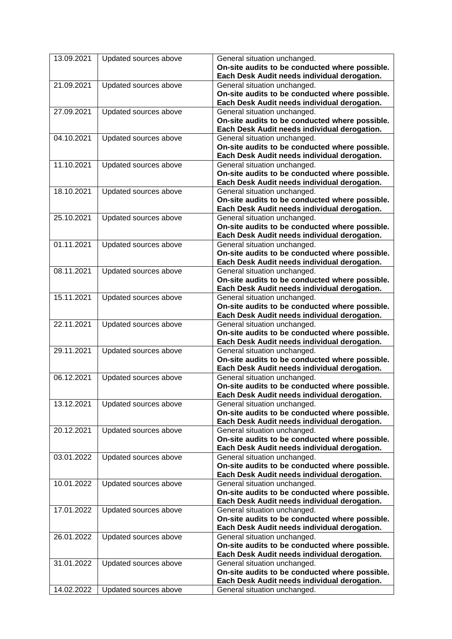| 13.09.2021 | Updated sources above | General situation unchanged.<br>On-site audits to be conducted where possible.                                                 |
|------------|-----------------------|--------------------------------------------------------------------------------------------------------------------------------|
| 21.09.2021 | Updated sources above | Each Desk Audit needs individual derogation.<br>General situation unchanged.<br>On-site audits to be conducted where possible. |
|            |                       | Each Desk Audit needs individual derogation.                                                                                   |
| 27.09.2021 | Updated sources above | General situation unchanged.                                                                                                   |
|            |                       | On-site audits to be conducted where possible.                                                                                 |
|            |                       | Each Desk Audit needs individual derogation.                                                                                   |
| 04.10.2021 | Updated sources above | General situation unchanged.                                                                                                   |
|            |                       | On-site audits to be conducted where possible.<br>Each Desk Audit needs individual derogation.                                 |
| 11.10.2021 | Updated sources above | General situation unchanged.                                                                                                   |
|            |                       | On-site audits to be conducted where possible.                                                                                 |
|            |                       | Each Desk Audit needs individual derogation.                                                                                   |
| 18.10.2021 | Updated sources above | General situation unchanged.                                                                                                   |
|            |                       | On-site audits to be conducted where possible.                                                                                 |
|            |                       | Each Desk Audit needs individual derogation.                                                                                   |
| 25.10.2021 | Updated sources above | General situation unchanged.                                                                                                   |
|            |                       | On-site audits to be conducted where possible.<br>Each Desk Audit needs individual derogation.                                 |
| 01.11.2021 | Updated sources above | General situation unchanged.                                                                                                   |
|            |                       | On-site audits to be conducted where possible.                                                                                 |
|            |                       | Each Desk Audit needs individual derogation.                                                                                   |
| 08.11.2021 | Updated sources above | General situation unchanged.                                                                                                   |
|            |                       | On-site audits to be conducted where possible.                                                                                 |
|            |                       | Each Desk Audit needs individual derogation.                                                                                   |
| 15.11.2021 | Updated sources above | General situation unchanged.                                                                                                   |
|            |                       | On-site audits to be conducted where possible.                                                                                 |
|            |                       | Each Desk Audit needs individual derogation.                                                                                   |
| 22.11.2021 | Updated sources above | General situation unchanged.                                                                                                   |
|            |                       | On-site audits to be conducted where possible.                                                                                 |
|            |                       | Each Desk Audit needs individual derogation.                                                                                   |
| 29.11.2021 | Updated sources above | General situation unchanged.                                                                                                   |
|            |                       | On-site audits to be conducted where possible.                                                                                 |
|            |                       | Each Desk Audit needs individual derogation.                                                                                   |
| 06.12.2021 | Updated sources above | General situation unchanged.                                                                                                   |
|            |                       | On-site audits to be conducted where possible.                                                                                 |
|            |                       | Each Desk Audit needs individual derogation.                                                                                   |
| 13.12.2021 | Updated sources above | General situation unchanged.                                                                                                   |
|            |                       | On-site audits to be conducted where possible.                                                                                 |
|            |                       | Each Desk Audit needs individual derogation.                                                                                   |
| 20.12.2021 | Updated sources above | General situation unchanged.                                                                                                   |
|            |                       | On-site audits to be conducted where possible.                                                                                 |
|            |                       | Each Desk Audit needs individual derogation.                                                                                   |
| 03.01.2022 | Updated sources above | General situation unchanged.                                                                                                   |
|            |                       | On-site audits to be conducted where possible.<br>Each Desk Audit needs individual derogation.                                 |
| 10.01.2022 | Updated sources above | General situation unchanged.                                                                                                   |
|            |                       | On-site audits to be conducted where possible.                                                                                 |
|            |                       | Each Desk Audit needs individual derogation.                                                                                   |
| 17.01.2022 | Updated sources above | General situation unchanged.                                                                                                   |
|            |                       | On-site audits to be conducted where possible.                                                                                 |
|            |                       | Each Desk Audit needs individual derogation.                                                                                   |
| 26.01.2022 | Updated sources above | General situation unchanged.                                                                                                   |
|            |                       | On-site audits to be conducted where possible.                                                                                 |
|            |                       | Each Desk Audit needs individual derogation.                                                                                   |
| 31.01.2022 | Updated sources above | General situation unchanged.                                                                                                   |
|            |                       | On-site audits to be conducted where possible.                                                                                 |
|            |                       | Each Desk Audit needs individual derogation.                                                                                   |
| 14.02.2022 | Updated sources above | General situation unchanged.                                                                                                   |
|            |                       |                                                                                                                                |